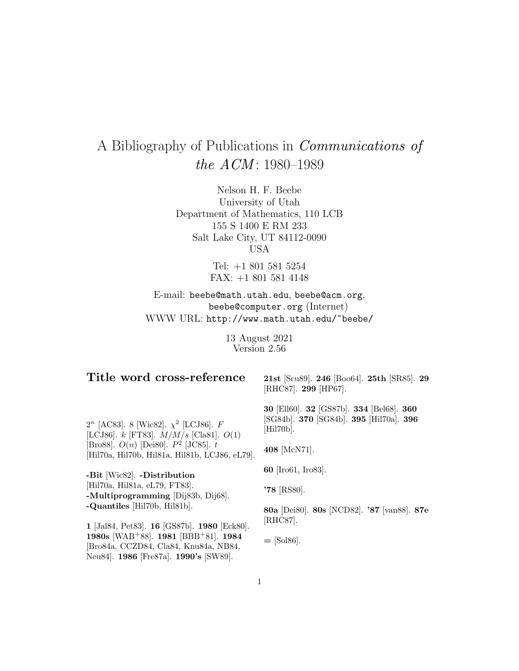# A Bibliography of Publications in Communications of the  $ACM$ : 1980–1989

Nelson H. F. Beebe University of Utah Department of Mathematics, 110 LCB 155 S 1400 E RM 233 Salt Lake City, UT 84112-0090 USA

> Tel: +1 801 581 5254 FAX: +1 801 581 4148

E-mail: beebe@math.utah.edu, beebe@acm.org, beebe@computer.org (Internet) WWW URL: http://www.math.utah.edu/~beebe/

> 13 August 2021 Version 2.56

## **Title word cross-reference**

**21st** [Scu89]. **246** [Boo64]. **25th** [SR85]. **29** [RHC87]. **299** [HP67].

 $2^{n}$  [AC83]. 8 [Wic82].  $\chi^{2}$  [LCJ86]. F [LCJ86].  $k$  [FT83].  $M/M/s$  [Cla81].  $O(1)$ [Bro88].  $O(n)$  [Dei80].  $P^2$  [JC85]. t [Hil70a, Hil70b, Hil81a, Hil81b, LCJ86, eL79].

**-Bit** [Wic82]. **-Distribution** [Hil70a, Hil81a, eL79, FT83]. **-Multiprogramming** [Dij83b, Dij68]. **-Quantiles** [Hil70b, Hil81b].

**1** [Jal84, Pet83]. **16** [GS87b]. **1980** [Eck80]. **1980s** [WAB<sup>+</sup>88]. **1981** [BBB<sup>+</sup>81]. **1984** [Bro84a, CCZD84, Cla84, Knu84a, NB84, Neu84]. **1986** [Fre87a]. **1990's** [SW89].

**30** [Ell60]. **32** [GS87b]. **334** [Bel68]. **360** [SG84b]. **370** [SG84b]. **395** [Hil70a]. **396** [Hil70b].

**408** [McN71].

**60** [Iro61, Iro83].

**'78** [RS80].

**80a** [Dei80]. **80s** [NCD82]. **'87** [van88]. **87e** [RHC87].

**=** [Sol86].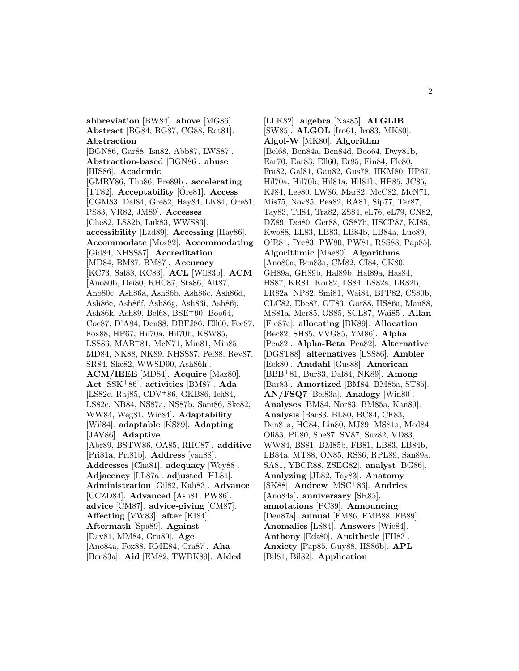**abbreviation** [BW84]. **above** [MG86]. **Abstract** [BG84, BG87, CG88, Rot81]. **Abstraction** [BGN86, Gar88, Isn82, Abb87, LWS87]. **Abstraction-based** [BGN86]. **abuse** [IHS86]. **Academic** [GMRY86, Tho86, Pre89b]. **accelerating** [TT82]. **Acceptability** [Ore81]. ¨ **Access** [CGM83, Dal84, Gre82, Hay84, LK84,  $\tilde{O}$ re81, PS83, VR82, JM89]. **Accesses** [Che82, LS82b, Luk83, WWS83]. **accessibility** [Lad89]. **Accessing** [Hay86]. **Accommodate** [Moz82]. **Accommodating** [Gid84, NHSS87]. **Accreditation** [MD84, BM87, BM87]. **Accuracy** [KC73, Sal88, KC83]. **ACL** [Wil83b]. **ACM** [Ano80b, Dei80, RHC87, Sta86, Alt87, Ano80c, Ash86a, Ash86b, Ash86c, Ash86d, Ash86e, Ash86f, Ash86g, Ash86i, Ash86j, Ash86k, Ash89, Bel68, BSE<sup>+</sup>90, Boo64, Coc87, D'A84, Den88, DBFJ86, Ell60, Fec87, Fox88, HP67, Hil70a, Hil70b, KSW85, LSS86, MAB<sup>+</sup>81, McN71, Min81, Min85, MD84, NK88, NK89, NHSS87, Pel88, Rev87, SR84, Ske82, WWSD90, Ash86h]. **ACM/IEEE** [MD84]. **Acquire** [Maz80]. **Act** [SSK<sup>+</sup>86]. **activities** [BM87]. **Ada** [LS82c, Raj85, CDV<sup>+</sup>86, GKB86, Ich84, LS82c, NB84, NS87a, NS87b, Sam86, Ske82, WW84, Weg81, Wic84]. **Adaptability** [Wil84]. **adaptable** [KS89]. **Adapting** [JAV86]. **Adaptive** [Abr89, BSTW86, OA85, RHC87]. **additive** [Pri81a, Pri81b]. **Address** [van88]. **Addresses** [Cha81]. **adequacy** [Wey88]. **Adjacency** [LL87a]. **adjusted** [HL81]. **Administration** [Gil82, Kah83]. **Advance** [CCZD84]. **Advanced** [Ash81, PW86]. **advice** [CM87]. **advice-giving** [CM87]. **Affecting** [VW83]. **after** [KI84]. **Aftermath** [Spa89]. **Against** [Dav81, MM84, Gru89]. **Age** [Ano84a, Fox88, RME84, Cra87]. **Aha** [Ben83a]. **Aid** [EM82, TWBK89]. **Aided**

[LLK82]. **algebra** [Nas85]. **ALGLIB** [SW85]. **ALGOL** [Iro61, Iro83, MK80]. **Algol-W** [MK80]. **Algorithm** [Bel68, Ben84a, Ben84d, Boo64, Dwy81b, Ear70, Ear83, Ell60, Er85, Fin84, Fle80, Fra82, Gal81, Gau82, Gus78, HKM80, HP67, Hil70a, Hil70b, Hil81a, Hil81b, HP85, JC85, KJ84, Lee80, LW86, Mar82, McC82, McN71, Mis75, Nov85, Pea82, RA81, Sip77, Tar87, Tay83, Til84, Tra82, ZS84, eL76, eL79, CN82, DZ89, Dei80, Ger88, GS87b, HSCP87, KJ85, Kwo88, LL83, LB83, LB84b, LB84a, Luo89, O'R81, Pee83, PW80, PW81, RSS88, Pap85]. **Algorithmic** [Mae80]. **Algorithms** [Ano80a, Ben83a, CM82, CI84, CK80, GH89a, GH89b, Hal89b, Hal89a, Has84, HS87, KR81, Kor82, LS84, LS82a, LR82b, LR82a, NP82, Smi81, Wai84, BFP82, CS80b, CLC82, Ebe87, GT83, Gor88, HS86a, Man88, MS81a, Mer85, OS85, SCL87, Wai85]. **Allan** [Fre87c]. **allocating** [BK89]. **Allocation** [Bec82, SH85, VVG85, YM86]. **Alpha** [Pea82]. **Alpha-Beta** [Pea82]. **Alternative** [DGST88]. **alternatives** [LSS86]. **Ambler** [Eck80]. **Amdahl** [Gus88]. **American** [BBB<sup>+</sup>81, Bur83, Dal84, NK89]. **Among** [Bar83]. **Amortized** [BM84, BM85a, ST85]. **AN/FSQ7** [Bel83a]. **Analogy** [Win80]. **Analyses** [BM84, Nor83, BM85a, Kan89]. **Analysis** [Bar83, BL80, BC84, CF83, Den81a, HC84, Lin80, MJ89, MS81a, Med84, Oli83, PL80, She87, SV87, Suz82, VD83, WW84, BS81, BM85b, FB81, LB83, LB84b, LB84a, MT88, ON85, RS86, RPL89, San89a, SA81, YBCR88, ZSEG82]. **analyst** [BG86]. **Analyzing** [JL82, Tay83]. **Anatomy** [SK88]. **Andrew** [MSC<sup>+</sup>86]. **Andries** [Ano84a]. **anniversary** [SR85]. **annotations** [PC89]. **Announcing** [Den87a]. **annual** [FM86, FMB88, FB89]. **Anomalies** [LS84]. **Answers** [Wic84]. **Anthony** [Eck80]. **Antithetic** [FH83]. **Anxiety** [Pap85, Guy88, HS86b]. **APL** [Bil81, Bil82]. **Application**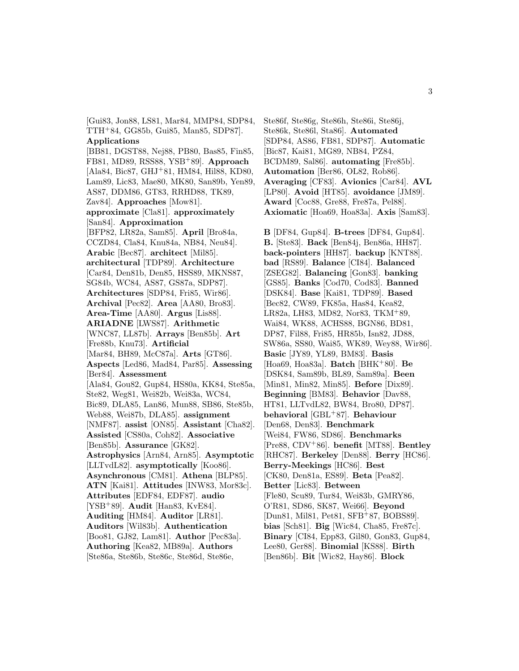[Gui83, Jon88, LS81, Mar84, MMP84, SDP84, TTH<sup>+</sup>84, GG85b, Gui85, Man85, SDP87]. **Applications** [BB81, DGST88, Nej88, PB80, Bas85, Fin85, FB81, MD89, RSS88, YSB<sup>+</sup>89]. **Approach** [Ala84, Bic87, GHJ<sup>+</sup>81, HM84, Hil88, KD80, Lam89, Lic83, Mae80, MK80, San89b, Yen89, AS87, DDM86, GT83, RRHD88, TK89, Zav84]. **Approaches** [Mow81]. **approximate** [Cla81]. **approximately** [San84]. **Approximation** [BFP82, LR82a, Sam85]. **April** [Bro84a, CCZD84, Cla84, Knu84a, NB84, Neu84]. **Arabic** [Bec87]. **architect** [Mil85]. **architectural** [TDP89]. **Architecture** [Car84, Den81b, Den85, HSS89, MKNS87, SG84b, WC84, AS87, GS87a, SDP87]. **Architectures** [SDP84, Fri85, Wir86]. **Archival** [Pec82]. **Area** [AA80, Bro83]. **Area-Time** [AA80]. **Argus** [Lis88]. **ARIADNE** [LWS87]. **Arithmetic** [WNC87, LL87b]. **Arrays** [Ben85b]. **Art** [Fre88b, Knu73]. **Artificial** [Mar84, BH89, McC87a]. **Arts** [GT86]. **Aspects** [Led86, Mad84, Par85]. **Assessing** [Ber84]. **Assessment** [Ala84, Gou82, Gup84, HS80a, KK84, Ste85a, Ste82, Weg81, Wei82b, Wei83a, WC84, Bic89, DLA85, Lan86, Mun88, SB86, Ste85b, Web88, Wei87b, DLA85]. **assignment** [NMF87]. **assist** [ON85]. **Assistant** [Cha82]. **Assisted** [CS80a, Coh82]. **Associative** [Ben85b]. **Assurance** [GK82]. **Astrophysics** [Arn84, Arn85]. **Asymptotic** [LLTvdL82]. **asymptotically** [Koo86]. **Asynchronous** [CM81]. **Athena** [BLP85]. **ATN** [Kai81]. **Attitudes** [INW83, Mor83c]. **Attributes** [EDF84, EDF87]. **audio** [YSB<sup>+</sup>89]. **Audit** [Han83, KvE84]. **Auditing** [HM84]. **Auditor** [LR81]. **Auditors** [Wil83b]. **Authentication** [Boo81, GJ82, Lam81]. **Author** [Pec83a]. **Authoring** [Kea82, MB89a]. **Authors** [Ste86a, Ste86b, Ste86c, Ste86d, Ste86e,

Ste86f, Ste86g, Ste86h, Ste86i, Ste86j, Ste86k, Ste86l, Sta86]. **Automated** [SDP84, AS86, FB81, SDP87]. **Automatic** [Bic87, Kai81, MG89, NB84, PZ84, BCDM89, Sal86]. **automating** [Fre85b]. **Automation** [Ber86, OL82, Rob86]. **Averaging** [CF83]. **Avionics** [Car84]. **AVL** [LP80]. **Avoid** [HT85]. **avoidance** [JM89]. **Award** [Coc88, Gre88, Fre87a, Pel88]. **Axiomatic** [Hoa69, Hoa83a]. **Axis** [Sam83].

**B** [DF84, Gup84]. **B-trees** [DF84, Gup84]. **B.** [Ste83]. **Back** [Ben84j, Ben86a, HH87]. **back-pointers** [HH87]. **backup** [KNT88]. **bad** [RS89]. **Balance** [CI84]. **Balanced** [ZSEG82]. **Balancing** [Gon83]. **banking** [GS85]. **Banks** [Cod70, Cod83]. **Banned** [DSK84]. **Base** [Kai81, TDP89]. **Based** [Bec82, CW89, FK85a, Has84, Kea82, LR82a, LH83, MD82, Nor83, TKM<sup>+</sup>89, Wai84, WK88, ACHS88, BGN86, BD81, DP87, Fil88, Fri85, HR85b, Isn82, JD88, SW86a, SS80, Wai85, WK89, Wey88, Wir86]. **Basic** [JY89, YL89, BM83]. **Basis** [Hoa69, Hoa83a]. **Batch** [BHK<sup>+</sup>80]. **Be** [DSK84, Sam89b, BL89, Sam89a]. **Been** [Min81, Min82, Min85]. **Before** [Dix89]. **Beginning** [BM83]. **Behavior** [Dav88, HT81, LLTvdL82, BW84, Bro80, DP87]. **behavioral** [GBL<sup>+</sup>87]. **Behaviour** [Den68, Den83]. **Benchmark** [Wei84, FW86, SD86]. **Benchmarks** [Pre88, CDV<sup>+</sup>86]. **benefit** [MT88]. **Bentley** [RHC87]. **Berkeley** [Den88]. **Berry** [HC86]. **Berry-Meekings** [HC86]. **Best** [CK80, Den81a, ES89]. **Beta** [Pea82]. **Better** [Lic83]. **Between** [Fle80, Scu89, Tur84, Wei83b, GMRY86, O'R81, SD86, SK87, Wei66]. **Beyond** [Dun81, Mil81, Pet81, SFB<sup>+</sup>87, BOBS89]. **bias** [Sch81]. **Big** [Wic84, Cha85, Fre87c]. **Binary** [CI84, Epp83, Gil80, Gon83, Gup84, Lee80, Ger88]. **Binomial** [KS88]. **Birth** [Ben86b]. **Bit** [Wic82, Hay86]. **Block**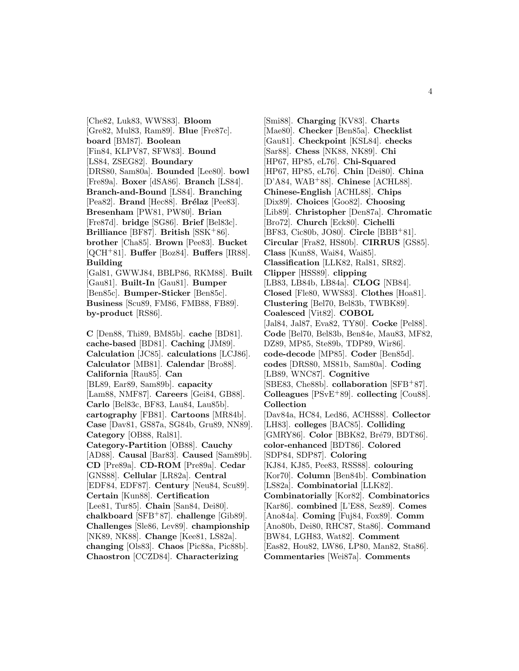[Che82, Luk83, WWS83]. **Bloom** [Gre82, Mul83, Ram89]. **Blue** [Fre87c]. **board** [BM87]. **Boolean** [Fin84, KLPV87, SFW83]. **Bound** [LS84, ZSEG82]. **Boundary** [DRS80, Sam80a]. **Bounded** [Lee80]. **bowl** [Fre89a]. **Boxer** [dSA86]. **Branch** [LS84]. **Branch-and-Bound** [LS84]. **Branching** [Pea82]. **Brand** [Hec88]. **Brélaz** [Pee83]. **Bresenham** [PW81, PW80]. **Brian** [Fre87d]. **bridge** [SG86]. **Brief** [Bel83c]. **Brilliance** [BF87]. **British** [SSK<sup>+</sup>86]. **brother** [Cha85]. **Brown** [Pee83]. **Bucket** [QCH<sup>+</sup>81]. **Buffer** [Boz84]. **Buffers** [IR88]. **Building** [Gal81, GWWJ84, BBLP86, RKM88]. **Built** [Gau81]. **Built-In** [Gau81]. **Bumper** [Ben85c]. **Bumper-Sticker** [Ben85c]. **Business** [Scu89, FM86, FMB88, FB89]. **by-product** [RS86].

**C** [Den88, Thi89, BM85b]. **cache** [BD81]. **cache-based** [BD81]. **Caching** [JM89]. **Calculation** [JC85]. **calculations** [LCJ86]. **Calculator** [MB81]. **Calendar** [Bro88]. **California** [Rau85]. **Can** [BL89, Ear89, Sam89b]. **capacity** [Lam88, NMF87]. **Careers** [Gei84, GB88]. **Carlo** [Bel83c, BF83, Lau84, Lau85b]. **cartography** [FB81]. **Cartoons** [MR84b]. **Case** [Dav81, GS87a, SG84b, Gru89, NN89]. **Category** [OB88, Ral81]. **Category-Partition** [OB88]. **Cauchy** [AD88]. **Causal** [Bar83]. **Caused** [Sam89b]. **CD** [Pre89a]. **CD-ROM** [Pre89a]. **Cedar** [GNS88]. **Cellular** [LR82a]. **Central** [EDF84, EDF87]. **Century** [Neu84, Scu89]. **Certain** [Kun88]. **Certification** [Lee81, Tur85]. **Chain** [San84, Dei80]. **chalkboard** [SFB<sup>+</sup>87]. **challenge** [Gib89]. **Challenges** [Sle86, Lev89]. **championship** [NK89, NK88]. **Change** [Kee81, LS82a]. **changing** [Ols83]. **Chaos** [Pic88a, Pic88b]. **Chaostron** [CCZD84]. **Characterizing**

[Smi88]. **Charging** [KV83]. **Charts** [Mae80]. **Checker** [Ben85a]. **Checklist** [Gau81]. **Checkpoint** [KSL84]. **checks** [Sar88]. **Chess** [NK88, NK89]. **Chi** [HP67, HP85, eL76]. **Chi-Squared** [HP67, HP85, eL76]. **Chin** [Dei80]. **China** [D'A84, WAB<sup>+</sup>88]. **Chinese** [ACHL88]. **Chinese-English** [ACHL88]. **Chips** [Dix89]. **Choices** [Goo82]. **Choosing** [Lib89]. **Christopher** [Den87a]. **Chromatic** [Bro72]. **Church** [Eck80]. **Cichelli** [BF83, Cic80b, JO80]. **Circle** [BBB<sup>+</sup>81]. **Circular** [Fra82, HS80b]. **CIRRUS** [GS85]. **Class** [Kun88, Wai84, Wai85]. **Classification** [LLK82, Ral81, SR82]. **Clipper** [HSS89]. **clipping** [LB83, LB84b, LB84a]. **CLOG** [NB84]. **Closed** [Fle80, WWS83]. **Clothes** [Hoa81]. **Clustering** [Bel70, Bel83b, TWBK89]. **Coalesced** [Vit82]. **COBOL** [Jal84, Jal87, Eva82, TY80]. **Cocke** [Pel88]. **Code** [Bel70, Bel83b, Ben84e, Mau83, MF82, DZ89, MP85, Ste89b, TDP89, Wir86]. **code-decode** [MP85]. **Coder** [Ben85d]. **codes** [DRS80, MS81b, Sam80a]. **Coding** [LB89, WNC87]. **Cognitive** [SBE83, Che88b]. **collaboration** [SFB<sup>+</sup>87]. **Colleagues** [PSvE<sup>+</sup>89]. **collecting** [Cou88]. **Collection** [Dav84a, HC84, Led86, ACHS88]. **Collector** [LH83]. **colleges** [BAC85]. **Colliding** [GMRY86]. **Color** [BBK82, Bré79, BDT86]. **color-enhanced** [BDT86]. **Colored** [SDP84, SDP87]. **Coloring** [KJ84, KJ85, Pee83, RSS88]. **colouring** [Kor70]. **Column** [Ben84b]. **Combination** [LS82a]. **Combinatorial** [LLK82]. **Combinatorially** [Kor82]. **Combinatorics** [Kar86]. **combined** [L'E88, Sez89]. **Comes** [Ano84a]. **Coming** [Fuj84, Fox89]. **Comm** [Ano80b, Dei80, RHC87, Sta86]. **Command** [BW84, LGH83, Wat82]. **Comment** [Eas82, Hou82, LW86, LP80, Man82, Sta86]. **Commentaries** [Wei87a]. **Comments**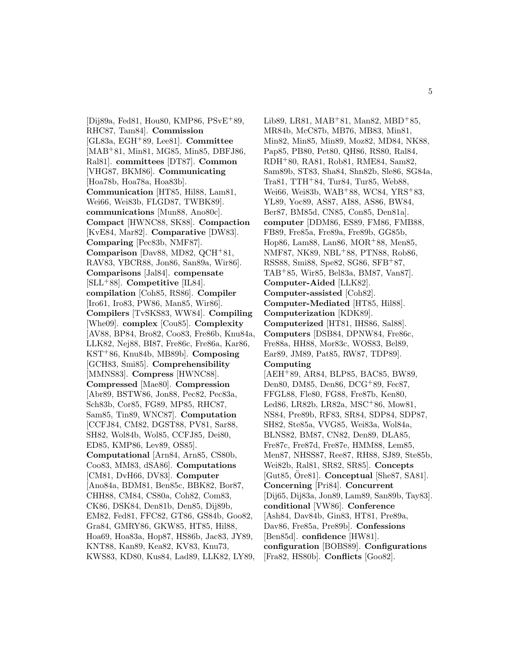[Dij89a, Fed81, Hou80, KMP86, PSvE<sup>+</sup>89, RHC87, Tam84]. **Commission** [GL83a, EGH<sup>+</sup>89, Lee81]. **Committee** [MAB<sup>+</sup>81, Min81, MG85, Min85, DBFJ86, Ral81]. **committees** [DT87]. **Common** [VHG87, BKM86]. **Communicating** [Hoa78b, Hoa78a, Hoa83b]. **Communication** [HT85, Hil88, Lam81, Wei66, Wei83b, FLGD87, TWBK89]. **communications** [Mun88, Ano80c]. **Compact** [HWNC88, SK88]. **Compaction** [KvE84, Mar82]. **Comparative** [DW83]. **Comparing** [Pec83b, NMF87]. **Comparison** [Dav88, MD82, QCH<sup>+</sup>81, RAV83, YBCR88, Jon86, San89a, Wir86]. **Comparisons** [Jal84]. **compensate** [SLL<sup>+</sup>88]. **Competitive** [IL84]. **compilation** [Coh85, RS86]. **Compiler** [Iro61, Iro83, PW86, Man85, Wir86]. **Compilers** [TvSKS83, WW84]. **Compiling** [Whe09]. **complex** [Cou85]. **Complexity** [AV88, BP84, Bro82, Coo83, Fre86b, Knu84a, LLK82, Nej88, BI87, Fre86c, Fre86a, Kar86, KST<sup>+</sup>86, Knu84b, MB89b]. **Composing** [GCH83, Smi85]. **Comprehensibility** [MMNS83]. **Compress** [HWNC88]. **Compressed** [Mae80]. **Compression** [Abr89, BSTW86, Jon88, Pec82, Pec83a, Sch83b, Cor85, FG89, MP85, RHC87, Sam85, Tin89, WNC87]. **Computation** [CCFJ84, CM82, DGST88, PV81, Sar88, SH82, Wol84b, Wol85, CCFJ85, Dei80, ED85, KMP86, Lev89, OS85]. **Computational** [Arn84, Arn85, CS80b, Coo83, MM83, dSA86]. **Computations** [CM81, DvH66, DV83]. **Computer** [Ano84a, BDM81, Ben85c, BBK82, Bor87, CHH88, CM84, CS80a, Coh82, Com83, CK86, DSK84, Den81b, Den85, Dij89b, EM82, Fed81, FFC82, GT86, GS84b, Goo82, Gra84, GMRY86, GKW85, HT85, Hil88, Hoa69, Hoa83a, Hop87, HS86b, Jac83, JY89, KNT88, Kan89, Kea82, KV83, Knu73, KWS83, KD80, Kus84, Lad89, LLK82, LY89,

Lib89, LR81, MAB<sup>+</sup>81, Man82, MBD<sup>+</sup>85, MR84b, McC87b, MB76, MB83, Min81, Min82, Min85, Min89, Moz82, MD84, NK88, Pap85, PB80, Pet80, QH86, RS80, Ral84, RDH<sup>+</sup>80, RA81, Rob81, RME84, Sam82, Sam89b, ST83, Sha84, Shn82b, Sle86, SG84a, Tra81, TTH<sup>+</sup>84, Tur84, Tur85, Web88, Wei66, Wei83b, WAB<sup>+</sup>88, WC84, YRS<sup>+</sup>83, YL89, Yoc89, AS87, AI88, AS86, BW84, Ber87, BM85d, CN85, Con85, Den81a]. **computer** [DDM86, ES89, FM86, FMB88, FB89, Fre85a, Fre89a, Fre89b, GG85b, Hop86, Lam88, Lan86, MOR<sup>+</sup>88, Men85, NMF87, NK89, NBL<sup>+</sup>88, PTN88, Rob86, RSS88, Smi88, Spe82, SG86, SFB<sup>+</sup>87, TAB<sup>+</sup>85, Wir85, Bel83a, BM87, Van87]. **Computer-Aided** [LLK82]. **Computer-assisted** [Coh82]. **Computer-Mediated** [HT85, Hil88]. **Computerization** [KDK89]. **Computerized** [HT81, IHS86, Sal88]. **Computers** [DSB84, DPNW84, Fre86c, Fre88a, HH88, Mor83c, WOS83, Bel89, Ear89, JM89, Pat85, RW87, TDP89]. **Computing** [AEH<sup>+</sup>89, AR84, BLP85, BAC85, BW89, Den80, DM85, Den86, DCG<sup>+</sup>89, Fec87, FFGL88, Fle80, FG88, Fre87b, Ken80, Led86, LR82b, LR82a, MSC<sup>+</sup>86, Mow81, NS84, Pre89b, RF83, SR84, SDP84, SDP87, SH82, Ste85a, VVG85, Wei83a, Wol84a, BLNS82, BM87, CN82, Den89, DLA85, Fre87c, Fre87d, Fre87e, HMM88, Lem85, Men87, NHSS87, Ree87, RH88, SJ89, Ste85b, Wei82b, Ral81, SR82, SR85]. **Concepts** [Gut85, Ore81]. **Conceptual** [She87, SA81]. **Concerning** [Pri84]. **Concurrent** [Dij65, Dij83a, Jon89, Lam89, San89b, Tay83]. **conditional** [VW86]. **Conference** [Ash84, Dav84b, Gin83, HT81, Pre89a, Dav86, Fre85a, Pre89b]. **Confessions** [Ben85d]. **confidence** [HW81]. **configuration** [BOBS89]. **Configurations** [Fra82, HS80b]. **Conflicts** [Goo82].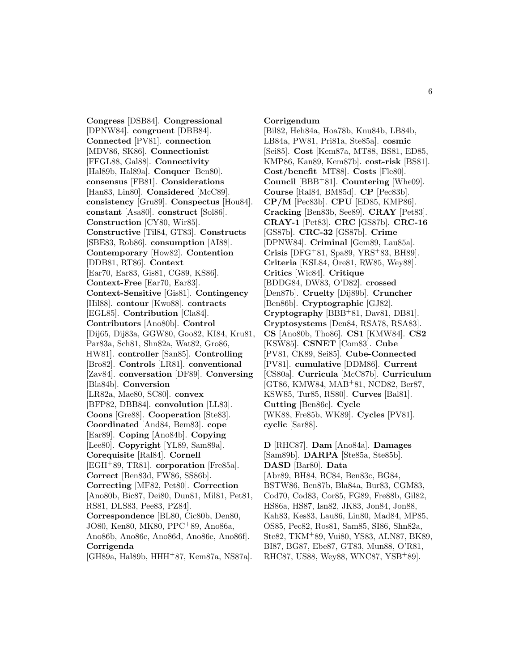**Congress** [DSB84]. **Congressional** [DPNW84]. **congruent** [DBB84]. **Connected** [PV81]. **connection** [MDV86, SK86]. **Connectionist** [FFGL88, Gal88]. **Connectivity** [Hal89b, Hal89a]. **Conquer** [Ben80]. **consensus** [FB81]. **Considerations** [Han83, Lin80]. **Considered** [McC89]. **consistency** [Gru89]. **Conspectus** [Hou84]. **constant** [Asa80]. **construct** [Sol86]. **Construction** [CY80, Wir85]. **Constructive** [Til84, GT83]. **Constructs** [SBE83, Rob86]. **consumption** [AI88]. **Contemporary** [How82]. **Contention** [DDB81, RT86]. **Context** [Ear70, Ear83, Gis81, CG89, KS86]. **Context-Free** [Ear70, Ear83]. **Context-Sensitive** [Gis81]. **Contingency** [Hil88]. **contour** [Kwo88]. **contracts** [EGL85]. **Contribution** [Cla84]. **Contributors** [Ano80b]. **Control** [Dij65, Dij83a, GGW80, Goo82, KI84, Kru81, Par83a, Sch81, Shn82a, Wat82, Gro86, HW81]. **controller** [San85]. **Controlling** [Bro82]. **Controls** [LR81]. **conventional** [Zav84]. **conversation** [DF89]. **Conversing** [Bla84b]. **Conversion** [LR82a, Mae80, SC80]. **convex** [BFP82, DBB84]. **convolution** [LL83]. **Coons** [Gre88]. **Cooperation** [Ste83]. **Coordinated** [And84, Bem83]. **cope** [Ear89]. **Coping** [Ano84b]. **Copying** [Lee80]. **Copyright** [YL89, Sam89a]. **Corequisite** [Ral84]. **Cornell** [EGH<sup>+</sup>89, TR81]. **corporation** [Fre85a]. **Correct** [Ben83d, FW86, SS86b]. **Correcting** [MF82, Pet80]. **Correction** [Ano80b, Bic87, Dei80, Dun81, Mil81, Pet81, RS81, DLS83, Pee83, PZ84]. **Correspondence** [BL80, Cic80b, Den80, JO80, Ken80, MK80, PPC<sup>+</sup>89, Ano86a, Ano86b, Ano86c, Ano86d, Ano86e, Ano86f]. **Corrigenda**

#### [GH89a, Hal89b, HHH<sup>+</sup>87, Kem87a, NS87a].

**Corrigendum**

[Bil82, Heh84a, Hoa78b, Knu84b, LB84b, LB84a, PW81, Pri81a, Ste85a]. **cosmic** [Sei85]. **Cost** [Kem87a, MT88, BS81, ED85, KMP86, Kan89, Kem87b]. **cost-risk** [BS81]. **Cost/benefit** [MT88]. **Costs** [Fle80]. **Council** [BBB<sup>+</sup>81]. **Countering** [Whe09]. **Course** [Ral84, BM85d]. **CP** [Pec83b]. **CP/M** [Pec83b]. **CPU** [ED85, KMP86]. **Cracking** [Ben83b, See89]. **CRAY** [Pet83]. **CRAY-1** [Pet83]. **CRC** [GS87b]. **CRC-16** [GS87b]. **CRC-32** [GS87b]. **Crime** [DPNW84]. **Criminal** [Gem89, Lau85a]. **Crisis** [DFG<sup>+</sup>81, Spa89, YRS<sup>+</sup>83, BH89]. **Criteria** [KSL84, Ore81, RW85, Wey88]. ¨ **Critics** [Wic84]. **Critique** [BDDG84, DW83, O'D82]. **crossed** [Den87b]. **Cruelty** [Dij89b]. **Cruncher** [Ben86b]. **Cryptographic** [GJ82]. **Cryptography** [BBB<sup>+</sup>81, Dav81, DB81]. **Cryptosystems** [Den84, RSA78, RSA83]. **CS** [Ano80b, Tho86]. **CS1** [KMW84]. **CS2** [KSW85]. **CSNET** [Com83]. **Cube** [PV81, CK89, Sei85]. **Cube-Connected** [PV81]. **cumulative** [DDM86]. **Current** [CS80a]. **Curricula** [McC87b]. **Curriculum** [GT86, KMW84, MAB<sup>+</sup>81, NCD82, Ber87, KSW85, Tur85, RS80]. **Curves** [Bal81]. **Cutting** [Ben86c]. **Cycle** [WK88, Fre85b, WK89]. **Cycles** [PV81]. **cyclic** [Sar88].

**D** [RHC87]. **Dam** [Ano84a]. **Damages** [Sam89b]. **DARPA** [Ste85a, Ste85b]. **DASD** [Bar80]. **Data** [Abr89, BH84, BC84, Ben83c, BG84, BSTW86, Ben87b, Bla84a, Bur83, CGM83, Cod70, Cod83, Cor85, FG89, Fre88b, Gil82, HS86a, HS87, Isn82, JK83, Jon84, Jon88, Kah83, Kes83, Lau86, Lin80, Mad84, MP85, OS85, Pec82, Ros81, Sam85, SI86, Shn82a, Ste82, TKM<sup>+</sup>89, Vui80, YS83, ALN87, BK89, BI87, BG87, Ebe87, GT83, Mun88, O'R81, RHC87, US88, Wey88, WNC87, YSB<sup>+</sup>89].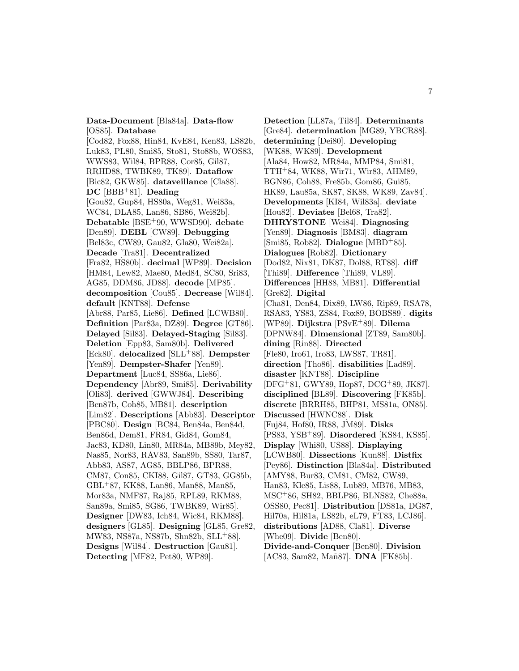**Data-Document** [Bla84a]. **Data-flow** [OS85]. **Database**

[Cod82, Fox88, Hin84, KvE84, Ken83, LS82b, Luk83, PL80, Smi85, Sto81, Sto88b, WOS83, WWS83, Wil84, BPR88, Cor85, Gil87, RRHD88, TWBK89, TK89]. **Dataflow** [Bic82, GKW85]. **dataveillance** [Cla88]. **DC** [BBB<sup>+</sup>81]. **Dealing** [Gou82, Gup84, HS80a, Weg81, Wei83a, WC84, DLA85, Lan86, SB86, Wei82b]. **Debatable** [BSE<sup>+</sup>90, WWSD90]. **debate** [Den89]. **DEBL** [CW89]. **Debugging** [Bel83c, CW89, Gau82, Gla80, Wei82a]. **Decade** [Tra81]. **Decentralized** [Fra82, HS80b]. **decimal** [WP89]. **Decision** [HM84, Lew82, Mae80, Med84, SC80, Sri83, AG85, DDM86, JD88]. **decode** [MP85]. **decomposition** [Cou85]. **Decrease** [Wil84]. **default** [KNT88]. **Defense** [Abr88, Par85, Lie86]. **Defined** [LCWB80]. **Definition** [Par83a, DZ89]. **Degree** [GT86]. **Delayed** [Sil83]. **Delayed-Staging** [Sil83]. **Deletion** [Epp83, Sam80b]. **Delivered** [Eck80]. **delocalized** [SLL<sup>+</sup>88]. **Dempster** [Yen89]. **Dempster-Shafer** [Yen89]. **Department** [Luc84, SS86a, Lie86]. **Dependency** [Abr89, Smi85]. **Derivability** [Oli83]. **derived** [GWWJ84]. **Describing** [Ben87b, Coh85, MB81]. **description** [Lim82]. **Descriptions** [Abb83]. **Descriptor** [PBC80]. **Design** [BC84, Ben84a, Ben84d, Ben86d, Dem81, FR84, Gid84, Gom84, Jac83, KD80, Lin80, MR84a, MB89b, Mey82, Nas85, Nor83, RAV83, San89b, SS80, Tar87, Abb83, AS87, AG85, BBLP86, BPR88, CM87, Con85, CKI88, Gil87, GT83, GG85b, GBL<sup>+</sup>87, KK88, Lan86, Man88, Man85, Mor83a, NMF87, Raj85, RPL89, RKM88, San89a, Smi85, SG86, TWBK89, Wir85]. **Designer** [DW83, Ich84, Wic84, RKM88]. **designers** [GL85]. **Designing** [GL85, Gre82, MW83, NS87a, NS87b, Shn82b, SLL<sup>+</sup>88]. **Designs** [Wil84]. **Destruction** [Gau81]. **Detecting** [MF82, Pet80, WP89].

**Detection** [LL87a, Til84]. **Determinants** [Gre84]. **determination** [MG89, YBCR88]. **determining** [Dei80]. **Developing** [WK88, WK89]. **Development** [Ala84, How82, MR84a, MMP84, Smi81, TTH<sup>+</sup>84, WK88, Wir71, Wir83, AHM89, BGN86, Coh88, Fre85b, Gom86, Gui85, HK89, Lau85a, SK87, SK88, WK89, Zav84]. **Developments** [KI84, Wil83a]. **deviate** [Hou82]. **Deviates** [Bel68, Tra82]. **DHRYSTONE** [Wei84]. **Diagnosing** [Yen89]. **Diagnosis** [BM83]. **diagram** [Smi85, Rob82]. **Dialogue** [MBD<sup>+</sup>85]. **Dialogues** [Rob82]. **Dictionary** [Dod82, Nix81, DK87, Dol88, RT88]. **diff** [Thi89]. **Difference** [Thi89, VL89]. **Differences** [HH88, MB81]. **Differential** [Gre82]. **Digital** [Cha81, Den84, Dix89, LW86, Rip89, RSA78, RSA83, YS83, ZS84, Fox89, BOBS89]. **digits** [WP89]. **Dijkstra** [PSvE<sup>+</sup>89]. **Dilema** [DPNW84]. **Dimensional** [ZT89, Sam80b]. **dining** [Rin88]. **Directed** [Fle80, Iro61, Iro83, LWS87, TR81]. **direction** [Tho86]. **disabilities** [Lad89]. **disaster** [KNT88]. **Discipline** [DFG<sup>+</sup>81, GWY89, Hop87, DCG<sup>+</sup>89, JK87]. **disciplined** [BL89]. **Discovering** [FK85b]. **discrete** [BRRH85, BHP81, MS81a, ON85]. **Discussed** [HWNC88]. **Disk** [Fuj84, Hof80, IR88, JM89]. **Disks** [PS83, YSB<sup>+</sup>89]. **Disordered** [KS84, KS85]. **Display** [Whi80, US88]. **Displaying** [LCWB80]. **Dissections** [Kun88]. **Distfix** [Pey86]. **Distinction** [Bla84a]. **Distributed** [AMY88, Bur83, CM81, CM82, CW89, Han83, Kle85, Lis88, Lub89, MB76, MB83, MSC<sup>+</sup>86, SH82, BBLP86, BLNS82, Che88a, OSS80, Pec81]. **Distribution** [DS81a, DG87, Hil70a, Hil81a, LS82b, eL79, FT83, LCJ86]. **distributions** [AD88, Cla81]. **Diverse** [Whe09]. **Divide** [Ben80]. **Divide-and-Conquer** [Ben80]. **Division** [AC83, Sam82, Mañ87]. **DNA** [FK85b].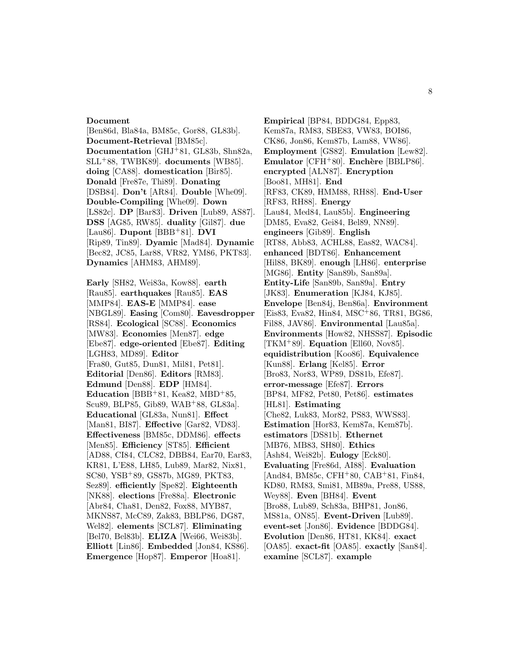#### **Document**

[Ben86d, Bla84a, BM85c, Gor88, GL83b]. **Document-Retrieval** [BM85c]. **Documentation** [GHJ<sup>+</sup>81, GL83b, Shn82a, SLL<sup>+</sup>88, TWBK89]. **documents** [WB85]. **doing** [CA88]. **domestication** [Bir85]. **Donald** [Fre87e, Thi89]. **Donating** [DSB84]. **Don't** [AR84]. **Double** [Whe09]. **Double-Compiling** [Whe09]. **Down** [LS82c]. **DP** [Bar83]. **Driven** [Lub89, AS87]. **DSS** [AG85, RW85]. **duality** [Gil87]. **due** [Lau86]. **Dupont** [BBB<sup>+</sup>81]. **DVI** [Rip89, Tin89]. **Dyamic** [Mad84]. **Dynamic** [Bec82, JC85, Lar88, VR82, YM86, PKT83]. **Dynamics** [AHM83, AHM89].

**Early** [SH82, Wei83a, Kow88]. **earth** [Rau85]. **earthquakes** [Rau85]. **EAS** [MMP84]. **EAS-E** [MMP84]. **ease** [NBGL89]. **Easing** [Com80]. **Eavesdropper** [RS84]. **Ecological** [SC88]. **Economics** [MW83]. **Economies** [Men87]. **edge** [Ebe87]. **edge-oriented** [Ebe87]. **Editing** [LGH83, MD89]. **Editor** [Fra80, Gut85, Dun81, Mil81, Pet81]. **Editorial** [Den86]. **Editors** [RM83]. **Edmund** [Den88]. **EDP** [HM84]. **Education** [BBB+81, Kea82, MBD+85, Scu89, BLP85, Gib89, WAB<sup>+</sup>88, GL83a]. **Educational** [GL83a, Nun81]. **Effect** [Man81, BI87]. **Effective** [Gar82, VD83]. **Effectiveness** [BM85c, DDM86]. **effects** [Men85]. **Efficiency** [ST85]. **Efficient** [AD88, CI84, CLC82, DBB84, Ear70, Ear83, KR81, L'E88, LH85, Lub89, Mar82, Nix81, SC80, YSB<sup>+</sup>89, GS87b, MG89, PKT83, Sez89]. **efficiently** [Spe82]. **Eighteenth** [NK88]. **elections** [Fre88a]. **Electronic** [Abr84, Cha81, Den82, Fox88, MYB87, MKNS87, McC89, Zak83, BBLP86, DG87, Wel82]. **elements** [SCL87]. **Eliminating** [Bel70, Bel83b]. **ELIZA** [Wei66, Wei83b]. **Elliott** [Lin86]. **Embedded** [Jon84, KS86]. **Emergence** [Hop87]. **Emperor** [Hoa81].

**Empirical** [BP84, BDDG84, Epp83, Kem87a, RM83, SBE83, VW83, BOI86, CK86, Jon86, Kem87b, Lam88, VW86]. **Employment** [GS82]. **Emulation** [Lew82]. **Emulator** [CFH+80]. **Enchère** [BBLP86]. **encrypted** [ALN87]. **Encryption** [Boo81, MH81]. **End** [RF83, CK89, HMM88, RH88]. **End-User** [RF83, RH88]. **Energy** [Lau84, Med84, Lau85b]. **Engineering** [DM85, Eva82, Gei84, Bel89, NN89]. **engineers** [Gib89]. **English** [RT88, Abb83, ACHL88, Eas82, WAC84]. **enhanced** [BDT86]. **Enhancement** [Hil88, BK89]. **enough** [LH86]. **enterprise** [MG86]. **Entity** [San89b, San89a]. **Entity-Life** [San89b, San89a]. **Entry** [JK83]. **Enumeration** [KJ84, KJ85]. **Envelope** [Ben84j, Ben86a]. **Environment** [Eis83, Eva82, Hin84, MSC<sup>+</sup>86, TR81, BG86, Fil88, JAV86]. **Environmental** [Lau85a]. **Environments** [How82, NHSS87]. **Episodic** [TKM<sup>+</sup>89]. **Equation** [Ell60, Nov85]. **equidistribution** [Koo86]. **Equivalence** [Kun88]. **Erlang** [Kel85]. **Error** [Bro83, Nor83, WP89, DS81b, Efe87]. **error-message** [Efe87]. **Errors** [BP84, MF82, Pet80, Pet86]. **estimates** [HL81]. **Estimating** [Che82, Luk83, Mor82, PS83, WWS83]. **Estimation** [Hor83, Kem87a, Kem87b]. **estimators** [DS81b]. **Ethernet** [MB76, MB83, SH80]. **Ethics** [Ash84, Wei82b]. **Eulogy** [Eck80]. **Evaluating** [Fre86d, AI88]. **Evaluation** [And84, BM85c, CFH<sup>+</sup>80, CAB<sup>+</sup>81, Fin84, KD80, RM83, Smi81, MB89a, Pre88, US88, Wey88]. **Even** [BH84]. **Event** [Bro88, Lub89, Sch83a, BHP81, Jon86, MS81a, ON85]. **Event-Driven** [Lub89]. **event-set** [Jon86]. **Evidence** [BDDG84]. **Evolution** [Den86, HT81, KK84]. **exact** [OA85]. **exact-fit** [OA85]. **exactly** [San84]. **examine** [SCL87]. **example**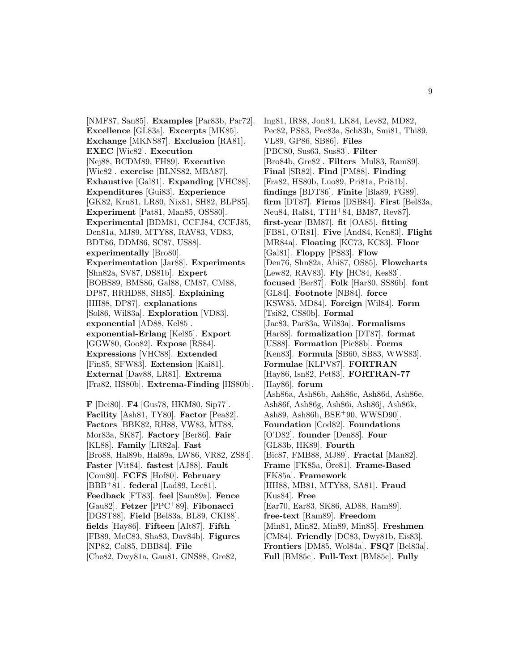[NMF87, San85]. **Examples** [Par83b, Par72]. **Excellence** [GL83a]. **Excerpts** [MK85]. **Exchange** [MKNS87]. **Exclusion** [RA81]. **EXEC** [Wic82]. **Execution** [Nej88, BCDM89, FH89]. **Executive** [Wic82]. **exercise** [BLNS82, MBA87]. **Exhaustive** [Gal81]. **Expanding** [VHC88]. **Expenditures** [Gui83]. **Experience** [GK82, Kru81, LR80, Nix81, SH82, BLP85]. **Experiment** [Pat81, Man85, OSS80]. **Experimental** [BDM81, CCFJ84, CCFJ85, Den81a, MJ89, MTY88, RAV83, VD83, BDT86, DDM86, SC87, US88]. **experimentally** [Bro80]. **Experimentation** [Jar88]. **Experiments** [Shn82a, SV87, DS81b]. **Expert** [BOBS89, BMS86, Gal88, CM87, CM88, DP87, RRHD88, SH85]. **Explaining** [HH88, DP87]. **explanations** [Sol86, Wil83a]. **Exploration** [VD83]. **exponential** [AD88, Kel85]. **exponential-Erlang** [Kel85]. **Export** [GGW80, Goo82]. **Expose** [RS84]. **Expressions** [VHC88]. **Extended** [Fin85, SFW83]. **Extension** [Kai81]. **External** [Dav88, LR81]. **Extrema** [Fra82, HS80b]. **Extrema-Finding** [HS80b].

**F** [Dei80]. **F4** [Gus78, HKM80, Sip77]. **Facility** [Ash81, TY80]. **Factor** [Pea82]. **Factors** [BBK82, RH88, VW83, MT88, Mor83a, SK87]. **Factory** [Ber86]. **Fair** [KL88]. **Family** [LR82a]. **Fast** [Bro88, Hal89b, Hal89a, LW86, VR82, ZS84]. **Faster** [Vit84]. **fastest** [AJ88]. **Fault** [Com80]. **FCFS** [Hof80]. **February** [BBB<sup>+</sup>81]. **federal** [Lad89, Lee81]. **Feedback** [FT83]. **feel** [Sam89a]. **Fence** [Gau82]. **Fetzer** [PPC<sup>+</sup>89]. **Fibonacci** [DGST88]. **Field** [Bel83a, BL89, CKI88]. **fields** [Hay86]. **Fifteen** [Alt87]. **Fifth** [FB89, McC83, Sha83, Dav84b]. **Figures** [NP82, Col85, DBB84]. **File** [Che82, Dwy81a, Gau81, GNS88, Gre82,

Ing81, IR88, Jon84, LK84, Lev82, MD82, Pec82, PS83, Pec83a, Sch83b, Smi81, Thi89, VL89, GP86, SB86]. **Files** [PBC80, Sus63, Sus83]. **Filter** [Bro84b, Gre82]. **Filters** [Mul83, Ram89]. **Final** [SR82]. **Find** [PM88]. **Finding** [Fra82, HS80b, Luo89, Pri81a, Pri81b]. **findings** [BDT86]. **Finite** [Bla89, FG89]. **firm** [DT87]. **Firms** [DSB84]. **First** [Bel83a, Neu84, Ral84, TTH<sup>+</sup>84, BM87, Rev87]. **first-year** [BM87]. **fit** [OA85]. **fitting** [FB81, O'R81]. **Five** [And84, Ken83]. **Flight** [MR84a]. **Floating** [KC73, KC83]. **Floor** [Gal81]. **Floppy** [PS83]. **Flow** [Den76, Shn82a, Ahi87, OS85]. **Flowcharts** [Lew82, RAV83]. **Fly** [HC84, Kes83]. **focused** [Ber87]. **Folk** [Har80, SS86b]. **font** [GL84]. **Footnote** [NB84]. **force** [KSW85, MD84]. **Foreign** [Wil84]. **Form** [Tsi82, CS80b]. **Formal** [Jac83, Par83a, Wil83a]. **Formalisms** [Har88]. **formalization** [DT87]. **format** [US88]. **Formation** [Pic88b]. **Forms** [Ken83]. **Formula** [SB60, SB83, WWS83]. **Formulae** [KLPV87]. **FORTRAN** [Hay86, Isn82, Pet83]. **FORTRAN-77** [Hay86]. **forum** [Ash86a, Ash86b, Ash86c, Ash86d, Ash86e, Ash86f, Ash86g, Ash86i, Ash86j, Ash86k, Ash89, Ash86h, BSE<sup>+</sup>90, WWSD90]. **Foundation** [Cod82]. **Foundations** [O'D82]. **founder** [Den88]. **Four** [GL83b, HK89]. **Fourth** [Bic87, FMB88, MJ89]. **Fractal** [Man82]. **Frame** [FK85a, Ore81]. **Frame-Based** [FK85a]. **Framework** [HH88, MB81, MTY88, SA81]. **Fraud** [Kus84]. **Free** [Ear70, Ear83, SK86, AD88, Ram89]. **free-text** [Ram89]. **Freedom** [Min81, Min82, Min89, Min85]. **Freshmen** [CM84]. **Friendly** [DC83, Dwy81b, Eis83]. **Frontiers** [DM85, Wol84a]. **FSQ7** [Bel83a]. **Full** [BM85c]. **Full-Text** [BM85c]. **Fully**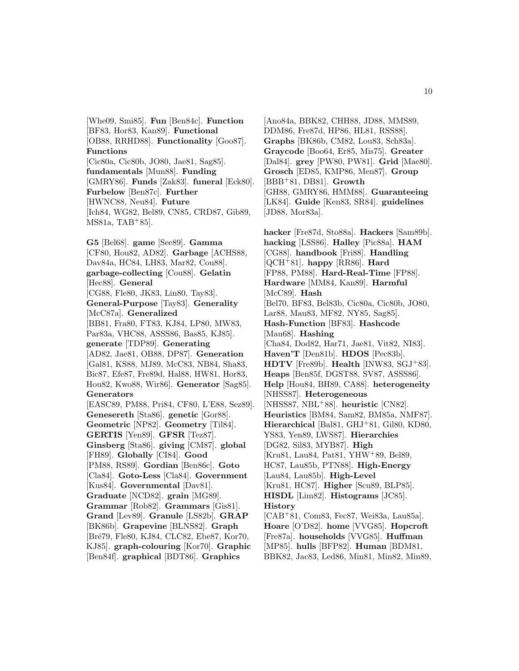[Whe09, Smi85]. **Fun** [Ben84c]. **Function** [BF83, Hor83, Kan89]. **Functional** [OB88, RRHD88]. **Functionality** [Goo87]. **Functions** [Cic80a, Cic80b, JO80, Jae81, Sag85]. **fundamentals** [Mun88]. **Funding** [GMRY86]. **Funds** [Zak83]. **funeral** [Eck80]. **Furbelow** [Ben87c]. **Further** [HWNC88, Neu84]. **Future** [Ich84, WG82, Bel89, CN85, CRD87, Gib89, MS81a, TAB<sup>+</sup>85].

**G5** [Bel68]. **game** [See89]. **Gamma** [CF80, Hou82, AD82]. **Garbage** [ACHS88, Dav84a, HC84, LH83, Mar82, Cou88]. **garbage-collecting** [Cou88]. **Gelatin** [Hec88]. **General** [CG88, Fle80, JK83, Lin80, Tay83]. **General-Purpose** [Tay83]. **Generality** [McC87a]. **Generalized** [BB81, Fra80, FT83, KJ84, LP80, MW83, Par83a, VHC88, ASSS86, Bas85, KJ85]. **generate** [TDP89]. **Generating** [AD82, Jae81, OB88, DP87]. **Generation** [Gal81, KS88, MJ89, McC83, NB84, Sha83, Bic87, Efe87, Fre89d, Hal88, HW81, Hor83, Hou82, Kwo88, Wir86]. **Generator** [Sag85]. **Generators** [EASC89, PM88, Pri84, CF80, L'E88, Sez89]. **Genesereth** [Sta86]. **genetic** [Gor88]. **Geometric** [NP82]. **Geometry** [Til84]. **GERTIS** [Yen89]. **GFSR** [Tez87]. **Ginsberg** [Sta86]. **giving** [CM87]. **global** [FH89]. **Globally** [CI84]. **Good** [PM88, RS89]. **Gordian** [Ben86c]. **Goto** [Cla84]. **Goto-Less** [Cla84]. **Government** [Kus84]. **Governmental** [Dav81]. **Graduate** [NCD82]. **grain** [MG89]. **Grammar** [Rob82]. **Grammars** [Gis81]. **Grand** [Lev89]. **Granule** [LS82b]. **GRAP** [BK86b]. **Grapevine** [BLNS82]. **Graph** [Bré79, Fle80, KJ84, CLC82, Ebe87, Kor70, KJ85]. **graph-colouring** [Kor70]. **Graphic** [Ben84f]. **graphical** [BDT86]. **Graphics**

[Ano84a, BBK82, CHH88, JD88, MMS89, DDM86, Fre87d, HP86, HL81, RSS88]. **Graphs** [BK86b, CM82, Lou83, Sch83a]. **Graycode** [Boo64, Er85, Mis75]. **Greater** [Dal84]. **grey** [PW80, PW81]. **Grid** [Mae80]. **Grosch** [ED85, KMP86, Men87]. **Group** [BBB<sup>+</sup>81, DB81]. **Growth** [GH88, GMRY86, HMM88]. **Guaranteeing** [LK84]. **Guide** [Ken83, SR84]. **guidelines** [JD88, Mor83a].

**hacker** [Fre87d, Sto88a]. **Hackers** [Sam89b]. **hacking** [LSS86]. **Halley** [Pic88a]. **HAM** [CG88]. **handbook** [Fri88]. **Handling** [QCH<sup>+</sup>81]. **happy** [RR86]. **Hard** [FP88, PM88]. **Hard-Real-Time** [FP88]. **Hardware** [MM84, Kan89]. **Harmful** [McC89]. **Hash** [Bel70, BF83, Bel83b, Cic80a, Cic80b, JO80, Lar88, Mau83, MF82, NY85, Sag85]. **Hash-Function** [BF83]. **Hashcode** [Mau68]. **Hashing** [Cha84, Dod82, Har71, Jae81, Vit82, NI83]. **Haven'T** [Den81b]. **HDOS** [Pec83b]. **HDTV** [Fre89b]. **Health** [INW83, SGJ<sup>+</sup>83]. **Heaps** [Ben85f, DGST88, SV87, ASSS86]. **Help** [Hou84, BH89, CA88]. **heterogeneity** [NHSS87]. **Heterogeneous** [NHSS87, NBL<sup>+</sup>88]. **heuristic** [CN82]. **Heuristics** [BM84, Sam82, BM85a, NMF87]. **Hierarchical** [Bal81, GHJ<sup>+</sup>81, Gil80, KD80, YS83, Yen89, LWS87]. **Hierarchies** [DG82, Sil83, MYB87]. **High** [Kru81, Lau84, Pat81, YHW<sup>+</sup>89, Bel89, HC87, Lau85b, PTN88]. **High-Energy** [Lau84, Lau85b]. **High-Level** [Kru81, HC87]. **Higher** [Scu89, BLP85]. **HISDL** [Lim82]. **Histograms** [JC85]. **History** [CAB<sup>+</sup>81, Com83, Fec87, Wei83a, Lau85a]. **Hoare** [O'D82]. **home** [VVG85]. **Hopcroft** [Fre87a]. **households** [VVG85]. **Huffman** [MP85]. **hulls** [BFP82]. **Human** [BDM81, BBK82, Jac83, Led86, Min81, Min82, Min89,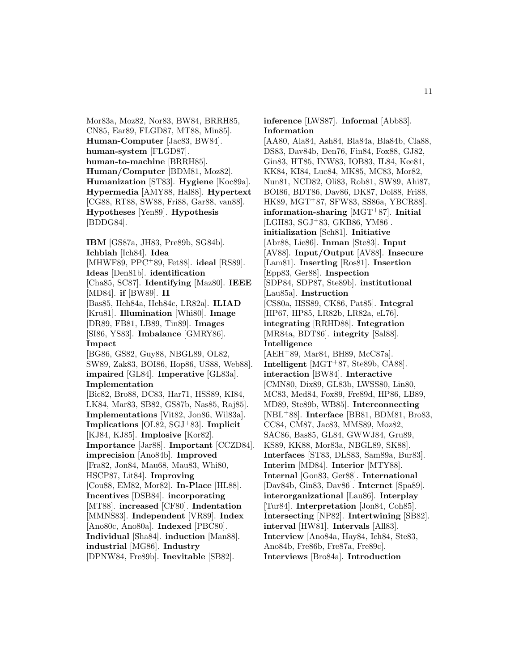Mor83a, Moz82, Nor83, BW84, BRRH85, CN85, Ear89, FLGD87, MT88, Min85]. **Human-Computer** [Jac83, BW84]. **human-system** [FLGD87]. **human-to-machine** [BRRH85]. **Human/Computer** [BDM81, Moz82]. **Humanization** [ST83]. **Hygiene** [Koc89a]. **Hypermedia** [AMY88, Hal88]. **Hypertext** [CG88, RT88, SW88, Fri88, Gar88, van88]. **Hypotheses** [Yen89]. **Hypothesis** [BDDG84].

**IBM** [GS87a, JH83, Pre89b, SG84b]. **Ichbiah** [Ich84]. **Idea** [MHWF89, PPC<sup>+</sup>89, Fet88]. **ideal** [RS89]. **Ideas** [Den81b]. **identification** [Cha85, SC87]. **Identifying** [Maz80]. **IEEE** [MD84]. **if** [BW89]. **II** [Bas85, Heh84a, Heh84c, LR82a]. **ILIAD** [Kru81]. **Illumination** [Whi80]. **Image** [DR89, FB81, LB89, Tin89]. **Images** [SI86, YS83]. **Imbalance** [GMRY86]. **Impact** [BG86, GS82, Guy88, NBGL89, OL82, SW89, Zak83, BOI86, Hop86, US88, Web88]. **impaired** [GL84]. **Imperative** [GL83a]. **Implementation** [Bic82, Bro88, DC83, Har71, HSS89, KI84, LK84, Mar83, SB82, GS87b, Nas85, Raj85]. **Implementations** [Vit82, Jon86, Wil83a]. **Implications** [OL82, SGJ<sup>+</sup>83]. **Implicit** [KJ84, KJ85]. **Implosive** [Kor82]. **Importance** [Jar88]. **Important** [CCZD84]. **imprecision** [Ano84b]. **Improved** [Fra82, Jon84, Mau68, Mau83, Whi80, HSCP87, Lit84]. **Improving** [Cou88, EM82, Mor82]. **In-Place** [HL88]. **Incentives** [DSB84]. **incorporating** [MT88]. **increased** [CF80]. **Indentation** [MMNS83]. **Independent** [VR89]. **Index** [Ano80c, Ano80a]. **Indexed** [PBC80]. **Individual** [Sha84]. **induction** [Man88]. **industrial** [MG86]. **Industry**

[DPNW84, Fre89b]. **Inevitable** [SB82].

**inference** [LWS87]. **Informal** [Abb83]. **Information** [AA80, Ala84, Ash84, Bla84a, Bla84b, Cla88, DS83, Dav84b, Den76, Fin84, Fox88, GJ82, Gin83, HT85, INW83, IOB83, IL84, Kee81, KK84, KI84, Luc84, MK85, MC83, Mor82, Nun81, NCD82, Oli83, Rob81, SW89, Ahi87, BOI86, BDT86, Dav86, DK87, Dol88, Fri88, HK89, MGT<sup>+</sup>87, SFW83, SS86a, YBCR88]. **information-sharing** [MGT<sup>+</sup>87]. **Initial** [LGH83, SGJ<sup>+</sup>83, GKB86, YM86]. **initialization** [Sch81]. **Initiative** [Abr88, Lie86]. **Inman** [Ste83]. **Input** [AV88]. **Input/Output** [AV88]. **Insecure** [Lam81]. **Inserting** [Ros81]. **Insertion** [Epp83, Ger88]. **Inspection** [SDP84, SDP87, Ste89b]. **institutional** [Lau85a]. **Instruction** [CS80a, HSS89, CK86, Pat85]. **Integral** [HP67, HP85, LR82b, LR82a, eL76]. **integrating** [RRHD88]. **Integration** [MR84a, BDT86]. **integrity** [Sal88]. **Intelligence** [AEH<sup>+</sup>89, Mar84, BH89, McC87a]. **Intelligent** [MGT<sup>+</sup>87, Ste89b, CA88]. **interaction** [BW84]. **Interactive** [CMN80, Dix89, GL83b, LWSS80, Lin80, MC83, Med84, Fox89, Fre89d, HP86, LB89, MD89, Ste89b, WB85]. **Interconnecting** [NBL<sup>+</sup>88]. **Interface** [BB81, BDM81, Bro83, CC84, CM87, Jac83, MMS89, Moz82, SAC86, Bas85, GL84, GWWJ84, Gru89, KS89, KK88, Mor83a, NBGL89, SK88]. **Interfaces** [ST83, DLS83, Sam89a, Bur83]. **Interim** [MD84]. **Interior** [MTY88]. **Internal** [Gon83, Ger88]. **International** [Dav84b, Gin83, Dav86]. **Internet** [Spa89]. **interorganizational** [Lau86]. **Interplay** [Tur84]. **Interpretation** [Jon84, Coh85]. **Intersecting** [NP82]. **Intertwining** [SB82]. **interval** [HW81]. **Intervals** [All83]. **Interview** [Ano84a, Hay84, Ich84, Ste83, Ano84b, Fre86b, Fre87a, Fre89c]. **Interviews** [Bro84a]. **Introduction**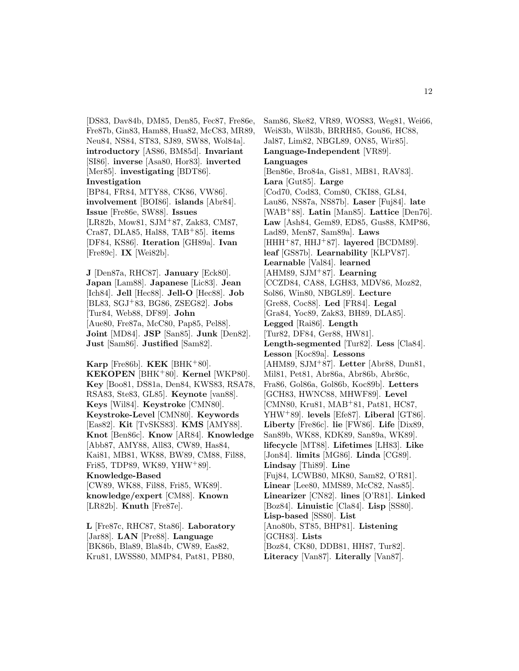[DS83, Dav84b, DM85, Den85, Fec87, Fre86e, Fre87b, Gin83, Ham88, Hua82, McC83, MR89, Neu84, NS84, ST83, SJ89, SW88, Wol84a]. **introductory** [AS86, BM85d]. **Invariant** [SI86]. **inverse** [Asa80, Hor83]. **inverted** [Mer85]. **investigating** [BDT86]. **Investigation** [BP84, FR84, MTY88, CK86, VW86]. **involvement** [BOI86]. **islands** [Abr84]. **Issue** [Fre86e, SW88]. **Issues** [LR82b, Mow81, SJM<sup>+</sup>87, Zak83, CM87, Cra87, DLA85, Hal88, TAB<sup>+</sup>85]. **items** [DF84, KS86]. **Iteration** [GH89a]. **Ivan**

[Fre89c]. **IX** [Wei82b].

**J** [Den87a, RHC87]. **January** [Eck80]. **Japan** [Lam88]. **Japanese** [Lic83]. **Jean** [Ich84]. **Jell** [Hec88]. **Jell-O** [Hec88]. **Job** [BL83, SGJ<sup>+</sup>83, BG86, ZSEG82]. **Jobs** [Tur84, Web88, DF89]. **John** [Aue80, Fre87a, McC80, Pap85, Pel88]. **Joint** [MD84]. **JSP** [San85]. **Junk** [Den82]. **Just** [Sam86]. **Justified** [Sam82].

**Karp** [Fre86b]. **KEK** [BHK<sup>+</sup>80]. **KEKOPEN** [BHK<sup>+</sup>80]. **Kernel** [WKP80]. **Key** [Boo81, DS81a, Den84, KWS83, RSA78, RSA83, Ste83, GL85]. **Keynote** [van88]. **Keys** [Wil84]. **Keystroke** [CMN80]. **Keystroke-Level** [CMN80]. **Keywords** [Eas82]. **Kit** [TvSKS83]. **KMS** [AMY88]. **Knot** [Ben86c]. **Know** [AR84]. **Knowledge** [Abb87, AMY88, All83, CW89, Has84, Kai81, MB81, WK88, BW89, CM88, Fil88, Fri85, TDP89, WK89, YHW<sup>+</sup>89]. **Knowledge-Based** [CW89, WK88, Fil88, Fri85, WK89]. **knowledge/expert** [CM88]. **Known** [LR82b]. **Knuth** [Fre87e].

**L** [Fre87c, RHC87, Sta86]. **Laboratory** [Jar88]. **LAN** [Pre88]. **Language** [BK86b, Bla89, Bla84b, CW89, Eas82, Kru81, LWSS80, MMP84, Pat81, PB80,

Sam86, Ske82, VR89, WOS83, Weg81, Wei66, Wei83b, Wil83b, BRRH85, Gou86, HC88, Jal87, Lim82, NBGL89, ON85, Wir85]. **Language-Independent** [VR89]. **Languages** [Ben86e, Bro84a, Gis81, MB81, RAV83]. **Lara** [Gut85]. **Large** [Cod70, Cod83, Com80, CKI88, GL84, Lau86, NS87a, NS87b]. **Laser** [Fuj84]. **late** [WAB<sup>+</sup>88]. **Latin** [Man85]. **Lattice** [Den76]. **Law** [Ash84, Gem89, ED85, Gus88, KMP86, Lad89, Men87, Sam89a]. **Laws** [HHH<sup>+</sup>87, HHJ<sup>+</sup>87]. **layered** [BCDM89]. **leaf** [GS87b]. **Learnability** [KLPV87]. **Learnable** [Val84]. **learned** [AHM89, SJM<sup>+</sup>87]. **Learning** [CCZD84, CA88, LGH83, MDV86, Moz82, Sol86, Win80, NBGL89]. **Lecture** [Gre88, Coc88]. **Led** [FR84]. **Legal** [Gra84, Yoc89, Zak83, BH89, DLA85]. **Legged** [Rai86]. **Length** [Tur82, DF84, Ger88, HW81]. **Length-segmented** [Tur82]. **Less** [Cla84]. **Lesson** [Koc89a]. **Lessons** [AHM89, SJM<sup>+</sup>87]. **Letter** [Abr88, Dun81, Mil81, Pet81, Abr86a, Abr86b, Abr86c, Fra86, Gol86a, Gol86b, Koc89b]. **Letters** [GCH83, HWNC88, MHWF89]. **Level** [CMN80, Kru81, MAB<sup>+</sup>81, Pat81, HC87, YHW<sup>+</sup>89]. **levels** [Efe87]. **Liberal** [GT86]. **Liberty** [Fre86c]. **lie** [FW86]. **Life** [Dix89, San89b, WK88, KDK89, San89a, WK89]. **lifecycle** [MT88]. **Lifetimes** [LH83]. **Like** [Jon84]. **limits** [MG86]. **Linda** [CG89]. **Lindsay** [Thi89]. **Line** [Fuj84, LCWB80, MK80, Sam82, O'R81]. **Linear** [Lee80, MMS89, McC82, Nas85]. **Linearizer** [CN82]. **lines** [O'R81]. **Linked** [Boz84]. **Linuistic** [Cla84]. **Lisp** [SS80]. **Lisp-based** [SS80]. **List** [Ano80b, ST85, BHP81]. **Listening** [GCH83]. **Lists** [Boz84, CK80, DDB81, HH87, Tur82]. **Literacy** [Van87]. **Literally** [Van87].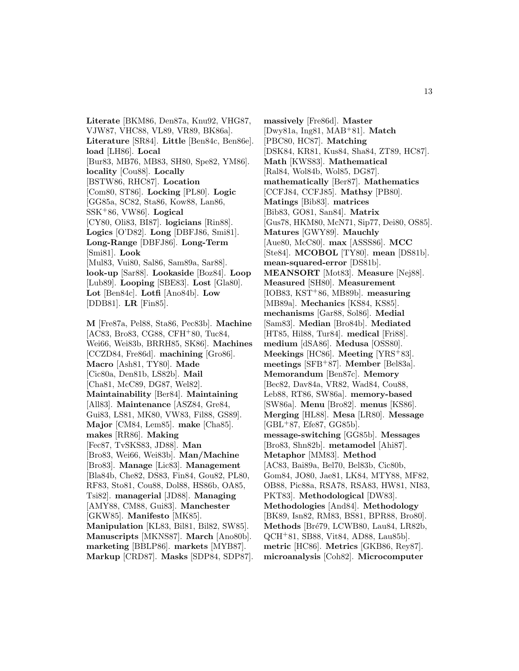**Literate** [BKM86, Den87a, Knu92, VHG87, VJW87, VHC88, VL89, VR89, BK86a]. **Literature** [SR84]. **Little** [Ben84c, Ben86e]. **load** [LH86]. **Local** [Bur83, MB76, MB83, SH80, Spe82, YM86]. **locality** [Cou88]. **Locally** [BSTW86, RHC87]. **Location** [Com80, ST86]. **Locking** [PL80]. **Logic** [GG85a, SC82, Sta86, Kow88, Lan86, SSK<sup>+</sup>86, VW86]. **Logical** [CY80, Oli83, BI87]. **logicians** [Rin88]. **Logics** [O'D82]. **Long** [DBFJ86, Smi81]. **Long-Range** [DBFJ86]. **Long-Term** [Smi81]. **Look** [Mul83, Vui80, Sal86, Sam89a, Sar88]. **look-up** [Sar88]. **Lookaside** [Boz84]. **Loop** [Lub89]. **Looping** [SBE83]. **Lost** [Gla80]. **Lot** [Ben84c]. **Lotfi** [Ano84b]. **Low** [DDB81]. **LR** [Fin85].

**M** [Fre87a, Pel88, Sta86, Pec83b]. **Machine** [AC83, Bro83, CG88, CFH<sup>+</sup>80, Tuc84, Wei66, Wei83b, BRRH85, SK86]. **Machines** [CCZD84, Fre86d]. **machining** [Gro86]. **Macro** [Ash81, TY80]. **Made** [Cic80a, Den81b, LS82b]. **Mail** [Cha81, McC89, DG87, Wel82]. **Maintainability** [Ber84]. **Maintaining** [All83]. **Maintenance** [ASZ84, Gre84, Gui83, LS81, MK80, VW83, Fil88, GS89]. **Major** [CM84, Lem85]. **make** [Cha85]. **makes** [RR86]. **Making** [Fec87, TvSKS83, JD88]. **Man** [Bro83, Wei66, Wei83b]. **Man/Machine** [Bro83]. **Manage** [Lic83]. **Management** [Bla84b, Che82, DS83, Fin84, Gou82, PL80, RF83, Sto81, Cou88, Dol88, HS86b, OA85, Tsi82]. **managerial** [JD88]. **Managing** [AMY88, CM88, Gui83]. **Manchester** [GKW85]. **Manifesto** [MK85]. **Manipulation** [KL83, Bil81, Bil82, SW85]. **Manuscripts** [MKNS87]. **March** [Ano80b]. **marketing** [BBLP86]. **markets** [MYB87]. **Markup** [CRD87]. **Masks** [SDP84, SDP87].

**massively** [Fre86d]. **Master** [Dwy81a, Ing81, MAB<sup>+</sup>81]. **Match** [PBC80, HC87]. **Matching** [DSK84, KR81, Kus84, Sha84, ZT89, HC87]. **Math** [KWS83]. **Mathematical** [Ral84, Wol84b, Wol85, DG87]. **mathematically** [Ber87]. **Mathematics** [CCFJ84, CCFJ85]. **Mathsy** [PB80]. **Matings** [Bib83]. **matrices** [Bib83, GO81, San84]. **Matrix** [Gus78, HKM80, McN71, Sip77, Dei80, OS85]. **Matures** [GWY89]. **Mauchly** [Aue80, McC80]. **max** [ASSS86]. **MCC** [Ste84]. **MCOBOL** [TY80]. **mean** [DS81b]. **mean-squared-error** [DS81b]. **MEANSORT** [Mot83]. **Measure** [Nej88]. **Measured** [SH80]. **Measurement** [IOB83, KST<sup>+</sup>86, MB89b]. **measuring** [MB89a]. **Mechanics** [KS84, KS85]. **mechanisms** [Gar88, Sol86]. **Medial** [Sam83]. **Median** [Bro84b]. **Mediated** [HT85, Hil88, Tur84]. **medical** [Fri88]. **medium** [dSA86]. **Medusa** [OSS80]. **Meekings** [HC86]. **Meeting** [YRS<sup>+</sup>83]. **meetings** [SFB<sup>+</sup>87]. **Member** [Bel83a]. **Memorandum** [Ben87c]. **Memory** [Bec82, Dav84a, VR82, Wad84, Cou88, Leb88, RT86, SW86a]. **memory-based** [SW86a]. **Menu** [Bro82]. **menus** [KS86]. **Merging** [HL88]. **Mesa** [LR80]. **Message**  $[GBL+87, Efe87, GG85b].$ **message-switching** [GG85b]. **Messages** [Bro83, Shn82b]. **metamodel** [Ahi87]. **Metaphor** [MM83]. **Method** [AC83, Bai89a, Bel70, Bel83b, Cic80b, Gom84, JO80, Jae81, LK84, MTY88, MF82, OB88, Pic88a, RSA78, RSA83, HW81, NI83, PKT83]. **Methodological** [DW83]. **Methodologies** [And84]. **Methodology** [BK89, Isn82, RM83, BS81, BPR88, Bro80]. Methods [Bré79, LCWB80, Lau84, LR82b, QCH<sup>+</sup>81, SB88, Vit84, AD88, Lau85b]. **metric** [HC86]. **Metrics** [GKB86, Rey87]. **microanalysis** [Coh82]. **Microcomputer**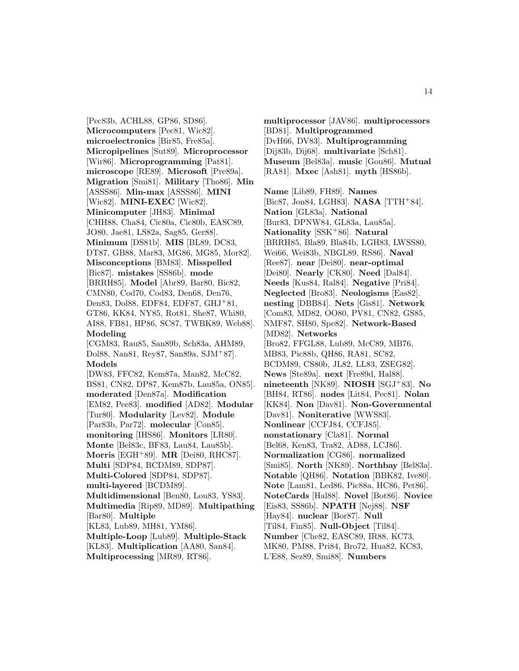[Pec83b, ACHL88, GP86, SD86]. **Microcomputers** [Pec81, Wic82]. **microelectronics** [Bir85, Fre85a]. **Micropipelines** [Sut89]. **Microprocessor** [Wir86]. **Microprogramming** [Pat81]. **microscope** [RE89]. **Microsoft** [Pre89a]. **Migration** [Smi81]. **Military** [Tho86]. **Min** [ASSS86]. **Min-max** [ASSS86]. **MINI** [Wic82]. **MINI-EXEC** [Wic82]. **Minicomputer** [JH83]. **Minimal** [CHH88, Cha84, Cic80a, Cic80b, EASC89, JO80, Jae81, LS82a, Sag85, Ger88]. **Minimum** [DS81b]. **MIS** [BL89, DC83, DT87, GB88, Mar83, MG86, MG85, Mor82]. **Misconceptions** [BM83]. **Misspelled** [Bic87]. **mistakes** [SS86b]. **mode** [BRRH85]. **Model** [Abr89, Bar80, Bic82, CMN80, Cod70, Cod83, Den68, Den76, Den83, Dol88, EDF84, EDF87, GHJ<sup>+</sup>81, GT86, KK84, NY85, Rot81, She87, Whi80, AI88, FB81, HP86, SC87, TWBK89, Web88]. **Modeling** [CGM83, Rau85, San89b, Sch83a, AHM89, Dol88, Nan81, Rey87, San89a, SJM<sup>+</sup>87]. **Models** [DW83, FFC82, Kem87a, Man82, McC82, BS81, CN82, DP87, Kem87b, Lau85a, ON85]. **moderated** [Den87a]. **Modification** [EM82, Pee83]. **modified** [AD82]. **Modular** [Tur80]. **Modularity** [Lev82]. **Module** [Par83b, Par72]. **molecular** [Con85]. **monitoring** [IHS86]. **Monitors** [LR80]. **Monte** [Bel83c, BF83, Lau84, Lau85b]. **Morris** [EGH<sup>+</sup>89]. **MR** [Dei80, RHC87]. **Multi** [SDP84, BCDM89, SDP87]. **Multi-Colored** [SDP84, SDP87]. **multi-layered** [BCDM89]. **Multidimensional** [Ben80, Lou83, YS83]. **Multimedia** [Rip89, MD89]. **Multipathing** [Bar80]. **Multiple** [KL83, Lub89, MH81, YM86]. **Multiple-Loop** [Lub89]. **Multiple-Stack** [KL83]. **Multiplication** [AA80, San84].

**Multiprocessing** [MR89, RT86].

**multiprocessor** [JAV86]. **multiprocessors** [BD81]. **Multiprogrammed** [DvH66, DV83]. **Multiprogramming** [Dij83b, Dij68]. **multivariate** [Sch81]. **Museum** [Bel83a]. **music** [Gou86]. **Mutual** [RA81]. **Mxec** [Ash81]. **myth** [HS86b].

**Name** [Lib89, FH89]. **Names** [Bic87, Jon84, LGH83]. **NASA** [TTH<sup>+</sup>84]. **Nation** [GL83a]. **National** [Bur83, DPNW84, GL83a, Lau85a]. **Nationality** [SSK<sup>+</sup>86]. **Natural** [BRRH85, Bla89, Bla84b, LGH83, LWSS80, Wei66, Wei83b, NBGL89, RS86]. **Naval** [Ree87]. **near** [Dei80]. **near-optimal** [Dei80]. **Nearly** [CK80]. **Need** [Dal84]. **Needs** [Kus84, Ral84]. **Negative** [Pri84]. **Neglected** [Bro83]. **Neologisms** [Eas82]. **nesting** [DBB84]. **Nets** [Gis81]. **Network** [Com83, MD82, OO80, PV81, CN82, GS85, NMF87, SH80, Spe82]. **Network-Based** [MD82]. **Networks** [Bro82, FFGL88, Lub89, McC89, MB76, MB83, Pic88b, QH86, RA81, SC82, BCDM89, CS80b, JL82, LL83, ZSEG82]. **News** [Ste89a]. **next** [Fre89d, Hal88]. **nineteenth** [NK89]. **NIOSH** [SGJ<sup>+</sup>83]. **No** [BH84, RT86]. **nodes** [Lit84, Pec81]. **Nolan** [KK84]. **Non** [Dav81]. **Non-Governmental** [Dav81]. **Noniterative** [WWS83]. **Nonlinear** [CCFJ84, CCFJ85]. **nonstationary** [Cla81]. **Normal** [Bel68, Ken83, Tra82, AD88, LCJ86]. **Normalization** [CG86]. **normalized** [Smi85]. **North** [NK89]. **Northbay** [Bel83a]. **Notable** [QH86]. **Notation** [BBK82, Ive80]. **Note** [Lam81, Led86, Pic88a, HC86, Pet86]. **NoteCards** [Hal88]. **Novel** [Bot86]. **Novice** [Eis83, SS86b]. **NPATH** [Nej88]. **NSF** [Hay84]. **nuclear** [Bor87]. **Null** [Til84, Fin85]. **Null-Object** [Til84]. **Number** [Che82, EASC89, IR88, KC73, MK80, PM88, Pri84, Bro72, Hua82, KC83,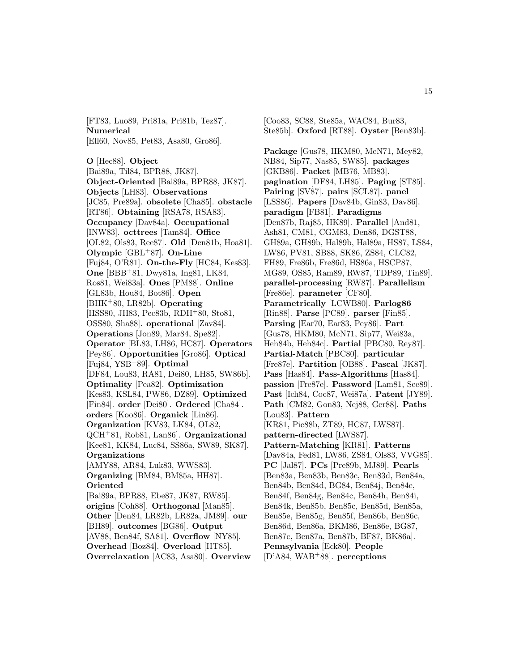[FT83, Luo89, Pri81a, Pri81b, Tez87]. **Numerical** [Ell60, Nov85, Pet83, Asa80, Gro86].

**O** [Hec88]. **Object** [Bai89a, Til84, BPR88, JK87]. **Object-Oriented** [Bai89a, BPR88, JK87]. **Objects** [LH83]. **Observations** [JC85, Pre89a]. **obsolete** [Cha85]. **obstacle** [RT86]. **Obtaining** [RSA78, RSA83]. **Occupancy** [Dav84a]. **Occupational** [INW83]. **octtrees** [Tam84]. **Office** [OL82, Ols83, Ree87]. **Old** [Den81b, Hoa81]. **Olympic** [GBL<sup>+</sup>87]. **On-Line** [Fuj84, O'R81]. **On-the-Fly** [HC84, Kes83]. **One** [BBB<sup>+</sup>81, Dwy81a, Ing81, LK84, Ros81, Wei83a]. **Ones** [PM88]. **Online** [GL83b, Hou84, Bot86]. **Open** [BHK<sup>+</sup>80, LR82b]. **Operating** [HSS80, JH83, Pec83b, RDH<sup>+</sup>80, Sto81, OSS80, Sha88]. **operational** [Zav84]. **Operations** [Jon89, Mar84, Spe82]. **Operator** [BL83, LH86, HC87]. **Operators** [Pey86]. **Opportunities** [Gro86]. **Optical** [Fuj84, YSB<sup>+</sup>89]. **Optimal** [DF84, Lou83, RA81, Dei80, LH85, SW86b]. **Optimality** [Pea82]. **Optimization** [Kes83, KSL84, PW86, DZ89]. **Optimized** [Fin84]. **order** [Dei80]. **Ordered** [Cha84]. **orders** [Koo86]. **Organick** [Lin86]. **Organization** [KV83, LK84, OL82, QCH<sup>+</sup>81, Rob81, Lan86]. **Organizational** [Kee81, KK84, Luc84, SS86a, SW89, SK87]. **Organizations** [AMY88, AR84, Luk83, WWS83]. **Organizing** [BM84, BM85a, HH87]. **Oriented** [Bai89a, BPR88, Ebe87, JK87, RW85]. **origins** [Coh88]. **Orthogonal** [Man85]. **Other** [Den84, LR82b, LR82a, JM89]. **our** [BH89]. **outcomes** [BG86]. **Output** [AV88, Ben84f, SA81]. **Overflow** [NY85]. **Overhead** [Boz84]. **Overload** [HT85]. **Overrelaxation** [AC83, Asa80]. **Overview**

[Coo83, SC88, Ste85a, WAC84, Bur83, Ste85b]. **Oxford** [RT88]. **Oyster** [Ben83b].

**Package** [Gus78, HKM80, McN71, Mey82, NB84, Sip77, Nas85, SW85]. **packages** [GKB86]. **Packet** [MB76, MB83]. **pagination** [DF84, LH85]. **Paging** [ST85]. **Pairing** [SV87]. **pairs** [SCL87]. **panel** [LSS86]. **Papers** [Dav84b, Gin83, Dav86]. **paradigm** [FB81]. **Paradigms** [Den87b, Raj85, HK89]. **Parallel** [And81, Ash81, CM81, CGM83, Den86, DGST88, GH89a, GH89b, Hal89b, Hal89a, HS87, LS84, LW86, PV81, SB88, SK86, ZS84, CLC82, FH89, Fre86b, Fre86d, HS86a, HSCP87, MG89, OS85, Ram89, RW87, TDP89, Tin89]. **parallel-processing** [RW87]. **Parallelism** [Fre86e]. **parameter** [CF80]. **Parametrically** [LCWB80]. **Parlog86** [Rin88]. **Parse** [PC89]. **parser** [Fin85]. **Parsing** [Ear70, Ear83, Pey86]. **Part** [Gus78, HKM80, McN71, Sip77, Wei83a, Heh84b, Heh84c]. **Partial** [PBC80, Rey87]. **Partial-Match** [PBC80]. **particular** [Fre87e]. **Partition** [OB88]. **Pascal** [JK87]. **Pass** [Has84]. **Pass-Algorithms** [Has84]. **passion** [Fre87e]. **Password** [Lam81, See89]. **Past** [Ich84, Coc87, Wei87a]. **Patent** [JY89]. **Path** [CM82, Gon83, Nej88, Ger88]. **Paths** [Lou83]. **Pattern** [KR81, Pic88b, ZT89, HC87, LWS87]. **pattern-directed** [LWS87]. **Pattern-Matching** [KR81]. **Patterns** [Dav84a, Fed81, LW86, ZS84, Ols83, VVG85]. **PC** [Jal87]. **PCs** [Pre89b, MJ89]. **Pearls** [Ben83a, Ben83b, Ben83c, Ben83d, Ben84a, Ben84b, Ben84d, BG84, Ben84j, Ben84e, Ben84f, Ben84g, Ben84c, Ben84h, Ben84i, Ben84k, Ben85b, Ben85c, Ben85d, Ben85a, Ben85e, Ben85g, Ben85f, Ben86b, Ben86c, Ben86d, Ben86a, BKM86, Ben86e, BG87, Ben87c, Ben87a, Ben87b, BF87, BK86a]. **Pennsylvania** [Eck80]. **People** [D'A84, WAB<sup>+</sup>88]. **perceptions**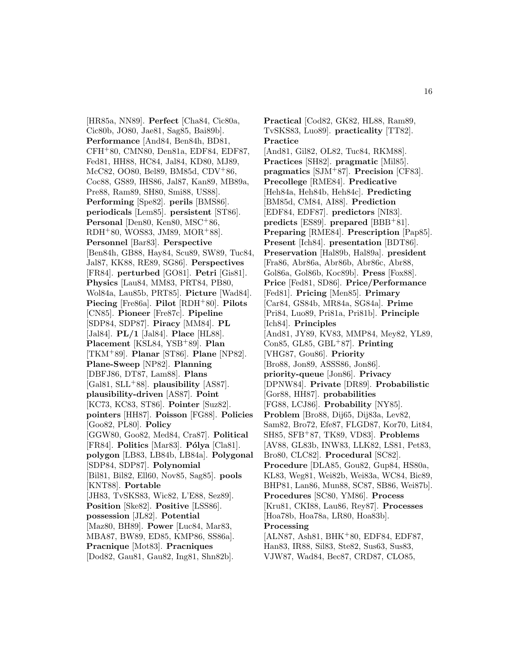[HR85a, NN89]. **Perfect** [Cha84, Cic80a, Cic80b, JO80, Jae81, Sag85, Bai89b]. **Performance** [And84, Ben84h, BD81, CFH<sup>+</sup>80, CMN80, Den81a, EDF84, EDF87, Fed81, HH88, HC84, Jal84, KD80, MJ89, McC82, OO80, Bel89, BM85d, CDV<sup>+</sup>86, Coc88, GS89, IHS86, Jal87, Kan89, MB89a, Pre88, Ram89, SH80, Smi88, US88]. **Performing** [Spe82]. **perils** [BMS86]. **periodicals** [Lem85]. **persistent** [ST86]. Personal [Den80, Ken80, MSC<sup>+</sup>86, RDH<sup>+</sup>80, WOS83, JM89, MOR<sup>+</sup>88]. **Personnel** [Bar83]. **Perspective** [Ben84h, GB88, Hay84, Scu89, SW89, Tuc84, Jal87, KK88, RE89, SG86]. **Perspectives** [FR84]. **perturbed** [GO81]. **Petri** [Gis81]. **Physics** [Lau84, MM83, PRT84, PB80, Wol84a, Lau85b, PRT85]. **Picture** [Wad84]. **Piecing** [Fre86a]. **Pilot** [RDH<sup>+</sup>80]. **Pilots** [CN85]. **Pioneer** [Fre87c]. **Pipeline** [SDP84, SDP87]. **Piracy** [MM84]. **PL** [Jal84]. **PL/1** [Jal84]. **Place** [HL88]. **Placement** [KSL84, YSB<sup>+</sup>89]. **Plan** [TKM<sup>+</sup>89]. **Planar** [ST86]. **Plane** [NP82]. **Plane-Sweep** [NP82]. **Planning** [DBFJ86, DT87, Lam88]. **Plans** [Gal81, SLL<sup>+</sup>88]. **plausibility** [AS87]. **plausibility-driven** [AS87]. **Point** [KC73, KC83, ST86]. **Pointer** [Suz82]. **pointers** [HH87]. **Poisson** [FG88]. **Policies** [Goo82, PL80]. **Policy** [GGW80, Goo82, Med84, Cra87]. **Political** [FR84]. **Politics** [Mar83]. **Pólya** [Cla81]. **polygon** [LB83, LB84b, LB84a]. **Polygonal** [SDP84, SDP87]. **Polynomial** [Bil81, Bil82, Ell60, Nov85, Sag85]. **pools** [KNT88]. **Portable** [JH83, TvSKS83, Wic82, L'E88, Sez89]. **Position** [Ske82]. **Positive** [LSS86]. **possession** [JL82]. **Potential** [Maz80, BH89]. **Power** [Luc84, Mar83, MBA87, BW89, ED85, KMP86, SS86a]. **Pracnique** [Mot83]. **Pracniques** [Dod82, Gau81, Gau82, Ing81, Shn82b].

**Practical** [Cod82, GK82, HL88, Ram89, TvSKS83, Luo89]. **practicality** [TT82]. **Practice** [And81, Gil82, OL82, Tuc84, RKM88]. **Practices** [SH82]. **pragmatic** [Mil85]. **pragmatics** [SJM<sup>+</sup>87]. **Precision** [CF83]. **Precollege** [RME84]. **Predicative** [Heh84a, Heh84b, Heh84c]. **Predicting** [BM85d, CM84, AI88]. **Prediction** [EDF84, EDF87]. **predictors** [NI83]. **predicts** [ES89]. **prepared** [BBB<sup>+</sup>81]. **Preparing** [RME84]. **Prescription** [Pap85]. **Present** [Ich84]. **presentation** [BDT86]. **Preservation** [Hal89b, Hal89a]. **president** [Fra86, Abr86a, Abr86b, Abr86c, Abr88, Gol86a, Gol86b, Koc89b]. **Press** [Fox88]. **Price** [Fed81, SD86]. **Price/Performance** [Fed81]. **Pricing** [Men85]. **Primary** [Car84, GS84b, MR84a, SG84a]. **Prime** [Pri84, Luo89, Pri81a, Pri81b]. **Principle** [Ich84]. **Principles** [And81, JY89, KV83, MMP84, Mey82, YL89, Con85, GL85, GBL<sup>+</sup>87]. **Printing** [VHG87, Gou86]. **Priority** [Bro88, Jon89, ASSS86, Jon86]. **priority-queue** [Jon86]. **Privacy** [DPNW84]. **Private** [DR89]. **Probabilistic** [Gor88, HH87]. **probabilities** [FG88, LCJ86]. **Probability** [NY85]. **Problem** [Bro88, Dij65, Dij83a, Lev82, Sam82, Bro72, Efe87, FLGD87, Kor70, Lit84, SH85, SFB<sup>+</sup>87, TK89, VD83]. **Problems** [AV88, GL83b, INW83, LLK82, LS81, Pet83, Bro80, CLC82]. **Procedural** [SC82]. **Procedure** [DLA85, Gou82, Gup84, HS80a, KL83, Weg81, Wei82b, Wei83a, WC84, Bic89, BHP81, Lan86, Mun88, SC87, SB86, Wei87b]. **Procedures** [SC80, YM86]. **Process** [Kru81, CKI88, Lau86, Rey87]. **Processes** [Hoa78b, Hoa78a, LR80, Hoa83b]. **Processing** [ALN87, Ash81, BHK<sup>+</sup>80, EDF84, EDF87, Han83, IR88, Sil83, Ste82, Sus63, Sus83,

VJW87, Wad84, Bec87, CRD87, CLO85,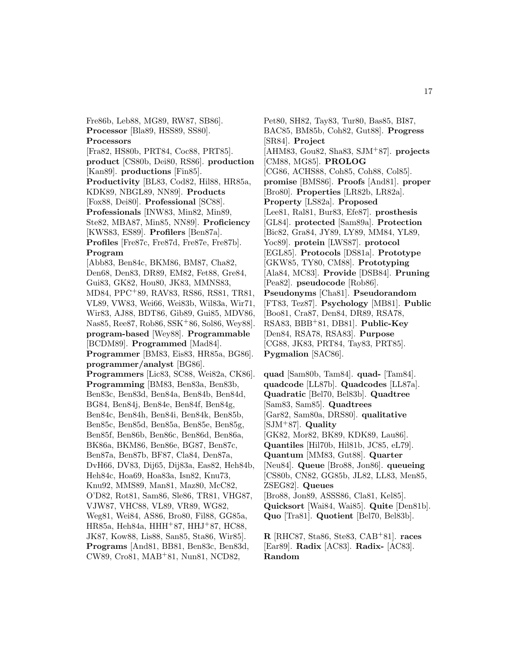Fre86b, Leb88, MG89, RW87, SB86]. **Processor** [Bla89, HSS89, SS80]. **Processors** [Fra82, HS80b, PRT84, Coc88, PRT85]. **product** [CS80b, Dei80, RS86]. **production** [Kan89]. **productions** [Fin85]. **Productivity** [BL83, Cod82, Hil88, HR85a, KDK89, NBGL89, NN89]. **Products** [Fox88, Dei80]. **Professional** [SC88]. **Professionals** [INW83, Min82, Min89, Ste82, MBA87, Min85, NN89]. **Proficiency** [KWS83, ES89]. **Profilers** [Ben87a]. **Profiles** [Fre87c, Fre87d, Fre87e, Fre87b]. **Program** [Abb83, Ben84c, BKM86, BM87, Cha82, Den68, Den83, DR89, EM82, Fet88, Gre84, Gui83, GK82, Hou80, JK83, MMNS83, MD84, PPC<sup>+</sup>89, RAV83, RS86, RS81, TR81, VL89, VW83, Wei66, Wei83b, Wil83a, Wir71, Wir83, AJ88, BDT86, Gib89, Gui85, MDV86, Nas85, Ree87, Rob86, SSK<sup>+</sup>86, Sol86, Wey88]. **program-based** [Wey88]. **Programmable** [BCDM89]. **Programmed** [Mad84]. **Programmer** [BM83, Eis83, HR85a, BG86]. **programmer/analyst** [BG86]. **Programmers** [Lic83, SC88, Wei82a, CK86]. **Programming** [BM83, Ben83a, Ben83b, Ben83c, Ben83d, Ben84a, Ben84b, Ben84d, BG84, Ben84j, Ben84e, Ben84f, Ben84g, Ben84c, Ben84h, Ben84i, Ben84k, Ben85b, Ben85c, Ben85d, Ben85a, Ben85e, Ben85g, Ben85f, Ben86b, Ben86c, Ben86d, Ben86a, BK86a, BKM86, Ben86e, BG87, Ben87c, Ben87a, Ben87b, BF87, Cla84, Den87a, DvH66, DV83, Dij65, Dij83a, Eas82, Heh84b, Heh84c, Hoa69, Hoa83a, Isn82, Knu73, Knu92, MMS89, Man81, Maz80, McC82, O'D82, Rot81, Sam86, Sle86, TR81, VHG87, VJW87, VHC88, VL89, VR89, WG82, Weg81, Wei84, AS86, Bro80, Fil88, GG85a, HR85a, Heh84a, HHH<sup>+</sup>87, HHJ<sup>+</sup>87, HC88, JK87, Kow88, Lis88, San85, Sta86, Wir85]. **Programs** [And81, BB81, Ben83c, Ben83d, CW89, Cro81, MAB<sup>+</sup>81, Nun81, NCD82,

Pet80, SH82, Tay83, Tur80, Bas85, BI87, BAC85, BM85b, Coh82, Gut88]. **Progress** [SR84]. **Project** [AHM83, Gou82, Sha83, SJM<sup>+</sup>87]. **projects** [CM88, MG85]. **PROLOG** [CG86, ACHS88, Coh85, Coh88, Col85]. **promise** [BMS86]. **Proofs** [And81]. **proper** [Bro80]. **Properties** [LR82b, LR82a]. **Property** [LS82a]. **Proposed** [Lee81, Ral81, Bur83, Efe87]. **prosthesis** [GL84]. **protected** [Sam89a]. **Protection** [Bic82, Gra84, JY89, LY89, MM84, YL89, Yoc89]. **protein** [LWS87]. **protocol** [EGL85]. **Protocols** [DS81a]. **Prototype** [GKW85, TY80, CM88]. **Prototyping** [Ala84, MC83]. **Provide** [DSB84]. **Pruning** [Pea82]. **pseudocode** [Rob86]. **Pseudonyms** [Cha81]. **Pseudorandom** [FT83, Tez87]. **Psychology** [MB81]. **Public** [Boo81, Cra87, Den84, DR89, RSA78, RSA83, BBB<sup>+</sup>81, DB81]. **Public-Key** [Den84, RSA78, RSA83]. **Purpose** [CG88, JK83, PRT84, Tay83, PRT85]. **Pygmalion** [SAC86].

**quad** [Sam80b, Tam84]. **quad-** [Tam84]. **quadcode** [LL87b]. **Quadcodes** [LL87a]. **Quadratic** [Bel70, Bel83b]. **Quadtree** [Sam83, Sam85]. **Quadtrees** [Gar82, Sam80a, DRS80]. **qualitative** [SJM<sup>+</sup>87]. **Quality** [GK82, Mor82, BK89, KDK89, Lau86]. **Quantiles** [Hil70b, Hil81b, JC85, eL79]. **Quantum** [MM83, Gut88]. **Quarter** [Neu84]. **Queue** [Bro88, Jon86]. **queueing** [CS80b, CN82, GG85b, JL82, LL83, Men85, ZSEG82]. **Queues** [Bro88, Jon89, ASSS86, Cla81, Kel85]. **Quicksort** [Wai84, Wai85]. **Quite** [Den81b]. **Quo** [Tra81]. **Quotient** [Bel70, Bel83b].

**R** [RHC87, Sta86, Ste83, CAB<sup>+</sup>81]. **races** [Ear89]. **Radix** [AC83]. **Radix-** [AC83]. **Random**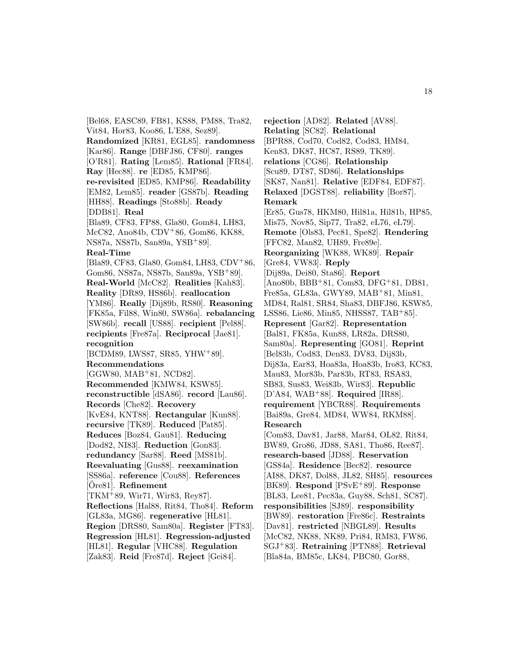[Bel68, EASC89, FB81, KS88, PM88, Tra82, Vit84, Hor83, Koo86, L'E88, Sez89]. **Randomized** [KR81, EGL85]. **randomness** [Kar86]. **Range** [DBFJ86, CF80]. **ranges** [O'R81]. **Rating** [Lem85]. **Rational** [FR84]. **Ray** [Hec88]. **re** [ED85, KMP86]. **re-revisited** [ED85, KMP86]. **Readability** [EM82, Lem85]. **reader** [GS87b]. **Reading** [HH88]. **Readings** [Sto88b]. **Ready** [DDB81]. **Real** [Bla89, CF83, FP88, Gla80, Gom84, LH83, McC82, Ano84b, CDV<sup>+</sup>86, Gom86, KK88, NS87a, NS87b, San89a, YSB<sup>+</sup>89]. **Real-Time** [Bla89, CF83, Gla80, Gom84, LH83, CDV<sup>+</sup>86, Gom86, NS87a, NS87b, San89a, YSB<sup>+</sup>89]. **Real-World** [McC82]. **Realities** [Kah83]. **Reality** [DR89, HS86b]. **reallocation** [YM86]. **Really** [Dij89b, RS80]. **Reasoning** [FK85a, Fil88, Win80, SW86a]. **rebalancing** [SW86b]. **recall** [US88]. **recipient** [Pel88]. **recipients** [Fre87a]. **Reciprocal** [Jae81]. **recognition** [BCDM89, LWS87, SR85, YHW<sup>+</sup>89]. **Recommendations** [GGW80, MAB<sup>+</sup>81, NCD82]. **Recommended** [KMW84, KSW85]. **reconstructible** [dSA86]. **record** [Lau86]. **Records** [Che82]. **Recovery** [KvE84, KNT88]. **Rectangular** [Kun88]. **recursive** [TK89]. **Reduced** [Pat85]. **Reduces** [Boz84, Gau81]. **Reducing** [Dod82, NI83]. **Reduction** [Gon83]. **redundancy** [Sar88]. **Reed** [MS81b]. **Reevaluating** [Gus88]. **reexamination** [SS86a]. **reference** [Cou88]. **References** [Ore81]. **Refinement** [TKM<sup>+</sup>89, Wir71, Wir83, Rey87]. **Reflections** [Hal88, Rit84, Tho84]. **Reform** [GL83a, MG86]. **regenerative** [HL81]. **Region** [DRS80, Sam80a]. **Register** [FT83]. **Regression** [HL81]. **Regression-adjusted** [HL81]. **Regular** [VHC88]. **Regulation** [Zak83]. **Reid** [Fre87d]. **Reject** [Gei84].

**rejection** [AD82]. **Related** [AV88]. **Relating** [SC82]. **Relational** [BPR88, Cod70, Cod82, Cod83, HM84, Ken83, DK87, HC87, RS89, TK89]. **relations** [CG86]. **Relationship** [Scu89, DT87, SD86]. **Relationships** [SK87, Nan81]. **Relative** [EDF84, EDF87]. **Relaxed** [DGST88]. **reliability** [Bor87]. **Remark** [Er85, Gus78, HKM80, Hil81a, Hil81b, HP85, Mis75, Nov85, Sip77, Tra82, eL76, eL79]. **Remote** [Ols83, Pec81, Spe82]. **Rendering** [FFC82, Man82, UH89, Fre89e]. **Reorganizing** [WK88, WK89]. **Repair** [Gre84, VW83]. **Reply** [Dij89a, Dei80, Sta86]. **Report** [Ano80b, BBB<sup>+</sup>81, Com83, DFG<sup>+</sup>81, DB81, Fre85a, GL83a, GWY89, MAB<sup>+</sup>81, Min81, MD84, Ral81, SR84, Sha83, DBFJ86, KSW85, LSS86, Lie86, Min85, NHSS87, TAB<sup>+</sup>85]. **Represent** [Gar82]. **Representation** [Bal81, FK85a, Kun88, LR82a, DRS80, Sam80a]. **Representing** [GO81]. **Reprint** [Bel83b, Cod83, Den83, DV83, Dij83b, Dij83a, Ear83, Hoa83a, Hoa83b, Iro83, KC83, Mau83, Mor83b, Par83b, RT83, RSA83, SB83, Sus83, Wei83b, Wir83]. **Republic** [D'A84, WAB<sup>+</sup>88]. **Required** [IR88]. **requirement** [YBCR88]. **Requirements** [Bai89a, Gre84, MD84, WW84, RKM88]. **Research** [Com83, Dav81, Jar88, Mar84, OL82, Rit84, BW89, Gro86, JD88, SA81, Tho86, Ree87]. **research-based** [JD88]. **Reservation** [GS84a]. **Residence** [Bec82]. **resource** [AI88, DK87, Dol88, JL82, SH85]. **resources** [BK89]. **Respond** [PSvE<sup>+</sup>89]. **Response** [BL83, Lee81, Pec83a, Guy88, Sch81, SC87]. **responsibilities** [SJ89]. **responsibility** [BW89]. **restoration** [Fre86c]. **Restraints** [Dav81]. **restricted** [NBGL89]. **Results** [McC82, NK88, NK89, Pri84, RM83, FW86, SGJ<sup>+</sup>83]. **Retraining** [PTN88]. **Retrieval** [Bla84a, BM85c, LK84, PBC80, Gor88,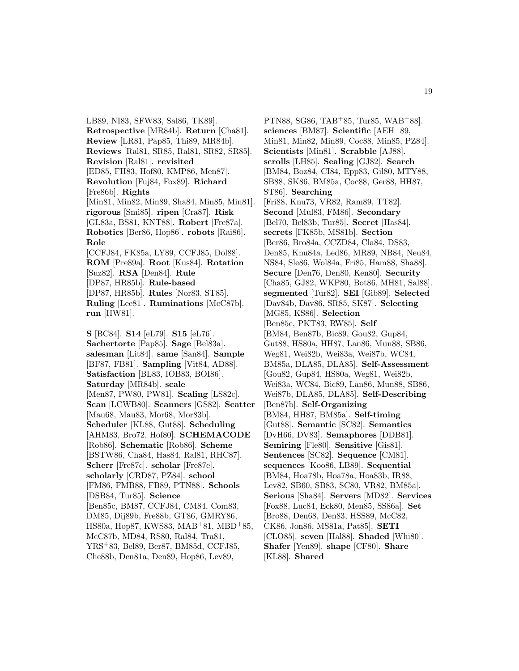LB89, NI83, SFW83, Sal86, TK89]. **Retrospective** [MR84b]. **Return** [Cha81]. **Review** [LR81, Pap85, Thi89, MR84b]. **Reviews** [Ral81, SR85, Ral81, SR82, SR85]. **Revision** [Ral81]. **revisited** [ED85, FH83, Hof80, KMP86, Men87]. **Revolution** [Fuj84, Fox89]. **Richard** [Fre86b]. **Rights** [Min81, Min82, Min89, Sha84, Min85, Min81]. **rigorous** [Smi85]. **ripen** [Cra87]. **Risk** [GL83a, BS81, KNT88]. **Robert** [Fre87a]. **Robotics** [Ber86, Hop86]. **robots** [Rai86]. **Role** [CCFJ84, FK85a, LY89, CCFJ85, Dol88]. **ROM** [Pre89a]. **Root** [Kus84]. **Rotation** [Suz82]. **RSA** [Den84]. **Rule** [DP87, HR85b]. **Rule-based** [DP87, HR85b]. **Rules** [Nor83, ST85]. **Ruling** [Lee81]. **Ruminations** [McC87b]. **run** [HW81]. **S** [BC84]. **S14** [eL79]. **S15** [eL76].

**Sachertorte** [Pap85]. **Sage** [Bel83a]. **salesman** [Lit84]. **same** [San84]. **Sample** [BF87, FB81]. **Sampling** [Vit84, AD88]. **Satisfaction** [BL83, IOB83, BOI86]. **Saturday** [MR84b]. **scale** [Men87, PW80, PW81]. **Scaling** [LS82c]. **Scan** [LCWB80]. **Scanners** [GS82]. **Scatter** [Mau68, Mau83, Mor68, Mor83b]. **Scheduler** [KL88, Gut88]. **Scheduling** [AHM83, Bro72, Hof80]. **SCHEMACODE** [Rob86]. **Schematic** [Rob86]. **Scheme** [BSTW86, Cha84, Has84, Ral81, RHC87]. **Scherr** [Fre87c]. **scholar** [Fre87e]. **scholarly** [CRD87, PZ84]. **school** [FM86, FMB88, FB89, PTN88]. **Schools** [DSB84, Tur85]. **Science** [Ben85c, BM87, CCFJ84, CM84, Com83, DM85, Dij89b, Fre88b, GT86, GMRY86, HS80a, Hop87, KWS83, MAB<sup>+</sup>81, MBD<sup>+</sup>85, McC87b, MD84, RS80, Ral84, Tra81, YRS<sup>+</sup>83, Bel89, Ber87, BM85d, CCFJ85, Che88b, Den81a, Den89, Hop86, Lev89,

PTN88, SG86, TAB<sup>+</sup>85, Tur85, WAB<sup>+</sup>88]. **sciences** [BM87]. **Scientific** [AEH<sup>+</sup>89, Min81, Min82, Min89, Coc88, Min85, PZ84]. **Scientists** [Min81]. **Scrabble** [AJ88]. **scrolls** [LH85]. **Sealing** [GJ82]. **Search** [BM84, Boz84, CI84, Epp83, Gil80, MTY88, SB88, SK86, BM85a, Coc88, Ger88, HH87, ST86]. **Searching** [Fri88, Knu73, VR82, Ram89, TT82]. **Second** [Mul83, FM86]. **Secondary** [Bel70, Bel83b, Tur85]. **Secret** [Has84]. **secrets** [FK85b, MS81b]. **Section** [Ber86, Bro84a, CCZD84, Cla84, DS83, Den85, Knu84a, Led86, MR89, NB84, Neu84, NS84, Sle86, Wol84a, Fri85, Ham88, Sha88]. **Secure** [Den76, Den80, Ken80]. **Security** [Cha85, GJ82, WKP80, Bot86, MH81, Sal88]. **segmented** [Tur82]. **SEI** [Gib89]. **Selected** [Dav84b, Dav86, SR85, SK87]. **Selecting** [MG85, KS86]. **Selection** [Ben85e, PKT83, RW85]. **Self** [BM84, Ben87b, Bic89, Gou82, Gup84, Gut88, HS80a, HH87, Lan86, Mun88, SB86, Weg81, Wei82b, Wei83a, Wei87b, WC84, BM85a, DLA85, DLA85]. **Self-Assessment** [Gou82, Gup84, HS80a, Weg81, Wei82b, Wei83a, WC84, Bic89, Lan86, Mun88, SB86, Wei87b, DLA85, DLA85]. **Self-Describing** [Ben87b]. **Self-Organizing** [BM84, HH87, BM85a]. **Self-timing** [Gut88]. **Semantic** [SC82]. **Semantics** [DvH66, DV83]. **Semaphores** [DDB81]. **Semiring** [Fle80]. **Sensitive** [Gis81]. **Sentences** [SC82]. **Sequence** [CM81]. **sequences** [Koo86, LB89]. **Sequential** [BM84, Hoa78b, Hoa78a, Hoa83b, IR88, Lev82, SB60, SB83, SC80, VR82, BM85a]. **Serious** [Sha84]. **Servers** [MD82]. **Services** [Fox88, Luc84, Eck80, Men85, SS86a]. **Set** [Bro88, Den68, Den83, HSS89, McC82, CK86, Jon86, MS81a, Pat85]. **SETI** [CLO85]. **seven** [Hal88]. **Shaded** [Whi80]. **Shafer** [Yen89]. **shape** [CF80]. **Share** [KL88]. **Shared**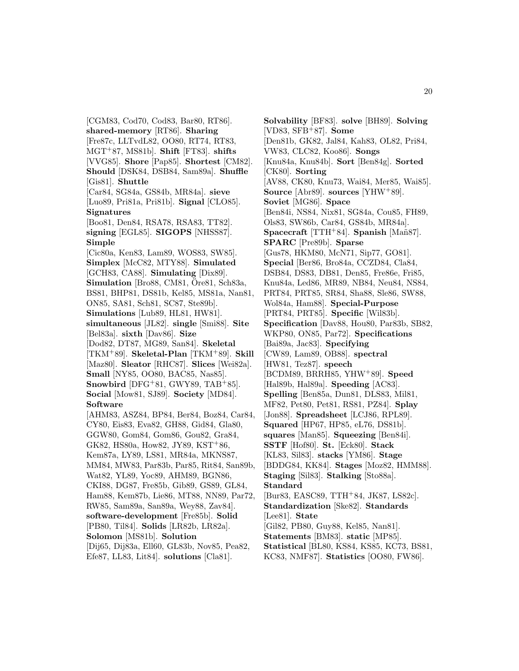[CGM83, Cod70, Cod83, Bar80, RT86]. **shared-memory** [RT86]. **Sharing** [Fre87c, LLTvdL82, OO80, RT74, RT83, MGT<sup>+</sup>87, MS81b]. **Shift** [FT83]. **shifts** [VVG85]. **Shore** [Pap85]. **Shortest** [CM82]. **Should** [DSK84, DSB84, Sam89a]. **Shuffle** [Gis81]. **Shuttle** [Car84, SG84a, GS84b, MR84a]. **sieve** [Luo89, Pri81a, Pri81b]. **Signal** [CLO85]. **Signatures** [Boo81, Den84, RSA78, RSA83, TT82]. **signing** [EGL85]. **SIGOPS** [NHSS87]. **Simple** [Cic80a, Ken83, Lam89, WOS83, SW85]. **Simplex** [McC82, MTY88]. **Simulated** [GCH83, CA88]. **Simulating** [Dix89]. **Simulation** [Bro88, CM81, Ore81, Sch83a, BS81, BHP81, DS81b, Kel85, MS81a, Nan81, ON85, SA81, Sch81, SC87, Ste89b]. **Simulations** [Lub89, HL81, HW81]. **simultaneous** [JL82]. **single** [Smi88]. **Site** [Bel83a]. **sixth** [Dav86]. **Size** [Dod82, DT87, MG89, San84]. **Skeletal** [TKM<sup>+</sup>89]. **Skeletal-Plan** [TKM<sup>+</sup>89]. **Skill** [Maz80]. **Sleator** [RHC87]. **Slices** [Wei82a]. **Small** [NY85, OO80, BAC85, Nas85]. **Snowbird** [DFG<sup>+</sup>81, GWY89, TAB<sup>+</sup>85]. **Social** [Mow81, SJ89]. **Society** [MD84]. **Software** [AHM83, ASZ84, BP84, Ber84, Boz84, Car84, CY80, Eis83, Eva82, GH88, Gid84, Gla80, GGW80, Gom84, Gom86, Gou82, Gra84, GK82, HS80a, How82, JY89, KST<sup>+</sup>86, Kem87a, LY89, LS81, MR84a, MKNS87, MM84, MW83, Par83b, Par85, Rit84, San89b, Wat82, YL89, Yoc89, AHM89, BGN86, CKI88, DG87, Fre85b, Gib89, GS89, GL84, Ham88, Kem87b, Lie86, MT88, NN89, Par72, RW85, Sam89a, San89a, Wey88, Zav84]. **software-development** [Fre85b]. **Solid** [PB80, Til84]. **Solids** [LR82b, LR82a]. **Solomon** [MS81b]. **Solution** [Dij65, Dij83a, Ell60, GL83b, Nov85, Pea82, Efe87, LL83, Lit84]. **solutions** [Cla81].

**Solvability** [BF83]. **solve** [BH89]. **Solving** [VD83, SFB<sup>+</sup>87]. **Some** [Den81b, GK82, Jal84, Kah83, OL82, Pri84, VW83, CLC82, Koo86]. **Songs** [Knu84a, Knu84b]. **Sort** [Ben84g]. **Sorted** [CK80]. **Sorting** [AV88, CK80, Knu73, Wai84, Mer85, Wai85]. **Source** [Abr89]. **sources** [YHW<sup>+</sup>89]. **Soviet** [MG86]. **Space** [Ben84i, NS84, Nix81, SG84a, Cou85, FH89, Ols83, SW86b, Car84, GS84b, MR84a]. **Spacecraft** [TTH+84]. **Spanish** [Mañ87]. **SPARC** [Pre89b]. **Sparse** [Gus78, HKM80, McN71, Sip77, GO81]. **Special** [Ber86, Bro84a, CCZD84, Cla84, DSB84, DS83, DB81, Den85, Fre86e, Fri85, Knu84a, Led86, MR89, NB84, Neu84, NS84, PRT84, PRT85, SR84, Sha88, Sle86, SW88, Wol84a, Ham88]. **Special-Purpose** [PRT84, PRT85]. **Specific** [Wil83b]. **Specification** [Dav88, Hou80, Par83b, SB82, WKP80, ON85, Par72]. **Specifications** [Bai89a, Jac83]. **Specifying** [CW89, Lam89, OB88]. **spectral** [HW81, Tez87]. **speech** [BCDM89, BRRH85, YHW<sup>+</sup>89]. **Speed** [Hal89b, Hal89a]. **Speeding** [AC83]. **Spelling** [Ben85a, Dun81, DLS83, Mil81, MF82, Pet80, Pet81, RS81, PZ84]. **Splay** [Jon88]. **Spreadsheet** [LCJ86, RPL89]. **Squared** [HP67, HP85, eL76, DS81b]. **squares** [Man85]. **Squeezing** [Ben84i]. **SSTF** [Hof80]. **St.** [Eck80]. **Stack** [KL83, Sil83]. **stacks** [YM86]. **Stage** [BDDG84, KK84]. **Stages** [Moz82, HMM88]. **Staging** [Sil83]. **Stalking** [Sto88a]. **Standard** [Bur83, EASC89, TTH<sup>+</sup>84, JK87, LS82c]. **Standardization** [Ske82]. **Standards** [Lee81]. **State** [Gil82, PB80, Guy88, Kel85, Nan81]. **Statements** [BM83]. **static** [MP85]. **Statistical** [BL80, KS84, KS85, KC73, BS81, KC83, NMF87]. **Statistics** [OO80, FW86].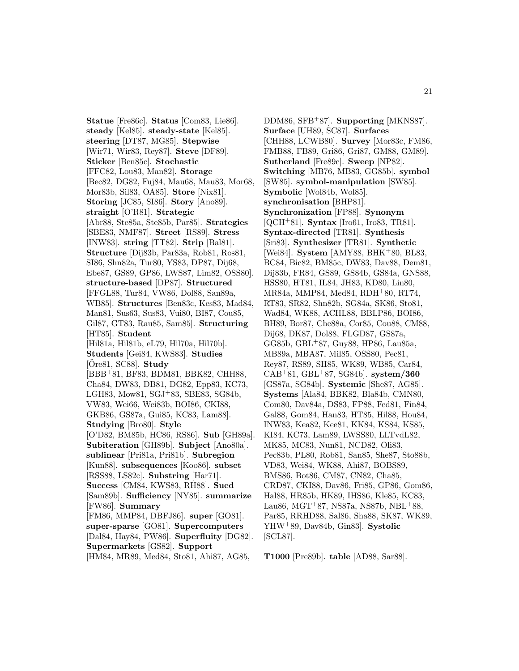**Statue** [Fre86c]. **Status** [Com83, Lie86]. **steady** [Kel85]. **steady-state** [Kel85]. **steering** [DT87, MG85]. **Stepwise** [Wir71, Wir83, Rey87]. **Steve** [DF89]. **Sticker** [Ben85c]. **Stochastic** [FFC82, Lou83, Man82]. **Storage** [Bec82, DG82, Fuj84, Mau68, Mau83, Mor68, Mor83b, Sil83, OA85]. **Store** [Nix81]. **Storing** [JC85, SI86]. **Story** [Ano89]. **straight** [O'R81]. **Strategic** [Abr88, Ste85a, Ste85b, Par85]. **Strategies** [SBE83, NMF87]. **Street** [RS89]. **Stress** [INW83]. **string** [TT82]. **Strip** [Bal81]. **Structure** [Dij83b, Par83a, Rob81, Ros81, SI86, Shn82a, Tur80, YS83, DP87, Dij68, Ebe87, GS89, GP86, LWS87, Lim82, OSS80]. **structure-based** [DP87]. **Structured** [FFGL88, Tur84, VW86, Dol88, San89a, WB85]. **Structures** [Ben83c, Kes83, Mad84, Man81, Sus63, Sus83, Vui80, BI87, Cou85, Gil87, GT83, Rau85, Sam85]. **Structuring** [HT85]. **Student** [Hil81a, Hil81b, eL79, Hil70a, Hil70b]. **Students** [Gei84, KWS83]. **Studies** [Ore81, SC88]. ¨ **Study** [BBB<sup>+</sup>81, BF83, BDM81, BBK82, CHH88, Cha84, DW83, DB81, DG82, Epp83, KC73, LGH83, Mow81, SGJ<sup>+</sup>83, SBE83, SG84b, VW83, Wei66, Wei83b, BOI86, CKI88, GKB86, GS87a, Gui85, KC83, Lam88]. **Studying** [Bro80]. **Style** [O'D82, BM85b, HC86, RS86]. **Sub** [GH89a]. **Subiteration** [GH89b]. **Subject** [Ano80a]. **sublinear** [Pri81a, Pri81b]. **Subregion** [Kun88]. **subsequences** [Koo86]. **subset** [RSS88, LS82c]. **Substring** [Har71]. **Success** [CM84, KWS83, RH88]. **Sued** [Sam89b]. **Sufficiency** [NY85]. **summarize** [FW86]. **Summary** [FM86, MMP84, DBFJ86]. **super** [GO81]. **super-sparse** [GO81]. **Supercomputers** [Dal84, Hay84, PW86]. **Superfluity** [DG82]. **Supermarkets** [GS82]. **Support** [HM84, MR89, Med84, Sto81, Ahi87, AG85,

DDM86, SFB<sup>+</sup>87]. **Supporting** [MKNS87]. **Surface** [UH89, SC87]. **Surfaces** [CHH88, LCWB80]. **Survey** [Mor83c, FM86, FMB88, FB89, Gri86, Gri87, GM88, GM89]. **Sutherland** [Fre89c]. **Sweep** [NP82]. **Switching** [MB76, MB83, GG85b]. **symbol** [SW85]. **symbol-manipulation** [SW85]. **Symbolic** [Wol84b, Wol85]. **synchronisation** [BHP81]. **Synchronization** [FP88]. **Synonym** [QCH<sup>+</sup>81]. **Syntax** [Iro61, Iro83, TR81]. **Syntax-directed** [TR81]. **Synthesis** [Sri83]. **Synthesizer** [TR81]. **Synthetic** [Wei84]. **System** [AMY88, BHK<sup>+</sup>80, BL83, BC84, Bic82, BM85c, DW83, Dav88, Dem81, Dij83b, FR84, GS89, GS84b, GS84a, GNS88, HSS80, HT81, IL84, JH83, KD80, Lin80, MR84a, MMP84, Med84, RDH<sup>+</sup>80, RT74, RT83, SR82, Shn82b, SG84a, SK86, Sto81, Wad84, WK88, ACHL88, BBLP86, BOI86, BH89, Bor87, Che88a, Cor85, Cou88, CM88, Dij68, DK87, Dol88, FLGD87, GS87a, GG85b, GBL<sup>+</sup>87, Guy88, HP86, Lau85a, MB89a, MBA87, Mil85, OSS80, Pec81, Rey87, RS89, SH85, WK89, WB85, Car84, CAB<sup>+</sup>81, GBL<sup>+</sup>87, SG84b]. **system/360** [GS87a, SG84b]. **Systemic** [She87, AG85]. **Systems** [Ala84, BBK82, Bla84b, CMN80, Com80, Dav84a, DS83, FP88, Fed81, Fin84, Gal88, Gom84, Han83, HT85, Hil88, Hou84, INW83, Kea82, Kee81, KK84, KS84, KS85, KI84, KC73, Lam89, LWSS80, LLTvdL82, MK85, MC83, Nun81, NCD82, Oli83, Pec83b, PL80, Rob81, San85, She87, Sto88b, VD83, Wei84, WK88, Ahi87, BOBS89, BMS86, Bot86, CM87, CN82, Cha85, CRD87, CKI88, Dav86, Fri85, GP86, Gom86, Hal88, HR85b, HK89, IHS86, Kle85, KC83, Lau86, MGT<sup>+</sup>87, NS87a, NS87b, NBL<sup>+</sup>88, Par85, RRHD88, Sal86, Sha88, SK87, WK89, YHW<sup>+</sup>89, Dav84b, Gin83]. **Systolic** [SCL87].

**T1000** [Pre89b]. **table** [AD88, Sar88].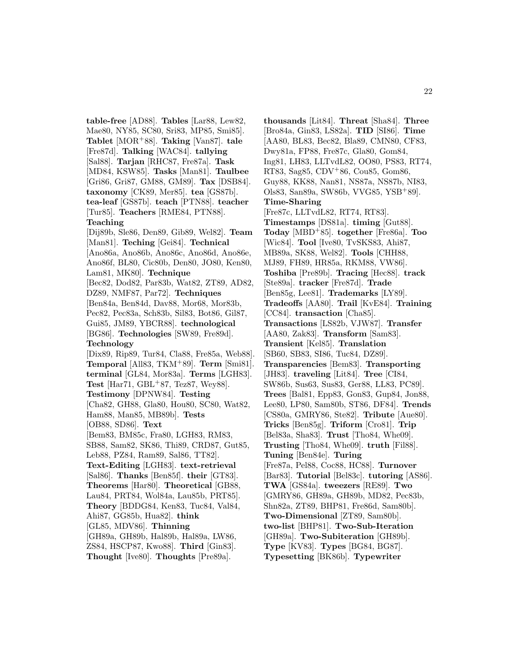**table-free** [AD88]. **Tables** [Lar88, Lew82, Mae80, NY85, SC80, Sri83, MP85, Smi85]. **Tablet** [MOR<sup>+</sup>88]. **Taking** [Van87]. **tale** [Fre87d]. **Talking** [WAC84]. **tallying** [Sal88]. **Tarjan** [RHC87, Fre87a]. **Task** [MD84, KSW85]. **Tasks** [Man81]. **Taulbee** [Gri86, Gri87, GM88, GM89]. **Tax** [DSB84]. **taxonomy** [CK89, Mer85]. **tea** [GS87b]. **tea-leaf** [GS87b]. **teach** [PTN88]. **teacher** [Tur85]. **Teachers** [RME84, PTN88]. **Teaching** [Dij89b, Sle86, Den89, Gib89, Wel82]. **Team** [Man81]. **Teching** [Gei84]. **Technical** [Ano86a, Ano86b, Ano86c, Ano86d, Ano86e, Ano86f, BL80, Cic80b, Den80, JO80, Ken80, Lam81, MK80]. **Technique** [Bec82, Dod82, Par83b, Wat82, ZT89, AD82, DZ89, NMF87, Par72]. **Techniques** [Ben84a, Ben84d, Dav88, Mor68, Mor83b, Pec82, Pec83a, Sch83b, Sil83, Bot86, Gil87, Gui85, JM89, YBCR88]. **technological** [BG86]. **Technologies** [SW89, Fre89d]. **Technology** [Dix89, Rip89, Tur84, Cla88, Fre85a, Web88]. **Temporal** [All83, TKM<sup>+</sup>89]. **Term** [Smi81]. **terminal** [GL84, Mor83a]. **Terms** [LGH83]. **Test** [Har71, GBL<sup>+</sup>87, Tez87, Wey88]. **Testimony** [DPNW84]. **Testing** [Cha82, GH88, Gla80, Hou80, SC80, Wat82, Ham88, Man85, MB89b]. **Tests** [OB88, SD86]. **Text** [Bem83, BM85c, Fra80, LGH83, RM83, SB88, Sam82, SK86, Thi89, CRD87, Gut85, Leb88, PZ84, Ram89, Sal86, TT82]. **Text-Editing** [LGH83]. **text-retrieval** [Sal86]. **Thanks** [Ben85f]. **their** [GT83]. **Theorems** [Har80]. **Theoretical** [GB88, Lau84, PRT84, Wol84a, Lau85b, PRT85]. **Theory** [BDDG84, Ken83, Tuc84, Val84, Ahi87, GG85b, Hua82]. **think** [GL85, MDV86]. **Thinning** [GH89a, GH89b, Hal89b, Hal89a, LW86, ZS84, HSCP87, Kwo88]. **Third** [Gin83]. **Thought** [Ive80]. **Thoughts** [Pre89a].

**thousands** [Lit84]. **Threat** [Sha84]. **Three** [Bro84a, Gin83, LS82a]. **TID** [SI86]. **Time** [AA80, BL83, Bec82, Bla89, CMN80, CF83, Dwy81a, FP88, Fre87c, Gla80, Gom84, Ing81, LH83, LLTvdL82, OO80, PS83, RT74, RT83, Sag85, CDV<sup>+</sup>86, Cou85, Gom86, Guy88, KK88, Nan81, NS87a, NS87b, NI83, Ols83, San89a, SW86b, VVG85, YSB<sup>+</sup>89]. **Time-Sharing** [Fre87c, LLTvdL82, RT74, RT83]. **Timestamps** [DS81a]. **timing** [Gut88]. **Today** [MBD<sup>+</sup>85]. **together** [Fre86a]. **Too** [Wic84]. **Tool** [Ive80, TvSKS83, Ahi87, MB89a, SK88, Wel82]. **Tools** [CHH88, MJ89, FH89, HR85a, RKM88, VW86]. **Toshiba** [Pre89b]. **Tracing** [Hec88]. **track** [Ste89a]. **tracker** [Fre87d]. **Trade** [Ben85g, Lee81]. **Trademarks** [LY89]. **Tradeoffs** [AA80]. **Trail** [KvE84]. **Training** [CC84]. **transaction** [Cha85]. **Transactions** [LS82b, VJW87]. **Transfer** [AA80, Zak83]. **Transform** [Sam83]. **Transient** [Kel85]. **Translation** [SB60, SB83, SI86, Tuc84, DZ89]. **Transparencies** [Bem83]. **Transporting** [JH83]. **traveling** [Lit84]. **Tree** [CI84, SW86b, Sus63, Sus83, Ger88, LL83, PC89]. **Trees** [Bal81, Epp83, Gon83, Gup84, Jon88, Lee80, LP80, Sam80b, ST86, DF84]. **Trends** [CS80a, GMRY86, Ste82]. **Tribute** [Aue80]. **Tricks** [Ben85g]. **Triform** [Cro81]. **Trip** [Bel83a, Sha83]. **Trust** [Tho84, Whe09]. **Trusting** [Tho84, Whe09]. **truth** [Fil88]. **Tuning** [Ben84e]. **Turing** [Fre87a, Pel88, Coc88, HC88]. **Turnover** [Bar83]. **Tutorial** [Bel83c]. **tutoring** [AS86]. **TWA** [GS84a]. **tweezers** [RE89]. **Two** [GMRY86, GH89a, GH89b, MD82, Pec83b, Shn82a, ZT89, BHP81, Fre86d, Sam80b]. **Two-Dimensional** [ZT89, Sam80b]. **two-list** [BHP81]. **Two-Sub-Iteration** [GH89a]. **Two-Subiteration** [GH89b]. **Type** [KV83]. **Types** [BG84, BG87]. **Typesetting** [BK86b]. **Typewriter**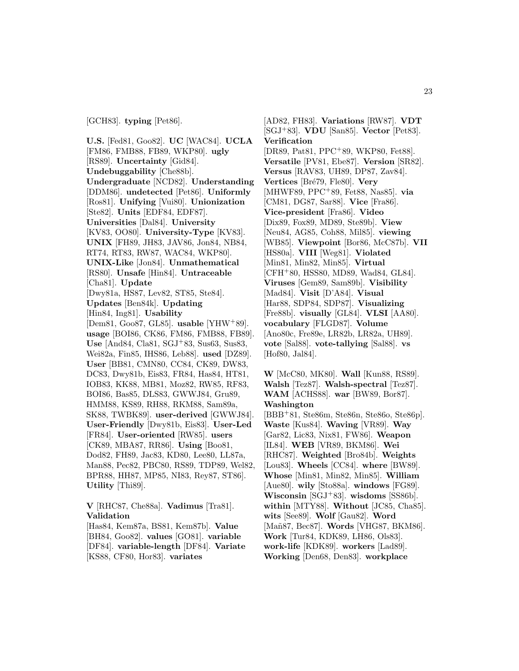[GCH83]. **typing** [Pet86].

**U.S.** [Fed81, Goo82]. **UC** [WAC84]. **UCLA** [FM86, FMB88, FB89, WKP80]. **ugly** [RS89]. **Uncertainty** [Gid84]. **Undebuggability** [Che88b]. **Undergraduate** [NCD82]. **Understanding** [DDM86]. **undetected** [Pet86]. **Uniformly** [Ros81]. **Unifying** [Vui80]. **Unionization** [Ste82]. **Units** [EDF84, EDF87]. **Universities** [Dal84]. **University** [KV83, OO80]. **University-Type** [KV83]. **UNIX** [FH89, JH83, JAV86, Jon84, NB84, RT74, RT83, RW87, WAC84, WKP80]. **UNIX-Like** [Jon84]. **Unmathematical** [RS80]. **Unsafe** [Hin84]. **Untraceable** [Cha81]. **Update** [Dwy81a, HS87, Lev82, ST85, Ste84]. **Updates** [Ben84k]. **Updating** [Hin84, Ing81]. **Usability** [Dem81, Goo87, GL85]. **usable** [YHW<sup>+</sup>89]. **usage** [BOI86, CK86, FM86, FMB88, FB89]. **Use** [And84, Cla81, SGJ<sup>+</sup>83, Sus63, Sus83, Wei82a, Fin85, IHS86, Leb88]. **used** [DZ89]. **User** [BB81, CMN80, CC84, CK89, DW83, DC83, Dwy81b, Eis83, FR84, Has84, HT81, IOB83, KK88, MB81, Moz82, RW85, RF83, BOI86, Bas85, DLS83, GWWJ84, Gru89, HMM88, KS89, RH88, RKM88, Sam89a, SK88, TWBK89]. **user-derived** [GWWJ84]. **User-Friendly** [Dwy81b, Eis83]. **User-Led** [FR84]. **User-oriented** [RW85]. **users** [CK89, MBA87, RR86]. **Using** [Boo81, Dod82, FH89, Jac83, KD80, Lee80, LL87a, Man88, Pec82, PBC80, RS89, TDP89, Wel82, BPR88, HH87, MP85, NI83, Rey87, ST86]. **Utility** [Thi89].

**V** [RHC87, Che88a]. **Vadimus** [Tra81]. **Validation**

[Has84, Kem87a, BS81, Kem87b]. **Value** [BH84, Goo82]. **values** [GO81]. **variable** [DF84]. **variable-length** [DF84]. **Variate** [KS88, CF80, Hor83]. **variates**

[AD82, FH83]. **Variations** [RW87]. **VDT** [SGJ<sup>+</sup>83]. **VDU** [San85]. **Vector** [Pet83]. **Verification** [DR89, Pat81, PPC<sup>+</sup>89, WKP80, Fet88]. **Versatile** [PV81, Ebe87]. **Version** [SR82]. **Versus** [RAV83, UH89, DP87, Zav84]. **Vertices** [Bré79, Fle80]. **Very** [MHWF89, PPC<sup>+</sup>89, Fet88, Nas85]. **via** [CM81, DG87, Sar88]. **Vice** [Fra86]. **Vice-president** [Fra86]. **Video** [Dix89, Fox89, MD89, Ste89b]. **View** [Neu84, AG85, Coh88, Mil85]. **viewing** [WB85]. **Viewpoint** [Bor86, McC87b]. **VII** [HS80a]. **VIII** [Weg81]. **Violated** [Min81, Min82, Min85]. **Virtual** [CFH<sup>+</sup>80, HSS80, MD89, Wad84, GL84]. **Viruses** [Gem89, Sam89b]. **Visibility** [Mad84]. **Visit** [D'A84]. **Visual** [Har88, SDP84, SDP87]. **Visualizing** [Fre88b]. **visually** [GL84]. **VLSI** [AA80]. **vocabulary** [FLGD87]. **Volume** [Ano80c, Fre89e, LR82b, LR82a, UH89]. **vote** [Sal88]. **vote-tallying** [Sal88]. **vs** [Hof80, Jal84].

**W** [McC80, MK80]. **Wall** [Kun88, RS89]. **Walsh** [Tez87]. **Walsh-spectral** [Tez87]. **WAM** [ACHS88]. **war** [BW89, Bor87]. **Washington** [BBB<sup>+</sup>81, Ste86m, Ste86n, Ste86o, Ste86p].

**Waste** [Kus84]. **Waving** [VR89]. **Way** [Gar82, Lic83, Nix81, FW86]. **Weapon** [IL84]. **WEB** [VR89, BKM86]. **Wei** [RHC87]. **Weighted** [Bro84b]. **Weights** [Lou83]. **Wheels** [CC84]. **where** [BW89]. **Whose** [Min81, Min82, Min85]. **William** [Aue80]. **wily** [Sto88a]. **windows** [FG89]. **Wisconsin** [SGJ<sup>+</sup>83]. **wisdoms** [SS86b]. **within** [MTY88]. **Without** [JC85, Cha85]. **wits** [See89]. **Wolf** [Gau82]. **Word** [Mañ87, Bec87]. **Words** [VHG87, BKM86]. **Work** [Tur84, KDK89, LH86, Ols83]. **work-life** [KDK89]. **workers** [Lad89]. **Working** [Den68, Den83]. **workplace**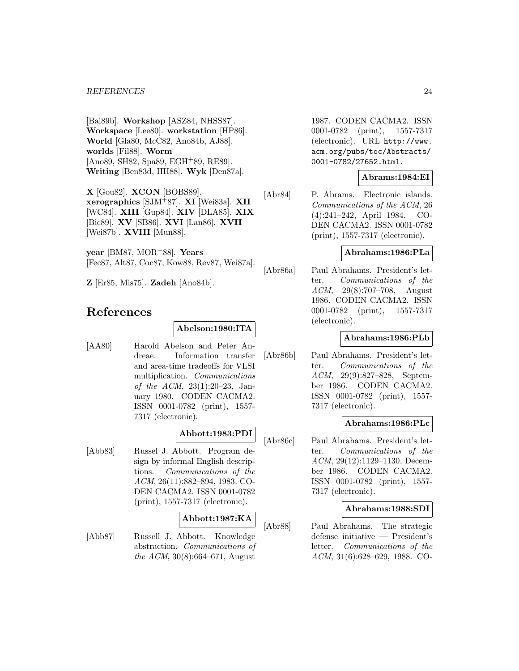#### *REFERENCES* 24

[Bai89b]. **Workshop** [ASZ84, NHSS87]. **Workspace** [Lee80]. **workstation** [HP86]. **World** [Gla80, McC82, Ano84b, AJ88]. **worlds** [Fil88]. **Worm** [Ano89, SH82, Spa89, EGH<sup>+</sup>89, RE89]. **Writing** [Ben83d, HH88]. **Wyk** [Den87a].

**X** [Gou82]. **XCON** [BOBS89]. **xerographics** [SJM<sup>+</sup>87]. **XI** [Wei83a]. **XII** [WC84]. **XIII** [Gup84]. **XIV** [DLA85]. **XIX** [Bic89]. **XV** [SB86]. **XVI** [Lan86]. **XVII** [Wei87b]. **XVIII** [Mun88].

**year** [BM87, MOR<sup>+</sup>88]. **Years** [Fec87, Alt87, Coc87, Kow88, Rev87, Wei87a].

**Z** [Er85, Mis75]. **Zadeh** [Ano84b].

## **References**

#### **Abelson:1980:ITA**

[AA80] Harold Abelson and Peter Andreae. Information transfer and area-time tradeoffs for VLSI multiplication. Communications of the ACM, 23(1):20–23, January 1980. CODEN CACMA2. ISSN 0001-0782 (print), 1557- 7317 (electronic).

## **Abbott:1983:PDI**

[Abb83] Russel J. Abbott. Program design by informal English descriptions. Communications of the ACM, 26(11):882–894, 1983. CO-DEN CACMA2. ISSN 0001-0782 (print), 1557-7317 (electronic).

## **Abbott:1987:KA**

[Abb87] Russell J. Abbott. Knowledge abstraction. Communications of the ACM, 30(8):664–671, August

1987. CODEN CACMA2. ISSN 0001-0782 (print), 1557-7317 (electronic). URL http://www. acm.org/pubs/toc/Abstracts/ 0001-0782/27652.html.

## **Abrams:1984:EI**

[Abr84] P. Abrams. Electronic islands. Communications of the ACM, 26 (4):241–242, April 1984. CO-DEN CACMA2. ISSN 0001-0782 (print), 1557-7317 (electronic).

## **Abrahams:1986:PLa**

[Abr86a] Paul Abrahams. President's letter. Communications of the ACM, 29(8):707–708, August 1986. CODEN CACMA2. ISSN 0001-0782 (print), 1557-7317 (electronic).

## **Abrahams:1986:PLb**

[Abr86b] Paul Abrahams. President's letter. Communications of the ACM, 29(9):827–828, September 1986. CODEN CACMA2. ISSN 0001-0782 (print), 1557- 7317 (electronic).

#### **Abrahams:1986:PLc**

[Abr86c] Paul Abrahams. President's letter. Communications of the ACM, 29(12):1129–1130, December 1986. CODEN CACMA2. ISSN 0001-0782 (print), 1557- 7317 (electronic).

#### **Abrahams:1988:SDI**

[Abr88] Paul Abrahams. The strategic defense initiative — President's letter. Communications of the ACM, 31(6):628–629, 1988. CO-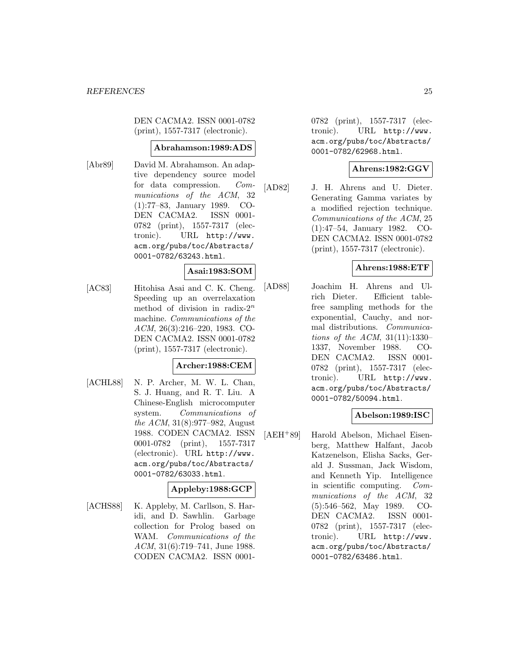DEN CACMA2. ISSN 0001-0782 (print), 1557-7317 (electronic).

#### **Abrahamson:1989:ADS**

[Abr89] David M. Abrahamson. An adaptive dependency source model for data compression. Communications of the ACM, 32 (1):77–83, January 1989. CO-DEN CACMA2. ISSN 0001- 0782 (print), 1557-7317 (electronic). URL http://www. acm.org/pubs/toc/Abstracts/ 0001-0782/63243.html.

## **Asai:1983:SOM**

[AC83] Hitohisa Asai and C. K. Cheng. Speeding up an overrelaxation method of division in radix- $2^n$ machine. Communications of the ACM, 26(3):216–220, 1983. CO-DEN CACMA2. ISSN 0001-0782 (print), 1557-7317 (electronic).

#### **Archer:1988:CEM**

[ACHL88] N. P. Archer, M. W. L. Chan, S. J. Huang, and R. T. Liu. A Chinese-English microcomputer system. Communications of the ACM, 31(8):977–982, August 1988. CODEN CACMA2. ISSN 0001-0782 (print), 1557-7317 (electronic). URL http://www. acm.org/pubs/toc/Abstracts/ 0001-0782/63033.html.

## **Appleby:1988:GCP**

[ACHS88] K. Appleby, M. Carllson, S. Haridi, and D. Sawhlin. Garbage collection for Prolog based on WAM. Communications of the ACM, 31(6):719–741, June 1988. CODEN CACMA2. ISSN 00010782 (print), 1557-7317 (electronic). URL http://www. acm.org/pubs/toc/Abstracts/ 0001-0782/62968.html.

## **Ahrens:1982:GGV**

[AD82] J. H. Ahrens and U. Dieter. Generating Gamma variates by a modified rejection technique. Communications of the ACM, 25 (1):47–54, January 1982. CO-DEN CACMA2. ISSN 0001-0782 (print), 1557-7317 (electronic).

## **Ahrens:1988:ETF**

[AD88] Joachim H. Ahrens and Ulrich Dieter. Efficient tablefree sampling methods for the exponential, Cauchy, and normal distributions. Communications of the ACM, 31(11):1330– 1337, November 1988. CO-DEN CACMA2. ISSN 0001- 0782 (print), 1557-7317 (electronic). URL http://www. acm.org/pubs/toc/Abstracts/ 0001-0782/50094.html.

## **Abelson:1989:ISC**

[AEH<sup>+</sup>89] Harold Abelson, Michael Eisenberg, Matthew Halfant, Jacob Katzenelson, Elisha Sacks, Gerald J. Sussman, Jack Wisdom, and Kenneth Yip. Intelligence in scientific computing. Communications of the ACM, 32 (5):546–562, May 1989. CO-DEN CACMA2. ISSN 0001- 0782 (print), 1557-7317 (electronic). URL http://www. acm.org/pubs/toc/Abstracts/ 0001-0782/63486.html.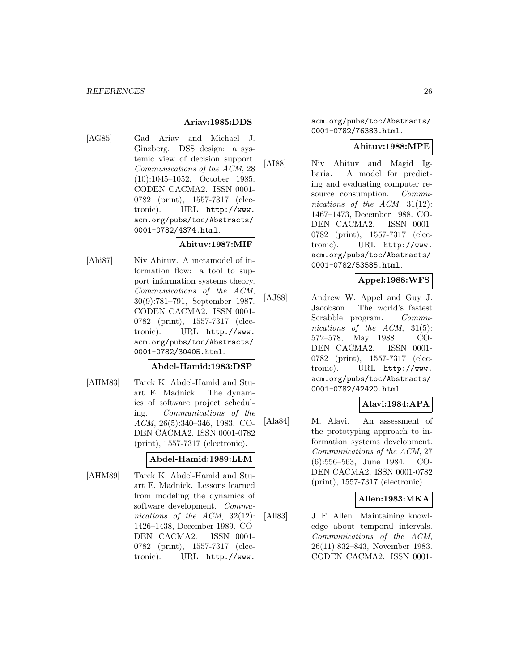## **Ariav:1985:DDS**

[AG85] Gad Ariav and Michael J. Ginzberg. DSS design: a systemic view of decision support. Communications of the ACM, 28 (10):1045–1052, October 1985. CODEN CACMA2. ISSN 0001- 0782 (print), 1557-7317 (electronic). URL http://www. acm.org/pubs/toc/Abstracts/ 0001-0782/4374.html.

#### **Ahituv:1987:MIF**

[Ahi87] Niv Ahituv. A metamodel of information flow: a tool to support information systems theory. Communications of the ACM, 30(9):781–791, September 1987. CODEN CACMA2. ISSN 0001- 0782 (print), 1557-7317 (electronic). URL http://www. acm.org/pubs/toc/Abstracts/ 0001-0782/30405.html.

#### **Abdel-Hamid:1983:DSP**

[AHM83] Tarek K. Abdel-Hamid and Stuart E. Madnick. The dynamics of software project scheduling. Communications of the ACM, 26(5):340–346, 1983. CO-DEN CACMA2. ISSN 0001-0782 (print), 1557-7317 (electronic).

#### **Abdel-Hamid:1989:LLM**

[AHM89] Tarek K. Abdel-Hamid and Stuart E. Madnick. Lessons learned from modeling the dynamics of software development. Communications of the ACM, 32(12): 1426–1438, December 1989. CO-DEN CACMA2. ISSN 0001- 0782 (print), 1557-7317 (electronic). URL http://www.

acm.org/pubs/toc/Abstracts/ 0001-0782/76383.html.

#### **Ahituv:1988:MPE**

[AI88] Niv Ahituv and Magid Igbaria. A model for predicting and evaluating computer resource consumption. Communications of the ACM, 31(12): 1467–1473, December 1988. CO-DEN CACMA2. ISSN 0001- 0782 (print), 1557-7317 (electronic). URL http://www. acm.org/pubs/toc/Abstracts/ 0001-0782/53585.html.

## **Appel:1988:WFS**

[AJ88] Andrew W. Appel and Guy J. Jacobson. The world's fastest Scrabble program. Communications of the ACM, 31(5): 572–578, May 1988. CO-DEN CACMA2. ISSN 0001- 0782 (print), 1557-7317 (electronic). URL http://www. acm.org/pubs/toc/Abstracts/ 0001-0782/42420.html.

## **Alavi:1984:APA**

[Ala84] M. Alavi. An assessment of the prototyping approach to information systems development. Communications of the ACM, 27 (6):556–563, June 1984. CO-DEN CACMA2. ISSN 0001-0782 (print), 1557-7317 (electronic).

#### **Allen:1983:MKA**

[All83] J. F. Allen. Maintaining knowledge about temporal intervals. Communications of the ACM, 26(11):832–843, November 1983. CODEN CACMA2. ISSN 0001-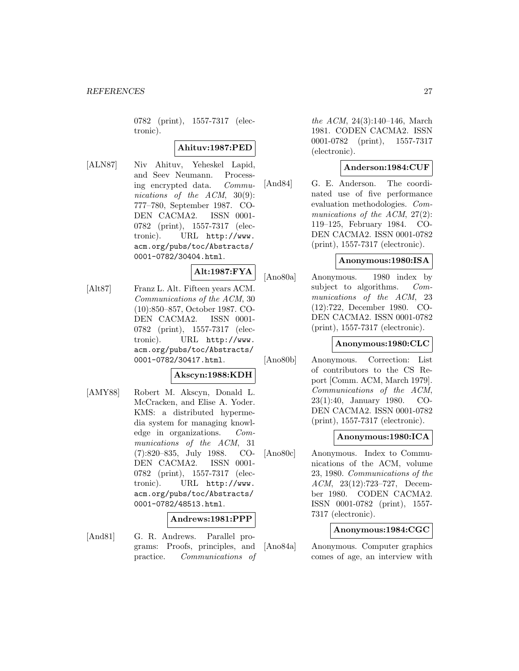0782 (print), 1557-7317 (electronic).

## **Ahituv:1987:PED**

[ALN87] Niv Ahituv, Yeheskel Lapid, and Seev Neumann. Processing encrypted data. Communications of the ACM, 30(9): 777–780, September 1987. CO-DEN CACMA2. ISSN 0001- 0782 (print), 1557-7317 (electronic). URL http://www. acm.org/pubs/toc/Abstracts/ 0001-0782/30404.html.

**Alt:1987:FYA**

[Alt87] Franz L. Alt. Fifteen years ACM. Communications of the ACM, 30 (10):850–857, October 1987. CO-DEN CACMA2. ISSN 0001-0782 (print), 1557-7317 (electronic). URL http://www. acm.org/pubs/toc/Abstracts/ 0001-0782/30417.html.

#### **Akscyn:1988:KDH**

[AMY88] Robert M. Akscyn, Donald L. McCracken, and Elise A. Yoder. KMS: a distributed hypermedia system for managing knowledge in organizations. Communications of the ACM, 31 (7):820–835, July 1988. CO-DEN CACMA2. ISSN 0001-0782 (print), 1557-7317 (electronic). URL http://www. acm.org/pubs/toc/Abstracts/ 0001-0782/48513.html.

## **Andrews:1981:PPP**

- 
- [And81] G. R. Andrews. Parallel programs: Proofs, principles, and practice. Communications of

the ACM, 24(3):140–146, March 1981. CODEN CACMA2. ISSN 0001-0782 (print), 1557-7317 (electronic).

## **Anderson:1984:CUF**

[And84] G. E. Anderson. The coordinated use of five performance evaluation methodologies. Communications of the ACM,  $27(2)$ : 119–125, February 1984. CO-DEN CACMA2. ISSN 0001-0782 (print), 1557-7317 (electronic).

#### **Anonymous:1980:ISA**

[Ano80a] Anonymous. 1980 index by subject to algorithms. Communications of the ACM, 23 (12):722, December 1980. CO-DEN CACMA2. ISSN 0001-0782 (print), 1557-7317 (electronic).

#### **Anonymous:1980:CLC**

[Ano80b] Anonymous. Correction: List of contributors to the CS Report [Comm. ACM, March 1979]. Communications of the ACM, 23(1):40, January 1980. CO-DEN CACMA2. ISSN 0001-0782 (print), 1557-7317 (electronic).

#### **Anonymous:1980:ICA**

[Ano80c] Anonymous. Index to Communications of the ACM, volume 23, 1980. Communications of the ACM, 23(12):723–727, December 1980. CODEN CACMA2. ISSN 0001-0782 (print), 1557- 7317 (electronic).

#### **Anonymous:1984:CGC**

[Ano84a] Anonymous. Computer graphics comes of age, an interview with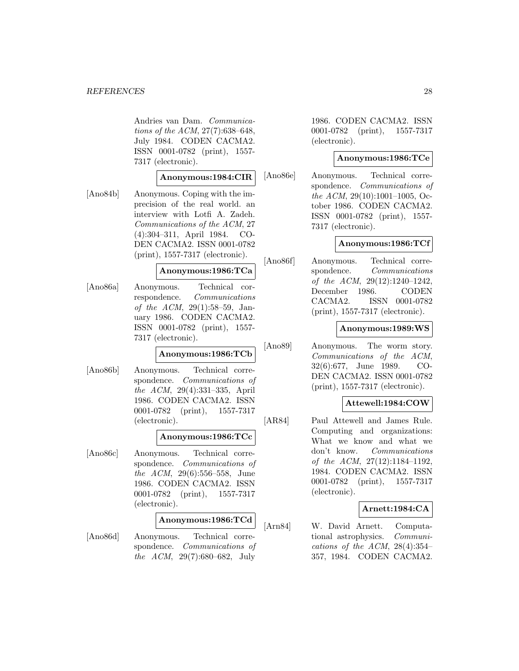Andries van Dam. Communications of the ACM, 27(7):638–648, July 1984. CODEN CACMA2. ISSN 0001-0782 (print), 1557- 7317 (electronic).

#### **Anonymous:1984:CIR**

[Ano84b] Anonymous. Coping with the imprecision of the real world. an interview with Lotfi A. Zadeh. Communications of the ACM, 27 (4):304–311, April 1984. CO-DEN CACMA2. ISSN 0001-0782 (print), 1557-7317 (electronic).

## **Anonymous:1986:TCa**

[Ano86a] Anonymous. Technical correspondence. Communications of the ACM, 29(1):58–59, January 1986. CODEN CACMA2. ISSN 0001-0782 (print), 1557- 7317 (electronic).

## **Anonymous:1986:TCb**

[Ano86b] Anonymous. Technical correspondence. Communications of the ACM, 29(4):331–335, April 1986. CODEN CACMA2. ISSN 0001-0782 (print), 1557-7317 (electronic).

## **Anonymous:1986:TCc**

[Ano86c] Anonymous. Technical correspondence. Communications of the ACM, 29(6):556–558, June 1986. CODEN CACMA2. ISSN 0001-0782 (print), 1557-7317 (electronic).

## **Anonymous:1986:TCd**

[Ano86d] Anonymous. Technical correspondence. Communications of the ACM, 29(7):680–682, July

1986. CODEN CACMA2. ISSN 0001-0782 (print), 1557-7317 (electronic).

## **Anonymous:1986:TCe**

[Ano86e] Anonymous. Technical correspondence. Communications of the ACM, 29(10):1001–1005, October 1986. CODEN CACMA2. ISSN 0001-0782 (print), 1557- 7317 (electronic).

#### **Anonymous:1986:TCf**

[Ano86f] Anonymous. Technical correspondence. Communications of the ACM, 29(12):1240–1242, December 1986. CODEN CACMA2. ISSN 0001-0782 (print), 1557-7317 (electronic).

#### **Anonymous:1989:WS**

[Ano89] Anonymous. The worm story. Communications of the ACM, 32(6):677, June 1989. CO-DEN CACMA2. ISSN 0001-0782 (print), 1557-7317 (electronic).

#### **Attewell:1984:COW**

[AR84] Paul Attewell and James Rule. Computing and organizations: What we know and what we don't know. Communications of the ACM, 27(12):1184–1192, 1984. CODEN CACMA2. ISSN 0001-0782 (print), 1557-7317 (electronic).

#### **Arnett:1984:CA**

[Arn84] W. David Arnett. Computational astrophysics. Communications of the ACM,  $28(4):354-$ 357, 1984. CODEN CACMA2.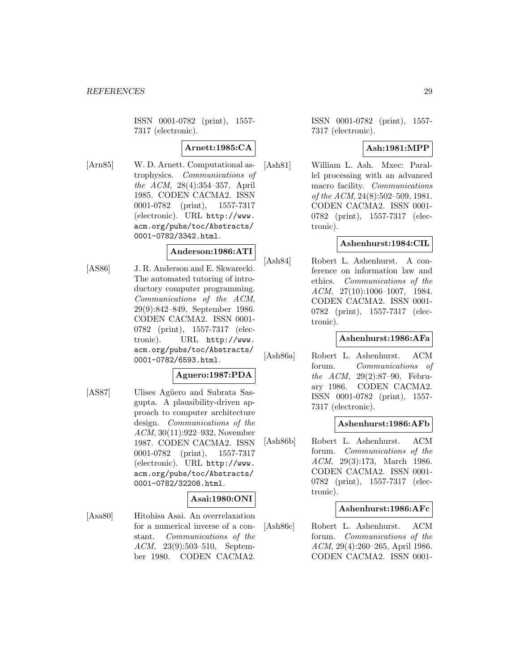ISSN 0001-0782 (print), 1557- 7317 (electronic).

## **Arnett:1985:CA**

[Arn85] W. D. Arnett. Computational astrophysics. Communications of the ACM, 28(4):354–357, April 1985. CODEN CACMA2. ISSN 0001-0782 (print), 1557-7317 (electronic). URL http://www. acm.org/pubs/toc/Abstracts/ 0001-0782/3342.html.

## **Anderson:1986:ATI**

[AS86] J. R. Anderson and E. Skwarecki. The automated tutoring of introductory computer programming. Communications of the ACM, 29(9):842–849, September 1986. CODEN CACMA2. ISSN 0001- 0782 (print), 1557-7317 (electronic). URL http://www. acm.org/pubs/toc/Abstracts/ 0001-0782/6593.html.

#### **Aguero:1987:PDA**

[AS87] Ulises Agüero and Subrata Sasgupta. A plausibility-driven approach to computer architecture design. Communications of the ACM, 30(11):922–932, November 1987. CODEN CACMA2. ISSN 0001-0782 (print), 1557-7317 (electronic). URL http://www. acm.org/pubs/toc/Abstracts/ 0001-0782/32208.html.

## **Asai:1980:ONI**

[Asa80] Hitohisa Asai. An overrelaxation for a numerical inverse of a constant. Communications of the ACM, 23(9):503–510, September 1980. CODEN CACMA2.

ISSN 0001-0782 (print), 1557- 7317 (electronic).

## **Ash:1981:MPP**

[Ash81] William L. Ash. Mxec: Parallel processing with an advanced macro facility. Communications of the ACM, 24(8):502–509, 1981. CODEN CACMA2. ISSN 0001- 0782 (print), 1557-7317 (electronic).

## **Ashenhurst:1984:CIL**

[Ash84] Robert L. Ashenhurst. A conference on information law and ethics. Communications of the ACM, 27(10):1006–1007, 1984. CODEN CACMA2. ISSN 0001- 0782 (print), 1557-7317 (electronic).

## **Ashenhurst:1986:AFa**

[Ash86a] Robert L. Ashenhurst. ACM forum. Communications of the ACM, 29(2):87–90, February 1986. CODEN CACMA2. ISSN 0001-0782 (print), 1557- 7317 (electronic).

#### **Ashenhurst:1986:AFb**

[Ash86b] Robert L. Ashenhurst. ACM forum. Communications of the ACM, 29(3):173, March 1986. CODEN CACMA2. ISSN 0001- 0782 (print), 1557-7317 (electronic).

#### **Ashenhurst:1986:AFc**

[Ash86c] Robert L. Ashenhurst. ACM forum. Communications of the ACM, 29(4):260–265, April 1986. CODEN CACMA2. ISSN 0001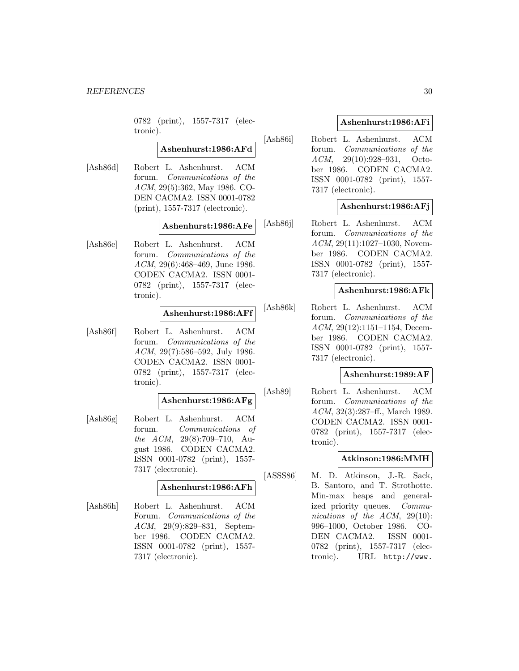0782 (print), 1557-7317 (electronic).

## **Ashenhurst:1986:AFd**

[Ash86d] Robert L. Ashenhurst. ACM forum. Communications of the ACM, 29(5):362, May 1986. CO-DEN CACMA2. ISSN 0001-0782 (print), 1557-7317 (electronic).

#### **Ashenhurst:1986:AFe**

[Ash86e] Robert L. Ashenhurst. ACM forum. Communications of the ACM, 29(6):468–469, June 1986. CODEN CACMA2. ISSN 0001- 0782 (print), 1557-7317 (electronic).

#### **Ashenhurst:1986:AFf**

[Ash86f] Robert L. Ashenhurst. ACM forum. Communications of the ACM, 29(7):586–592, July 1986. CODEN CACMA2. ISSN 0001- 0782 (print), 1557-7317 (electronic).

## **Ashenhurst:1986:AFg**

[Ash86g] Robert L. Ashenhurst. ACM forum. Communications of the ACM, 29(8):709–710, August 1986. CODEN CACMA2. ISSN 0001-0782 (print), 1557- 7317 (electronic).

#### **Ashenhurst:1986:AFh**

[Ash86h] Robert L. Ashenhurst. ACM Forum. Communications of the ACM, 29(9):829–831, September 1986. CODEN CACMA2. ISSN 0001-0782 (print), 1557- 7317 (electronic).

## **Ashenhurst:1986:AFi**

[Ash86i] Robert L. Ashenhurst. ACM forum. Communications of the ACM, 29(10):928–931, October 1986. CODEN CACMA2. ISSN 0001-0782 (print), 1557- 7317 (electronic).

## **Ashenhurst:1986:AFj**

[Ash86j] Robert L. Ashenhurst. ACM forum. Communications of the ACM, 29(11):1027–1030, November 1986. CODEN CACMA2. ISSN 0001-0782 (print), 1557- 7317 (electronic).

#### **Ashenhurst:1986:AFk**

[Ash86k] Robert L. Ashenhurst. ACM forum. Communications of the ACM, 29(12):1151–1154, December 1986. CODEN CACMA2. ISSN 0001-0782 (print), 1557- 7317 (electronic).

#### **Ashenhurst:1989:AF**

[Ash89] Robert L. Ashenhurst. ACM forum. Communications of the ACM, 32(3):287–ff., March 1989. CODEN CACMA2. ISSN 0001- 0782 (print), 1557-7317 (electronic).

#### **Atkinson:1986:MMH**

[ASSS86] M. D. Atkinson, J.-R. Sack, B. Santoro, and T. Strothotte. Min-max heaps and generalized priority queues. Communications of the ACM, 29(10): 996–1000, October 1986. CO-DEN CACMA2. ISSN 0001- 0782 (print), 1557-7317 (electronic). URL http://www.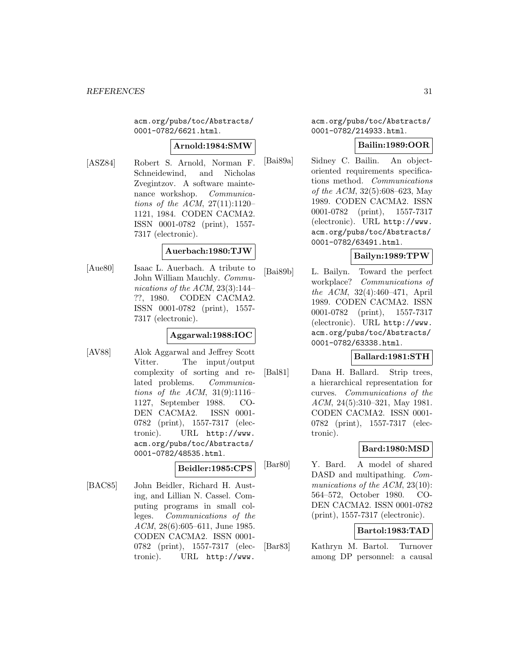acm.org/pubs/toc/Abstracts/ 0001-0782/6621.html.

#### **Arnold:1984:SMW**

[ASZ84] Robert S. Arnold, Norman F. Schneidewind, and Nicholas Zvegintzov. A software maintenance workshop. Communications of the ACM,  $27(11):1120-$ 1121, 1984. CODEN CACMA2. ISSN 0001-0782 (print), 1557- 7317 (electronic).

## **Auerbach:1980:TJW**

[Aue80] Isaac L. Auerbach. A tribute to John William Mauchly. Communications of the ACM, 23(3):144– ??, 1980. CODEN CACMA2. ISSN 0001-0782 (print), 1557- 7317 (electronic).

## **Aggarwal:1988:IOC**

[AV88] Alok Aggarwal and Jeffrey Scott Vitter. The input/output complexity of sorting and related problems. Communications of the ACM,  $31(9):1116-$ 1127, September 1988. CO-DEN CACMA2. ISSN 0001- 0782 (print), 1557-7317 (electronic). URL http://www. acm.org/pubs/toc/Abstracts/ 0001-0782/48535.html.

## **Beidler:1985:CPS**

[BAC85] John Beidler, Richard H. Austing, and Lillian N. Cassel. Computing programs in small colleges. Communications of the ACM, 28(6):605–611, June 1985. CODEN CACMA2. ISSN 0001- 0782 (print), 1557-7317 (electronic). URL http://www.

acm.org/pubs/toc/Abstracts/ 0001-0782/214933.html.

## **Bailin:1989:OOR**

[Bai89a] Sidney C. Bailin. An objectoriented requirements specifications method. Communications of the ACM, 32(5):608–623, May 1989. CODEN CACMA2. ISSN 0001-0782 (print), 1557-7317 (electronic). URL http://www. acm.org/pubs/toc/Abstracts/ 0001-0782/63491.html.

## **Bailyn:1989:TPW**

[Bai89b] L. Bailyn. Toward the perfect workplace? Communications of the ACM, 32(4):460–471, April 1989. CODEN CACMA2. ISSN 0001-0782 (print), 1557-7317 (electronic). URL http://www. acm.org/pubs/toc/Abstracts/ 0001-0782/63338.html.

## **Ballard:1981:STH**

[Bal81] Dana H. Ballard. Strip trees, a hierarchical representation for curves. Communications of the ACM, 24(5):310–321, May 1981. CODEN CACMA2. ISSN 0001- 0782 (print), 1557-7317 (electronic).

## **Bard:1980:MSD**

[Bar80] Y. Bard. A model of shared DASD and multipathing. *Com*munications of the ACM, 23(10): 564–572, October 1980. CO-DEN CACMA2. ISSN 0001-0782 (print), 1557-7317 (electronic).

## **Bartol:1983:TAD**

[Bar83] Kathryn M. Bartol. Turnover among DP personnel: a causal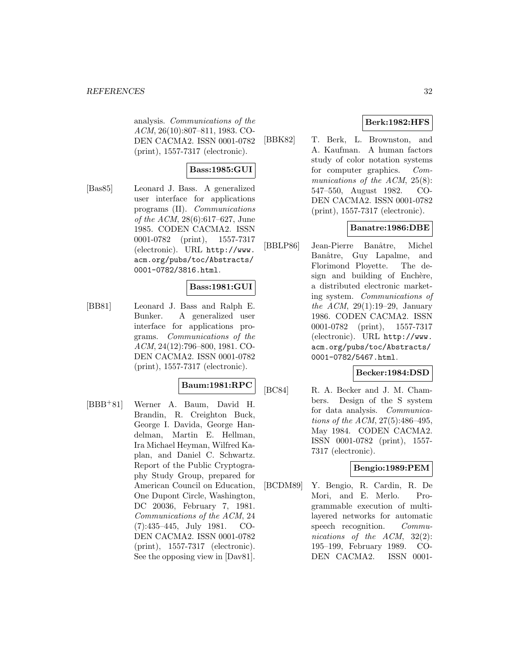analysis. Communications of the ACM, 26(10):807–811, 1983. CO-DEN CACMA2. ISSN 0001-0782 (print), 1557-7317 (electronic).

## **Bass:1985:GUI**

[Bas85] Leonard J. Bass. A generalized user interface for applications programs (II). Communications of the ACM, 28(6):617–627, June 1985. CODEN CACMA2. ISSN 0001-0782 (print), 1557-7317 (electronic). URL http://www. acm.org/pubs/toc/Abstracts/ 0001-0782/3816.html.

## **Bass:1981:GUI**

[BB81] Leonard J. Bass and Ralph E. Bunker. A generalized user interface for applications programs. Communications of the ACM, 24(12):796–800, 1981. CO-DEN CACMA2. ISSN 0001-0782 (print), 1557-7317 (electronic).

## **Baum:1981:RPC**

[BBB<sup>+</sup>81] Werner A. Baum, David H. Brandin, R. Creighton Buck, George I. Davida, George Handelman, Martin E. Hellman, Ira Michael Heyman, Wilfred Kaplan, and Daniel C. Schwartz. Report of the Public Cryptography Study Group, prepared for American Council on Education, One Dupont Circle, Washington, DC 20036, February 7, 1981. Communications of the ACM, 24 (7):435–445, July 1981. CO-DEN CACMA2. ISSN 0001-0782 (print), 1557-7317 (electronic). See the opposing view in [Dav81].

## **Berk:1982:HFS**

[BBK82] T. Berk, L. Brownston, and A. Kaufman. A human factors study of color notation systems for computer graphics. Communications of the ACM, 25(8): 547–550, August 1982. CO-DEN CACMA2. ISSN 0001-0782 (print), 1557-7317 (electronic).

## **Banatre:1986:DBE**

[BBLP86] Jean-Pierre Banâtre, Michel Banâtre, Guy Lapalme, and Florimond Ployette. The design and building of Enchère, a distributed electronic marketing system. Communications of the ACM,  $29(1):19-29$ , January 1986. CODEN CACMA2. ISSN 0001-0782 (print), 1557-7317 (electronic). URL http://www. acm.org/pubs/toc/Abstracts/ 0001-0782/5467.html.

## **Becker:1984:DSD**

[BC84] R. A. Becker and J. M. Chambers. Design of the S system for data analysis. Communications of the ACM, 27(5):486–495, May 1984. CODEN CACMA2. ISSN 0001-0782 (print), 1557- 7317 (electronic).

## **Bengio:1989:PEM**

[BCDM89] Y. Bengio, R. Cardin, R. De Mori, and E. Merlo. Programmable execution of multilayered networks for automatic speech recognition. Communications of the ACM, 32(2): 195–199, February 1989. CO-DEN CACMA2. ISSN 0001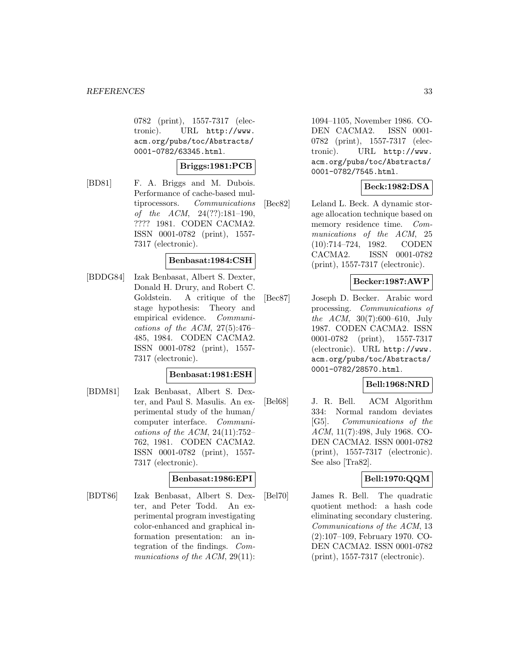0782 (print), 1557-7317 (electronic). URL http://www. acm.org/pubs/toc/Abstracts/ 0001-0782/63345.html.

#### **Briggs:1981:PCB**

[BD81] F. A. Briggs and M. Dubois. Performance of cache-based multiprocessors. Communications of the ACM, 24(??):181–190, ???? 1981. CODEN CACMA2. ISSN 0001-0782 (print), 1557- 7317 (electronic).

#### **Benbasat:1984:CSH**

[BDDG84] Izak Benbasat, Albert S. Dexter, Donald H. Drury, and Robert C. Goldstein. A critique of the stage hypothesis: Theory and empirical evidence. Communications of the ACM,  $27(5):476-$ 485, 1984. CODEN CACMA2. ISSN 0001-0782 (print), 1557- 7317 (electronic).

#### **Benbasat:1981:ESH**

[BDM81] Izak Benbasat, Albert S. Dexter, and Paul S. Masulis. An experimental study of the human/ computer interface. Communications of the ACM,  $24(11):752-$ 762, 1981. CODEN CACMA2. ISSN 0001-0782 (print), 1557- 7317 (electronic).

#### **Benbasat:1986:EPI**

[BDT86] Izak Benbasat, Albert S. Dexter, and Peter Todd. An experimental program investigating color-enhanced and graphical information presentation: an integration of the findings. Communications of the ACM, 29(11):

1094–1105, November 1986. CO-DEN CACMA2. ISSN 0001- 0782 (print), 1557-7317 (electronic). URL http://www. acm.org/pubs/toc/Abstracts/ 0001-0782/7545.html.

## **Beck:1982:DSA**

[Bec82] Leland L. Beck. A dynamic storage allocation technique based on memory residence time. Communications of the ACM, 25 (10):714–724, 1982. CODEN CACMA2. ISSN 0001-0782 (print), 1557-7317 (electronic).

## **Becker:1987:AWP**

[Bec87] Joseph D. Becker. Arabic word processing. Communications of the ACM, 30(7):600–610, July 1987. CODEN CACMA2. ISSN 0001-0782 (print), 1557-7317 (electronic). URL http://www. acm.org/pubs/toc/Abstracts/ 0001-0782/28570.html.

## **Bell:1968:NRD**

[Bel68] J. R. Bell. ACM Algorithm 334: Normal random deviates [G5]. Communications of the ACM, 11(7):498, July 1968. CO-DEN CACMA2. ISSN 0001-0782 (print), 1557-7317 (electronic). See also [Tra82].

## **Bell:1970:QQM**

[Bel70] James R. Bell. The quadratic quotient method: a hash code eliminating secondary clustering. Communications of the ACM, 13 (2):107–109, February 1970. CO-DEN CACMA2. ISSN 0001-0782 (print), 1557-7317 (electronic).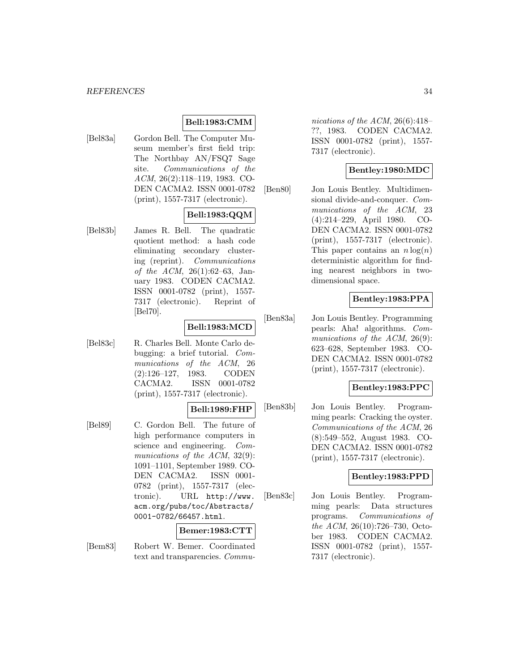## **Bell:1983:CMM**

[Bel83a] Gordon Bell. The Computer Museum member's first field trip: The Northbay AN/FSQ7 Sage site. Communications of the ACM, 26(2):118–119, 1983. CO-DEN CACMA2. ISSN 0001-0782 (print), 1557-7317 (electronic).

## **Bell:1983:QQM**

[Bel83b] James R. Bell. The quadratic quotient method: a hash code eliminating secondary clustering (reprint). Communications of the ACM, 26(1):62–63, January 1983. CODEN CACMA2. ISSN 0001-0782 (print), 1557- 7317 (electronic). Reprint of [Bel70].

## **Bell:1983:MCD**

[Bel83c] R. Charles Bell. Monte Carlo debugging: a brief tutorial. Communications of the ACM, 26 (2):126–127, 1983. CODEN CACMA2. ISSN 0001-0782 (print), 1557-7317 (electronic).

#### **Bell:1989:FHP**

[Bel89] C. Gordon Bell. The future of high performance computers in science and engineering. Communications of the ACM, 32(9): 1091–1101, September 1989. CO-DEN CACMA2. ISSN 0001- 0782 (print), 1557-7317 (electronic). URL http://www. acm.org/pubs/toc/Abstracts/ 0001-0782/66457.html.

#### **Bemer:1983:CTT**

[Bem83] Robert W. Bemer. Coordinated text and transparencies. Communications of the ACM, 26(6):418– ??, 1983. CODEN CACMA2. ISSN 0001-0782 (print), 1557- 7317 (electronic).

## **Bentley:1980:MDC**

[Ben80] Jon Louis Bentley. Multidimensional divide-and-conquer. Communications of the ACM, 23 (4):214–229, April 1980. CO-DEN CACMA2. ISSN 0001-0782 (print), 1557-7317 (electronic). This paper contains an  $n \log(n)$ deterministic algorithm for finding nearest neighbors in twodimensional space.

## **Bentley:1983:PPA**

[Ben83a] Jon Louis Bentley. Programming pearls: Aha! algorithms. Communications of the ACM, 26(9): 623–628, September 1983. CO-DEN CACMA2. ISSN 0001-0782 (print), 1557-7317 (electronic).

## **Bentley:1983:PPC**

[Ben83b] Jon Louis Bentley. Programming pearls: Cracking the oyster. Communications of the ACM, 26 (8):549–552, August 1983. CO-DEN CACMA2. ISSN 0001-0782 (print), 1557-7317 (electronic).

#### **Bentley:1983:PPD**

[Ben83c] Jon Louis Bentley. Programming pearls: Data structures programs. Communications of the ACM, 26(10):726–730, October 1983. CODEN CACMA2. ISSN 0001-0782 (print), 1557- 7317 (electronic).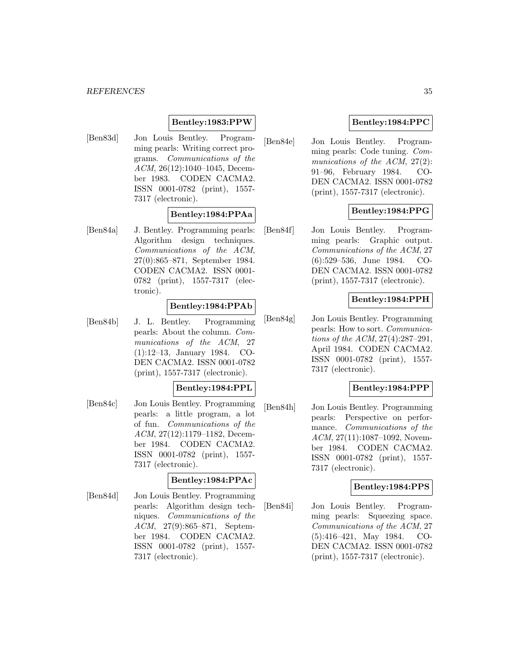#### **Bentley:1983:PPW**

[Ben83d] Jon Louis Bentley. Programming pearls: Writing correct programs. Communications of the ACM, 26(12):1040–1045, December 1983. CODEN CACMA2. ISSN 0001-0782 (print), 1557- 7317 (electronic).

#### **Bentley:1984:PPAa**

[Ben84a] J. Bentley. Programming pearls: Algorithm design techniques. Communications of the ACM, 27(0):865–871, September 1984. CODEN CACMA2. ISSN 0001- 0782 (print), 1557-7317 (electronic).

## **Bentley:1984:PPAb**

[Ben84b] J. L. Bentley. Programming pearls: About the column. Communications of the ACM, 27 (1):12–13, January 1984. CO-DEN CACMA2. ISSN 0001-0782 (print), 1557-7317 (electronic).

#### **Bentley:1984:PPL**

[Ben84c] Jon Louis Bentley. Programming pearls: a little program, a lot of fun. Communications of the ACM, 27(12):1179–1182, December 1984. CODEN CACMA2. ISSN 0001-0782 (print), 1557- 7317 (electronic).

#### **Bentley:1984:PPAc**

[Ben84d] Jon Louis Bentley. Programming pearls: Algorithm design techniques. Communications of the ACM, 27(9):865–871, September 1984. CODEN CACMA2. ISSN 0001-0782 (print), 1557- 7317 (electronic).

## **Bentley:1984:PPC**

[Ben84e] Jon Louis Bentley. Programming pearls: Code tuning. Communications of the ACM, 27(2): 91–96, February 1984. CO-DEN CACMA2. ISSN 0001-0782 (print), 1557-7317 (electronic).

## **Bentley:1984:PPG**

[Ben84f] Jon Louis Bentley. Programming pearls: Graphic output. Communications of the ACM, 27 (6):529–536, June 1984. CO-DEN CACMA2. ISSN 0001-0782 (print), 1557-7317 (electronic).

## **Bentley:1984:PPH**

[Ben84g] Jon Louis Bentley. Programming pearls: How to sort. Communications of the ACM, 27(4):287–291, April 1984. CODEN CACMA2. ISSN 0001-0782 (print), 1557- 7317 (electronic).

## **Bentley:1984:PPP**

[Ben84h] Jon Louis Bentley. Programming pearls: Perspective on performance. Communications of the ACM, 27(11):1087–1092, November 1984. CODEN CACMA2. ISSN 0001-0782 (print), 1557- 7317 (electronic).

## **Bentley:1984:PPS**

[Ben84i] Jon Louis Bentley. Programming pearls: Squeezing space. Communications of the ACM, 27 (5):416–421, May 1984. CO-DEN CACMA2. ISSN 0001-0782 (print), 1557-7317 (electronic).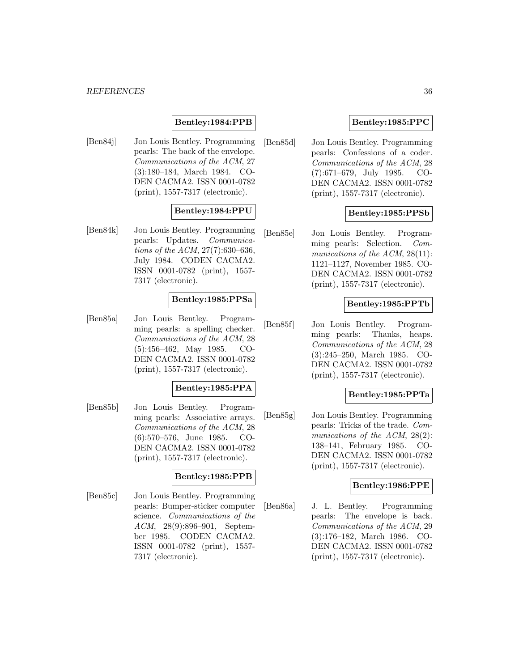## **Bentley:1984:PPB**

[Ben84j] Jon Louis Bentley. Programming pearls: The back of the envelope. Communications of the ACM, 27 (3):180–184, March 1984. CO-DEN CACMA2. ISSN 0001-0782 (print), 1557-7317 (electronic).

## **Bentley:1984:PPU**

[Ben84k] Jon Louis Bentley. Programming pearls: Updates. Communications of the ACM, 27(7):630–636, July 1984. CODEN CACMA2. ISSN 0001-0782 (print), 1557- 7317 (electronic).

#### **Bentley:1985:PPSa**

[Ben85a] Jon Louis Bentley. Programming pearls: a spelling checker. Communications of the ACM, 28 (5):456–462, May 1985. CO-DEN CACMA2. ISSN 0001-0782 (print), 1557-7317 (electronic).

#### **Bentley:1985:PPA**

[Ben85b] Jon Louis Bentley. Programming pearls: Associative arrays. Communications of the ACM, 28 (6):570–576, June 1985. CO-DEN CACMA2. ISSN 0001-0782 (print), 1557-7317 (electronic).

#### **Bentley:1985:PPB**

[Ben85c] Jon Louis Bentley. Programming pearls: Bumper-sticker computer science. Communications of the ACM, 28(9):896–901, September 1985. CODEN CACMA2. ISSN 0001-0782 (print), 1557- 7317 (electronic).

## **Bentley:1985:PPC**

[Ben85d] Jon Louis Bentley. Programming pearls: Confessions of a coder. Communications of the ACM, 28 (7):671–679, July 1985. CO-DEN CACMA2. ISSN 0001-0782 (print), 1557-7317 (electronic).

#### **Bentley:1985:PPSb**

[Ben85e] Jon Louis Bentley. Programming pearls: Selection. Communications of the ACM, 28(11): 1121–1127, November 1985. CO-DEN CACMA2. ISSN 0001-0782 (print), 1557-7317 (electronic).

#### **Bentley:1985:PPTb**

[Ben85f] Jon Louis Bentley. Programming pearls: Thanks, heaps. Communications of the ACM, 28 (3):245–250, March 1985. CO-DEN CACMA2. ISSN 0001-0782 (print), 1557-7317 (electronic).

## **Bentley:1985:PPTa**

[Ben85g] Jon Louis Bentley. Programming pearls: Tricks of the trade. Communications of the ACM, 28(2): 138–141, February 1985. CO-DEN CACMA2. ISSN 0001-0782 (print), 1557-7317 (electronic).

#### **Bentley:1986:PPE**

[Ben86a] J. L. Bentley. Programming pearls: The envelope is back. Communications of the ACM, 29 (3):176–182, March 1986. CO-DEN CACMA2. ISSN 0001-0782 (print), 1557-7317 (electronic).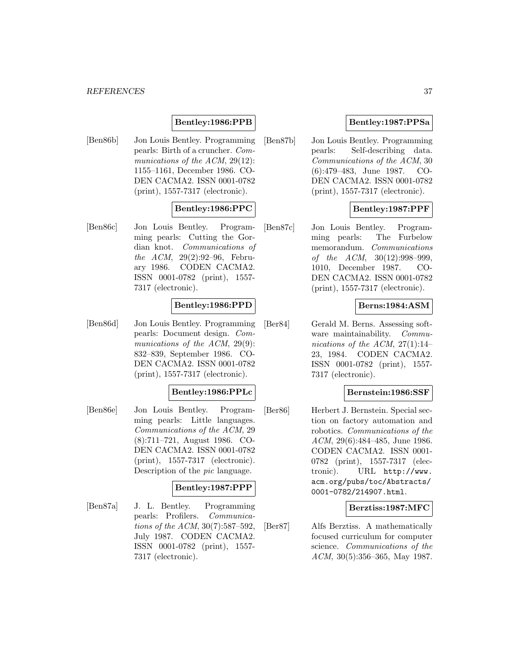## **Bentley:1986:PPB**

[Ben86b] Jon Louis Bentley. Programming pearls: Birth of a cruncher. Communications of the ACM, 29(12): 1155–1161, December 1986. CO-DEN CACMA2. ISSN 0001-0782 (print), 1557-7317 (electronic).

# **Bentley:1986:PPC**

[Ben86c] Jon Louis Bentley. Programming pearls: Cutting the Gordian knot. Communications of the ACM, 29(2):92–96, February 1986. CODEN CACMA2. ISSN 0001-0782 (print), 1557- 7317 (electronic).

### **Bentley:1986:PPD**

[Ben86d] Jon Louis Bentley. Programming pearls: Document design. Communications of the ACM, 29(9): 832–839, September 1986. CO-DEN CACMA2. ISSN 0001-0782 (print), 1557-7317 (electronic).

### **Bentley:1986:PPLc**

[Ben86e] Jon Louis Bentley. Programming pearls: Little languages. Communications of the ACM, 29 (8):711–721, August 1986. CO-DEN CACMA2. ISSN 0001-0782 (print), 1557-7317 (electronic). Description of the pic language.

#### **Bentley:1987:PPP**

[Ben87a] J. L. Bentley. Programming pearls: Profilers. Communications of the ACM, 30(7):587–592, July 1987. CODEN CACMA2. ISSN 0001-0782 (print), 1557- 7317 (electronic).

# **Bentley:1987:PPSa**

[Ben87b] Jon Louis Bentley. Programming pearls: Self-describing data. Communications of the ACM, 30 (6):479–483, June 1987. CO-DEN CACMA2. ISSN 0001-0782 (print), 1557-7317 (electronic).

# **Bentley:1987:PPF**

[Ben87c] Jon Louis Bentley. Programming pearls: The Furbelow memorandum. Communications of the ACM, 30(12):998–999, 1010, December 1987. CO-DEN CACMA2. ISSN 0001-0782 (print), 1557-7317 (electronic).

#### **Berns:1984:ASM**

[Ber84] Gerald M. Berns. Assessing software maintainability. Communications of the ACM,  $27(1):14-$ 23, 1984. CODEN CACMA2. ISSN 0001-0782 (print), 1557- 7317 (electronic).

#### **Bernstein:1986:SSF**

[Ber86] Herbert J. Bernstein. Special section on factory automation and robotics. Communications of the ACM, 29(6):484–485, June 1986. CODEN CACMA2. ISSN 0001- 0782 (print), 1557-7317 (electronic). URL http://www. acm.org/pubs/toc/Abstracts/ 0001-0782/214907.html.

### **Berztiss:1987:MFC**

[Ber87] Alfs Berztiss. A mathematically focused curriculum for computer science. Communications of the ACM, 30(5):356–365, May 1987.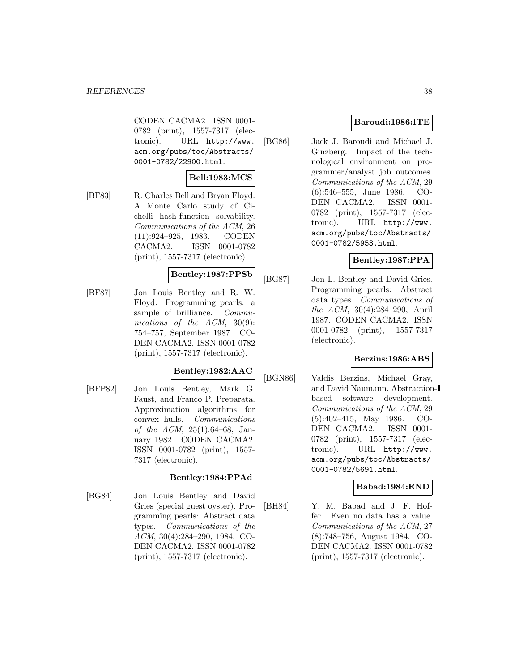CODEN CACMA2. ISSN 0001- 0782 (print), 1557-7317 (electronic). URL http://www. acm.org/pubs/toc/Abstracts/ 0001-0782/22900.html.

# **Bell:1983:MCS**

[BF83] R. Charles Bell and Bryan Floyd. A Monte Carlo study of Cichelli hash-function solvability. Communications of the ACM, 26 (11):924–925, 1983. CODEN CACMA2. ISSN 0001-0782 (print), 1557-7317 (electronic).

### **Bentley:1987:PPSb**

[BF87] Jon Louis Bentley and R. W. Floyd. Programming pearls: a sample of brilliance. Communications of the ACM, 30(9): 754–757, September 1987. CO-DEN CACMA2. ISSN 0001-0782 (print), 1557-7317 (electronic).

### **Bentley:1982:AAC**

[BFP82] Jon Louis Bentley, Mark G. Faust, and Franco P. Preparata. Approximation algorithms for convex hulls. Communications of the ACM, 25(1):64–68, January 1982. CODEN CACMA2. ISSN 0001-0782 (print), 1557- 7317 (electronic).

### **Bentley:1984:PPAd**

[BG84] Jon Louis Bentley and David Gries (special guest oyster). Programming pearls: Abstract data types. Communications of the ACM, 30(4):284–290, 1984. CO-DEN CACMA2. ISSN 0001-0782 (print), 1557-7317 (electronic).

# **Baroudi:1986:ITE**

[BG86] Jack J. Baroudi and Michael J. Ginzberg. Impact of the technological environment on programmer/analyst job outcomes. Communications of the ACM, 29 (6):546–555, June 1986. CO-DEN CACMA2. ISSN 0001- 0782 (print), 1557-7317 (electronic). URL http://www. acm.org/pubs/toc/Abstracts/ 0001-0782/5953.html.

# **Bentley:1987:PPA**

[BG87] Jon L. Bentley and David Gries. Programming pearls: Abstract data types. Communications of the ACM, 30(4):284–290, April 1987. CODEN CACMA2. ISSN 0001-0782 (print), 1557-7317 (electronic).

# **Berzins:1986:ABS**

[BGN86] Valdis Berzins, Michael Gray, and David Naumann. Abstractionbased software development. Communications of the ACM, 29 (5):402–415, May 1986. CO-DEN CACMA2. ISSN 0001- 0782 (print), 1557-7317 (electronic). URL http://www. acm.org/pubs/toc/Abstracts/ 0001-0782/5691.html.

# **Babad:1984:END**

[BH84] Y. M. Babad and J. F. Hoffer. Even no data has a value. Communications of the ACM, 27 (8):748–756, August 1984. CO-DEN CACMA2. ISSN 0001-0782 (print), 1557-7317 (electronic).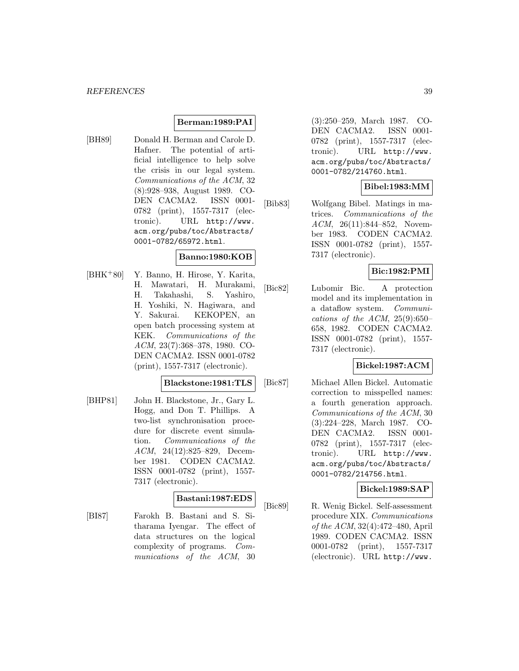# **Berman:1989:PAI**

[BH89] Donald H. Berman and Carole D. Hafner. The potential of artificial intelligence to help solve the crisis in our legal system. Communications of the ACM, 32 (8):928–938, August 1989. CO-DEN CACMA2. ISSN 0001- 0782 (print), 1557-7317 (electronic). URL http://www. acm.org/pubs/toc/Abstracts/ 0001-0782/65972.html.

### **Banno:1980:KOB**

[BHK<sup>+</sup>80] Y. Banno, H. Hirose, Y. Karita, H. Mawatari, H. Murakami, H. Takahashi, S. Yashiro, H. Yoshiki, N. Hagiwara, and Y. Sakurai. KEKOPEN, an open batch processing system at KEK. Communications of the ACM, 23(7):368–378, 1980. CO-DEN CACMA2. ISSN 0001-0782 (print), 1557-7317 (electronic).

#### **Blackstone:1981:TLS**

[BHP81] John H. Blackstone, Jr., Gary L. Hogg, and Don T. Phillips. A two-list synchronisation procedure for discrete event simulation. Communications of the ACM, 24(12):825–829, December 1981. CODEN CACMA2. ISSN 0001-0782 (print), 1557- 7317 (electronic).

### **Bastani:1987:EDS**

[BI87] Farokh B. Bastani and S. Sitharama Iyengar. The effect of data structures on the logical complexity of programs. Communications of the ACM, 30

(3):250–259, March 1987. CO-DEN CACMA2. ISSN 0001- 0782 (print), 1557-7317 (electronic). URL http://www. acm.org/pubs/toc/Abstracts/ 0001-0782/214760.html.

## **Bibel:1983:MM**

[Bib83] Wolfgang Bibel. Matings in matrices. Communications of the ACM, 26(11):844–852, November 1983. CODEN CACMA2. ISSN 0001-0782 (print), 1557- 7317 (electronic).

### **Bic:1982:PMI**

[Bic82] Lubomir Bic. A protection model and its implementation in a dataflow system. Communications of the ACM,  $25(9):650-$ 658, 1982. CODEN CACMA2. ISSN 0001-0782 (print), 1557- 7317 (electronic).

### **Bickel:1987:ACM**

[Bic87] Michael Allen Bickel. Automatic correction to misspelled names: a fourth generation approach. Communications of the ACM, 30 (3):224–228, March 1987. CO-DEN CACMA2. ISSN 0001- 0782 (print), 1557-7317 (electronic). URL http://www. acm.org/pubs/toc/Abstracts/ 0001-0782/214756.html.

### **Bickel:1989:SAP**

[Bic89] R. Wenig Bickel. Self-assessment procedure XIX. Communications of the ACM, 32(4):472–480, April 1989. CODEN CACMA2. ISSN 0001-0782 (print), 1557-7317 (electronic). URL http://www.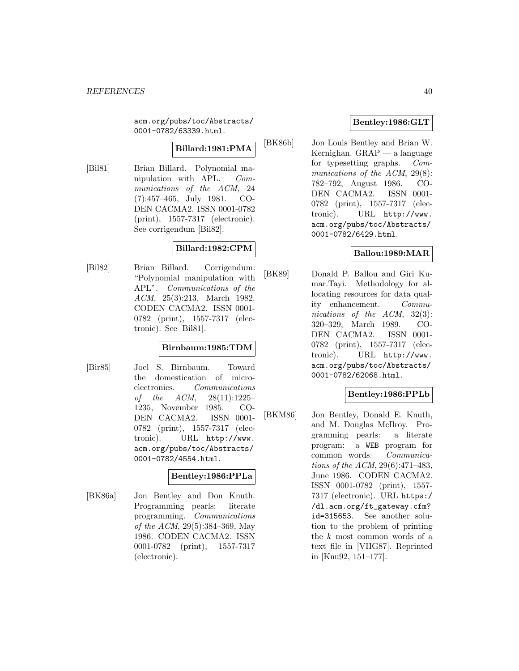acm.org/pubs/toc/Abstracts/ 0001-0782/63339.html.

### **Billard:1981:PMA**

[Bil81] Brian Billard. Polynomial manipulation with APL. Communications of the ACM, 24 (7):457–465, July 1981. CO-DEN CACMA2. ISSN 0001-0782 (print), 1557-7317 (electronic). See corrigendum [Bil82].

### **Billard:1982:CPM**

[Bil82] Brian Billard. Corrigendum: "Polynomial manipulation with APL". Communications of the ACM, 25(3):213, March 1982. CODEN CACMA2. ISSN 0001- 0782 (print), 1557-7317 (electronic). See [Bil81].

### **Birnbaum:1985:TDM**

[Bir85] Joel S. Birnbaum. Toward the domestication of microelectronics. Communications of the ACM, 28(11):1225– 1235, November 1985. CO-DEN CACMA2. ISSN 0001- 0782 (print), 1557-7317 (electronic). URL http://www. acm.org/pubs/toc/Abstracts/ 0001-0782/4554.html.

### **Bentley:1986:PPLa**

[BK86a] Jon Bentley and Don Knuth. Programming pearls: literate programming. Communications of the ACM, 29(5):384–369, May 1986. CODEN CACMA2. ISSN 0001-0782 (print), 1557-7317 (electronic).

# **Bentley:1986:GLT**

[BK86b] Jon Louis Bentley and Brian W. Kernighan. GRAP — a language for typesetting graphs. Communications of the ACM, 29(8): 782–792, August 1986. CO-DEN CACMA2. ISSN 0001- 0782 (print), 1557-7317 (electronic). URL http://www. acm.org/pubs/toc/Abstracts/ 0001-0782/6429.html.

# **Ballou:1989:MAR**

[BK89] Donald P. Ballou and Giri Kumar.Tayi. Methodology for allocating resources for data quality enhancement. Communications of the ACM, 32(3): 320–329, March 1989. CO-DEN CACMA2. ISSN 0001- 0782 (print), 1557-7317 (electronic). URL http://www. acm.org/pubs/toc/Abstracts/ 0001-0782/62068.html.

# **Bentley:1986:PPLb**

[BKM86] Jon Bentley, Donald E. Knuth, and M. Douglas McIlroy. Programming pearls: a literate program: a WEB program for common words. Communications of the ACM, 29(6):471–483, June 1986. CODEN CACMA2. ISSN 0001-0782 (print), 1557- 7317 (electronic). URL https:/ /dl.acm.org/ft\_gateway.cfm? id=315653. See another solution to the problem of printing the k most common words of a text file in [VHG87]. Reprinted in [Knu92, 151–177].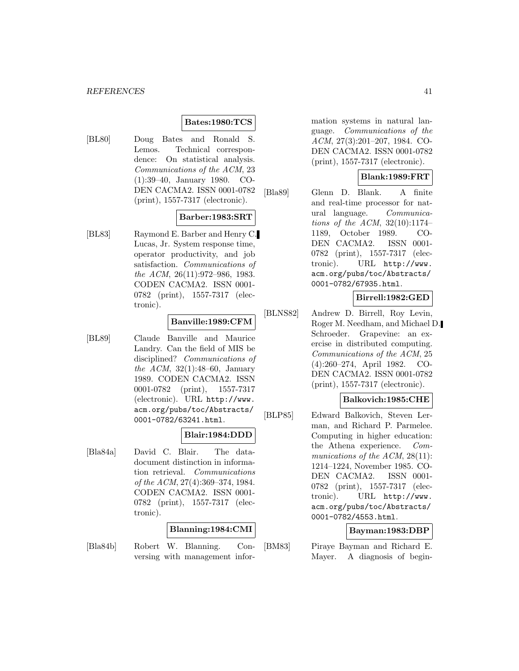### **Bates:1980:TCS**

[BL80] Doug Bates and Ronald S. Lemos. Technical correspondence: On statistical analysis. Communications of the ACM, 23 (1):39–40, January 1980. CO-DEN CACMA2. ISSN 0001-0782 (print), 1557-7317 (electronic).

### **Barber:1983:SRT**

[BL83] Raymond E. Barber and Henry C. Lucas, Jr. System response time, operator productivity, and job satisfaction. Communications of the ACM, 26(11):972–986, 1983. CODEN CACMA2. ISSN 0001- 0782 (print), 1557-7317 (electronic).

# **Banville:1989:CFM**

[BL89] Claude Banville and Maurice Landry. Can the field of MIS be disciplined? Communications of the ACM, 32(1):48–60, January 1989. CODEN CACMA2. ISSN 0001-0782 (print), 1557-7317 (electronic). URL http://www. acm.org/pubs/toc/Abstracts/ 0001-0782/63241.html.

#### **Blair:1984:DDD**

[Bla84a] David C. Blair. The datadocument distinction in information retrieval. Communications of the ACM, 27(4):369–374, 1984. CODEN CACMA2. ISSN 0001- 0782 (print), 1557-7317 (electronic).

### **Blanning:1984:CMI**

[Bla84b] Robert W. Blanning. Conversing with management information systems in natural language. Communications of the ACM, 27(3):201–207, 1984. CO-DEN CACMA2. ISSN 0001-0782 (print), 1557-7317 (electronic).

### **Blank:1989:FRT**

[Bla89] Glenn D. Blank. A finite and real-time processor for natural language. Communications of the ACM, 32(10):1174– 1189, October 1989. CO-DEN CACMA2. ISSN 0001- 0782 (print), 1557-7317 (electronic). URL http://www. acm.org/pubs/toc/Abstracts/ 0001-0782/67935.html.

# **Birrell:1982:GED**

[BLNS82] Andrew D. Birrell, Roy Levin, Roger M. Needham, and Michael D. Schroeder. Grapevine: an exercise in distributed computing. Communications of the ACM, 25 (4):260–274, April 1982. CO-DEN CACMA2. ISSN 0001-0782 (print), 1557-7317 (electronic).

### **Balkovich:1985:CHE**

[BLP85] Edward Balkovich, Steven Lerman, and Richard P. Parmelee. Computing in higher education: the Athena experience. Communications of the ACM, 28(11): 1214–1224, November 1985. CO-DEN CACMA2. ISSN 0001- 0782 (print), 1557-7317 (electronic). URL http://www. acm.org/pubs/toc/Abstracts/ 0001-0782/4553.html.

### **Bayman:1983:DBP**

[BM83] Piraye Bayman and Richard E. Mayer. A diagnosis of begin-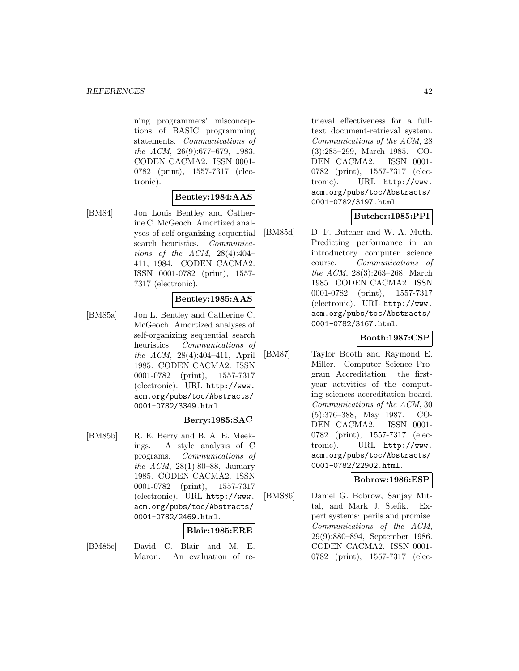ning programmers' misconceptions of BASIC programming statements. Communications of the ACM, 26(9):677–679, 1983. CODEN CACMA2. ISSN 0001- 0782 (print), 1557-7317 (electronic).

### **Bentley:1984:AAS**

[BM84] Jon Louis Bentley and Catherine C. McGeoch. Amortized analyses of self-organizing sequential search heuristics. Communications of the ACM,  $28(4):404-$ 411, 1984. CODEN CACMA2. ISSN 0001-0782 (print), 1557- 7317 (electronic).

### **Bentley:1985:AAS**

[BM85a] Jon L. Bentley and Catherine C. McGeoch. Amortized analyses of self-organizing sequential search heuristics. Communications of the ACM, 28(4):404–411, April 1985. CODEN CACMA2. ISSN 0001-0782 (print), 1557-7317 (electronic). URL http://www. acm.org/pubs/toc/Abstracts/ 0001-0782/3349.html.

### **Berry:1985:SAC**

[BM85b] R. E. Berry and B. A. E. Meekings. A style analysis of C programs. Communications of the ACM, 28(1):80–88, January 1985. CODEN CACMA2. ISSN 0001-0782 (print), 1557-7317 (electronic). URL http://www. acm.org/pubs/toc/Abstracts/ 0001-0782/2469.html.

### **Blair:1985:ERE**

[BM85c] David C. Blair and M. E. Maron. An evaluation of retrieval effectiveness for a fulltext document-retrieval system. Communications of the ACM, 28 (3):285–299, March 1985. CO-DEN CACMA2. ISSN 0001- 0782 (print), 1557-7317 (electronic). URL http://www. acm.org/pubs/toc/Abstracts/ 0001-0782/3197.html.

# **Butcher:1985:PPI**

[BM85d] D. F. Butcher and W. A. Muth. Predicting performance in an introductory computer science course. Communications of the ACM, 28(3):263–268, March 1985. CODEN CACMA2. ISSN 0001-0782 (print), 1557-7317 (electronic). URL http://www. acm.org/pubs/toc/Abstracts/ 0001-0782/3167.html.

# **Booth:1987:CSP**

[BM87] Taylor Booth and Raymond E. Miller. Computer Science Program Accreditation: the firstyear activities of the computing sciences accreditation board. Communications of the ACM, 30 (5):376–388, May 1987. CO-DEN CACMA2. ISSN 0001- 0782 (print), 1557-7317 (electronic). URL http://www. acm.org/pubs/toc/Abstracts/ 0001-0782/22902.html.

### **Bobrow:1986:ESP**

[BMS86] Daniel G. Bobrow, Sanjay Mittal, and Mark J. Stefik. Expert systems: perils and promise. Communications of the ACM, 29(9):880–894, September 1986. CODEN CACMA2. ISSN 0001- 0782 (print), 1557-7317 (elec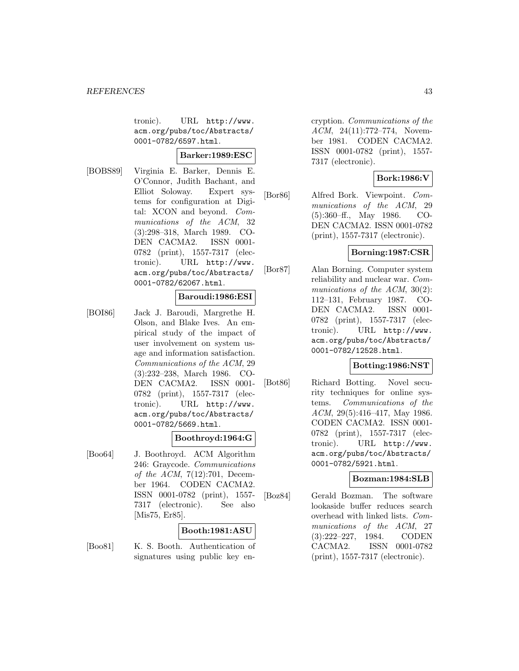tronic). URL http://www. acm.org/pubs/toc/Abstracts/ 0001-0782/6597.html.

### **Barker:1989:ESC**

[BOBS89] Virginia E. Barker, Dennis E. O'Connor, Judith Bachant, and Elliot Soloway. Expert systems for configuration at Digital: XCON and beyond. Communications of the ACM, 32 (3):298–318, March 1989. CO-DEN CACMA2. ISSN 0001- 0782 (print), 1557-7317 (electronic). URL http://www. acm.org/pubs/toc/Abstracts/ 0001-0782/62067.html.

## **Baroudi:1986:ESI**

[BOI86] Jack J. Baroudi, Margrethe H. Olson, and Blake Ives. An empirical study of the impact of user involvement on system usage and information satisfaction. Communications of the ACM, 29 (3):232–238, March 1986. CO-DEN CACMA2. ISSN 0001- 0782 (print), 1557-7317 (electronic). URL http://www. acm.org/pubs/toc/Abstracts/ 0001-0782/5669.html.

### **Boothroyd:1964:G**

[Boo64] J. Boothroyd. ACM Algorithm 246: Graycode. Communications of the ACM, 7(12):701, December 1964. CODEN CACMA2. ISSN 0001-0782 (print), 1557- 7317 (electronic). See also [Mis75, Er85].

### **Booth:1981:ASU**

[Boo81] K. S. Booth. Authentication of signatures using public key encryption. Communications of the ACM, 24(11):772–774, November 1981. CODEN CACMA2. ISSN 0001-0782 (print), 1557- 7317 (electronic).

# **Bork:1986:V**

[Bor86] Alfred Bork. Viewpoint. Communications of the ACM, 29 (5):360–ff., May 1986. CO-DEN CACMA2. ISSN 0001-0782 (print), 1557-7317 (electronic).

# **Borning:1987:CSR**

[Bor87] Alan Borning. Computer system reliability and nuclear war. Communications of the ACM, 30(2): 112–131, February 1987. CO-DEN CACMA2. ISSN 0001- 0782 (print), 1557-7317 (electronic). URL http://www. acm.org/pubs/toc/Abstracts/ 0001-0782/12528.html.

### **Botting:1986:NST**

[Bot86] Richard Botting. Novel security techniques for online systems. Communications of the ACM, 29(5):416–417, May 1986. CODEN CACMA2. ISSN 0001- 0782 (print), 1557-7317 (electronic). URL http://www. acm.org/pubs/toc/Abstracts/ 0001-0782/5921.html.

### **Bozman:1984:SLB**

[Boz84] Gerald Bozman. The software lookaside buffer reduces search overhead with linked lists. Communications of the ACM, 27 (3):222–227, 1984. CODEN CACMA2. ISSN 0001-0782 (print), 1557-7317 (electronic).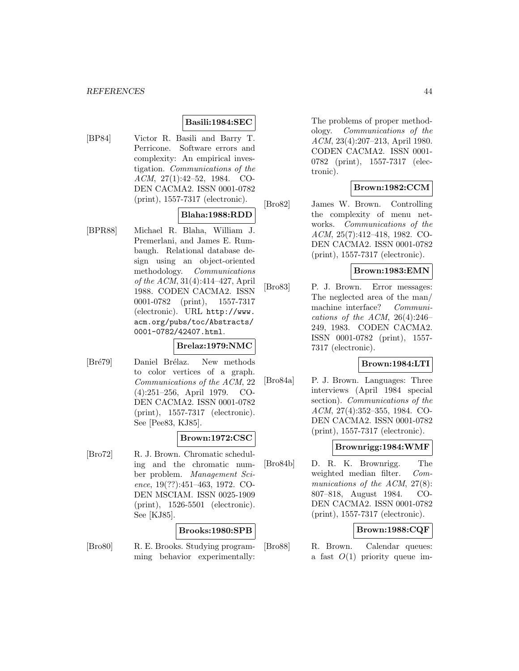### **Basili:1984:SEC**

[BP84] Victor R. Basili and Barry T. Perricone. Software errors and complexity: An empirical investigation. Communications of the ACM, 27(1):42–52, 1984. CO-DEN CACMA2. ISSN 0001-0782 (print), 1557-7317 (electronic).

# **Blaha:1988:RDD**

[BPR88] Michael R. Blaha, William J. Premerlani, and James E. Rumbaugh. Relational database design using an object-oriented methodology. Communications of the ACM, 31(4):414–427, April 1988. CODEN CACMA2. ISSN 0001-0782 (print), 1557-7317 (electronic). URL http://www. acm.org/pubs/toc/Abstracts/ 0001-0782/42407.html.

### **Brelaz:1979:NMC**

[Bré79] Daniel Brélaz. New methods to color vertices of a graph. Communications of the ACM, 22 (4):251–256, April 1979. CO-DEN CACMA2. ISSN 0001-0782 (print), 1557-7317 (electronic). See [Pee83, KJ85].

### **Brown:1972:CSC**

[Bro72] R. J. Brown. Chromatic scheduling and the chromatic number problem. Management Science, 19(??):451–463, 1972. CO-DEN MSCIAM. ISSN 0025-1909 (print), 1526-5501 (electronic). See [KJ85].

### **Brooks:1980:SPB**

[Bro80] R. E. Brooks. Studying programming behavior experimentally: The problems of proper methodology. Communications of the ACM, 23(4):207–213, April 1980. CODEN CACMA2. ISSN 0001- 0782 (print), 1557-7317 (electronic).

# **Brown:1982:CCM**

[Bro82] James W. Brown. Controlling the complexity of menu networks. Communications of the ACM, 25(7):412–418, 1982. CO-DEN CACMA2. ISSN 0001-0782 (print), 1557-7317 (electronic).

### **Brown:1983:EMN**

[Bro83] P. J. Brown. Error messages: The neglected area of the man/ machine interface? Communications of the ACM,  $26(4):246-$ 249, 1983. CODEN CACMA2. ISSN 0001-0782 (print), 1557- 7317 (electronic).

### **Brown:1984:LTI**

[Bro84a] P. J. Brown. Languages: Three interviews (April 1984 special section). Communications of the ACM, 27(4):352–355, 1984. CO-DEN CACMA2. ISSN 0001-0782 (print), 1557-7317 (electronic).

## **Brownrigg:1984:WMF**

[Bro84b] D. R. K. Brownrigg. The weighted median filter. Communications of the ACM, 27(8): 807–818, August 1984. CO-DEN CACMA2. ISSN 0001-0782 (print), 1557-7317 (electronic).

### **Brown:1988:CQF**

[Bro88] R. Brown. Calendar queues: a fast  $O(1)$  priority queue im-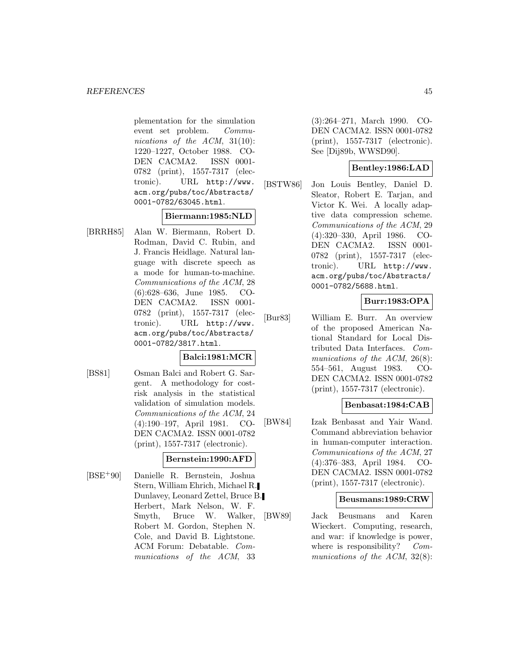plementation for the simulation event set problem. Communications of the ACM, 31(10): 1220–1227, October 1988. CO-DEN CACMA2. ISSN 0001-0782 (print), 1557-7317 (electronic). URL http://www. acm.org/pubs/toc/Abstracts/ 0001-0782/63045.html.

### **Biermann:1985:NLD**

[BRRH85] Alan W. Biermann, Robert D. Rodman, David C. Rubin, and J. Francis Heidlage. Natural language with discrete speech as a mode for human-to-machine. Communications of the ACM, 28 (6):628–636, June 1985. CO-DEN CACMA2. ISSN 0001- 0782 (print), 1557-7317 (electronic). URL http://www. acm.org/pubs/toc/Abstracts/ 0001-0782/3817.html.

# **Balci:1981:MCR**

[BS81] Osman Balci and Robert G. Sargent. A methodology for costrisk analysis in the statistical validation of simulation models. Communications of the ACM, 24 (4):190–197, April 1981. CO-DEN CACMA2. ISSN 0001-0782 (print), 1557-7317 (electronic).

### **Bernstein:1990:AFD**

[BSE<sup>+</sup>90] Danielle R. Bernstein, Joshua Stern, William Ehrich, Michael R. Dunlavey, Leonard Zettel, Bruce B. Herbert, Mark Nelson, W. F. Smyth, Bruce W. Walker, Robert M. Gordon, Stephen N. Cole, and David B. Lightstone. ACM Forum: Debatable. Communications of the ACM, 33

(3):264–271, March 1990. CO-DEN CACMA2. ISSN 0001-0782 (print), 1557-7317 (electronic). See [Dij89b, WWSD90].

## **Bentley:1986:LAD**

[BSTW86] Jon Louis Bentley, Daniel D. Sleator, Robert E. Tarjan, and Victor K. Wei. A locally adaptive data compression scheme. Communications of the ACM, 29 (4):320–330, April 1986. CO-DEN CACMA2. ISSN 0001- 0782 (print), 1557-7317 (electronic). URL http://www. acm.org/pubs/toc/Abstracts/ 0001-0782/5688.html.

### **Burr:1983:OPA**

[Bur83] William E. Burr. An overview of the proposed American National Standard for Local Distributed Data Interfaces. Communications of the ACM, 26(8): 554–561, August 1983. CO-DEN CACMA2. ISSN 0001-0782 (print), 1557-7317 (electronic).

## **Benbasat:1984:CAB**

[BW84] Izak Benbasat and Yair Wand. Command abbreviation behavior in human-computer interaction. Communications of the ACM, 27 (4):376–383, April 1984. CO-DEN CACMA2. ISSN 0001-0782 (print), 1557-7317 (electronic).

#### **Beusmans:1989:CRW**

[BW89] Jack Beusmans and Karen Wieckert. Computing, research, and war: if knowledge is power, where is responsibility? Communications of the ACM, 32(8):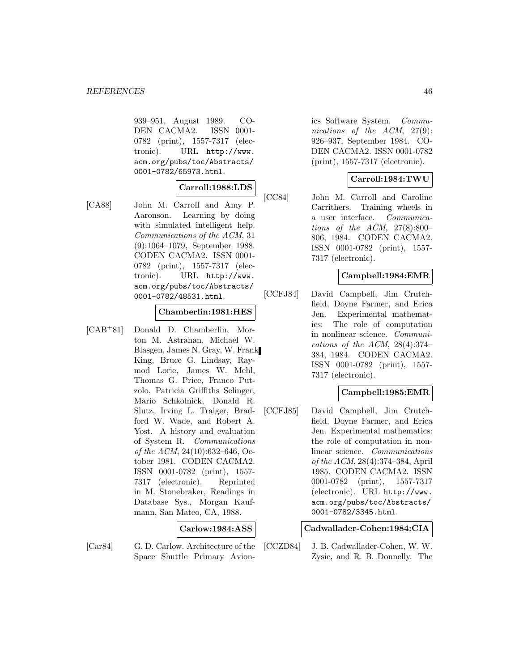939–951, August 1989. CO-DEN CACMA2. ISSN 0001- 0782 (print), 1557-7317 (electronic). URL http://www. acm.org/pubs/toc/Abstracts/ 0001-0782/65973.html.

## **Carroll:1988:LDS**

[CA88] John M. Carroll and Amy P. Aaronson. Learning by doing with simulated intelligent help. Communications of the ACM, 31 (9):1064–1079, September 1988. CODEN CACMA2. ISSN 0001- 0782 (print), 1557-7317 (electronic). URL http://www. acm.org/pubs/toc/Abstracts/ 0001-0782/48531.html.

# **Chamberlin:1981:HES**

[CAB<sup>+</sup>81] Donald D. Chamberlin, Morton M. Astrahan, Michael W. Blasgen, James N. Gray, W. Frank King, Bruce G. Lindsay, Raymod Lorie, James W. Mehl, Thomas G. Price, Franco Putzolo, Patricia Griffiths Selinger, Mario Schkolnick, Donald R. Slutz, Irving L. Traiger, Bradford W. Wade, and Robert A. Yost. A history and evaluation of System R. Communications of the ACM, 24(10):632–646, October 1981. CODEN CACMA2. ISSN 0001-0782 (print), 1557- 7317 (electronic). Reprinted in M. Stonebraker, Readings in Database Sys., Morgan Kaufmann, San Mateo, CA, 1988.

# **Carlow:1984:ASS**

- 
- [Car84] G. D. Carlow. Architecture of the Space Shuttle Primary Avion-

ics Software System. Communications of the ACM, 27(9): 926–937, September 1984. CO-DEN CACMA2. ISSN 0001-0782 (print), 1557-7317 (electronic).

### **Carroll:1984:TWU**

[CC84] John M. Carroll and Caroline Carrithers. Training wheels in a user interface. Communications of the ACM,  $27(8):800-$ 806, 1984. CODEN CACMA2. ISSN 0001-0782 (print), 1557- 7317 (electronic).

### **Campbell:1984:EMR**

[CCFJ84] David Campbell, Jim Crutchfield, Doyne Farmer, and Erica Jen. Experimental mathematics: The role of computation in nonlinear science. Communications of the ACM, 28(4):374– 384, 1984. CODEN CACMA2. ISSN 0001-0782 (print), 1557- 7317 (electronic).

# **Campbell:1985:EMR**

[CCFJ85] David Campbell, Jim Crutchfield, Doyne Farmer, and Erica Jen. Experimental mathematics: the role of computation in nonlinear science. Communications of the ACM, 28(4):374–384, April 1985. CODEN CACMA2. ISSN 0001-0782 (print), 1557-7317 (electronic). URL http://www. acm.org/pubs/toc/Abstracts/ 0001-0782/3345.html.

### **Cadwallader-Cohen:1984:CIA**

[CCZD84] J. B. Cadwallader-Cohen, W. W. Zysic, and R. B. Donnelly. The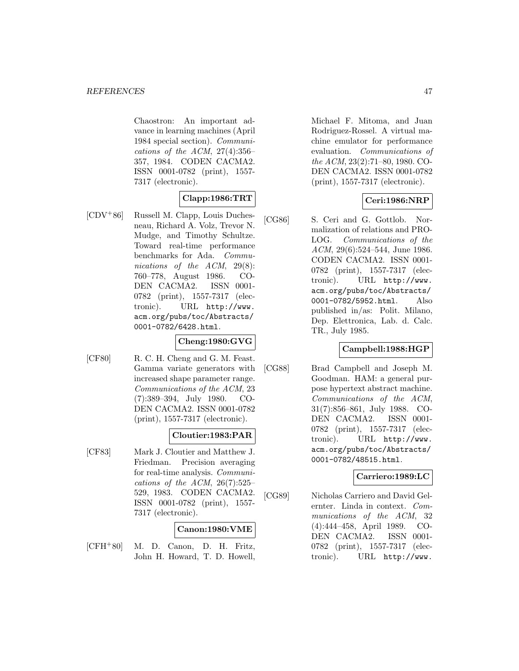Chaostron: An important advance in learning machines (April 1984 special section). Communications of the ACM,  $27(4):356-$ 357, 1984. CODEN CACMA2. ISSN 0001-0782 (print), 1557- 7317 (electronic).

# **Clapp:1986:TRT**

[CDV<sup>+</sup>86] Russell M. Clapp, Louis Duchesneau, Richard A. Volz, Trevor N. Mudge, and Timothy Schultze. Toward real-time performance benchmarks for Ada. Communications of the ACM, 29(8): 760–778, August 1986. CO-DEN CACMA2. ISSN 0001- 0782 (print), 1557-7317 (electronic). URL http://www. acm.org/pubs/toc/Abstracts/ 0001-0782/6428.html.

### **Cheng:1980:GVG**

[CF80] R. C. H. Cheng and G. M. Feast. Gamma variate generators with increased shape parameter range. Communications of the ACM, 23 (7):389–394, July 1980. CO-DEN CACMA2. ISSN 0001-0782 (print), 1557-7317 (electronic).

# **Cloutier:1983:PAR**

[CF83] Mark J. Cloutier and Matthew J. Friedman. Precision averaging for real-time analysis. Communications of the ACM,  $26(7):525-$ 529, 1983. CODEN CACMA2. ISSN 0001-0782 (print), 1557- 7317 (electronic).

# **Canon:1980:VME**

[CFH<sup>+</sup>80] M. D. Canon, D. H. Fritz, John H. Howard, T. D. Howell,

Michael F. Mitoma, and Juan Rodriguez-Rossel. A virtual machine emulator for performance evaluation. Communications of the ACM, 23(2):71–80, 1980. CO-DEN CACMA2. ISSN 0001-0782 (print), 1557-7317 (electronic).

# **Ceri:1986:NRP**

[CG86] S. Ceri and G. Gottlob. Normalization of relations and PRO-LOG. Communications of the ACM, 29(6):524–544, June 1986. CODEN CACMA2. ISSN 0001- 0782 (print), 1557-7317 (electronic). URL http://www. acm.org/pubs/toc/Abstracts/ 0001-0782/5952.html. Also published in/as: Polit. Milano, Dep. Elettronica, Lab. d. Calc. TR., July 1985.

# **Campbell:1988:HGP**

[CG88] Brad Campbell and Joseph M. Goodman. HAM: a general purpose hypertext abstract machine. Communications of the ACM, 31(7):856–861, July 1988. CO-DEN CACMA2. ISSN 0001- 0782 (print), 1557-7317 (electronic). URL http://www. acm.org/pubs/toc/Abstracts/ 0001-0782/48515.html.

### **Carriero:1989:LC**

[CG89] Nicholas Carriero and David Gelernter. Linda in context. Communications of the ACM, 32 (4):444–458, April 1989. CO-DEN CACMA2. ISSN 0001- 0782 (print), 1557-7317 (electronic). URL http://www.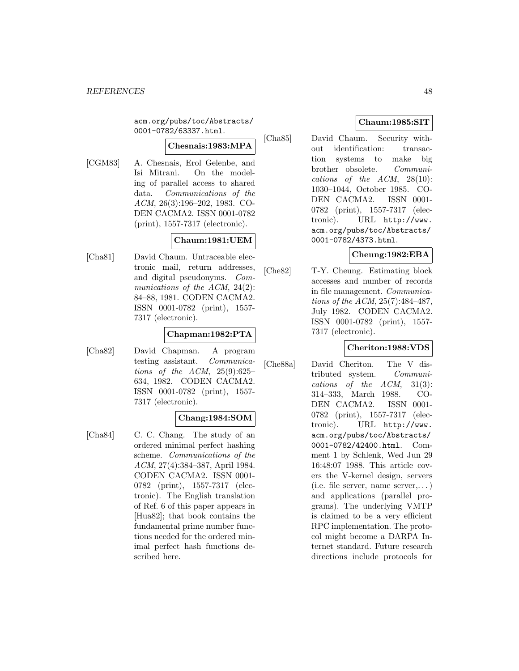acm.org/pubs/toc/Abstracts/ 0001-0782/63337.html.

#### **Chesnais:1983:MPA**

[CGM83] A. Chesnais, Erol Gelenbe, and Isi Mitrani. On the modeling of parallel access to shared data. Communications of the ACM, 26(3):196–202, 1983. CO-DEN CACMA2. ISSN 0001-0782 (print), 1557-7317 (electronic).

### **Chaum:1981:UEM**

[Cha81] David Chaum. Untraceable electronic mail, return addresses, and digital pseudonyms. Communications of the ACM, 24(2): 84–88, 1981. CODEN CACMA2. ISSN 0001-0782 (print), 1557- 7317 (electronic).

### **Chapman:1982:PTA**

[Cha82] David Chapman. A program testing assistant. Communications of the ACM, 25(9):625– 634, 1982. CODEN CACMA2. ISSN 0001-0782 (print), 1557- 7317 (electronic).

### **Chang:1984:SOM**

[Cha84] C. C. Chang. The study of an ordered minimal perfect hashing scheme. Communications of the ACM, 27(4):384–387, April 1984. CODEN CACMA2. ISSN 0001- 0782 (print), 1557-7317 (electronic). The English translation of Ref. 6 of this paper appears in [Hua82]; that book contains the fundamental prime number functions needed for the ordered minimal perfect hash functions described here.

## **Chaum:1985:SIT**

[Cha85] David Chaum. Security without identification: transaction systems to make big brother obsolete. Communications of the ACM, 28(10): 1030–1044, October 1985. CO-DEN CACMA2. ISSN 0001- 0782 (print), 1557-7317 (electronic). URL http://www. acm.org/pubs/toc/Abstracts/ 0001-0782/4373.html.

### **Cheung:1982:EBA**

[Che82] T-Y. Cheung. Estimating block accesses and number of records in file management. Communications of the ACM, 25(7):484–487, July 1982. CODEN CACMA2. ISSN 0001-0782 (print), 1557- 7317 (electronic).

### **Cheriton:1988:VDS**

[Che88a] David Cheriton. The V distributed system. Communications of the ACM, 31(3): 314–333, March 1988. CO-DEN CACMA2. ISSN 0001- 0782 (print), 1557-7317 (electronic). URL http://www. acm.org/pubs/toc/Abstracts/ 0001-0782/42400.html. Comment 1 by Schlenk, Wed Jun 29 16:48:07 1988. This article covers the V-kernel design, servers (i.e. file server, name server,...) and applications (parallel programs). The underlying VMTP is claimed to be a very efficient RPC implementation. The protocol might become a DARPA Internet standard. Future research directions include protocols for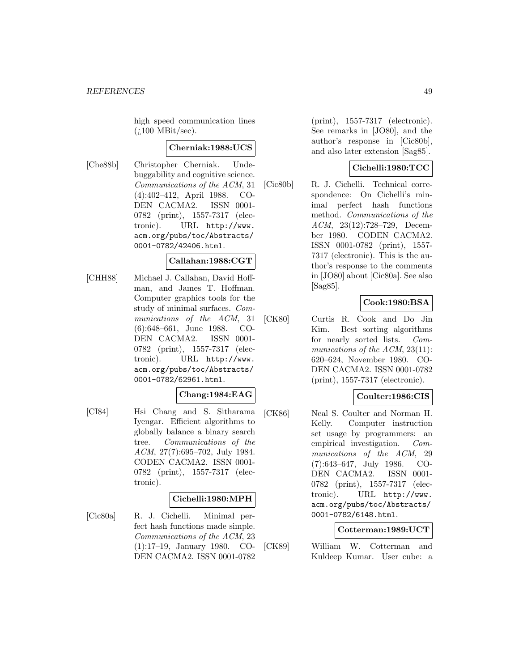high speed communication lines  $(i.100 \text{ MBit/sec}).$ 

### **Cherniak:1988:UCS**

[Che88b] Christopher Cherniak. Undebuggability and cognitive science. Communications of the ACM, 31 (4):402–412, April 1988. CO-DEN CACMA2. ISSN 0001- 0782 (print), 1557-7317 (electronic). URL http://www. acm.org/pubs/toc/Abstracts/ 0001-0782/42406.html.

### **Callahan:1988:CGT**

[CHH88] Michael J. Callahan, David Hoffman, and James T. Hoffman. Computer graphics tools for the study of minimal surfaces. Communications of the ACM, 31 (6):648–661, June 1988. CO-DEN CACMA2. ISSN 0001- 0782 (print), 1557-7317 (electronic). URL http://www. acm.org/pubs/toc/Abstracts/ 0001-0782/62961.html.

### **Chang:1984:EAG**

[CI84] Hsi Chang and S. Sitharama Iyengar. Efficient algorithms to globally balance a binary search tree. Communications of the ACM, 27(7):695–702, July 1984. CODEN CACMA2. ISSN 0001- 0782 (print), 1557-7317 (electronic).

# **Cichelli:1980:MPH**

[Cic80a] R. J. Cichelli. Minimal perfect hash functions made simple. Communications of the ACM, 23 (1):17–19, January 1980. CO-DEN CACMA2. ISSN 0001-0782

(print), 1557-7317 (electronic). See remarks in [JO80], and the author's response in [Cic80b], and also later extension [Sag85].

# **Cichelli:1980:TCC**

[Cic80b] R. J. Cichelli. Technical correspondence: On Cichelli's minimal perfect hash functions method. Communications of the ACM, 23(12):728–729, December 1980. CODEN CACMA2. ISSN 0001-0782 (print), 1557- 7317 (electronic). This is the author's response to the comments in [JO80] about [Cic80a]. See also [Sag85].

# **Cook:1980:BSA**

[CK80] Curtis R. Cook and Do Jin Kim. Best sorting algorithms for nearly sorted lists. Communications of the ACM, 23(11): 620–624, November 1980. CO-DEN CACMA2. ISSN 0001-0782 (print), 1557-7317 (electronic).

# **Coulter:1986:CIS**

[CK86] Neal S. Coulter and Norman H. Kelly. Computer instruction set usage by programmers: an empirical investigation. Communications of the ACM, 29 (7):643–647, July 1986. CO-DEN CACMA2. ISSN 0001- 0782 (print), 1557-7317 (electronic). URL http://www. acm.org/pubs/toc/Abstracts/ 0001-0782/6148.html.

### **Cotterman:1989:UCT**

[CK89] William W. Cotterman and Kuldeep Kumar. User cube: a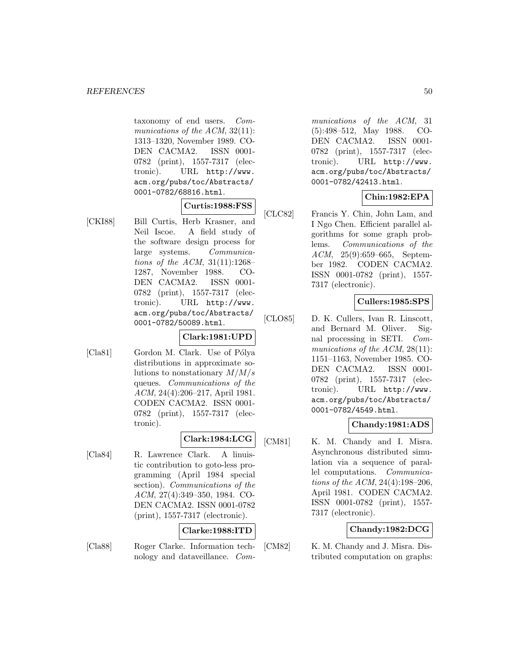taxonomy of end users. Communications of the ACM, 32(11): 1313–1320, November 1989. CO-DEN CACMA2. ISSN 0001- 0782 (print), 1557-7317 (electronic). URL http://www. acm.org/pubs/toc/Abstracts/ 0001-0782/68816.html.

### **Curtis:1988:FSS**

[CKI88] Bill Curtis, Herb Krasner, and Neil Iscoe. A field study of the software design process for large systems. Communications of the ACM,  $31(11):1268-$ 1287, November 1988. CO-DEN CACMA2. ISSN 0001- 0782 (print), 1557-7317 (electronic). URL http://www. acm.org/pubs/toc/Abstracts/ 0001-0782/50089.html.

# **Clark:1981:UPD**

[Cla81] Gordon M. Clark. Use of Pólya distributions in approximate solutions to nonstationary  $M/M/s$ queues. Communications of the ACM, 24(4):206–217, April 1981. CODEN CACMA2. ISSN 0001- 0782 (print), 1557-7317 (electronic).

# **Clark:1984:LCG**

[Cla84] R. Lawrence Clark. A linuistic contribution to goto-less programming (April 1984 special section). Communications of the ACM, 27(4):349–350, 1984. CO-DEN CACMA2. ISSN 0001-0782 (print), 1557-7317 (electronic).

### **Clarke:1988:ITD**

[Cla88] Roger Clarke. Information technology and dataveillance. Communications of the ACM, 31 (5):498–512, May 1988. CO-DEN CACMA2. ISSN 0001- 0782 (print), 1557-7317 (electronic). URL http://www. acm.org/pubs/toc/Abstracts/ 0001-0782/42413.html.

# **Chin:1982:EPA**

[CLC82] Francis Y. Chin, John Lam, and I Ngo Chen. Efficient parallel algorithms for some graph problems. Communications of the ACM, 25(9):659–665, September 1982. CODEN CACMA2. ISSN 0001-0782 (print), 1557- 7317 (electronic).

### **Cullers:1985:SPS**

[CLO85] D. K. Cullers, Ivan R. Linscott, and Bernard M. Oliver. Signal processing in SETI. Communications of the ACM, 28(11): 1151–1163, November 1985. CO-DEN CACMA2. ISSN 0001- 0782 (print), 1557-7317 (electronic). URL http://www. acm.org/pubs/toc/Abstracts/ 0001-0782/4549.html.

# **Chandy:1981:ADS**

[CM81] K. M. Chandy and I. Misra. Asynchronous distributed simulation via a sequence of parallel computations. Communications of the ACM, 24(4):198–206, April 1981. CODEN CACMA2. ISSN 0001-0782 (print), 1557- 7317 (electronic).

# **Chandy:1982:DCG**

[CM82] K. M. Chandy and J. Misra. Distributed computation on graphs: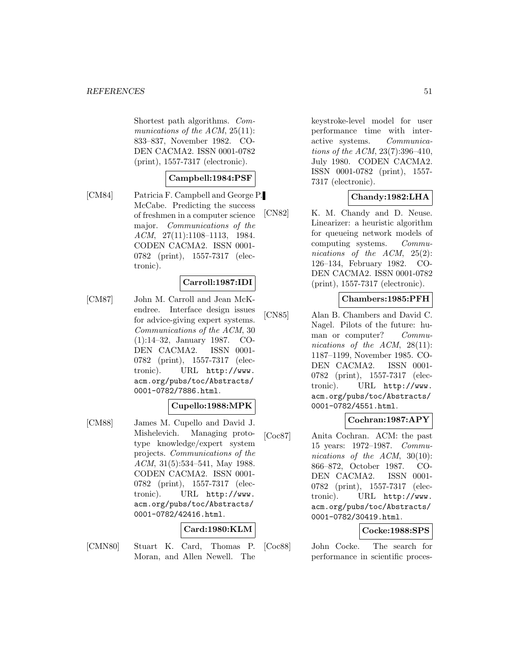Shortest path algorithms. Communications of the ACM, 25(11): 833–837, November 1982. CO-DEN CACMA2. ISSN 0001-0782 (print), 1557-7317 (electronic).

# **Campbell:1984:PSF**

[CM84] Patricia F. Campbell and George P. McCabe. Predicting the success of freshmen in a computer science major. Communications of the ACM, 27(11):1108–1113, 1984. CODEN CACMA2. ISSN 0001- 0782 (print), 1557-7317 (electronic).

### **Carroll:1987:IDI**

[CM87] John M. Carroll and Jean McKendree. Interface design issues for advice-giving expert systems. Communications of the ACM, 30 (1):14–32, January 1987. CO-DEN CACMA2. ISSN 0001-0782 (print), 1557-7317 (electronic). URL http://www. acm.org/pubs/toc/Abstracts/ 0001-0782/7886.html.

# **Cupello:1988:MPK**

[CM88] James M. Cupello and David J. Mishelevich. Managing prototype knowledge/expert system projects. Communications of the ACM, 31(5):534–541, May 1988. CODEN CACMA2. ISSN 0001- 0782 (print), 1557-7317 (electronic). URL http://www. acm.org/pubs/toc/Abstracts/ 0001-0782/42416.html.

# **Card:1980:KLM**

[CMN80] Stuart K. Card, Thomas P. Moran, and Allen Newell. The

keystroke-level model for user performance time with interactive systems. Communications of the ACM, 23(7):396–410, July 1980. CODEN CACMA2. ISSN 0001-0782 (print), 1557- 7317 (electronic).

# **Chandy:1982:LHA**

[CN82] K. M. Chandy and D. Neuse. Linearizer: a heuristic algorithm for queueing network models of computing systems. Communications of the ACM, 25(2): 126–134, February 1982. CO-DEN CACMA2. ISSN 0001-0782 (print), 1557-7317 (electronic).

### **Chambers:1985:PFH**

[CN85] Alan B. Chambers and David C. Nagel. Pilots of the future: human or computer? Communications of the  $ACM$ , 28(11): 1187–1199, November 1985. CO-DEN CACMA2. ISSN 0001- 0782 (print), 1557-7317 (electronic). URL http://www. acm.org/pubs/toc/Abstracts/ 0001-0782/4551.html.

## **Cochran:1987:APY**

[Coc87] Anita Cochran. ACM: the past 15 years: 1972–1987. Communications of the ACM, 30(10): 866–872, October 1987. CO-DEN CACMA2. ISSN 0001- 0782 (print), 1557-7317 (electronic). URL http://www. acm.org/pubs/toc/Abstracts/ 0001-0782/30419.html.

### **Cocke:1988:SPS**

[Coc88] John Cocke. The search for performance in scientific proces-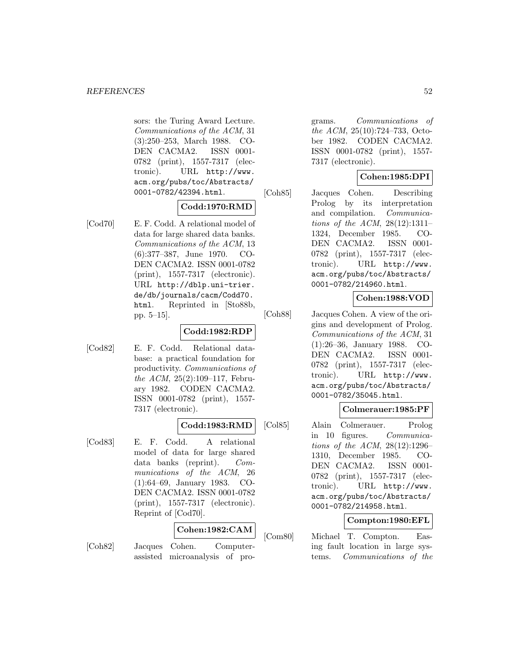sors: the Turing Award Lecture. Communications of the ACM, 31 (3):250–253, March 1988. CO-DEN CACMA2. ISSN 0001- 0782 (print), 1557-7317 (electronic). URL http://www. acm.org/pubs/toc/Abstracts/ 0001-0782/42394.html.

### **Codd:1970:RMD**

[Cod70] E. F. Codd. A relational model of data for large shared data banks. Communications of the ACM, 13 (6):377–387, June 1970. CO-DEN CACMA2. ISSN 0001-0782 (print), 1557-7317 (electronic). URL http://dblp.uni-trier. de/db/journals/cacm/Codd70. html. Reprinted in [Sto88b, pp. 5–15].

# **Codd:1982:RDP**

[Cod82] E. F. Codd. Relational database: a practical foundation for productivity. Communications of the ACM, 25(2):109–117, February 1982. CODEN CACMA2. ISSN 0001-0782 (print), 1557- 7317 (electronic).

### **Codd:1983:RMD**

[Cod83] E. F. Codd. A relational model of data for large shared data banks (reprint). Communications of the ACM, 26 (1):64–69, January 1983. CO-DEN CACMA2. ISSN 0001-0782 (print), 1557-7317 (electronic). Reprint of [Cod70].

# **Cohen:1982:CAM**

- 
- [Coh82] Jacques Cohen. Computerassisted microanalysis of pro-

grams. Communications of the ACM, 25(10):724–733, October 1982. CODEN CACMA2. ISSN 0001-0782 (print), 1557- 7317 (electronic).

# **Cohen:1985:DPI**

[Coh85] Jacques Cohen. Describing Prolog by its interpretation and compilation. Communications of the ACM, 28(12):1311– 1324, December 1985. CO-DEN CACMA2. ISSN 0001- 0782 (print), 1557-7317 (electronic). URL http://www. acm.org/pubs/toc/Abstracts/ 0001-0782/214960.html.

# **Cohen:1988:VOD**

[Coh88] Jacques Cohen. A view of the origins and development of Prolog. Communications of the ACM, 31 (1):26–36, January 1988. CO-DEN CACMA2. ISSN 0001- 0782 (print), 1557-7317 (electronic). URL http://www. acm.org/pubs/toc/Abstracts/ 0001-0782/35045.html.

# **Colmerauer:1985:PF**

[Col85] Alain Colmerauer. Prolog in 10 figures. Communications of the ACM, 28(12):1296– 1310, December 1985. CO-DEN CACMA2. ISSN 0001- 0782 (print), 1557-7317 (electronic). URL http://www. acm.org/pubs/toc/Abstracts/ 0001-0782/214958.html.

# **Compton:1980:EFL**

[Com80] Michael T. Compton. Easing fault location in large systems. Communications of the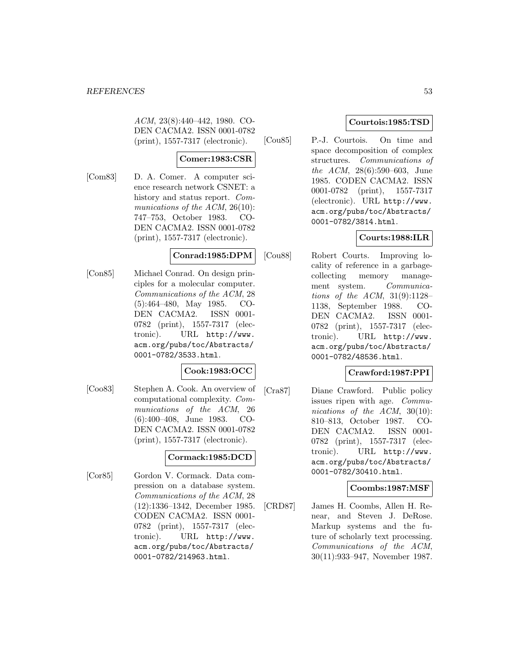ACM, 23(8):440–442, 1980. CO-DEN CACMA2. ISSN 0001-0782 (print), 1557-7317 (electronic).

# **Comer:1983:CSR**

[Com83] D. A. Comer. A computer science research network CSNET: a history and status report. Communications of the ACM, 26(10): 747–753, October 1983. CO-DEN CACMA2. ISSN 0001-0782 (print), 1557-7317 (electronic).

### **Conrad:1985:DPM**

[Con85] Michael Conrad. On design principles for a molecular computer. Communications of the ACM, 28 (5):464–480, May 1985. CO-DEN CACMA2. ISSN 0001- 0782 (print), 1557-7317 (electronic). URL http://www. acm.org/pubs/toc/Abstracts/ 0001-0782/3533.html.

# **Cook:1983:OCC**

[Coo83] Stephen A. Cook. An overview of computational complexity. Communications of the ACM, 26 (6):400–408, June 1983. CO-DEN CACMA2. ISSN 0001-0782 (print), 1557-7317 (electronic).

# **Cormack:1985:DCD**

[Cor85] Gordon V. Cormack. Data compression on a database system. Communications of the ACM, 28 (12):1336–1342, December 1985. CODEN CACMA2. ISSN 0001- 0782 (print), 1557-7317 (electronic). URL http://www. acm.org/pubs/toc/Abstracts/ 0001-0782/214963.html.

# **Courtois:1985:TSD**

[Cou85] P.-J. Courtois. On time and space decomposition of complex structures. Communications of the ACM, 28(6):590–603, June 1985. CODEN CACMA2. ISSN 0001-0782 (print), 1557-7317 (electronic). URL http://www. acm.org/pubs/toc/Abstracts/ 0001-0782/3814.html.

# **Courts:1988:ILR**

[Cou88] Robert Courts. Improving locality of reference in a garbagecollecting memory management system. Communications of the ACM,  $31(9):1128-$ 1138, September 1988. CO-DEN CACMA2. ISSN 0001- 0782 (print), 1557-7317 (electronic). URL http://www. acm.org/pubs/toc/Abstracts/ 0001-0782/48536.html.

# **Crawford:1987:PPI**

[Cra87] Diane Crawford. Public policy issues ripen with age. Communications of the ACM, 30(10): 810–813, October 1987. CO-DEN CACMA2. ISSN 0001- 0782 (print), 1557-7317 (electronic). URL http://www. acm.org/pubs/toc/Abstracts/ 0001-0782/30410.html.

# **Coombs:1987:MSF**

[CRD87] James H. Coombs, Allen H. Renear, and Steven J. DeRose. Markup systems and the future of scholarly text processing. Communications of the ACM, 30(11):933–947, November 1987.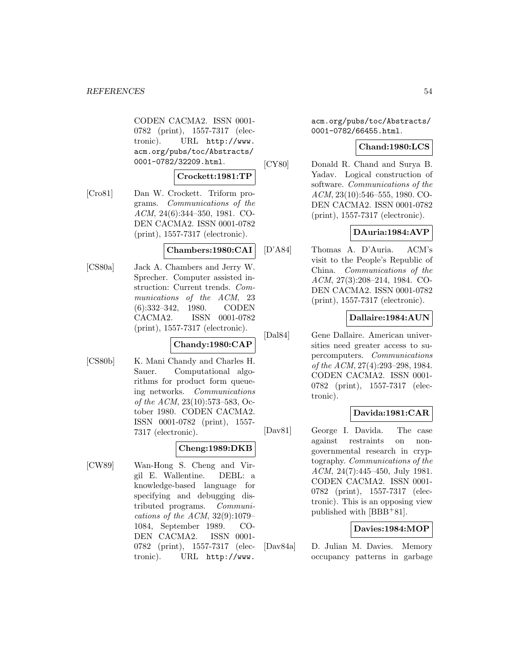CODEN CACMA2. ISSN 0001- 0782 (print), 1557-7317 (electronic). URL http://www. acm.org/pubs/toc/Abstracts/ 0001-0782/32209.html.

# **Crockett:1981:TP**

[Cro81] Dan W. Crockett. Triform programs. Communications of the ACM, 24(6):344–350, 1981. CO-DEN CACMA2. ISSN 0001-0782 (print), 1557-7317 (electronic).

#### **Chambers:1980:CAI**

[CS80a] Jack A. Chambers and Jerry W. Sprecher. Computer assisted instruction: Current trends. Communications of the ACM, 23 (6):332–342, 1980. CODEN CACMA2. ISSN 0001-0782 (print), 1557-7317 (electronic).

### **Chandy:1980:CAP**

[CS80b] K. Mani Chandy and Charles H. Sauer. Computational algorithms for product form queueing networks. Communications of the ACM, 23(10):573–583, October 1980. CODEN CACMA2. ISSN 0001-0782 (print), 1557- 7317 (electronic).

### **Cheng:1989:DKB**

[CW89] Wan-Hong S. Cheng and Virgil E. Wallentine. DEBL: a knowledge-based language for specifying and debugging distributed programs. Communications of the ACM,  $32(9):1079-$ 1084, September 1989. CO-DEN CACMA2. ISSN 0001- 0782 (print), 1557-7317 (electronic). URL http://www.

acm.org/pubs/toc/Abstracts/ 0001-0782/66455.html.

#### **Chand:1980:LCS**

[CY80] Donald R. Chand and Surya B. Yadav. Logical construction of software. Communications of the ACM, 23(10):546–555, 1980. CO-DEN CACMA2. ISSN 0001-0782 (print), 1557-7317 (electronic).

# **DAuria:1984:AVP**

[D'A84] Thomas A. D'Auria. ACM's visit to the People's Republic of China. Communications of the ACM, 27(3):208–214, 1984. CO-DEN CACMA2. ISSN 0001-0782 (print), 1557-7317 (electronic).

# **Dallaire:1984:AUN**

[Dal84] Gene Dallaire. American universities need greater access to supercomputers. Communications of the ACM, 27(4):293–298, 1984. CODEN CACMA2. ISSN 0001- 0782 (print), 1557-7317 (electronic).

# **Davida:1981:CAR**

[Dav81] George I. Davida. The case against restraints on nongovernmental research in cryptography. Communications of the ACM, 24(7):445–450, July 1981. CODEN CACMA2. ISSN 0001- 0782 (print), 1557-7317 (electronic). This is an opposing view published with [BBB<sup>+</sup>81].

# **Davies:1984:MOP**

[Dav84a] D. Julian M. Davies. Memory occupancy patterns in garbage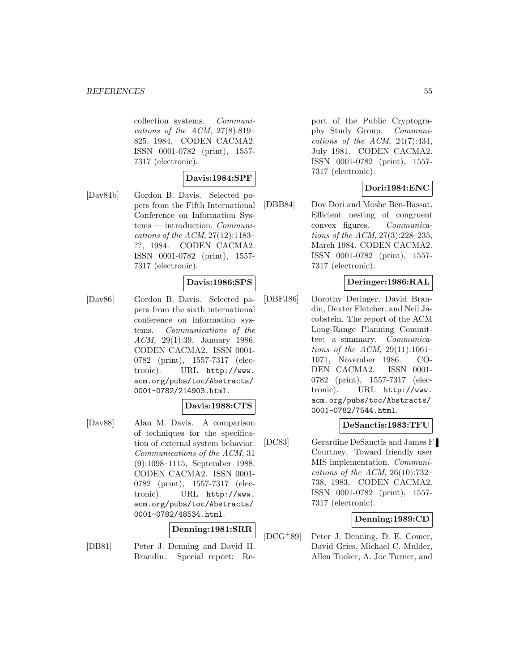collection systems. Communications of the ACM,  $27(8):819-$ 825, 1984. CODEN CACMA2. ISSN 0001-0782 (print), 1557- 7317 (electronic).

### **Davis:1984:SPF**

[Dav84b] Gordon B. Davis. Selected papers from the Fifth International Conference on Information Systems — introduction. Communications of the ACM, 27(12):1183– ??, 1984. CODEN CACMA2. ISSN 0001-0782 (print), 1557- 7317 (electronic).

### **Davis:1986:SPS**

[Dav86] Gordon B. Davis. Selected papers from the sixth international conference on information systems. Communications of the ACM, 29(1):39, January 1986. CODEN CACMA2. ISSN 0001- 0782 (print), 1557-7317 (electronic). URL http://www. acm.org/pubs/toc/Abstracts/ 0001-0782/214903.html.

## **Davis:1988:CTS**

[Dav88] Alan M. Davis. A comparison of techniques for the specification of external system behavior. Communications of the ACM, 31 (9):1098–1115, September 1988. CODEN CACMA2. ISSN 0001- 0782 (print), 1557-7317 (electronic). URL http://www. acm.org/pubs/toc/Abstracts/ 0001-0782/48534.html.

### **Denning:1981:SRR**

[DB81] Peter J. Denning and David H. Brandin. Special report: Report of the Public Cryptography Study Group. Communications of the ACM,  $24(7):434$ , July 1981. CODEN CACMA2. ISSN 0001-0782 (print), 1557- 7317 (electronic).

# **Dori:1984:ENC**

[DBB84] Dov Dori and Moshe Ben-Bassat. Efficient nesting of congruent convex figures. Communications of the ACM, 27(3):228–235, March 1984. CODEN CACMA2. ISSN 0001-0782 (print), 1557- 7317 (electronic).

# **Deringer:1986:RAL**

[DBFJ86] Dorothy Deringer, David Brandin, Dexter Fletcher, and Neil Jacobstein. The report of the ACM Long-Range Planning Committee: a summary. Communications of the ACM,  $29(11):1061-$ 1071, November 1986. CO-DEN CACMA2. ISSN 0001- 0782 (print), 1557-7317 (electronic). URL http://www. acm.org/pubs/toc/Abstracts/ 0001-0782/7544.html.

### **DeSanctis:1983:TFU**

[DC83] Gerardine DeSanctis and James F. Courtney. Toward friendly user MIS implementation. Communications of the ACM,  $26(10):732-$ 738, 1983. CODEN CACMA2. ISSN 0001-0782 (print), 1557- 7317 (electronic).

### **Denning:1989:CD**

[DCG<sup>+</sup>89] Peter J. Denning, D. E. Comer, David Gries, Michael C. Mulder, Allen Tucker, A. Joe Turner, and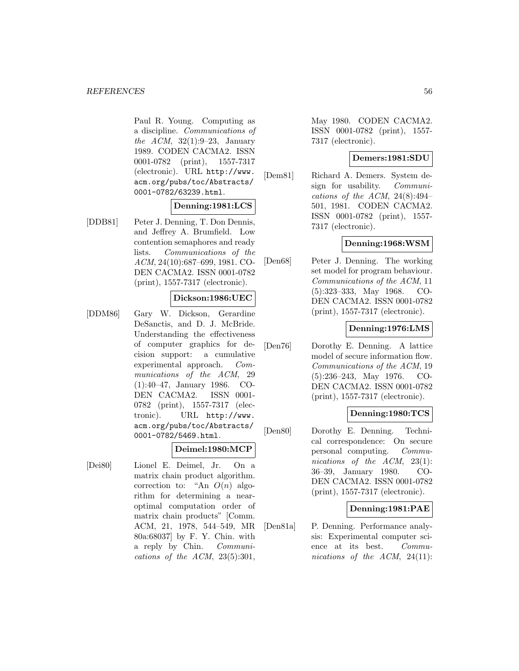Paul R. Young. Computing as a discipline. Communications of the ACM,  $32(1):9-23$ , January 1989. CODEN CACMA2. ISSN 0001-0782 (print), 1557-7317 (electronic). URL http://www. acm.org/pubs/toc/Abstracts/ 0001-0782/63239.html.

### **Denning:1981:LCS**

[DDB81] Peter J. Denning, T. Don Dennis, and Jeffrey A. Brumfield. Low contention semaphores and ready lists. Communications of the ACM, 24(10):687–699, 1981. CO-DEN CACMA2. ISSN 0001-0782 (print), 1557-7317 (electronic).

#### **Dickson:1986:UEC**

[DDM86] Gary W. Dickson, Gerardine DeSanctis, and D. J. McBride. Understanding the effectiveness of computer graphics for decision support: a cumulative experimental approach. Communications of the ACM, 29 (1):40–47, January 1986. CO-DEN CACMA2. ISSN 0001- 0782 (print), 1557-7317 (electronic). URL http://www. acm.org/pubs/toc/Abstracts/ 0001-0782/5469.html.

### **Deimel:1980:MCP**

[Dei80] Lionel E. Deimel, Jr. On a matrix chain product algorithm. correction to: "An  $O(n)$  algorithm for determining a nearoptimal computation order of matrix chain products" [Comm. ACM, 21, 1978, 544–549, MR 80a:68037] by F. Y. Chin. with a reply by Chin. Communications of the ACM,  $23(5):301$ ,

May 1980. CODEN CACMA2. ISSN 0001-0782 (print), 1557- 7317 (electronic).

#### **Demers:1981:SDU**

[Dem81] Richard A. Demers. System design for usability. Communications of the ACM,  $24(8):494-$ 501, 1981. CODEN CACMA2. ISSN 0001-0782 (print), 1557- 7317 (electronic).

### **Denning:1968:WSM**

[Den68] Peter J. Denning. The working set model for program behaviour. Communications of the ACM, 11 (5):323–333, May 1968. CO-DEN CACMA2. ISSN 0001-0782 (print), 1557-7317 (electronic).

### **Denning:1976:LMS**

[Den76] Dorothy E. Denning. A lattice model of secure information flow. Communications of the ACM, 19 (5):236–243, May 1976. CO-DEN CACMA2. ISSN 0001-0782 (print), 1557-7317 (electronic).

### **Denning:1980:TCS**

[Den80] Dorothy E. Denning. Technical correspondence: On secure personal computing. Communications of the ACM, 23(1): 36–39, January 1980. CO-DEN CACMA2. ISSN 0001-0782 (print), 1557-7317 (electronic).

### **Denning:1981:PAE**

[Den81a] P. Denning. Performance analysis: Experimental computer science at its best. Communications of the ACM, 24(11):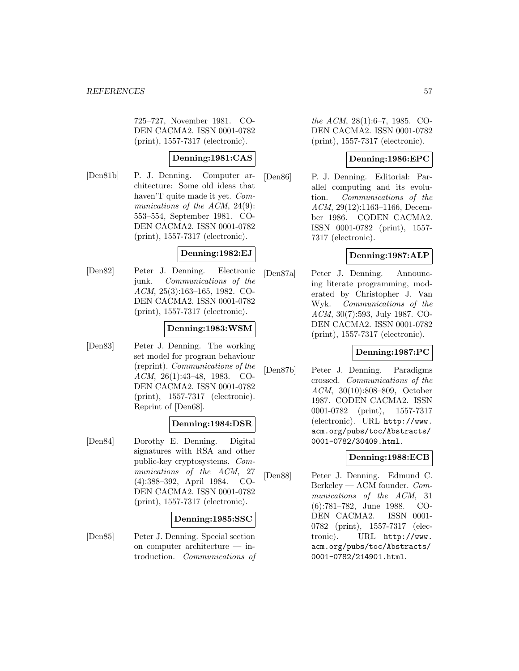725–727, November 1981. CO-DEN CACMA2. ISSN 0001-0782 (print), 1557-7317 (electronic).

## **Denning:1981:CAS**

[Den81b] P. J. Denning. Computer architecture: Some old ideas that haven'T quite made it yet. Communications of the ACM, 24(9): 553–554, September 1981. CO-DEN CACMA2. ISSN 0001-0782 (print), 1557-7317 (electronic).

#### **Denning:1982:EJ**

[Den82] Peter J. Denning. Electronic junk. Communications of the ACM, 25(3):163–165, 1982. CO-DEN CACMA2. ISSN 0001-0782 (print), 1557-7317 (electronic).

### **Denning:1983:WSM**

[Den83] Peter J. Denning. The working set model for program behaviour (reprint). Communications of the ACM, 26(1):43–48, 1983. CO-DEN CACMA2. ISSN 0001-0782 (print), 1557-7317 (electronic). Reprint of [Den68].

## **Denning:1984:DSR**

[Den84] Dorothy E. Denning. Digital signatures with RSA and other public-key cryptosystems. Communications of the ACM, 27 (4):388–392, April 1984. CO-DEN CACMA2. ISSN 0001-0782 (print), 1557-7317 (electronic).

### **Denning:1985:SSC**

[Den85] Peter J. Denning. Special section on computer architecture — introduction. Communications of the ACM, 28(1):6–7, 1985. CO-DEN CACMA2. ISSN 0001-0782 (print), 1557-7317 (electronic).

## **Denning:1986:EPC**

[Den86] P. J. Denning. Editorial: Parallel computing and its evolution. Communications of the ACM, 29(12):1163–1166, December 1986. CODEN CACMA2. ISSN 0001-0782 (print), 1557- 7317 (electronic).

### **Denning:1987:ALP**

[Den87a] Peter J. Denning. Announcing literate programming, moderated by Christopher J. Van Wyk. Communications of the ACM, 30(7):593, July 1987. CO-DEN CACMA2. ISSN 0001-0782 (print), 1557-7317 (electronic).

### **Denning:1987:PC**

[Den87b] Peter J. Denning. Paradigms crossed. Communications of the ACM, 30(10):808–809, October 1987. CODEN CACMA2. ISSN 0001-0782 (print), 1557-7317 (electronic). URL http://www. acm.org/pubs/toc/Abstracts/ 0001-0782/30409.html.

# **Denning:1988:ECB**

[Den88] Peter J. Denning. Edmund C. Berkeley — ACM founder. Communications of the ACM, 31 (6):781–782, June 1988. CO-DEN CACMA2. ISSN 0001- 0782 (print), 1557-7317 (electronic). URL http://www. acm.org/pubs/toc/Abstracts/ 0001-0782/214901.html.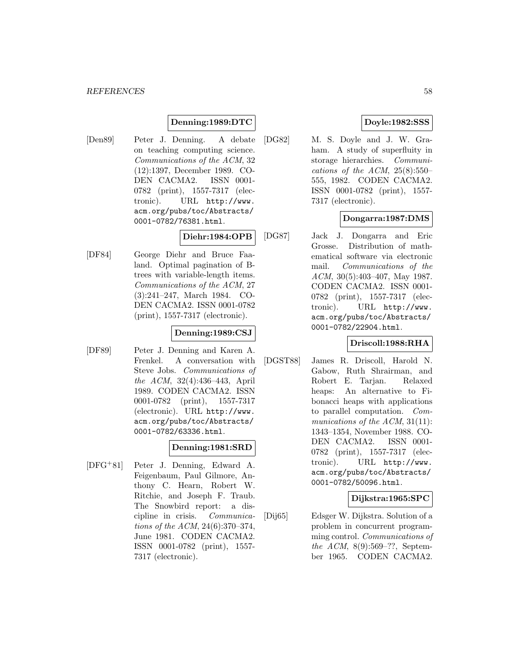## **Denning:1989:DTC**

[Den89] Peter J. Denning. A debate on teaching computing science. Communications of the ACM, 32 (12):1397, December 1989. CO-DEN CACMA2. ISSN 0001- 0782 (print), 1557-7317 (electronic). URL http://www. acm.org/pubs/toc/Abstracts/ 0001-0782/76381.html.

## **Diehr:1984:OPB**

[DF84] George Diehr and Bruce Faaland. Optimal pagination of Btrees with variable-length items. Communications of the ACM, 27 (3):241–247, March 1984. CO-DEN CACMA2. ISSN 0001-0782 (print), 1557-7317 (electronic).

#### **Denning:1989:CSJ**

[DF89] Peter J. Denning and Karen A. Frenkel. A conversation with Steve Jobs. Communications of the ACM, 32(4):436–443, April 1989. CODEN CACMA2. ISSN 0001-0782 (print), 1557-7317 (electronic). URL http://www. acm.org/pubs/toc/Abstracts/ 0001-0782/63336.html.

### **Denning:1981:SRD**

[DFG<sup>+</sup>81] Peter J. Denning, Edward A. Feigenbaum, Paul Gilmore, Anthony C. Hearn, Robert W. Ritchie, and Joseph F. Traub. The Snowbird report: a discipline in crisis. Communications of the ACM, 24(6):370–374, June 1981. CODEN CACMA2. ISSN 0001-0782 (print), 1557- 7317 (electronic).

## **Doyle:1982:SSS**

[DG82] M. S. Doyle and J. W. Graham. A study of superfluity in storage hierarchies. Communications of the ACM,  $25(8):550-$ 555, 1982. CODEN CACMA2. ISSN 0001-0782 (print), 1557- 7317 (electronic).

### **Dongarra:1987:DMS**

[DG87] Jack J. Dongarra and Eric Grosse. Distribution of mathematical software via electronic mail. Communications of the ACM, 30(5):403–407, May 1987. CODEN CACMA2. ISSN 0001- 0782 (print), 1557-7317 (electronic). URL http://www. acm.org/pubs/toc/Abstracts/ 0001-0782/22904.html.

# **Driscoll:1988:RHA**

[DGST88] James R. Driscoll, Harold N. Gabow, Ruth Shrairman, and Robert E. Tarjan. Relaxed heaps: An alternative to Fibonacci heaps with applications to parallel computation. Communications of the ACM, 31(11): 1343–1354, November 1988. CO-DEN CACMA2. ISSN 0001- 0782 (print), 1557-7317 (electronic). URL http://www. acm.org/pubs/toc/Abstracts/ 0001-0782/50096.html.

### **Dijkstra:1965:SPC**

[Dij65] Edsger W. Dijkstra. Solution of a problem in concurrent programming control. Communications of the ACM, 8(9):569–??, September 1965. CODEN CACMA2.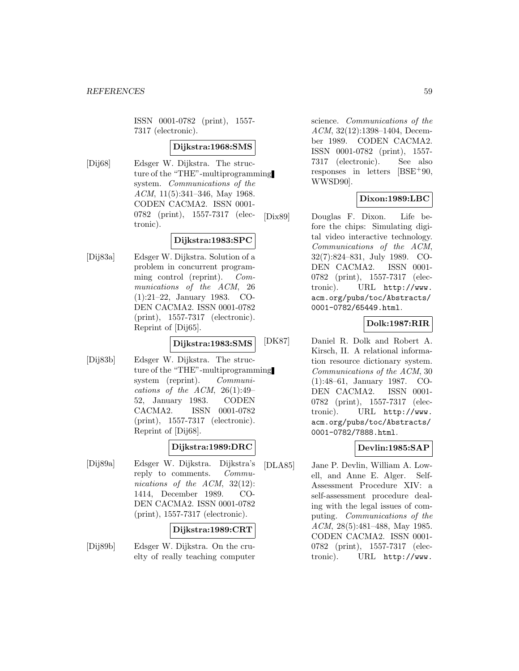ISSN 0001-0782 (print), 1557- 7317 (electronic).

### **Dijkstra:1968:SMS**

[Dij68] Edsger W. Dijkstra. The structure of the "THE"-multiprogramming system. Communications of the ACM, 11(5):341-346, May 1968. CODEN CACMA2. ISSN 0001- 0782 (print), 1557-7317 (electronic).

# **Dijkstra:1983:SPC**

[Dij83a] Edsger W. Dijkstra. Solution of a problem in concurrent programming control (reprint). Communications of the ACM, 26 (1):21–22, January 1983. CO-DEN CACMA2. ISSN 0001-0782 (print), 1557-7317 (electronic). Reprint of [Dij65].

# **Dijkstra:1983:SMS**

[Dij83b] Edsger W. Dijkstra. The structure of the "THE"-multiprogramming system (reprint). Communications of the ACM,  $26(1):49-$ 52, January 1983. CODEN CACMA2. ISSN 0001-0782 (print), 1557-7317 (electronic). Reprint of [Dij68].

# **Dijkstra:1989:DRC**

[Dij89a] Edsger W. Dijkstra. Dijkstra's reply to comments. Communications of the ACM, 32(12): 1414, December 1989. CO-DEN CACMA2. ISSN 0001-0782 (print), 1557-7317 (electronic).

### **Dijkstra:1989:CRT**

[Dij89b] Edsger W. Dijkstra. On the cruelty of really teaching computer science. Communications of the ACM, 32(12):1398–1404, December 1989. CODEN CACMA2. ISSN 0001-0782 (print), 1557- 7317 (electronic). See also responses in letters  $[**BSE**+90,$ WWSD90].

# **Dixon:1989:LBC**

[Dix89] Douglas F. Dixon. Life before the chips: Simulating digital video interactive technology. Communications of the ACM, 32(7):824–831, July 1989. CO-DEN CACMA2. ISSN 0001- 0782 (print), 1557-7317 (electronic). URL http://www. acm.org/pubs/toc/Abstracts/ 0001-0782/65449.html.

### **Dolk:1987:RIR**

[DK87] Daniel R. Dolk and Robert A. Kirsch, II. A relational information resource dictionary system. Communications of the ACM, 30 (1):48–61, January 1987. CO-DEN CACMA2. ISSN 0001- 0782 (print), 1557-7317 (electronic). URL http://www. acm.org/pubs/toc/Abstracts/ 0001-0782/7888.html.

# **Devlin:1985:SAP**

[DLA85] Jane P. Devlin, William A. Lowell, and Anne E. Alger. Self-Assessment Procedure XIV: a self-assessment procedure dealing with the legal issues of computing. Communications of the ACM, 28(5):481–488, May 1985. CODEN CACMA2. ISSN 0001- 0782 (print), 1557-7317 (electronic). URL http://www.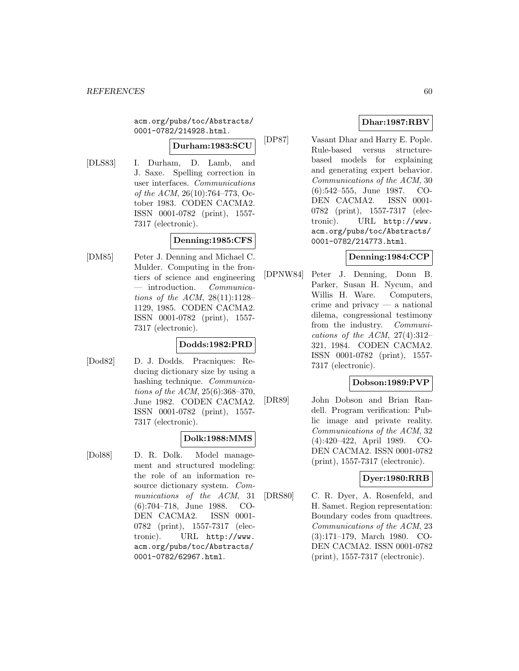acm.org/pubs/toc/Abstracts/ 0001-0782/214928.html.

# **Durham:1983:SCU**

- 
- [DLS83] I. Durham, D. Lamb, and J. Saxe. Spelling correction in user interfaces. Communications of the ACM, 26(10):764–773, October 1983. CODEN CACMA2. ISSN 0001-0782 (print), 1557- 7317 (electronic).

# **Denning:1985:CFS**

[DM85] Peter J. Denning and Michael C. Mulder. Computing in the frontiers of science and engineering — introduction. Communications of the ACM,  $28(11):1128-$ 1129, 1985. CODEN CACMA2. ISSN 0001-0782 (print), 1557- 7317 (electronic).

# **Dodds:1982:PRD**

[Dod82] D. J. Dodds. Pracniques: Reducing dictionary size by using a hashing technique. Communications of the ACM, 25(6):368–370, June 1982. CODEN CACMA2. ISSN 0001-0782 (print), 1557- 7317 (electronic).

### **Dolk:1988:MMS**

[Dol88] D. R. Dolk. Model management and structured modeling: the role of an information resource dictionary system. Communications of the ACM, 31 (6):704–718, June 1988. CO-DEN CACMA2. ISSN 0001- 0782 (print), 1557-7317 (electronic). URL http://www. acm.org/pubs/toc/Abstracts/ 0001-0782/62967.html.

# **Dhar:1987:RBV**

[DP87] Vasant Dhar and Harry E. Pople. Rule-based versus structurebased models for explaining and generating expert behavior. Communications of the ACM, 30 (6):542–555, June 1987. CO-DEN CACMA2. ISSN 0001- 0782 (print), 1557-7317 (electronic). URL http://www. acm.org/pubs/toc/Abstracts/ 0001-0782/214773.html.

### **Denning:1984:CCP**

[DPNW84] Peter J. Denning, Donn B. Parker, Susan H. Nycum, and Willis H. Ware. Computers, crime and privacy — a national dilema, congressional testimony from the industry. Communications of the ACM,  $27(4):312-$ 321, 1984. CODEN CACMA2. ISSN 0001-0782 (print), 1557- 7317 (electronic).

### **Dobson:1989:PVP**

[DR89] John Dobson and Brian Randell. Program verification: Public image and private reality. Communications of the ACM, 32 (4):420–422, April 1989. CO-DEN CACMA2. ISSN 0001-0782 (print), 1557-7317 (electronic).

# **Dyer:1980:RRB**

[DRS80] C. R. Dyer, A. Rosenfeld, and H. Samet. Region representation: Boundary codes from quadtrees. Communications of the ACM, 23 (3):171–179, March 1980. CO-DEN CACMA2. ISSN 0001-0782 (print), 1557-7317 (electronic).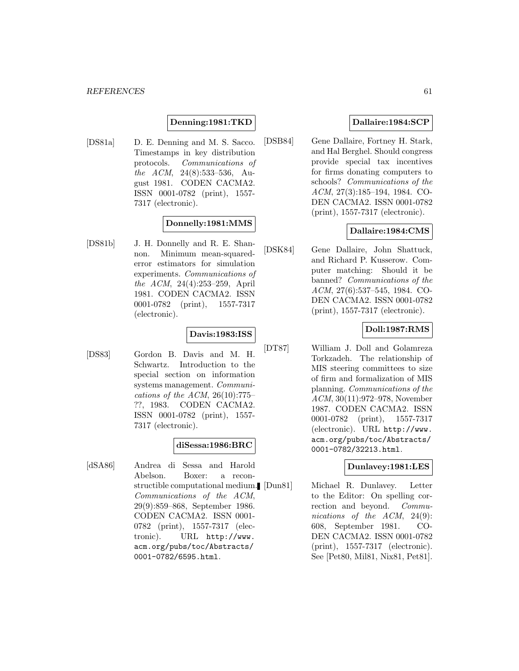### **Denning:1981:TKD**

[DS81a] D. E. Denning and M. S. Sacco. Timestamps in key distribution protocols. Communications of the ACM, 24(8):533–536, August 1981. CODEN CACMA2. ISSN 0001-0782 (print), 1557- 7317 (electronic).

### **Donnelly:1981:MMS**

[DS81b] J. H. Donnelly and R. E. Shannon. Minimum mean-squarederror estimators for simulation experiments. Communications of the ACM, 24(4):253–259, April 1981. CODEN CACMA2. ISSN 0001-0782 (print), 1557-7317 (electronic).

# **Davis:1983:ISS**

[DS83] Gordon B. Davis and M. H. Schwartz. Introduction to the special section on information systems management. Communications of the ACM,  $26(10):775-$ ??, 1983. CODEN CACMA2. ISSN 0001-0782 (print), 1557- 7317 (electronic).

### **diSessa:1986:BRC**

[dSA86] Andrea di Sessa and Harold Abelson. Boxer: a reconstructible computational medium. Communications of the ACM, 29(9):859–868, September 1986. CODEN CACMA2. ISSN 0001- 0782 (print), 1557-7317 (electronic). URL http://www. acm.org/pubs/toc/Abstracts/ 0001-0782/6595.html.

### **Dallaire:1984:SCP**

[DSB84] Gene Dallaire, Fortney H. Stark, and Hal Berghel. Should congress provide special tax incentives for firms donating computers to schools? Communications of the ACM, 27(3):185–194, 1984. CO-DEN CACMA2. ISSN 0001-0782 (print), 1557-7317 (electronic).

### **Dallaire:1984:CMS**

[DSK84] Gene Dallaire, John Shattuck, and Richard P. Kusserow. Computer matching: Should it be banned? Communications of the ACM, 27(6):537–545, 1984. CO-DEN CACMA2. ISSN 0001-0782 (print), 1557-7317 (electronic).

### **Doll:1987:RMS**

[DT87] William J. Doll and Golamreza Torkzadeh. The relationship of MIS steering committees to size of firm and formalization of MIS planning. Communications of the ACM, 30(11):972–978, November 1987. CODEN CACMA2. ISSN 0001-0782 (print), 1557-7317 (electronic). URL http://www. acm.org/pubs/toc/Abstracts/ 0001-0782/32213.html.

#### **Dunlavey:1981:LES**

Michael R. Dunlavey. Letter to the Editor: On spelling correction and beyond. Communications of the ACM, 24(9): 608, September 1981. CO-DEN CACMA2. ISSN 0001-0782 (print), 1557-7317 (electronic). See [Pet80, Mil81, Nix81, Pet81].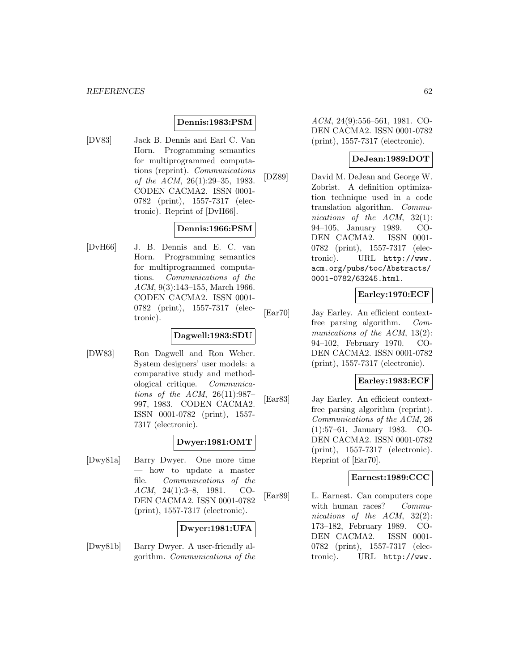### **Dennis:1983:PSM**

[DV83] Jack B. Dennis and Earl C. Van Horn. Programming semantics for multiprogrammed computations (reprint). Communications of the ACM, 26(1):29–35, 1983. CODEN CACMA2. ISSN 0001- 0782 (print), 1557-7317 (electronic). Reprint of [DvH66].

# **Dennis:1966:PSM**

[DvH66] J. B. Dennis and E. C. van Horn. Programming semantics for multiprogrammed computations. Communications of the ACM, 9(3):143–155, March 1966. CODEN CACMA2. ISSN 0001- 0782 (print), 1557-7317 (electronic).

### **Dagwell:1983:SDU**

[DW83] Ron Dagwell and Ron Weber. System designers' user models: a comparative study and methodological critique. Communications of the ACM, 26(11):987– 997, 1983. CODEN CACMA2. ISSN 0001-0782 (print), 1557- 7317 (electronic).

# **Dwyer:1981:OMT**

[Dwy81a] Barry Dwyer. One more time — how to update a master file. Communications of the ACM, 24(1):3–8, 1981. CO-DEN CACMA2. ISSN 0001-0782 (print), 1557-7317 (electronic).

# **Dwyer:1981:UFA**

[Dwy81b] Barry Dwyer. A user-friendly algorithm. Communications of the ACM, 24(9):556–561, 1981. CO-DEN CACMA2. ISSN 0001-0782 (print), 1557-7317 (electronic).

### **DeJean:1989:DOT**

[DZ89] David M. DeJean and George W. Zobrist. A definition optimization technique used in a code translation algorithm. Communications of the ACM, 32(1): 94–105, January 1989. CO-DEN CACMA2. ISSN 0001- 0782 (print), 1557-7317 (electronic). URL http://www. acm.org/pubs/toc/Abstracts/ 0001-0782/63245.html.

### **Earley:1970:ECF**

[Ear70] Jay Earley. An efficient contextfree parsing algorithm. Communications of the ACM, 13(2): 94–102, February 1970. CO-DEN CACMA2. ISSN 0001-0782 (print), 1557-7317 (electronic).

### **Earley:1983:ECF**

[Ear83] Jay Earley. An efficient contextfree parsing algorithm (reprint). Communications of the ACM, 26 (1):57–61, January 1983. CO-DEN CACMA2. ISSN 0001-0782 (print), 1557-7317 (electronic). Reprint of [Ear70].

# **Earnest:1989:CCC**

[Ear89] L. Earnest. Can computers cope with human races? Communications of the ACM, 32(2): 173–182, February 1989. CO-DEN CACMA2. ISSN 0001- 0782 (print), 1557-7317 (electronic). URL http://www.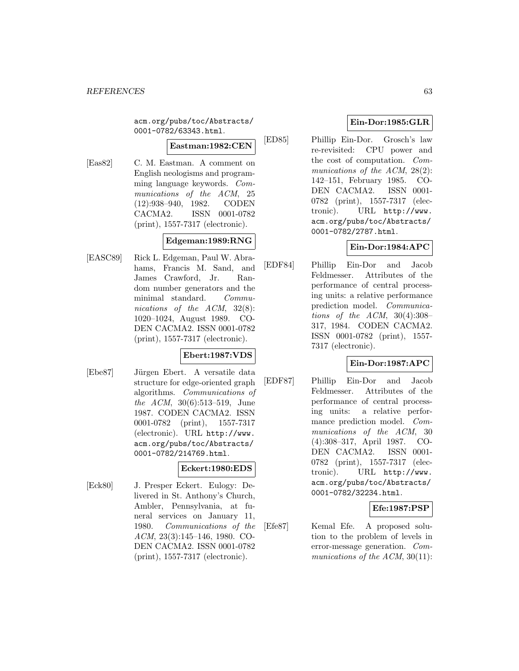acm.org/pubs/toc/Abstracts/ 0001-0782/63343.html.

## **Eastman:1982:CEN**

[Eas82] C. M. Eastman. A comment on English neologisms and programming language keywords. Communications of the ACM, 25 (12):938–940, 1982. CODEN CACMA2. ISSN 0001-0782 (print), 1557-7317 (electronic).

# **Edgeman:1989:RNG**

[EASC89] Rick L. Edgeman, Paul W. Abrahams, Francis M. Sand, and James Crawford, Jr. Random number generators and the minimal standard. Communications of the ACM, 32(8): 1020–1024, August 1989. CO-DEN CACMA2. ISSN 0001-0782 (print), 1557-7317 (electronic).

### **Ebert:1987:VDS**

[Ebe87] Jürgen Ebert. A versatile data structure for edge-oriented graph algorithms. Communications of the ACM, 30(6):513–519, June 1987. CODEN CACMA2. ISSN 0001-0782 (print), 1557-7317 (electronic). URL http://www. acm.org/pubs/toc/Abstracts/ 0001-0782/214769.html.

# **Eckert:1980:EDS**

[Eck80] J. Presper Eckert. Eulogy: Delivered in St. Anthony's Church, Ambler, Pennsylvania, at funeral services on January 11, 1980. Communications of the ACM, 23(3):145–146, 1980. CO-DEN CACMA2. ISSN 0001-0782 (print), 1557-7317 (electronic).

# **Ein-Dor:1985:GLR**

[ED85] Phillip Ein-Dor. Grosch's law re-revisited: CPU power and the cost of computation. Communications of the ACM, 28(2): 142–151, February 1985. CO-DEN CACMA2. ISSN 0001- 0782 (print), 1557-7317 (electronic). URL http://www. acm.org/pubs/toc/Abstracts/ 0001-0782/2787.html.

# **Ein-Dor:1984:APC**

[EDF84] Phillip Ein-Dor and Jacob Feldmesser. Attributes of the performance of central processing units: a relative performance prediction model. Communications of the ACM,  $30(4):308-$ 317, 1984. CODEN CACMA2. ISSN 0001-0782 (print), 1557- 7317 (electronic).

# **Ein-Dor:1987:APC**

[EDF87] Phillip Ein-Dor and Jacob Feldmesser. Attributes of the performance of central processing units: a relative performance prediction model. Communications of the ACM, 30 (4):308–317, April 1987. CO-DEN CACMA2. ISSN 0001- 0782 (print), 1557-7317 (electronic). URL http://www. acm.org/pubs/toc/Abstracts/ 0001-0782/32234.html.

# **Efe:1987:PSP**

[Efe87] Kemal Efe. A proposed solution to the problem of levels in error-message generation. Communications of the ACM, 30(11):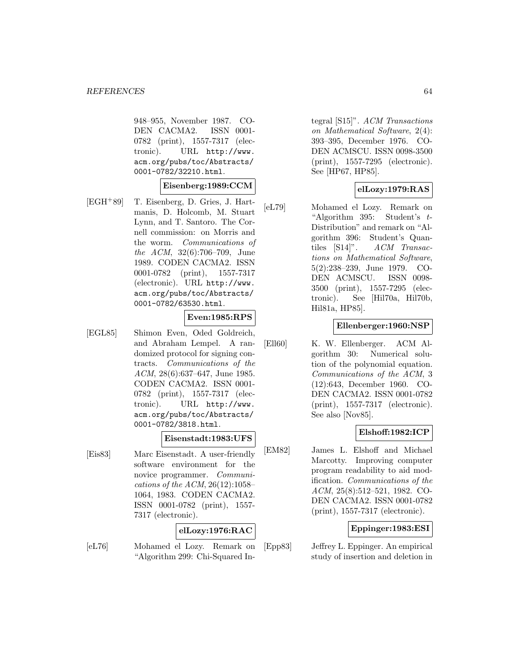948–955, November 1987. CO-DEN CACMA2. ISSN 0001- 0782 (print), 1557-7317 (electronic). URL http://www. acm.org/pubs/toc/Abstracts/ 0001-0782/32210.html.

#### **Eisenberg:1989:CCM**

[EGH<sup>+</sup>89] T. Eisenberg, D. Gries, J. Hartmanis, D. Holcomb, M. Stuart Lynn, and T. Santoro. The Cornell commission: on Morris and the worm. Communications of the ACM, 32(6):706–709, June 1989. CODEN CACMA2. ISSN 0001-0782 (print), 1557-7317 (electronic). URL http://www. acm.org/pubs/toc/Abstracts/ 0001-0782/63530.html.

# **Even:1985:RPS**

[EGL85] Shimon Even, Oded Goldreich, and Abraham Lempel. A randomized protocol for signing contracts. Communications of the ACM, 28(6):637–647, June 1985. CODEN CACMA2. ISSN 0001- 0782 (print), 1557-7317 (electronic). URL http://www. acm.org/pubs/toc/Abstracts/ 0001-0782/3818.html.

### **Eisenstadt:1983:UFS**

[Eis83] Marc Eisenstadt. A user-friendly software environment for the novice programmer. Communications of the ACM, 26(12):1058– 1064, 1983. CODEN CACMA2. ISSN 0001-0782 (print), 1557- 7317 (electronic).

### **elLozy:1976:RAC**

[eL76] Mohamed el Lozy. Remark on "Algorithm 299: Chi-Squared Integral [S15]". ACM Transactions on Mathematical Software, 2(4): 393–395, December 1976. CO-DEN ACMSCU. ISSN 0098-3500 (print), 1557-7295 (electronic). See [HP67, HP85].

### **elLozy:1979:RAS**

[eL79] Mohamed el Lozy. Remark on "Algorithm 395: Student's t-Distribution" and remark on "Algorithm 396: Student's Quantiles [S14]". ACM Transactions on Mathematical Software, 5(2):238–239, June 1979. CO-DEN ACMSCU. ISSN 0098- 3500 (print), 1557-7295 (electronic). See [Hil70a, Hil70b, Hil81a, HP85].

#### **Ellenberger:1960:NSP**

[Ell60] K. W. Ellenberger. ACM Algorithm 30: Numerical solution of the polynomial equation. Communications of the ACM, 3 (12):643, December 1960. CO-DEN CACMA2. ISSN 0001-0782 (print), 1557-7317 (electronic). See also [Nov85].

### **Elshoff:1982:ICP**

[EM82] James L. Elshoff and Michael Marcotty. Improving computer program readability to aid modification. Communications of the ACM, 25(8):512–521, 1982. CO-DEN CACMA2. ISSN 0001-0782 (print), 1557-7317 (electronic).

### **Eppinger:1983:ESI**

[Epp83] Jeffrey L. Eppinger. An empirical study of insertion and deletion in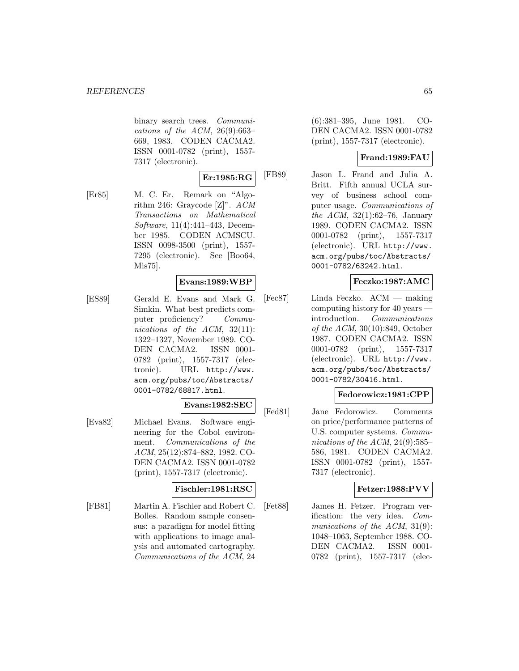binary search trees. Communications of the ACM,  $26(9):663-$ 669, 1983. CODEN CACMA2. ISSN 0001-0782 (print), 1557- 7317 (electronic).

# **Er:1985:RG**

[Er85] M. C. Er. Remark on "Algorithm 246: Graycode [Z]". ACM Transactions on Mathematical Software, 11(4):441–443, December 1985. CODEN ACMSCU. ISSN 0098-3500 (print), 1557- 7295 (electronic). See [Boo64, Mis75].

### **Evans:1989:WBP**

[ES89] Gerald E. Evans and Mark G. Simkin. What best predicts computer proficiency? Communications of the  $ACM$ , 32(11): 1322–1327, November 1989. CO-DEN CACMA2. ISSN 0001- 0782 (print), 1557-7317 (electronic). URL http://www. acm.org/pubs/toc/Abstracts/ 0001-0782/68817.html.

# **Evans:1982:SEC**

[Eva82] Michael Evans. Software engineering for the Cobol environment. Communications of the ACM, 25(12):874–882, 1982. CO-DEN CACMA2. ISSN 0001-0782 (print), 1557-7317 (electronic).

### **Fischler:1981:RSC**

[FB81] Martin A. Fischler and Robert C. Bolles. Random sample consensus: a paradigm for model fitting with applications to image analysis and automated cartography. Communications of the ACM, 24

(6):381–395, June 1981. CO-DEN CACMA2. ISSN 0001-0782 (print), 1557-7317 (electronic).

### **Frand:1989:FAU**

[FB89] Jason L. Frand and Julia A. Britt. Fifth annual UCLA survey of business school computer usage. Communications of the ACM, 32(1):62–76, January 1989. CODEN CACMA2. ISSN 0001-0782 (print), 1557-7317 (electronic). URL http://www. acm.org/pubs/toc/Abstracts/ 0001-0782/63242.html.

### **Feczko:1987:AMC**

[Fec87] Linda Feczko. ACM — making computing history for 40 years introduction. Communications of the ACM, 30(10):849, October 1987. CODEN CACMA2. ISSN 0001-0782 (print), 1557-7317 (electronic). URL http://www. acm.org/pubs/toc/Abstracts/ 0001-0782/30416.html.

### **Fedorowicz:1981:CPP**

[Fed81] Jane Fedorowicz. Comments on price/performance patterns of U.S. computer systems. Communications of the ACM, 24(9):585– 586, 1981. CODEN CACMA2. ISSN 0001-0782 (print), 1557- 7317 (electronic).

### **Fetzer:1988:PVV**

[Fet88] James H. Fetzer. Program verification: the very idea. Communications of the ACM, 31(9): 1048–1063, September 1988. CO-DEN CACMA2. ISSN 0001- 0782 (print), 1557-7317 (elec-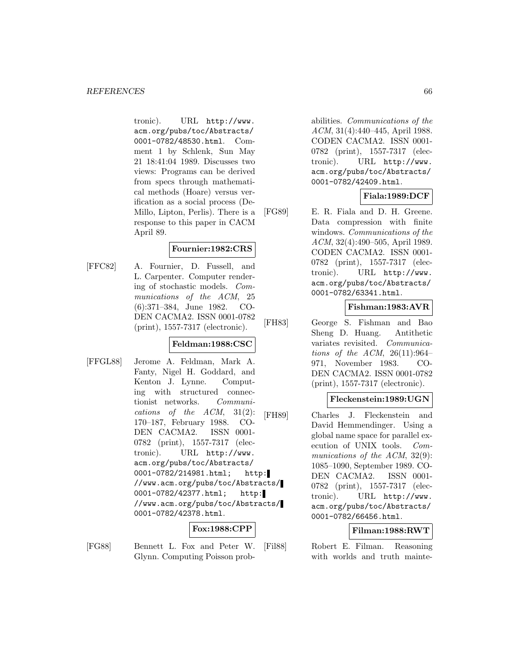tronic). URL http://www. acm.org/pubs/toc/Abstracts/ 0001-0782/48530.html. Comment 1 by Schlenk, Sun May 21 18:41:04 1989. Discusses two views: Programs can be derived from specs through mathematical methods (Hoare) versus verification as a social process (De-Millo, Lipton, Perlis). There is a response to this paper in CACM April 89.

### **Fournier:1982:CRS**

[FFC82] A. Fournier, D. Fussell, and L. Carpenter. Computer rendering of stochastic models. Communications of the ACM, 25 (6):371–384, June 1982. CO-DEN CACMA2. ISSN 0001-0782 (print), 1557-7317 (electronic).

### **Feldman:1988:CSC**

[FFGL88] Jerome A. Feldman, Mark A. Fanty, Nigel H. Goddard, and Kenton J. Lynne. Computing with structured connectionist networks. Communications of the  $ACM$ ,  $31(2)$ : 170–187, February 1988. CO-DEN CACMA2. ISSN 0001- 0782 (print), 1557-7317 (electronic). URL http://www. acm.org/pubs/toc/Abstracts/ 0001-0782/214981.html; http: //www.acm.org/pubs/toc/Abstracts/ 0001-0782/42377.html; http: //www.acm.org/pubs/toc/Abstracts/ 0001-0782/42378.html.

# **Fox:1988:CPP**

[FG88] Bennett L. Fox and Peter W. Glynn. Computing Poisson probabilities. Communications of the ACM, 31(4):440–445, April 1988. CODEN CACMA2. ISSN 0001- 0782 (print), 1557-7317 (electronic). URL http://www. acm.org/pubs/toc/Abstracts/ 0001-0782/42409.html.

# **Fiala:1989:DCF**

[FG89] E. R. Fiala and D. H. Greene. Data compression with finite windows. Communications of the ACM, 32(4):490–505, April 1989. CODEN CACMA2. ISSN 0001- 0782 (print), 1557-7317 (electronic). URL http://www. acm.org/pubs/toc/Abstracts/ 0001-0782/63341.html.

### **Fishman:1983:AVR**

[FH83] George S. Fishman and Bao Sheng D. Huang. Antithetic variates revisited. Communications of the ACM,  $26(11):964-$ 971, November 1983. CO-DEN CACMA2. ISSN 0001-0782 (print), 1557-7317 (electronic).

### **Fleckenstein:1989:UGN**

[FH89] Charles J. Fleckenstein and David Hemmendinger. Using a global name space for parallel execution of UNIX tools. Communications of the ACM, 32(9): 1085–1090, September 1989. CO-DEN CACMA2. ISSN 0001- 0782 (print), 1557-7317 (electronic). URL http://www. acm.org/pubs/toc/Abstracts/ 0001-0782/66456.html.

### **Filman:1988:RWT**

[Fil88] Robert E. Filman. Reasoning with worlds and truth mainte-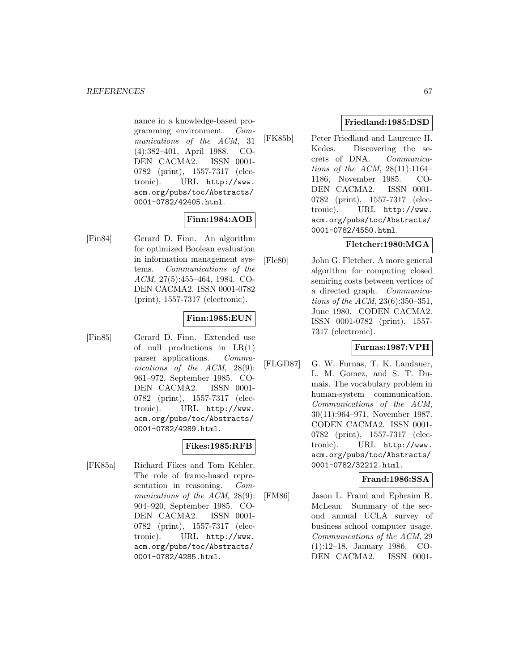nance in a knowledge-based programming environment. Communications of the ACM, 31 (4):382–401, April 1988. CO-DEN CACMA2. ISSN 0001- 0782 (print), 1557-7317 (electronic). URL http://www. acm.org/pubs/toc/Abstracts/ 0001-0782/42405.html.

# **Finn:1984:AOB**

[Fin84] Gerard D. Finn. An algorithm for optimized Boolean evaluation in information management systems. Communications of the ACM, 27(5):455–464, 1984. CO-DEN CACMA2. ISSN 0001-0782 (print), 1557-7317 (electronic).

# **Finn:1985:EUN**

[Fin85] Gerard D. Finn. Extended use of null productions in  $LR(1)$ parser applications. Communications of the ACM, 28(9): 961–972, September 1985. CO-DEN CACMA2. ISSN 0001- 0782 (print), 1557-7317 (electronic). URL http://www. acm.org/pubs/toc/Abstracts/ 0001-0782/4289.html.

# **Fikes:1985:RFB**

[FK85a] Richard Fikes and Tom Kehler. The role of frame-based representation in reasoning. Communications of the ACM, 28(9): 904–920, September 1985. CO-DEN CACMA2. ISSN 0001- 0782 (print), 1557-7317 (electronic). URL http://www. acm.org/pubs/toc/Abstracts/ 0001-0782/4285.html.

# **Friedland:1985:DSD**

[FK85b] Peter Friedland and Laurence H. Kedes. Discovering the secrets of DNA. Communications of the ACM, 28(11):1164– 1186, November 1985. CO-DEN CACMA2. ISSN 0001- 0782 (print), 1557-7317 (electronic). URL http://www. acm.org/pubs/toc/Abstracts/ 0001-0782/4550.html.

# **Fletcher:1980:MGA**

[Fle80] John G. Fletcher. A more general algorithm for computing closed semiring costs between vertices of a directed graph. Communications of the ACM, 23(6):350–351, June 1980. CODEN CACMA2. ISSN 0001-0782 (print), 1557- 7317 (electronic).

# **Furnas:1987:VPH**

[FLGD87] G. W. Furnas, T. K. Landauer, L. M. Gomez, and S. T. Dumais. The vocabulary problem in human-system communication. Communications of the ACM, 30(11):964–971, November 1987. CODEN CACMA2. ISSN 0001- 0782 (print), 1557-7317 (electronic). URL http://www. acm.org/pubs/toc/Abstracts/ 0001-0782/32212.html.

# **Frand:1986:SSA**

[FM86] Jason L. Frand and Ephraim R. McLean. Summary of the second annual UCLA survey of business school computer usage. Communications of the ACM, 29 (1):12–18, January 1986. CO-DEN CACMA2. ISSN 0001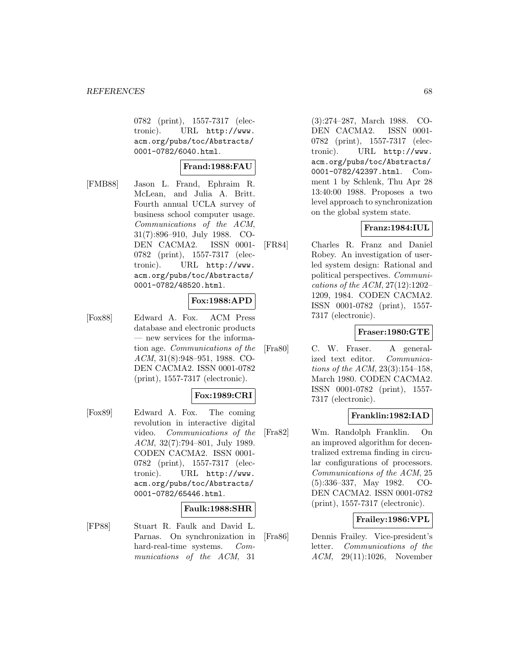0782 (print), 1557-7317 (electronic). URL http://www. acm.org/pubs/toc/Abstracts/ 0001-0782/6040.html.

# **Frand:1988:FAU**

[FMB88] Jason L. Frand, Ephraim R. McLean, and Julia A. Britt. Fourth annual UCLA survey of business school computer usage. Communications of the ACM, 31(7):896–910, July 1988. CO-DEN CACMA2. ISSN 0001- 0782 (print), 1557-7317 (electronic). URL http://www. acm.org/pubs/toc/Abstracts/ 0001-0782/48520.html.

### **Fox:1988:APD**

[Fox88] Edward A. Fox. ACM Press database and electronic products — new services for the information age. Communications of the ACM, 31(8):948–951, 1988. CO-DEN CACMA2. ISSN 0001-0782 (print), 1557-7317 (electronic).

### **Fox:1989:CRI**

[Fox89] Edward A. Fox. The coming revolution in interactive digital video. Communications of the ACM, 32(7):794–801, July 1989. CODEN CACMA2. ISSN 0001- 0782 (print), 1557-7317 (electronic). URL http://www. acm.org/pubs/toc/Abstracts/ 0001-0782/65446.html.

#### **Faulk:1988:SHR**

[FP88] Stuart R. Faulk and David L. Parnas. On synchronization in hard-real-time systems. Communications of the ACM, 31

(3):274–287, March 1988. CO-DEN CACMA2. ISSN 0001- 0782 (print), 1557-7317 (electronic). URL http://www. acm.org/pubs/toc/Abstracts/ 0001-0782/42397.html. Comment 1 by Schlenk, Thu Apr 28 13:40:00 1988. Proposes a two level approach to synchronization on the global system state.

# **Franz:1984:IUL**

[FR84] Charles R. Franz and Daniel Robey. An investigation of userled system design: Rational and political perspectives. Communications of the ACM, 27(12):1202– 1209, 1984. CODEN CACMA2. ISSN 0001-0782 (print), 1557- 7317 (electronic).

### **Fraser:1980:GTE**

[Fra80] C. W. Fraser. A generalized text editor. Communications of the ACM, 23(3):154–158, March 1980. CODEN CACMA2. ISSN 0001-0782 (print), 1557- 7317 (electronic).

# **Franklin:1982:IAD**

[Fra82] Wm. Randolph Franklin. On an improved algorithm for decentralized extrema finding in circular configurations of processors. Communications of the ACM, 25 (5):336–337, May 1982. CO-DEN CACMA2. ISSN 0001-0782 (print), 1557-7317 (electronic).

# **Frailey:1986:VPL**

[Fra86] Dennis Frailey. Vice-president's letter. Communications of the ACM, 29(11):1026, November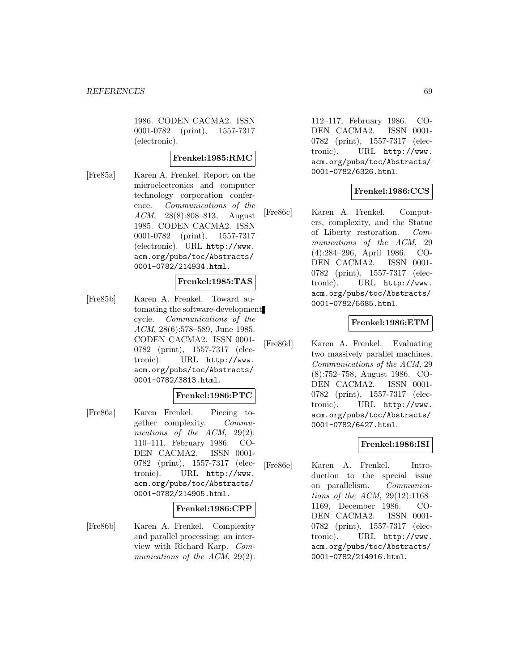1986. CODEN CACMA2. ISSN 0001-0782 (print), 1557-7317 (electronic).

### **Frenkel:1985:RMC**

[Fre85a] Karen A. Frenkel. Report on the microelectronics and computer technology corporation conference. Communications of the ACM, 28(8):808–813, August 1985. CODEN CACMA2. ISSN 0001-0782 (print), 1557-7317 (electronic). URL http://www. acm.org/pubs/toc/Abstracts/ 0001-0782/214934.html.

### **Frenkel:1985:TAS**

[Fre85b] Karen A. Frenkel. Toward automating the software-development cycle. Communications of the ACM, 28(6):578–589, June 1985. CODEN CACMA2. ISSN 0001- 0782 (print), 1557-7317 (electronic). URL http://www. acm.org/pubs/toc/Abstracts/ 0001-0782/3813.html.

### **Frenkel:1986:PTC**

[Fre86a] Karen Frenkel. Piecing together complexity. Communications of the ACM, 29(2): 110–111, February 1986. CO-DEN CACMA2. ISSN 0001- 0782 (print), 1557-7317 (electronic). URL http://www. acm.org/pubs/toc/Abstracts/ 0001-0782/214905.html.

### **Frenkel:1986:CPP**

[Fre86b] Karen A. Frenkel. Complexity and parallel processing: an interview with Richard Karp. Communications of the ACM, 29(2):

112–117, February 1986. CO-DEN CACMA2. ISSN 0001- 0782 (print), 1557-7317 (electronic). URL http://www. acm.org/pubs/toc/Abstracts/ 0001-0782/6326.html.

# **Frenkel:1986:CCS**

[Fre86c] Karen A. Frenkel. Computers, complexity, and the Statue of Liberty restoration. Communications of the ACM, 29 (4):284–296, April 1986. CO-DEN CACMA2. ISSN 0001- 0782 (print), 1557-7317 (electronic). URL http://www. acm.org/pubs/toc/Abstracts/ 0001-0782/5685.html.

### **Frenkel:1986:ETM**

[Fre86d] Karen A. Frenkel. Evaluating two massively parallel machines. Communications of the ACM, 29 (8):752–758, August 1986. CO-DEN CACMA2. ISSN 0001- 0782 (print), 1557-7317 (electronic). URL http://www. acm.org/pubs/toc/Abstracts/ 0001-0782/6427.html.

### **Frenkel:1986:ISI**

[Fre86e] Karen A. Frenkel. Introduction to the special issue on parallelism. Communications of the ACM, 29(12):1168– 1169, December 1986. CO-DEN CACMA2. ISSN 0001- 0782 (print), 1557-7317 (electronic). URL http://www. acm.org/pubs/toc/Abstracts/ 0001-0782/214916.html.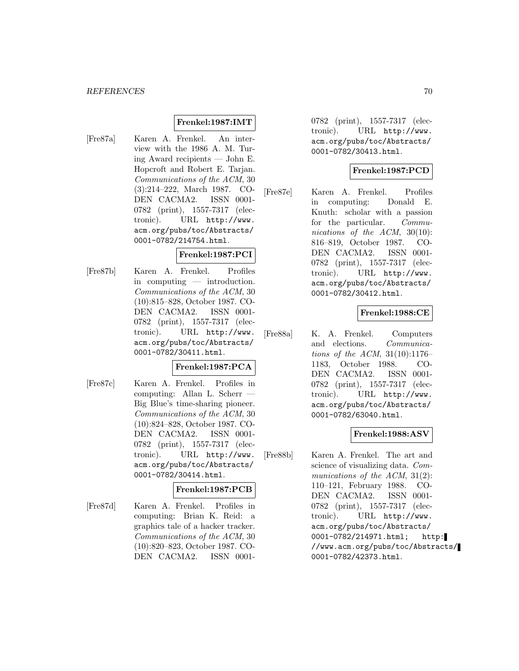### **Frenkel:1987:IMT**

[Fre87a] Karen A. Frenkel. An interview with the 1986 A. M. Turing Award recipients — John E. Hopcroft and Robert E. Tarjan. Communications of the ACM, 30 (3):214–222, March 1987. CO-DEN CACMA2. ISSN 0001- 0782 (print), 1557-7317 (electronic). URL http://www. acm.org/pubs/toc/Abstracts/ 0001-0782/214754.html.

### **Frenkel:1987:PCI**

[Fre87b] Karen A. Frenkel. Profiles in computing — introduction. Communications of the ACM, 30 (10):815–828, October 1987. CO-DEN CACMA2. ISSN 0001- 0782 (print), 1557-7317 (electronic). URL http://www. acm.org/pubs/toc/Abstracts/ 0001-0782/30411.html.

#### **Frenkel:1987:PCA**

[Fre87c] Karen A. Frenkel. Profiles in computing: Allan L. Scherr — Big Blue's time-sharing pioneer. Communications of the ACM, 30 (10):824–828, October 1987. CO-DEN CACMA2. ISSN 0001- 0782 (print), 1557-7317 (electronic). URL http://www. acm.org/pubs/toc/Abstracts/ 0001-0782/30414.html.

### **Frenkel:1987:PCB**

[Fre87d] Karen A. Frenkel. Profiles in computing: Brian K. Reid: a graphics tale of a hacker tracker. Communications of the ACM, 30 (10):820–823, October 1987. CO-DEN CACMA2. ISSN 00010782 (print), 1557-7317 (electronic). URL http://www. acm.org/pubs/toc/Abstracts/ 0001-0782/30413.html.

# **Frenkel:1987:PCD**

[Fre87e] Karen A. Frenkel. Profiles in computing: Donald E. Knuth: scholar with a passion for the particular. Communications of the ACM, 30(10): 816–819, October 1987. CO-DEN CACMA2. ISSN 0001- 0782 (print), 1557-7317 (electronic). URL http://www. acm.org/pubs/toc/Abstracts/ 0001-0782/30412.html.

### **Frenkel:1988:CE**

[Fre88a] K. A. Frenkel. Computers and elections. Communications of the ACM, 31(10):1176– 1183, October 1988. CO-DEN CACMA2. ISSN 0001- 0782 (print), 1557-7317 (electronic). URL http://www. acm.org/pubs/toc/Abstracts/ 0001-0782/63040.html.

### **Frenkel:1988:ASV**

[Fre88b] Karen A. Frenkel. The art and science of visualizing data. Communications of the ACM, 31(2): 110–121, February 1988. CO-DEN CACMA2. ISSN 0001- 0782 (print), 1557-7317 (electronic). URL http://www. acm.org/pubs/toc/Abstracts/ 0001-0782/214971.html; http: //www.acm.org/pubs/toc/Abstracts/ 0001-0782/42373.html.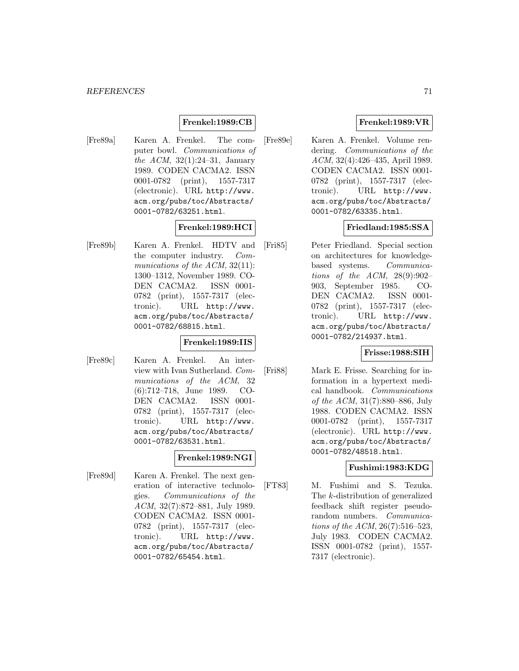## **Frenkel:1989:CB**

[Fre89a] Karen A. Frenkel. The computer bowl. Communications of the ACM,  $32(1):24-31$ , January 1989. CODEN CACMA2. ISSN 0001-0782 (print), 1557-7317 (electronic). URL http://www. acm.org/pubs/toc/Abstracts/ 0001-0782/63251.html.

### **Frenkel:1989:HCI**

[Fre89b] Karen A. Frenkel. HDTV and the computer industry. Communications of the ACM, 32(11): 1300–1312, November 1989. CO-DEN CACMA2. ISSN 0001- 0782 (print), 1557-7317 (electronic). URL http://www. acm.org/pubs/toc/Abstracts/ 0001-0782/68815.html.

### **Frenkel:1989:IIS**

[Fre89c] Karen A. Frenkel. An interview with Ivan Sutherland. Communications of the ACM, 32 (6):712–718, June 1989. CO-DEN CACMA2. ISSN 0001- 0782 (print), 1557-7317 (electronic). URL http://www. acm.org/pubs/toc/Abstracts/ 0001-0782/63531.html.

### **Frenkel:1989:NGI**

[Fre89d] Karen A. Frenkel. The next generation of interactive technologies. Communications of the ACM, 32(7):872–881, July 1989. CODEN CACMA2. ISSN 0001- 0782 (print), 1557-7317 (electronic). URL http://www. acm.org/pubs/toc/Abstracts/ 0001-0782/65454.html.

## **Frenkel:1989:VR**

[Fre89e] Karen A. Frenkel. Volume rendering. Communications of the ACM, 32(4):426–435, April 1989. CODEN CACMA2. ISSN 0001- 0782 (print), 1557-7317 (electronic). URL http://www. acm.org/pubs/toc/Abstracts/ 0001-0782/63335.html.

### **Friedland:1985:SSA**

[Fri85] Peter Friedland. Special section on architectures for knowledgebased systems. Communications of the ACM,  $28(9):902-$ 903, September 1985. CO-DEN CACMA2. ISSN 0001- 0782 (print), 1557-7317 (electronic). URL http://www. acm.org/pubs/toc/Abstracts/ 0001-0782/214937.html.

### **Frisse:1988:SIH**

[Fri88] Mark E. Frisse. Searching for information in a hypertext medical handbook. Communications of the ACM, 31(7):880–886, July 1988. CODEN CACMA2. ISSN 0001-0782 (print), 1557-7317 (electronic). URL http://www. acm.org/pubs/toc/Abstracts/ 0001-0782/48518.html.

# **Fushimi:1983:KDG**

[FT83] M. Fushimi and S. Tezuka. The k-distribution of generalized feedback shift register pseudorandom numbers. Communications of the ACM, 26(7):516–523, July 1983. CODEN CACMA2. ISSN 0001-0782 (print), 1557- 7317 (electronic).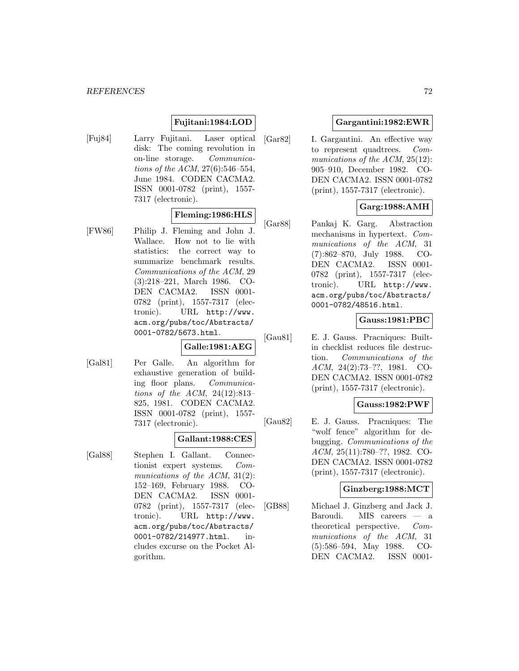### **Fujitani:1984:LOD**

[Fuj84] Larry Fujitani. Laser optical disk: The coming revolution in on-line storage. Communications of the ACM, 27(6):546–554, June 1984. CODEN CACMA2. ISSN 0001-0782 (print), 1557- 7317 (electronic).

# **Fleming:1986:HLS**

[FW86] Philip J. Fleming and John J. Wallace. How not to lie with statistics: the correct way to summarize benchmark results. Communications of the ACM, 29 (3):218–221, March 1986. CO-DEN CACMA2. ISSN 0001- 0782 (print), 1557-7317 (electronic). URL http://www. acm.org/pubs/toc/Abstracts/ 0001-0782/5673.html.

#### **Galle:1981:AEG**

[Gal81] Per Galle. An algorithm for exhaustive generation of building floor plans. Communications of the ACM, 24(12):813– 825, 1981. CODEN CACMA2. ISSN 0001-0782 (print), 1557- 7317 (electronic).

### **Gallant:1988:CES**

[Gal88] Stephen I. Gallant. Connectionist expert systems. Communications of the ACM, 31(2): 152–169, February 1988. CO-DEN CACMA2. ISSN 0001-0782 (print), 1557-7317 (electronic). URL http://www. acm.org/pubs/toc/Abstracts/ 0001-0782/214977.html. includes excurse on the Pocket Algorithm.

### **Gargantini:1982:EWR**

[Gar82] I. Gargantini. An effective way to represent quadtrees. Communications of the ACM, 25(12): 905–910, December 1982. CO-DEN CACMA2. ISSN 0001-0782 (print), 1557-7317 (electronic).

# **Garg:1988:AMH**

[Gar88] Pankaj K. Garg. Abstraction mechanisms in hypertext. Communications of the ACM, 31 (7):862–870, July 1988. CO-DEN CACMA2. ISSN 0001- 0782 (print), 1557-7317 (electronic). URL http://www. acm.org/pubs/toc/Abstracts/ 0001-0782/48516.html.

### **Gauss:1981:PBC**

[Gau81] E. J. Gauss. Pracniques: Builtin checklist reduces file destruction. Communications of the ACM, 24(2):73–??, 1981. CO-DEN CACMA2. ISSN 0001-0782 (print), 1557-7317 (electronic).

### **Gauss:1982:PWF**

[Gau82] E. J. Gauss. Pracniques: The "wolf fence" algorithm for debugging. Communications of the ACM, 25(11):780–??, 1982. CO-DEN CACMA2. ISSN 0001-0782 (print), 1557-7317 (electronic).

### **Ginzberg:1988:MCT**

[GB88] Michael J. Ginzberg and Jack J. Baroudi. MIS careers — a theoretical perspective. Communications of the ACM, 31 (5):586–594, May 1988. CO-DEN CACMA2. ISSN 0001-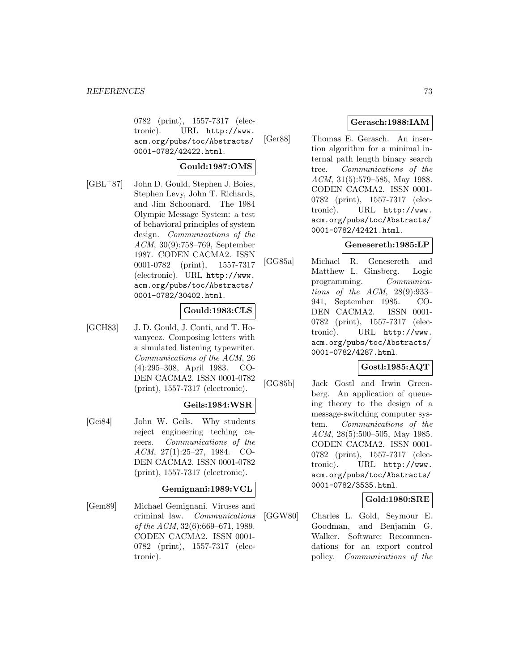0782 (print), 1557-7317 (electronic). URL http://www. acm.org/pubs/toc/Abstracts/ 0001-0782/42422.html.

# **Gould:1987:OMS**

[GBL<sup>+</sup>87] John D. Gould, Stephen J. Boies, Stephen Levy, John T. Richards, and Jim Schoonard. The 1984 Olympic Message System: a test of behavioral principles of system design. Communications of the ACM, 30(9):758–769, September 1987. CODEN CACMA2. ISSN 0001-0782 (print), 1557-7317 (electronic). URL http://www. acm.org/pubs/toc/Abstracts/ 0001-0782/30402.html.

# **Gould:1983:CLS**

[GCH83] J. D. Gould, J. Conti, and T. Hovanyecz. Composing letters with a simulated listening typewriter. Communications of the ACM, 26 (4):295–308, April 1983. CO-DEN CACMA2. ISSN 0001-0782 (print), 1557-7317 (electronic).

# **Geils:1984:WSR**

[Gei84] John W. Geils. Why students reject engineering teching careers. Communications of the ACM, 27(1):25–27, 1984. CO-DEN CACMA2. ISSN 0001-0782 (print), 1557-7317 (electronic).

# **Gemignani:1989:VCL**

[Gem89] Michael Gemignani. Viruses and criminal law. Communications of the ACM, 32(6):669–671, 1989. CODEN CACMA2. ISSN 0001- 0782 (print), 1557-7317 (electronic).

# **Gerasch:1988:IAM**

[Ger88] Thomas E. Gerasch. An insertion algorithm for a minimal internal path length binary search tree. Communications of the ACM, 31(5):579–585, May 1988. CODEN CACMA2. ISSN 0001- 0782 (print), 1557-7317 (electronic). URL http://www. acm.org/pubs/toc/Abstracts/ 0001-0782/42421.html.

# **Genesereth:1985:LP**

[GG85a] Michael R. Genesereth and Matthew L. Ginsberg. Logic programming. Communications of the ACM, 28(9):933– 941, September 1985. CO-DEN CACMA2. ISSN 0001- 0782 (print), 1557-7317 (electronic). URL http://www. acm.org/pubs/toc/Abstracts/ 0001-0782/4287.html.

# **Gostl:1985:AQT**

[GG85b] Jack Gostl and Irwin Greenberg. An application of queueing theory to the design of a message-switching computer system. Communications of the ACM, 28(5):500–505, May 1985. CODEN CACMA2. ISSN 0001- 0782 (print), 1557-7317 (electronic). URL http://www. acm.org/pubs/toc/Abstracts/ 0001-0782/3535.html.

# **Gold:1980:SRE**

[GGW80] Charles L. Gold, Seymour E. Goodman, and Benjamin G. Walker. Software: Recommendations for an export control policy. Communications of the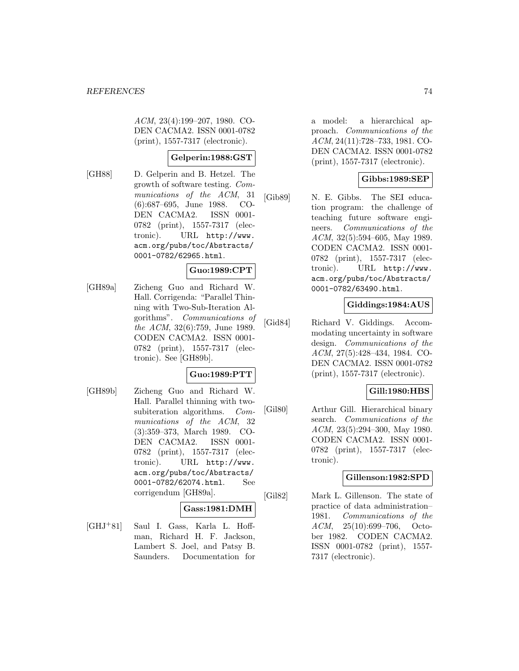ACM, 23(4):199–207, 1980. CO-DEN CACMA2. ISSN 0001-0782 (print), 1557-7317 (electronic).

### **Gelperin:1988:GST**

[GH88] D. Gelperin and B. Hetzel. The growth of software testing. Communications of the ACM, 31 (6):687–695, June 1988. CO-DEN CACMA2. ISSN 0001- 0782 (print), 1557-7317 (electronic). URL http://www. acm.org/pubs/toc/Abstracts/ 0001-0782/62965.html.

# **Guo:1989:CPT**

[GH89a] Zicheng Guo and Richard W. Hall. Corrigenda: "Parallel Thinning with Two-Sub-Iteration Algorithms". Communications of the ACM, 32(6):759, June 1989. CODEN CACMA2. ISSN 0001- 0782 (print), 1557-7317 (electronic). See [GH89b].

# **Guo:1989:PTT**

[GH89b] Zicheng Guo and Richard W. Hall. Parallel thinning with twosubiteration algorithms. Communications of the ACM, 32 (3):359–373, March 1989. CO-DEN CACMA2. ISSN 0001- 0782 (print), 1557-7317 (electronic). URL http://www. acm.org/pubs/toc/Abstracts/ 0001-0782/62074.html. See corrigendum [GH89a].

#### **Gass:1981:DMH**

[GHJ<sup>+</sup>81] Saul I. Gass, Karla L. Hoffman, Richard H. F. Jackson, Lambert S. Joel, and Patsy B. Saunders. Documentation for a model: a hierarchical approach. Communications of the ACM, 24(11):728–733, 1981. CO-DEN CACMA2. ISSN 0001-0782 (print), 1557-7317 (electronic).

### **Gibbs:1989:SEP**

[Gib89] N. E. Gibbs. The SEI education program: the challenge of teaching future software engineers. Communications of the ACM, 32(5):594–605, May 1989. CODEN CACMA2. ISSN 0001- 0782 (print), 1557-7317 (electronic). URL http://www. acm.org/pubs/toc/Abstracts/ 0001-0782/63490.html.

### **Giddings:1984:AUS**

[Gid84] Richard V. Giddings. Accommodating uncertainty in software design. Communications of the ACM, 27(5):428–434, 1984. CO-DEN CACMA2. ISSN 0001-0782 (print), 1557-7317 (electronic).

# **Gill:1980:HBS**

[Gil80] Arthur Gill. Hierarchical binary search. Communications of the ACM, 23(5):294–300, May 1980. CODEN CACMA2. ISSN 0001- 0782 (print), 1557-7317 (electronic).

#### **Gillenson:1982:SPD**

[Gil82] Mark L. Gillenson. The state of practice of data administration– 1981. Communications of the ACM, 25(10):699–706, October 1982. CODEN CACMA2. ISSN 0001-0782 (print), 1557- 7317 (electronic).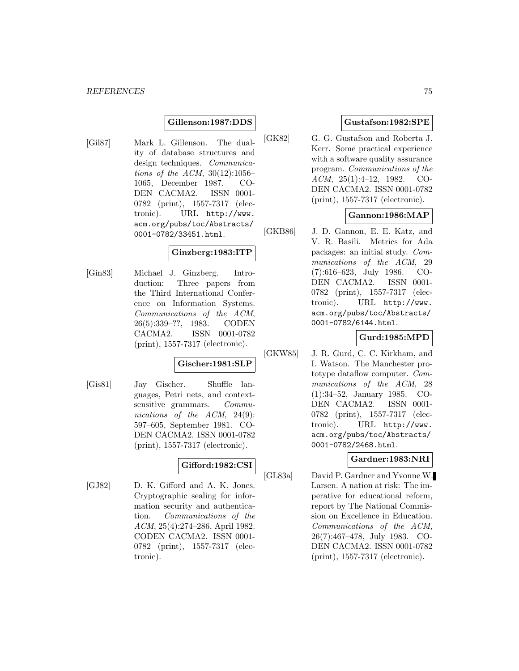#### **Gillenson:1987:DDS**

[Gil87] Mark L. Gillenson. The duality of database structures and design techniques. Communications of the ACM, 30(12):1056– 1065, December 1987. CO-DEN CACMA2. ISSN 0001- 0782 (print), 1557-7317 (electronic). URL http://www. acm.org/pubs/toc/Abstracts/ 0001-0782/33451.html.

### **Ginzberg:1983:ITP**

[Gin83] Michael J. Ginzberg. Introduction: Three papers from the Third International Conference on Information Systems. Communications of the ACM, 26(5):339–??, 1983. CODEN CACMA2. ISSN 0001-0782 (print), 1557-7317 (electronic).

# **Gischer:1981:SLP**

[Gis81] Jay Gischer. Shuffle languages, Petri nets, and contextsensitive grammars. Communications of the ACM, 24(9): 597–605, September 1981. CO-DEN CACMA2. ISSN 0001-0782 (print), 1557-7317 (electronic).

# **Gifford:1982:CSI**

[GJ82] D. K. Gifford and A. K. Jones. Cryptographic sealing for information security and authentication. Communications of the ACM, 25(4):274–286, April 1982. CODEN CACMA2. ISSN 0001- 0782 (print), 1557-7317 (electronic).

### **Gustafson:1982:SPE**

[GK82] G. G. Gustafson and Roberta J. Kerr. Some practical experience with a software quality assurance program. Communications of the ACM, 25(1):4–12, 1982. CO-DEN CACMA2. ISSN 0001-0782 (print), 1557-7317 (electronic).

#### **Gannon:1986:MAP**

[GKB86] J. D. Gannon, E. E. Katz, and V. R. Basili. Metrics for Ada packages: an initial study. Communications of the ACM, 29 (7):616–623, July 1986. CO-DEN CACMA2. ISSN 0001- 0782 (print), 1557-7317 (electronic). URL http://www. acm.org/pubs/toc/Abstracts/ 0001-0782/6144.html.

#### **Gurd:1985:MPD**

[GKW85] J. R. Gurd, C. C. Kirkham, and I. Watson. The Manchester prototype dataflow computer. Communications of the ACM, 28 (1):34–52, January 1985. CO-DEN CACMA2. ISSN 0001- 0782 (print), 1557-7317 (electronic). URL http://www. acm.org/pubs/toc/Abstracts/ 0001-0782/2468.html.

# **Gardner:1983:NRI**

[GL83a] David P. Gardner and Yvonne W. Larsen. A nation at risk: The imperative for educational reform, report by The National Commission on Excellence in Education. Communications of the ACM, 26(7):467–478, July 1983. CO-DEN CACMA2. ISSN 0001-0782 (print), 1557-7317 (electronic).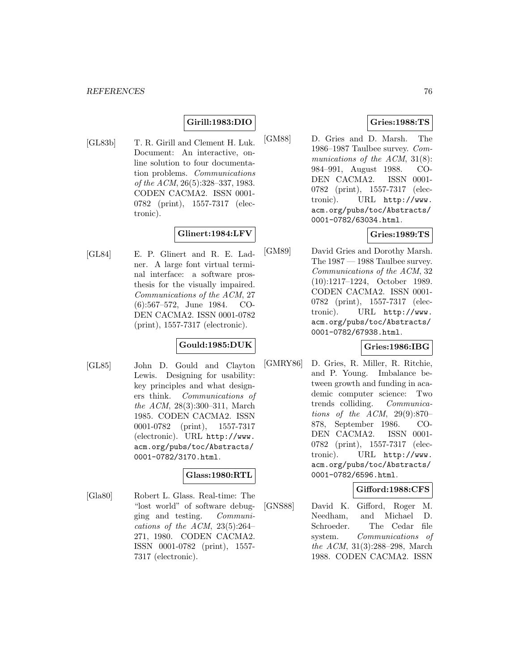# **Girill:1983:DIO**

[GL83b] T. R. Girill and Clement H. Luk. Document: An interactive, online solution to four documentation problems. Communications of the ACM, 26(5):328–337, 1983. CODEN CACMA2. ISSN 0001- 0782 (print), 1557-7317 (electronic).

# **Glinert:1984:LFV**

[GL84] E. P. Glinert and R. E. Ladner. A large font virtual terminal interface: a software prosthesis for the visually impaired. Communications of the ACM, 27 (6):567–572, June 1984. CO-DEN CACMA2. ISSN 0001-0782 (print), 1557-7317 (electronic).

# **Gould:1985:DUK**

[GL85] John D. Gould and Clayton Lewis. Designing for usability: key principles and what designers think. Communications of the ACM, 28(3):300–311, March 1985. CODEN CACMA2. ISSN 0001-0782 (print), 1557-7317 (electronic). URL http://www. acm.org/pubs/toc/Abstracts/ 0001-0782/3170.html.

### **Glass:1980:RTL**

[Gla80] Robert L. Glass. Real-time: The "lost world" of software debugging and testing. Communications of the ACM,  $23(5):264-$ 271, 1980. CODEN CACMA2. ISSN 0001-0782 (print), 1557- 7317 (electronic).

### **Gries:1988:TS**

[GM88] D. Gries and D. Marsh. The 1986–1987 Taulbee survey. Communications of the ACM, 31(8): 984–991, August 1988. CO-DEN CACMA2. ISSN 0001- 0782 (print), 1557-7317 (electronic). URL http://www. acm.org/pubs/toc/Abstracts/ 0001-0782/63034.html.

#### **Gries:1989:TS**

[GM89] David Gries and Dorothy Marsh. The 1987 — 1988 Taulbee survey. Communications of the ACM, 32 (10):1217–1224, October 1989. CODEN CACMA2. ISSN 0001- 0782 (print), 1557-7317 (electronic). URL http://www. acm.org/pubs/toc/Abstracts/ 0001-0782/67938.html.

# **Gries:1986:IBG**

[GMRY86] D. Gries, R. Miller, R. Ritchie, and P. Young. Imbalance between growth and funding in academic computer science: Two trends colliding. Communications of the ACM, 29(9):870– 878, September 1986. CO-DEN CACMA2. ISSN 0001- 0782 (print), 1557-7317 (electronic). URL http://www. acm.org/pubs/toc/Abstracts/ 0001-0782/6596.html.

#### **Gifford:1988:CFS**

[GNS88] David K. Gifford, Roger M. Needham, and Michael D. Schroeder. The Cedar file system. Communications of the ACM, 31(3):288–298, March 1988. CODEN CACMA2. ISSN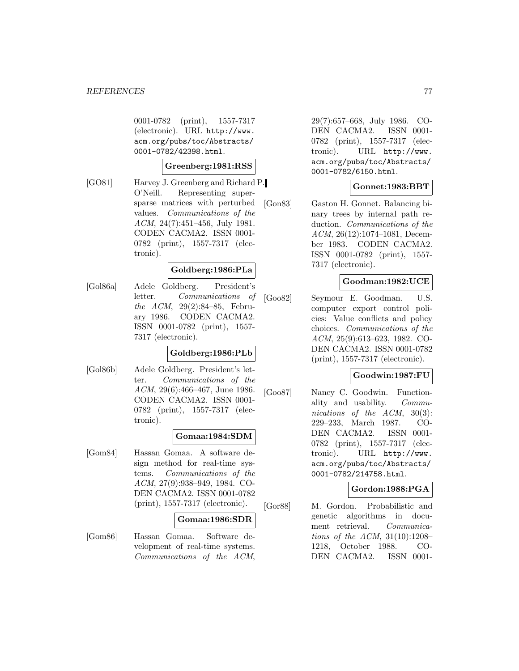0001-0782 (print), 1557-7317 (electronic). URL http://www. acm.org/pubs/toc/Abstracts/ 0001-0782/42398.html.

#### **Greenberg:1981:RSS**

[GO81] Harvey J. Greenberg and Richard P. O'Neill. Representing supersparse matrices with perturbed values. Communications of the ACM, 24(7):451–456, July 1981. CODEN CACMA2. ISSN 0001- 0782 (print), 1557-7317 (electronic).

#### **Goldberg:1986:PLa**

[Gol86a] Adele Goldberg. President's letter. Communications of the ACM, 29(2):84–85, February 1986. CODEN CACMA2. ISSN 0001-0782 (print), 1557- 7317 (electronic).

#### **Goldberg:1986:PLb**

[Gol86b] Adele Goldberg. President's letter. Communications of the ACM, 29(6):466–467, June 1986. CODEN CACMA2. ISSN 0001- 0782 (print), 1557-7317 (electronic).

#### **Gomaa:1984:SDM**

[Gom84] Hassan Gomaa. A software design method for real-time systems. Communications of the ACM, 27(9):938–949, 1984. CO-DEN CACMA2. ISSN 0001-0782 (print), 1557-7317 (electronic).

#### **Gomaa:1986:SDR**

[Gom86] Hassan Gomaa. Software development of real-time systems. Communications of the ACM,

29(7):657–668, July 1986. CO-DEN CACMA2. ISSN 0001- 0782 (print), 1557-7317 (electronic). URL http://www. acm.org/pubs/toc/Abstracts/ 0001-0782/6150.html.

### **Gonnet:1983:BBT**

[Gon83] Gaston H. Gonnet. Balancing binary trees by internal path reduction. *Communications* of the ACM, 26(12):1074–1081, December 1983. CODEN CACMA2. ISSN 0001-0782 (print), 1557- 7317 (electronic).

#### **Goodman:1982:UCE**

[Goo82] Seymour E. Goodman. U.S. computer export control policies: Value conflicts and policy choices. Communications of the ACM, 25(9):613–623, 1982. CO-DEN CACMA2. ISSN 0001-0782 (print), 1557-7317 (electronic).

#### **Goodwin:1987:FU**

[Goo87] Nancy C. Goodwin. Functionality and usability. Communications of the ACM, 30(3): 229–233, March 1987. CO-DEN CACMA2. ISSN 0001- 0782 (print), 1557-7317 (electronic). URL http://www. acm.org/pubs/toc/Abstracts/ 0001-0782/214758.html.

#### **Gordon:1988:PGA**

[Gor88] M. Gordon. Probabilistic and genetic algorithms in document retrieval. Communications of the ACM, 31(10):1208– 1218, October 1988. CO-DEN CACMA2. ISSN 0001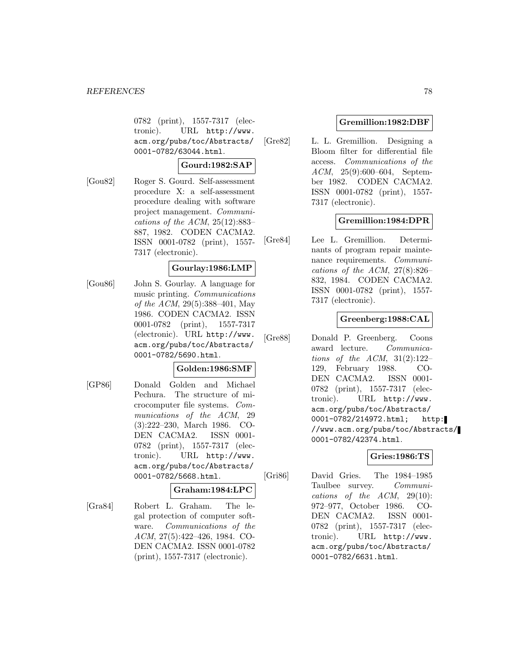0782 (print), 1557-7317 (electronic). URL http://www. acm.org/pubs/toc/Abstracts/ 0001-0782/63044.html.

#### **Gourd:1982:SAP**

[Gou82] Roger S. Gourd. Self-assessment procedure X: a self-assessment procedure dealing with software project management. Communications of the ACM,  $25(12):883-$ 887, 1982. CODEN CACMA2. ISSN 0001-0782 (print), 1557- 7317 (electronic).

### **Gourlay:1986:LMP**

[Gou86] John S. Gourlay. A language for music printing. Communications of the ACM, 29(5):388–401, May 1986. CODEN CACMA2. ISSN 0001-0782 (print), 1557-7317 (electronic). URL http://www. acm.org/pubs/toc/Abstracts/ 0001-0782/5690.html.

#### **Golden:1986:SMF**

[GP86] Donald Golden and Michael Pechura. The structure of microcomputer file systems. Communications of the ACM, 29 (3):222–230, March 1986. CO-DEN CACMA2. ISSN 0001- 0782 (print), 1557-7317 (electronic). URL http://www. acm.org/pubs/toc/Abstracts/ 0001-0782/5668.html.

#### **Graham:1984:LPC**

[Gra84] Robert L. Graham. The legal protection of computer software. Communications of the ACM, 27(5):422–426, 1984. CO-DEN CACMA2. ISSN 0001-0782 (print), 1557-7317 (electronic).

### **Gremillion:1982:DBF**

[Gre82] L. L. Gremillion. Designing a Bloom filter for differential file access. Communications of the ACM, 25(9):600–604, September 1982. CODEN CACMA2. ISSN 0001-0782 (print), 1557- 7317 (electronic).

# **Gremillion:1984:DPR**

[Gre84] Lee L. Gremillion. Determinants of program repair maintenance requirements. Communications of the ACM,  $27(8):826-$ 832, 1984. CODEN CACMA2. ISSN 0001-0782 (print), 1557- 7317 (electronic).

# **Greenberg:1988:CAL**

[Gre88] Donald P. Greenberg. Coons award lecture. Communications of the ACM,  $31(2):122-$ 129, February 1988. CO-DEN CACMA2. ISSN 0001- 0782 (print), 1557-7317 (electronic). URL http://www. acm.org/pubs/toc/Abstracts/ 0001-0782/214972.html; http: //www.acm.org/pubs/toc/Abstracts/ 0001-0782/42374.html.

# **Gries:1986:TS**

[Gri86] David Gries. The 1984–1985 Taulbee survey. Communications of the ACM, 29(10): 972–977, October 1986. CO-DEN CACMA2. ISSN 0001- 0782 (print), 1557-7317 (electronic). URL http://www. acm.org/pubs/toc/Abstracts/ 0001-0782/6631.html.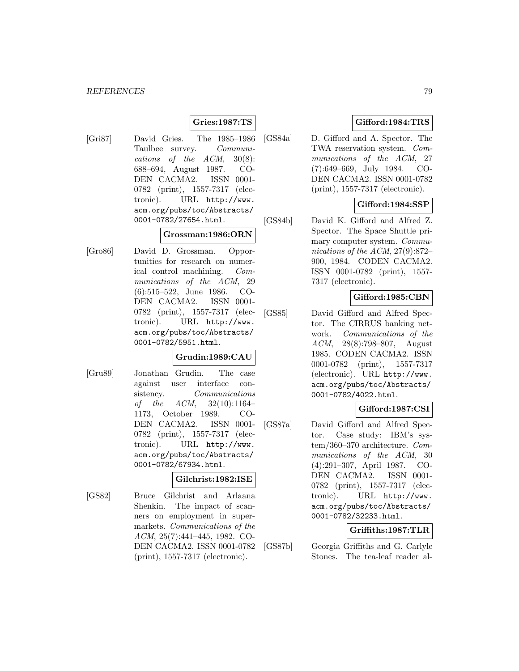### **Gries:1987:TS**

[Gri87] David Gries. The 1985–1986 Taulbee survey. Communications of the ACM, 30(8): 688–694, August 1987. CO-DEN CACMA2. ISSN 0001- 0782 (print), 1557-7317 (electronic). URL http://www. acm.org/pubs/toc/Abstracts/ 0001-0782/27654.html.

#### **Grossman:1986:ORN**

[Gro86] David D. Grossman. Opportunities for research on numerical control machining. Communications of the ACM, 29 (6):515–522, June 1986. CO-DEN CACMA2. ISSN 0001- 0782 (print), 1557-7317 (electronic). URL http://www. acm.org/pubs/toc/Abstracts/ 0001-0782/5951.html.

#### **Grudin:1989:CAU**

[Gru89] Jonathan Grudin. The case against user interface consistency. Communications of the  $ACM$ ,  $32(10):1164-$ 1173, October 1989. CO-DEN CACMA2. ISSN 0001- 0782 (print), 1557-7317 (electronic). URL http://www. acm.org/pubs/toc/Abstracts/ 0001-0782/67934.html.

#### **Gilchrist:1982:ISE**

[GS82] Bruce Gilchrist and Arlaana Shenkin. The impact of scanners on employment in supermarkets. Communications of the ACM, 25(7):441–445, 1982. CO-DEN CACMA2. ISSN 0001-0782 (print), 1557-7317 (electronic).

# **Gifford:1984:TRS**

[GS84a] D. Gifford and A. Spector. The TWA reservation system. Communications of the ACM, 27 (7):649–669, July 1984. CO-DEN CACMA2. ISSN 0001-0782 (print), 1557-7317 (electronic).

# **Gifford:1984:SSP**

[GS84b] David K. Gifford and Alfred Z. Spector. The Space Shuttle primary computer system. Communications of the ACM, 27(9):872– 900, 1984. CODEN CACMA2. ISSN 0001-0782 (print), 1557- 7317 (electronic).

### **Gifford:1985:CBN**

[GS85] David Gifford and Alfred Spector. The CIRRUS banking network. Communications of the ACM, 28(8):798–807, August 1985. CODEN CACMA2. ISSN 0001-0782 (print), 1557-7317 (electronic). URL http://www. acm.org/pubs/toc/Abstracts/ 0001-0782/4022.html.

#### **Gifford:1987:CSI**

[GS87a] David Gifford and Alfred Spector. Case study: IBM's system/360–370 architecture. Communications of the ACM, 30 (4):291–307, April 1987. CO-DEN CACMA2. ISSN 0001- 0782 (print), 1557-7317 (electronic). URL http://www. acm.org/pubs/toc/Abstracts/ 0001-0782/32233.html.

### **Griffiths:1987:TLR**

[GS87b] Georgia Griffiths and G. Carlyle Stones. The tea-leaf reader al-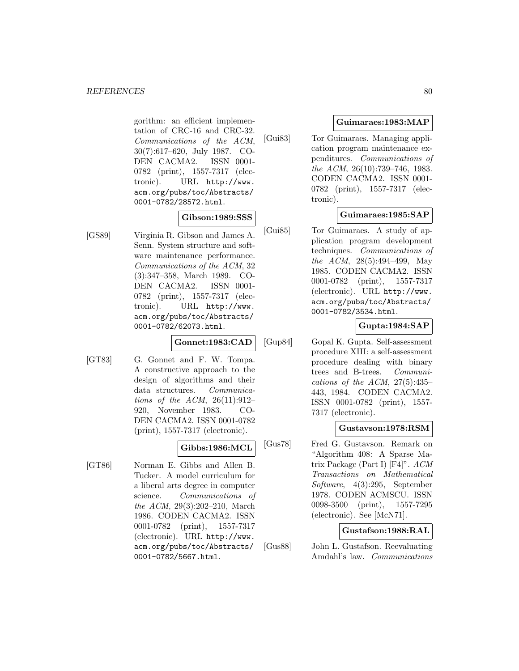gorithm: an efficient implementation of CRC-16 and CRC-32. Communications of the ACM, 30(7):617–620, July 1987. CO-DEN CACMA2. ISSN 0001- 0782 (print), 1557-7317 (electronic). URL http://www. acm.org/pubs/toc/Abstracts/ 0001-0782/28572.html.

### **Gibson:1989:SSS**

[GS89] Virginia R. Gibson and James A. Senn. System structure and software maintenance performance. Communications of the ACM, 32 (3):347–358, March 1989. CO-DEN CACMA2. ISSN 0001- 0782 (print), 1557-7317 (electronic). URL http://www. acm.org/pubs/toc/Abstracts/ 0001-0782/62073.html.

#### **Gonnet:1983:CAD**

[GT83] G. Gonnet and F. W. Tompa. A constructive approach to the design of algorithms and their data structures. Communications of the ACM,  $26(11):912-$ 920, November 1983. CO-DEN CACMA2. ISSN 0001-0782 (print), 1557-7317 (electronic).

### **Gibbs:1986:MCL**

[GT86] Norman E. Gibbs and Allen B. Tucker. A model curriculum for a liberal arts degree in computer science. Communications of the ACM, 29(3):202–210, March 1986. CODEN CACMA2. ISSN 0001-0782 (print), 1557-7317 (electronic). URL http://www. acm.org/pubs/toc/Abstracts/ 0001-0782/5667.html.

### **Guimaraes:1983:MAP**

[Gui83] Tor Guimaraes. Managing application program maintenance expenditures. Communications of the ACM, 26(10):739–746, 1983. CODEN CACMA2. ISSN 0001- 0782 (print), 1557-7317 (electronic).

# **Guimaraes:1985:SAP**

[Gui85] Tor Guimaraes. A study of application program development techniques. Communications of the ACM, 28(5):494–499, May 1985. CODEN CACMA2. ISSN 0001-0782 (print), 1557-7317 (electronic). URL http://www. acm.org/pubs/toc/Abstracts/ 0001-0782/3534.html.

### **Gupta:1984:SAP**

[Gup84] Gopal K. Gupta. Self-assessment procedure XIII: a self-assessment procedure dealing with binary trees and B-trees. Communications of the ACM,  $27(5):435-$ 443, 1984. CODEN CACMA2. ISSN 0001-0782 (print), 1557- 7317 (electronic).

#### **Gustavson:1978:RSM**

[Gus78] Fred G. Gustavson. Remark on "Algorithm 408: A Sparse Matrix Package (Part I) [F4]". ACM Transactions on Mathematical Software, 4(3):295, September 1978. CODEN ACMSCU. ISSN 0098-3500 (print), 1557-7295 (electronic). See [McN71].

# **Gustafson:1988:RAL**

[Gus88] John L. Gustafson. Reevaluating Amdahl's law. Communications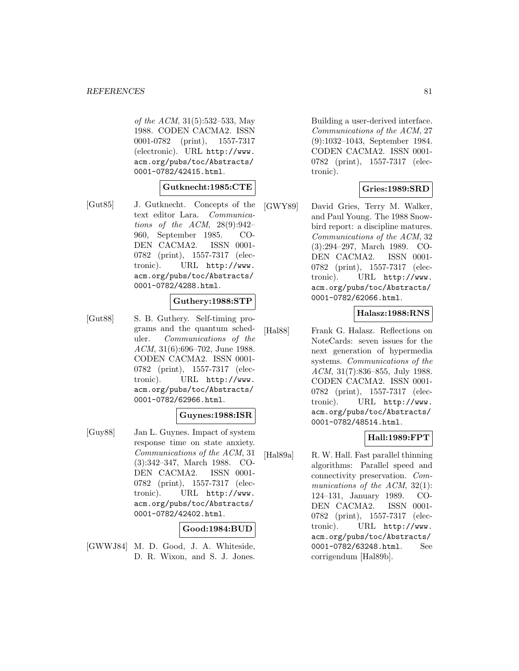of the ACM, 31(5):532–533, May 1988. CODEN CACMA2. ISSN 0001-0782 (print), 1557-7317 (electronic). URL http://www. acm.org/pubs/toc/Abstracts/ 0001-0782/42415.html.

#### **Gutknecht:1985:CTE**

[Gut85] J. Gutknecht. Concepts of the text editor Lara. Communications of the ACM,  $28(9):942-$ 960, September 1985. CO-DEN CACMA2. ISSN 0001- 0782 (print), 1557-7317 (electronic). URL http://www. acm.org/pubs/toc/Abstracts/ 0001-0782/4288.html.

# **Guthery:1988:STP**

[Gut88] S. B. Guthery. Self-timing programs and the quantum scheduler. Communications of the ACM, 31(6):696–702, June 1988. CODEN CACMA2. ISSN 0001- 0782 (print), 1557-7317 (electronic). URL http://www. acm.org/pubs/toc/Abstracts/ 0001-0782/62966.html.

#### **Guynes:1988:ISR**

[Guy88] Jan L. Guynes. Impact of system response time on state anxiety. Communications of the ACM, 31 (3):342–347, March 1988. CO-DEN CACMA2. ISSN 0001- 0782 (print), 1557-7317 (electronic). URL http://www. acm.org/pubs/toc/Abstracts/ 0001-0782/42402.html.

#### **Good:1984:BUD**

[GWWJ84] M. D. Good, J. A. Whiteside, D. R. Wixon, and S. J. Jones. Building a user-derived interface. Communications of the ACM, 27 (9):1032–1043, September 1984. CODEN CACMA2. ISSN 0001- 0782 (print), 1557-7317 (electronic).

#### **Gries:1989:SRD**

[GWY89] David Gries, Terry M. Walker, and Paul Young. The 1988 Snowbird report: a discipline matures. Communications of the ACM, 32 (3):294–297, March 1989. CO-DEN CACMA2. ISSN 0001- 0782 (print), 1557-7317 (electronic). URL http://www. acm.org/pubs/toc/Abstracts/ 0001-0782/62066.html.

#### **Halasz:1988:RNS**

[Hal88] Frank G. Halasz. Reflections on NoteCards: seven issues for the next generation of hypermedia systems. Communications of the ACM, 31(7):836–855, July 1988. CODEN CACMA2. ISSN 0001- 0782 (print), 1557-7317 (electronic). URL http://www. acm.org/pubs/toc/Abstracts/ 0001-0782/48514.html.

# **Hall:1989:FPT**

[Hal89a] R. W. Hall. Fast parallel thinning algorithms: Parallel speed and connectivity preservation. Communications of the ACM, 32(1): 124–131, January 1989. CO-DEN CACMA2. ISSN 0001- 0782 (print), 1557-7317 (electronic). URL http://www. acm.org/pubs/toc/Abstracts/ 0001-0782/63248.html. See corrigendum [Hal89b].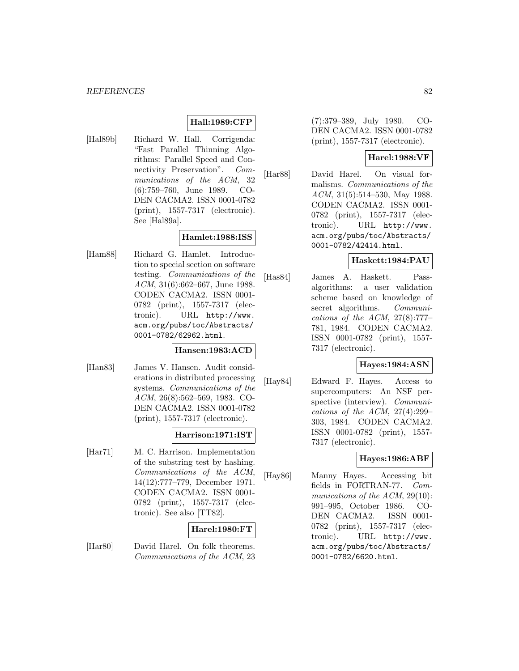### **Hall:1989:CFP**

[Hal89b] Richard W. Hall. Corrigenda: "Fast Parallel Thinning Algorithms: Parallel Speed and Connectivity Preservation". Communications of the ACM, 32 (6):759–760, June 1989. CO-DEN CACMA2. ISSN 0001-0782 (print), 1557-7317 (electronic). See [Hal89a].

# **Hamlet:1988:ISS**

[Ham88] Richard G. Hamlet. Introduction to special section on software testing. Communications of the ACM, 31(6):662–667, June 1988. CODEN CACMA2. ISSN 0001- 0782 (print), 1557-7317 (electronic). URL http://www. acm.org/pubs/toc/Abstracts/ 0001-0782/62962.html.

#### **Hansen:1983:ACD**

[Han83] James V. Hansen. Audit considerations in distributed processing systems. Communications of the ACM, 26(8):562–569, 1983. CO-DEN CACMA2. ISSN 0001-0782 (print), 1557-7317 (electronic).

#### **Harrison:1971:IST**

[Har71] M. C. Harrison. Implementation of the substring test by hashing. Communications of the ACM, 14(12):777–779, December 1971. CODEN CACMA2. ISSN 0001- 0782 (print), 1557-7317 (electronic). See also [TT82].

#### **Harel:1980:FT**

[Har80] David Harel. On folk theorems. Communications of the ACM, 23 (7):379–389, July 1980. CO-DEN CACMA2. ISSN 0001-0782 (print), 1557-7317 (electronic).

### **Harel:1988:VF**

[Har88] David Harel. On visual formalisms. Communications of the ACM, 31(5):514–530, May 1988. CODEN CACMA2. ISSN 0001- 0782 (print), 1557-7317 (electronic). URL http://www. acm.org/pubs/toc/Abstracts/ 0001-0782/42414.html.

#### **Haskett:1984:PAU**

[Has84] James A. Haskett. Passalgorithms: a user validation scheme based on knowledge of secret algorithms. Communications of the ACM,  $27(8):777-$ 781, 1984. CODEN CACMA2. ISSN 0001-0782 (print), 1557- 7317 (electronic).

#### **Hayes:1984:ASN**

[Hay84] Edward F. Hayes. Access to supercomputers: An NSF perspective (interview). *Communi*cations of the ACM,  $27(4):299-$ 303, 1984. CODEN CACMA2. ISSN 0001-0782 (print), 1557- 7317 (electronic).

#### **Hayes:1986:ABF**

[Hay86] Manny Hayes. Accessing bit fields in FORTRAN-77. Communications of the ACM, 29(10): 991–995, October 1986. CO-DEN CACMA2. ISSN 0001- 0782 (print), 1557-7317 (electronic). URL http://www. acm.org/pubs/toc/Abstracts/ 0001-0782/6620.html.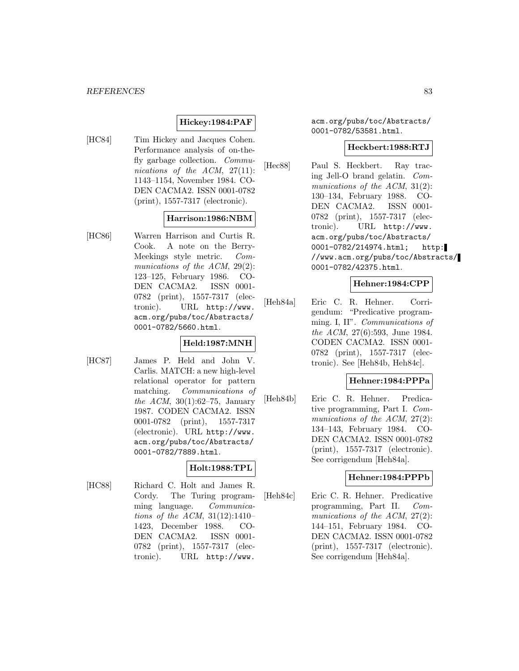# **Hickey:1984:PAF**

[HC84] Tim Hickey and Jacques Cohen. Performance analysis of on-thefly garbage collection. Communications of the ACM, 27(11): 1143–1154, November 1984. CO-DEN CACMA2. ISSN 0001-0782 (print), 1557-7317 (electronic).

### **Harrison:1986:NBM**

[HC86] Warren Harrison and Curtis R. Cook. A note on the Berry-Meekings style metric. Communications of the ACM, 29(2): 123–125, February 1986. CO-DEN CACMA2. ISSN 0001- 0782 (print), 1557-7317 (electronic). URL http://www. acm.org/pubs/toc/Abstracts/ 0001-0782/5660.html.

# **Held:1987:MNH**

[HC87] James P. Held and John V. Carlis. MATCH: a new high-level relational operator for pattern matching. Communications of the ACM,  $30(1):62-75$ , January 1987. CODEN CACMA2. ISSN 0001-0782 (print), 1557-7317 (electronic). URL http://www. acm.org/pubs/toc/Abstracts/ 0001-0782/7889.html.

#### **Holt:1988:TPL**

[HC88] Richard C. Holt and James R. Cordy. The Turing programming language. Communications of the ACM, 31(12):1410– 1423, December 1988. CO-DEN CACMA2. ISSN 0001- 0782 (print), 1557-7317 (electronic). URL http://www.

acm.org/pubs/toc/Abstracts/ 0001-0782/53581.html.

#### **Heckbert:1988:RTJ**

[Hec88] Paul S. Heckbert. Ray tracing Jell-O brand gelatin. Communications of the ACM, 31(2): 130–134, February 1988. CO-DEN CACMA2. ISSN 0001- 0782 (print), 1557-7317 (electronic). URL http://www. acm.org/pubs/toc/Abstracts/ 0001-0782/214974.html; http: //www.acm.org/pubs/toc/Abstracts/ 0001-0782/42375.html.

#### **Hehner:1984:CPP**

[Heh84a] Eric C. R. Hehner. Corrigendum: "Predicative programming. I, II". Communications of the ACM, 27(6):593, June 1984. CODEN CACMA2. ISSN 0001- 0782 (print), 1557-7317 (electronic). See [Heh84b, Heh84c].

### **Hehner:1984:PPPa**

[Heh84b] Eric C. R. Hehner. Predicative programming, Part I. Communications of the ACM, 27(2): 134–143, February 1984. CO-DEN CACMA2. ISSN 0001-0782 (print), 1557-7317 (electronic). See corrigendum [Heh84a].

#### **Hehner:1984:PPPb**

[Heh84c] Eric C. R. Hehner. Predicative programming, Part II. Communications of the ACM, 27(2): 144–151, February 1984. CO-DEN CACMA2. ISSN 0001-0782 (print), 1557-7317 (electronic). See corrigendum [Heh84a].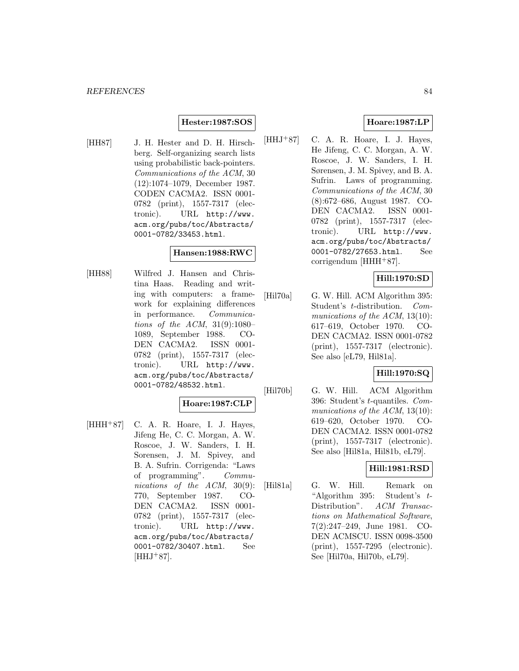### **Hester:1987:SOS**

[HH87] J. H. Hester and D. H. Hirschberg. Self-organizing search lists using probabilistic back-pointers. Communications of the ACM, 30 (12):1074–1079, December 1987. CODEN CACMA2. ISSN 0001- 0782 (print), 1557-7317 (electronic). URL http://www. acm.org/pubs/toc/Abstracts/ 0001-0782/33453.html.

#### **Hansen:1988:RWC**

[HH88] Wilfred J. Hansen and Christina Haas. Reading and writing with computers: a framework for explaining differences in performance. Communications of the ACM, 31(9):1080– 1089, September 1988. CO-DEN CACMA2. ISSN 0001- 0782 (print), 1557-7317 (electronic). URL http://www. acm.org/pubs/toc/Abstracts/ 0001-0782/48532.html.

#### **Hoare:1987:CLP**

 $[HHH^+87]$  C. A. R. Hoare, I. J. Hayes, Jifeng He, C. C. Morgan, A. W. Roscoe, J. W. Sanders, I. H. Sorensen, J. M. Spivey, and B. A. Sufrin. Corrigenda: "Laws of programming". Communications of the ACM, 30(9): 770, September 1987. CO-DEN CACMA2. ISSN 0001- 0782 (print), 1557-7317 (electronic). URL http://www. acm.org/pubs/toc/Abstracts/ 0001-0782/30407.html. See  $[HHJ+87]$ .

### **Hoare:1987:LP**

 $[HHJ+87]$  C. A. R. Hoare, I. J. Hayes, He Jifeng, C. C. Morgan, A. W. Roscoe, J. W. Sanders, I. H. Sørensen, J. M. Spivey, and B. A. Sufrin. Laws of programming. Communications of the ACM, 30 (8):672–686, August 1987. CO-DEN CACMA2. ISSN 0001- 0782 (print), 1557-7317 (electronic). URL http://www. acm.org/pubs/toc/Abstracts/ 0001-0782/27653.html. See corrigendum [HHH<sup>+</sup>87].

# **Hill:1970:SD**

[Hil70a] G. W. Hill. ACM Algorithm 395: Student's t-distribution. Communications of the ACM, 13(10): 617–619, October 1970. CO-DEN CACMA2. ISSN 0001-0782 (print), 1557-7317 (electronic). See also [eL79, Hil81a].

#### **Hill:1970:SQ**

[Hil70b] G. W. Hill. ACM Algorithm 396: Student's t-quantiles. Communications of the ACM, 13(10): 619–620, October 1970. CO-DEN CACMA2. ISSN 0001-0782 (print), 1557-7317 (electronic). See also [Hil81a, Hil81b, eL79].

### **Hill:1981:RSD**

[Hil81a] G. W. Hill. Remark on "Algorithm 395: Student's t-Distribution". ACM Transactions on Mathematical Software, 7(2):247–249, June 1981. CO-DEN ACMSCU. ISSN 0098-3500 (print), 1557-7295 (electronic). See [Hil70a, Hil70b, eL79].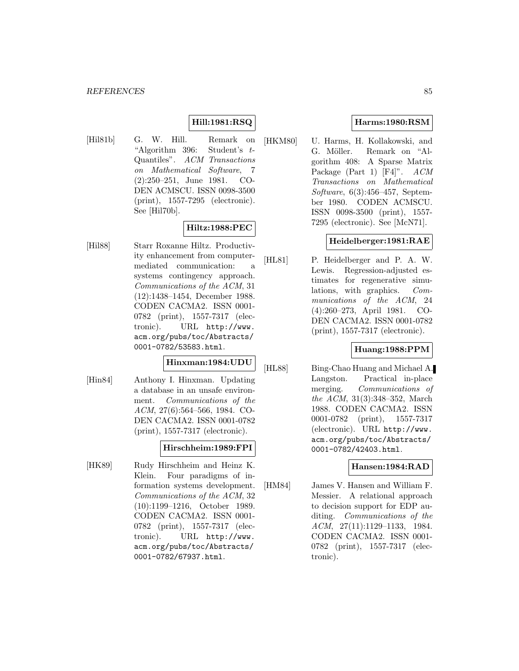# **Hill:1981:RSQ**

[Hil81b] G. W. Hill. Remark on "Algorithm 396: Student's  $t$ -Quantiles". ACM Transactions on Mathematical Software, 7 (2):250–251, June 1981. CO-DEN ACMSCU. ISSN 0098-3500 (print), 1557-7295 (electronic). See [Hil70b].

# **Hiltz:1988:PEC**

[Hil88] Starr Roxanne Hiltz. Productivity enhancement from computermediated communication: a systems contingency approach. Communications of the ACM, 31 (12):1438–1454, December 1988. CODEN CACMA2. ISSN 0001- 0782 (print), 1557-7317 (electronic). URL http://www. acm.org/pubs/toc/Abstracts/ 0001-0782/53583.html.

# **Hinxman:1984:UDU**

[Hin84] Anthony I. Hinxman. Updating a database in an unsafe environment. Communications of the ACM, 27(6):564–566, 1984. CO-DEN CACMA2. ISSN 0001-0782 (print), 1557-7317 (electronic).

#### **Hirschheim:1989:FPI**

[HK89] Rudy Hirschheim and Heinz K. Klein. Four paradigms of information systems development. Communications of the ACM, 32 (10):1199–1216, October 1989. CODEN CACMA2. ISSN 0001- 0782 (print), 1557-7317 (electronic). URL http://www. acm.org/pubs/toc/Abstracts/ 0001-0782/67937.html.

# **Harms:1980:RSM**

[HKM80] U. Harms, H. Kollakowski, and G. Möller. Remark on "Algorithm 408: A Sparse Matrix Package (Part 1) [F4]". ACM Transactions on Mathematical Software, 6(3):456–457, September 1980. CODEN ACMSCU. ISSN 0098-3500 (print), 1557- 7295 (electronic). See [McN71].

### **Heidelberger:1981:RAE**

[HL81] P. Heidelberger and P. A. W. Lewis. Regression-adjusted estimates for regenerative simulations, with graphics. Communications of the ACM, 24 (4):260–273, April 1981. CO-DEN CACMA2. ISSN 0001-0782 (print), 1557-7317 (electronic).

# **Huang:1988:PPM**

[HL88] Bing-Chao Huang and Michael A. Langston. Practical in-place merging. Communications of the ACM, 31(3):348–352, March 1988. CODEN CACMA2. ISSN 0001-0782 (print), 1557-7317 (electronic). URL http://www. acm.org/pubs/toc/Abstracts/ 0001-0782/42403.html.

#### **Hansen:1984:RAD**

[HM84] James V. Hansen and William F. Messier. A relational approach to decision support for EDP auditing. Communications of the ACM, 27(11):1129–1133, 1984. CODEN CACMA2. ISSN 0001- 0782 (print), 1557-7317 (electronic).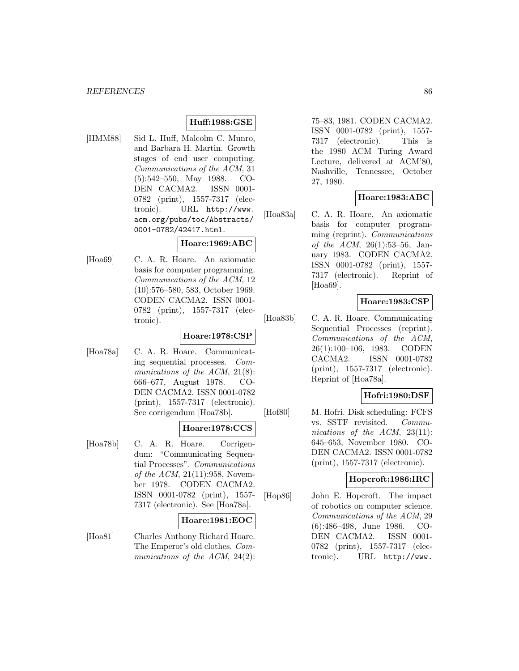### **Huff:1988:GSE**

[HMM88] Sid L. Huff, Malcolm C. Munro, and Barbara H. Martin. Growth stages of end user computing. Communications of the ACM, 31 (5):542–550, May 1988. CO-DEN CACMA2. ISSN 0001- 0782 (print), 1557-7317 (electronic). URL http://www. acm.org/pubs/toc/Abstracts/ 0001-0782/42417.html.

#### **Hoare:1969:ABC**

[Hoa69] C. A. R. Hoare. An axiomatic basis for computer programming. Communications of the ACM, 12 (10):576–580, 583, October 1969. CODEN CACMA2. ISSN 0001- 0782 (print), 1557-7317 (electronic).

#### **Hoare:1978:CSP**

[Hoa78a] C. A. R. Hoare. Communicating sequential processes. Communications of the ACM, 21(8): 666–677, August 1978. CO-DEN CACMA2. ISSN 0001-0782 (print), 1557-7317 (electronic). See corrigendum [Hoa78b].

### **Hoare:1978:CCS**

[Hoa78b] C. A. R. Hoare. Corrigendum: "Communicating Sequential Processes". Communications of the ACM,  $21(11):958$ , November 1978. CODEN CACMA2. ISSN 0001-0782 (print), 1557- 7317 (electronic). See [Hoa78a].

#### **Hoare:1981:EOC**

[Hoa81] Charles Anthony Richard Hoare. The Emperor's old clothes. Communications of the ACM, 24(2): 75–83, 1981. CODEN CACMA2. ISSN 0001-0782 (print), 1557- 7317 (electronic). This is the 1980 ACM Turing Award Lecture, delivered at ACM'80, Nashville, Tennessee, October 27, 1980.

# **Hoare:1983:ABC**

[Hoa83a] C. A. R. Hoare. An axiomatic basis for computer programming (reprint). Communications of the ACM, 26(1):53–56, January 1983. CODEN CACMA2. ISSN 0001-0782 (print), 1557- 7317 (electronic). Reprint of [Hoa69].

#### **Hoare:1983:CSP**

[Hoa83b] C. A. R. Hoare. Communicating Sequential Processes (reprint). Communications of the ACM, 26(1):100–106, 1983. CODEN CACMA2. ISSN 0001-0782 (print), 1557-7317 (electronic). Reprint of [Hoa78a].

#### **Hofri:1980:DSF**

[Hof80] M. Hofri. Disk scheduling: FCFS vs. SSTF revisited. Communications of the ACM, 23(11): 645–653, November 1980. CO-DEN CACMA2. ISSN 0001-0782 (print), 1557-7317 (electronic).

#### **Hopcroft:1986:IRC**

[Hop86] John E. Hopcroft. The impact of robotics on computer science. Communications of the ACM, 29 (6):486–498, June 1986. CO-DEN CACMA2. ISSN 0001- 0782 (print), 1557-7317 (electronic). URL http://www.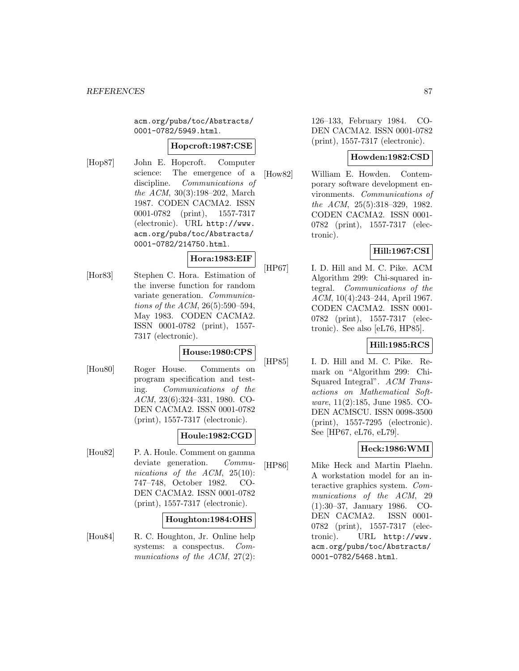acm.org/pubs/toc/Abstracts/ 0001-0782/5949.html.

#### **Hopcroft:1987:CSE**

[Hop87] John E. Hopcroft. Computer science: The emergence of a discipline. Communications of the ACM, 30(3):198–202, March 1987. CODEN CACMA2. ISSN 0001-0782 (print), 1557-7317 (electronic). URL http://www. acm.org/pubs/toc/Abstracts/ 0001-0782/214750.html.

#### **Hora:1983:EIF**

[Hor83] Stephen C. Hora. Estimation of the inverse function for random variate generation. Communications of the ACM, 26(5):590–594, May 1983. CODEN CACMA2. ISSN 0001-0782 (print), 1557- 7317 (electronic).

# **House:1980:CPS**

[Hou80] Roger House. Comments on program specification and testing. Communications of the ACM, 23(6):324–331, 1980. CO-DEN CACMA2. ISSN 0001-0782 (print), 1557-7317 (electronic).

# **Houle:1982:CGD**

[Hou82] P. A. Houle. Comment on gamma deviate generation. Communications of the ACM, 25(10): 747–748, October 1982. CO-DEN CACMA2. ISSN 0001-0782 (print), 1557-7317 (electronic).

# **Houghton:1984:OHS**

[Hou84] R. C. Houghton, Jr. Online help systems: a conspectus. Communications of the ACM, 27(2): 126–133, February 1984. CO-DEN CACMA2. ISSN 0001-0782 (print), 1557-7317 (electronic).

### **Howden:1982:CSD**

[How82] William E. Howden. Contemporary software development environments. Communications of the ACM, 25(5):318–329, 1982. CODEN CACMA2. ISSN 0001- 0782 (print), 1557-7317 (electronic).

# **Hill:1967:CSI**

[HP67] I. D. Hill and M. C. Pike. ACM Algorithm 299: Chi-squared integral. Communications of the ACM, 10(4):243–244, April 1967. CODEN CACMA2. ISSN 0001- 0782 (print), 1557-7317 (electronic). See also [eL76, HP85].

#### **Hill:1985:RCS**

[HP85] I. D. Hill and M. C. Pike. Remark on "Algorithm 299: Chi-Squared Integral". ACM Transactions on Mathematical Software, 11(2):185, June 1985. CO-DEN ACMSCU. ISSN 0098-3500 (print), 1557-7295 (electronic). See [HP67, eL76, eL79].

# **Heck:1986:WMI**

[HP86] Mike Heck and Martin Plaehn. A workstation model for an interactive graphics system. Communications of the ACM, 29 (1):30–37, January 1986. CO-DEN CACMA2. ISSN 0001- 0782 (print), 1557-7317 (electronic). URL http://www. acm.org/pubs/toc/Abstracts/ 0001-0782/5468.html.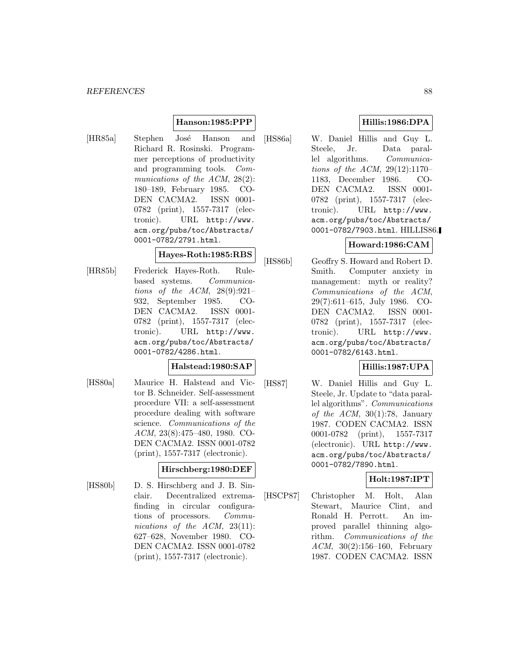### **Hanson:1985:PPP**

[HR85a] Stephen José Hanson and Richard R. Rosinski. Programmer perceptions of productivity and programming tools. Communications of the ACM, 28(2): 180–189, February 1985. CO-DEN CACMA2. ISSN 0001- 0782 (print), 1557-7317 (electronic). URL http://www. acm.org/pubs/toc/Abstracts/ 0001-0782/2791.html.

# **Hayes-Roth:1985:RBS**

[HR85b] Frederick Hayes-Roth. Rulebased systems. Communications of the ACM,  $28(9):921-$ 932, September 1985. CO-DEN CACMA2. ISSN 0001- 0782 (print), 1557-7317 (electronic). URL http://www. acm.org/pubs/toc/Abstracts/ 0001-0782/4286.html.

#### **Halstead:1980:SAP**

[HS80a] Maurice H. Halstead and Victor B. Schneider. Self-assessment procedure VII: a self-assessment procedure dealing with software science. Communications of the ACM, 23(8):475–480, 1980. CO-DEN CACMA2. ISSN 0001-0782 (print), 1557-7317 (electronic).

# **Hirschberg:1980:DEF**

[HS80b] D. S. Hirschberg and J. B. Sinclair. Decentralized extremafinding in circular configurations of processors. Communications of the ACM, 23(11): 627–628, November 1980. CO-DEN CACMA2. ISSN 0001-0782 (print), 1557-7317 (electronic).

# **Hillis:1986:DPA**

[HS86a] W. Daniel Hillis and Guy L. Steele, Jr. Data parallel algorithms. Communications of the ACM, 29(12):1170– 1183, December 1986. CO-DEN CACMA2. ISSN 0001- 0782 (print), 1557-7317 (electronic). URL http://www. acm.org/pubs/toc/Abstracts/ 0001-0782/7903.html. HILLIS86.

# **Howard:1986:CAM**

[HS86b] Geoffry S. Howard and Robert D. Smith. Computer anxiety in management: myth or reality? Communications of the ACM, 29(7):611–615, July 1986. CO-DEN CACMA2. ISSN 0001- 0782 (print), 1557-7317 (electronic). URL http://www. acm.org/pubs/toc/Abstracts/ 0001-0782/6143.html.

# **Hillis:1987:UPA**

[HS87] W. Daniel Hillis and Guy L. Steele, Jr. Update to "data parallel algorithms". Communications of the  $ACM$ ,  $30(1):78$ , January 1987. CODEN CACMA2. ISSN 0001-0782 (print), 1557-7317 (electronic). URL http://www. acm.org/pubs/toc/Abstracts/ 0001-0782/7890.html.

# **Holt:1987:IPT**

[HSCP87] Christopher M. Holt, Alan Stewart, Maurice Clint, and Ronald H. Perrott. An improved parallel thinning algorithm. Communications of the ACM, 30(2):156–160, February 1987. CODEN CACMA2. ISSN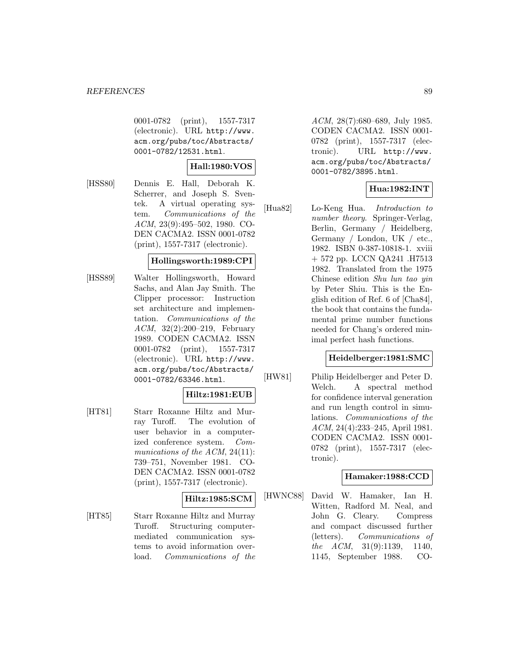0001-0782 (print), 1557-7317 (electronic). URL http://www. acm.org/pubs/toc/Abstracts/ 0001-0782/12531.html.

### **Hall:1980:VOS**

[HSS80] Dennis E. Hall, Deborah K. Scherrer, and Joseph S. Sventek. A virtual operating system. Communications of the ACM, 23(9):495–502, 1980. CO-DEN CACMA2. ISSN 0001-0782 (print), 1557-7317 (electronic).

#### **Hollingsworth:1989:CPI**

[HSS89] Walter Hollingsworth, Howard Sachs, and Alan Jay Smith. The Clipper processor: Instruction set architecture and implementation. Communications of the ACM, 32(2):200–219, February 1989. CODEN CACMA2. ISSN 0001-0782 (print), 1557-7317 (electronic). URL http://www. acm.org/pubs/toc/Abstracts/ 0001-0782/63346.html.

#### **Hiltz:1981:EUB**

[HT81] Starr Roxanne Hiltz and Murray Turoff. The evolution of user behavior in a computerized conference system. Communications of the ACM, 24(11): 739–751, November 1981. CO-DEN CACMA2. ISSN 0001-0782 (print), 1557-7317 (electronic).

# **Hiltz:1985:SCM**

[HT85] Starr Roxanne Hiltz and Murray Turoff. Structuring computermediated communication systems to avoid information overload. Communications of the ACM, 28(7):680–689, July 1985. CODEN CACMA2. ISSN 0001- 0782 (print), 1557-7317 (electronic). URL http://www. acm.org/pubs/toc/Abstracts/ 0001-0782/3895.html.

# **Hua:1982:INT**

[Hua82] Lo-Keng Hua. Introduction to number theory. Springer-Verlag, Berlin, Germany / Heidelberg, Germany / London, UK / etc., 1982. ISBN 0-387-10818-1. xviii + 572 pp. LCCN QA241 .H7513 1982. Translated from the 1975 Chinese edition Shu lun tao yin by Peter Shiu. This is the English edition of Ref. 6 of [Cha84], the book that contains the fundamental prime number functions needed for Chang's ordered minimal perfect hash functions.

### **Heidelberger:1981:SMC**

[HW81] Philip Heidelberger and Peter D. Welch. A spectral method for confidence interval generation and run length control in simulations. Communications of the ACM, 24(4):233–245, April 1981. CODEN CACMA2. ISSN 0001- 0782 (print), 1557-7317 (electronic).

# **Hamaker:1988:CCD**

[HWNC88] David W. Hamaker, Ian H. Witten, Radford M. Neal, and John G. Cleary. Compress and compact discussed further (letters). Communications of the ACM, 31(9):1139, 1140, 1145, September 1988. CO-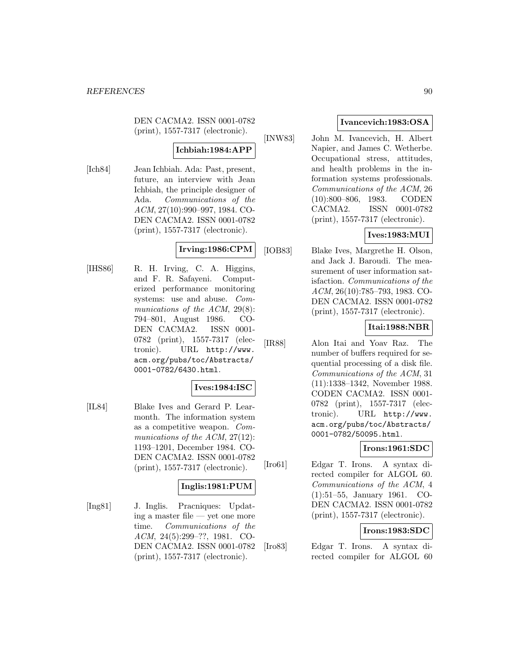DEN CACMA2. ISSN 0001-0782 (print), 1557-7317 (electronic).

# **Ichbiah:1984:APP**

[Ich84] Jean Ichbiah. Ada: Past, present, future, an interview with Jean Ichbiah, the principle designer of Ada. Communications of the ACM, 27(10):990–997, 1984. CO-DEN CACMA2. ISSN 0001-0782 (print), 1557-7317 (electronic).

# **Irving:1986:CPM**

[IHS86] R. H. Irving, C. A. Higgins, and F. R. Safayeni. Computerized performance monitoring systems: use and abuse. Communications of the ACM, 29(8): 794–801, August 1986. CO-DEN CACMA2. ISSN 0001- 0782 (print), 1557-7317 (electronic). URL http://www. acm.org/pubs/toc/Abstracts/ 0001-0782/6430.html.

# **Ives:1984:ISC**

[IL84] Blake Ives and Gerard P. Learmonth. The information system as a competitive weapon. Communications of the ACM, 27(12): 1193–1201, December 1984. CO-DEN CACMA2. ISSN 0001-0782 (print), 1557-7317 (electronic).

# **Inglis:1981:PUM**

[Ing81] J. Inglis. Pracniques: Updating a master file — yet one more time. Communications of the ACM, 24(5):299–??, 1981. CO-DEN CACMA2. ISSN 0001-0782 (print), 1557-7317 (electronic).

# **Ivancevich:1983:OSA**

[INW83] John M. Ivancevich, H. Albert Napier, and James C. Wetherbe. Occupational stress, attitudes, and health problems in the information systems professionals. Communications of the ACM, 26 (10):800–806, 1983. CODEN CACMA2. ISSN 0001-0782 (print), 1557-7317 (electronic).

# **Ives:1983:MUI**

[IOB83] Blake Ives, Margrethe H. Olson, and Jack J. Baroudi. The measurement of user information satisfaction. Communications of the ACM, 26(10):785–793, 1983. CO-DEN CACMA2. ISSN 0001-0782 (print), 1557-7317 (electronic).

#### **Itai:1988:NBR**

[IR88] Alon Itai and Yoav Raz. The number of buffers required for sequential processing of a disk file. Communications of the ACM, 31 (11):1338–1342, November 1988. CODEN CACMA2. ISSN 0001- 0782 (print), 1557-7317 (electronic). URL http://www. acm.org/pubs/toc/Abstracts/ 0001-0782/50095.html.

# **Irons:1961:SDC**

[Iro61] Edgar T. Irons. A syntax directed compiler for ALGOL 60. Communications of the ACM, 4 (1):51–55, January 1961. CO-DEN CACMA2. ISSN 0001-0782 (print), 1557-7317 (electronic).

# **Irons:1983:SDC**

[Iro83] Edgar T. Irons. A syntax directed compiler for ALGOL 60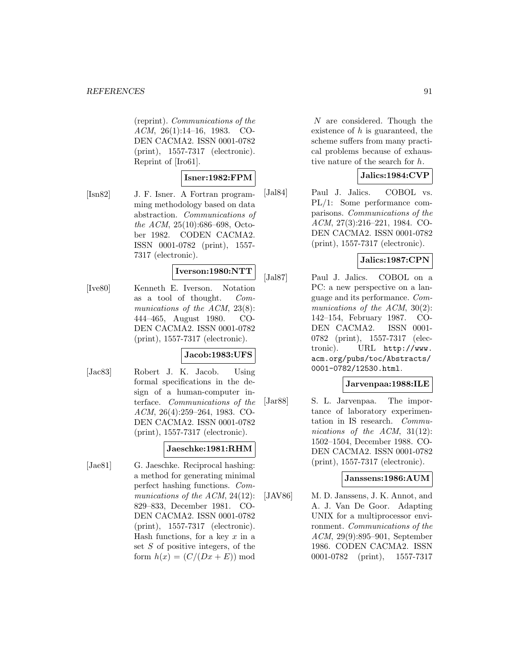(reprint). Communications of the ACM, 26(1):14–16, 1983. CO-DEN CACMA2. ISSN 0001-0782 (print), 1557-7317 (electronic). Reprint of [Iro61].

# **Isner:1982:FPM**

[Isn82] J. F. Isner. A Fortran programming methodology based on data abstraction. Communications of the ACM, 25(10):686–698, October 1982. CODEN CACMA2. ISSN 0001-0782 (print), 1557- 7317 (electronic).

# **Iverson:1980:NTT**

[Ive80] Kenneth E. Iverson. Notation as a tool of thought. Communications of the ACM, 23(8): 444–465, August 1980. CO-DEN CACMA2. ISSN 0001-0782 (print), 1557-7317 (electronic).

#### **Jacob:1983:UFS**

[Jac83] Robert J. K. Jacob. Using formal specifications in the design of a human-computer interface. Communications of the ACM, 26(4):259–264, 1983. CO-DEN CACMA2. ISSN 0001-0782 (print), 1557-7317 (electronic).

#### **Jaeschke:1981:RHM**

[Jae81] G. Jaeschke. Reciprocal hashing: a method for generating minimal perfect hashing functions. Communications of the ACM, 24(12): 829–833, December 1981. CO-DEN CACMA2. ISSN 0001-0782 (print), 1557-7317 (electronic). Hash functions, for a key  $x$  in a set S of positive integers, of the form  $h(x)=(C/(Dx+E))$  mod

N are considered. Though the existence of  $h$  is guaranteed, the scheme suffers from many practical problems because of exhaustive nature of the search for h.

### **Jalics:1984:CVP**

[Jal84] Paul J. Jalics. COBOL vs. PL/1: Some performance comparisons. Communications of the ACM, 27(3):216–221, 1984. CO-DEN CACMA2. ISSN 0001-0782 (print), 1557-7317 (electronic).

### **Jalics:1987:CPN**

[Jal87] Paul J. Jalics. COBOL on a PC: a new perspective on a language and its performance. Communications of the  $ACM$ ,  $30(2)$ : 142–154, February 1987. CO-DEN CACMA2. ISSN 0001- 0782 (print), 1557-7317 (electronic). URL http://www. acm.org/pubs/toc/Abstracts/ 0001-0782/12530.html.

#### **Jarvenpaa:1988:ILE**

[Jar88] S. L. Jarvenpaa. The importance of laboratory experimentation in IS research. Communications of the ACM, 31(12): 1502–1504, December 1988. CO-DEN CACMA2. ISSN 0001-0782 (print), 1557-7317 (electronic).

#### **Janssens:1986:AUM**

[JAV86] M. D. Janssens, J. K. Annot, and A. J. Van De Goor. Adapting UNIX for a multiprocessor environment. Communications of the ACM, 29(9):895–901, September 1986. CODEN CACMA2. ISSN 0001-0782 (print), 1557-7317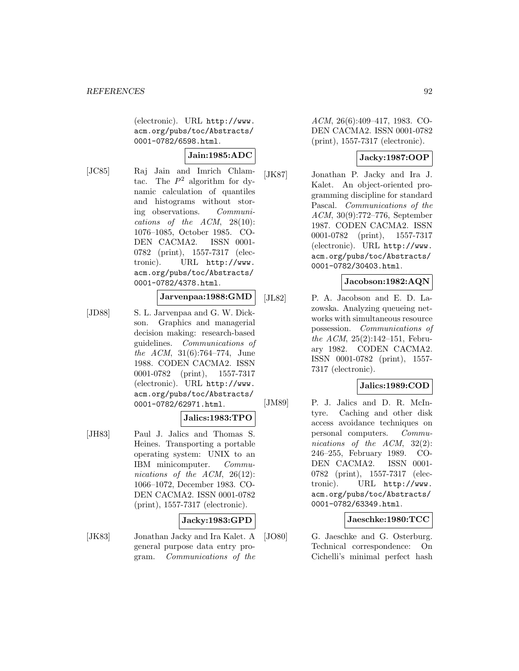(electronic). URL http://www. acm.org/pubs/toc/Abstracts/ 0001-0782/6598.html.

# **Jain:1985:ADC**

[JC85] Raj Jain and Imrich Chlamtac. The  $P^2$  algorithm for dynamic calculation of quantiles and histograms without storing observations. Communications of the  $ACM$ ,  $28(10)$ : 1076–1085, October 1985. CO-DEN CACMA2. ISSN 0001- 0782 (print), 1557-7317 (electronic). URL http://www. acm.org/pubs/toc/Abstracts/ 0001-0782/4378.html.

# **Jarvenpaa:1988:GMD**

[JD88] S. L. Jarvenpaa and G. W. Dickson. Graphics and managerial decision making: research-based guidelines. Communications of the ACM, 31(6):764–774, June 1988. CODEN CACMA2. ISSN 0001-0782 (print), 1557-7317 (electronic). URL http://www. acm.org/pubs/toc/Abstracts/ 0001-0782/62971.html.

#### **Jalics:1983:TPO**

[JH83] Paul J. Jalics and Thomas S. Heines. Transporting a portable operating system: UNIX to an IBM minicomputer. Communications of the ACM, 26(12): 1066–1072, December 1983. CO-DEN CACMA2. ISSN 0001-0782 (print), 1557-7317 (electronic).

# **Jacky:1983:GPD**

[JK83] Jonathan Jacky and Ira Kalet. A general purpose data entry program. Communications of the ACM, 26(6):409–417, 1983. CO-DEN CACMA2. ISSN 0001-0782 (print), 1557-7317 (electronic).

# **Jacky:1987:OOP**

[JK87] Jonathan P. Jacky and Ira J. Kalet. An object-oriented programming discipline for standard Pascal. Communications of the ACM, 30(9):772–776, September 1987. CODEN CACMA2. ISSN 0001-0782 (print), 1557-7317 (electronic). URL http://www. acm.org/pubs/toc/Abstracts/ 0001-0782/30403.html.

### **Jacobson:1982:AQN**

[JL82] P. A. Jacobson and E. D. Lazowska. Analyzing queueing networks with simultaneous resource possession. Communications of the ACM, 25(2):142–151, February 1982. CODEN CACMA2. ISSN 0001-0782 (print), 1557- 7317 (electronic).

#### **Jalics:1989:COD**

[JM89] P. J. Jalics and D. R. McIntyre. Caching and other disk access avoidance techniques on personal computers. Communications of the ACM, 32(2): 246–255, February 1989. CO-DEN CACMA2. ISSN 0001- 0782 (print), 1557-7317 (electronic). URL http://www. acm.org/pubs/toc/Abstracts/ 0001-0782/63349.html.

#### **Jaeschke:1980:TCC**

[JO80] G. Jaeschke and G. Osterburg. Technical correspondence: On Cichelli's minimal perfect hash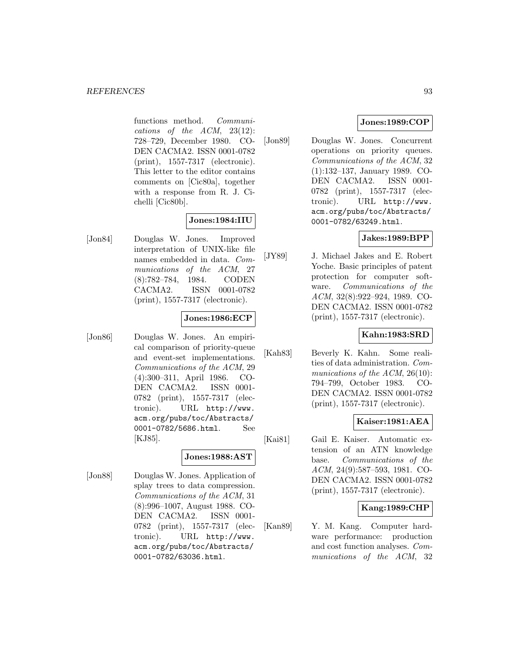functions method. Communications of the ACM, 23(12): 728–729, December 1980. CO-DEN CACMA2. ISSN 0001-0782 (print), 1557-7317 (electronic). This letter to the editor contains comments on [Cic80a], together with a response from R. J. Cichelli [Cic80b].

### **Jones:1984:IIU**

[Jon84] Douglas W. Jones. Improved interpretation of UNIX-like file names embedded in data. Communications of the ACM, 27 (8):782–784, 1984. CODEN CACMA2. ISSN 0001-0782 (print), 1557-7317 (electronic).

### **Jones:1986:ECP**

[Jon86] Douglas W. Jones. An empirical comparison of priority-queue and event-set implementations. Communications of the ACM, 29 (4):300–311, April 1986. CO-DEN CACMA2. ISSN 0001- 0782 (print), 1557-7317 (electronic). URL http://www. acm.org/pubs/toc/Abstracts/ 0001-0782/5686.html. See [KJ85].

# **Jones:1988:AST**

[Jon88] Douglas W. Jones. Application of splay trees to data compression. Communications of the ACM, 31 (8):996–1007, August 1988. CO-DEN CACMA2. ISSN 0001- 0782 (print), 1557-7317 (electronic). URL http://www. acm.org/pubs/toc/Abstracts/ 0001-0782/63036.html.

# **Jones:1989:COP**

[Jon89] Douglas W. Jones. Concurrent operations on priority queues. Communications of the ACM, 32 (1):132–137, January 1989. CO-DEN CACMA2. ISSN 0001- 0782 (print), 1557-7317 (electronic). URL http://www. acm.org/pubs/toc/Abstracts/ 0001-0782/63249.html.

# **Jakes:1989:BPP**

[JY89] J. Michael Jakes and E. Robert Yoche. Basic principles of patent protection for computer software. Communications of the ACM, 32(8):922–924, 1989. CO-DEN CACMA2. ISSN 0001-0782 (print), 1557-7317 (electronic).

### **Kahn:1983:SRD**

[Kah83] Beverly K. Kahn. Some realities of data administration. Communications of the ACM, 26(10): 794–799, October 1983. CO-DEN CACMA2. ISSN 0001-0782 (print), 1557-7317 (electronic).

# **Kaiser:1981:AEA**

[Kai81] Gail E. Kaiser. Automatic extension of an ATN knowledge base. Communications of the ACM, 24(9):587–593, 1981. CO-DEN CACMA2. ISSN 0001-0782 (print), 1557-7317 (electronic).

# **Kang:1989:CHP**

[Kan89] Y. M. Kang. Computer hardware performance: production and cost function analyses. Communications of the ACM, 32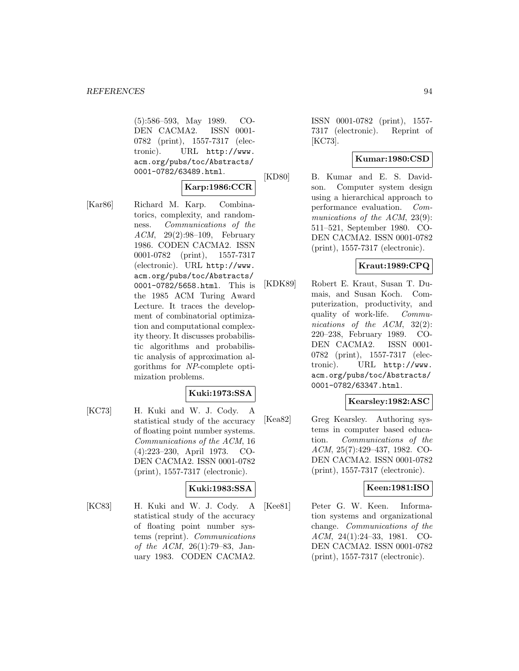(5):586–593, May 1989. CO-DEN CACMA2. ISSN 0001- 0782 (print), 1557-7317 (electronic). URL http://www. acm.org/pubs/toc/Abstracts/ 0001-0782/63489.html.

# **Karp:1986:CCR**

[Kar86] Richard M. Karp. Combinatorics, complexity, and randomness. Communications of the ACM, 29(2):98–109, February 1986. CODEN CACMA2. ISSN 0001-0782 (print), 1557-7317 (electronic). URL http://www. acm.org/pubs/toc/Abstracts/ 0001-0782/5658.html. This is the 1985 ACM Turing Award Lecture. It traces the development of combinatorial optimization and computational complexity theory. It discusses probabilistic algorithms and probabilistic analysis of approximation algorithms for NP-complete optimization problems.

# **Kuki:1973:SSA**

[KC73] H. Kuki and W. J. Cody. statistical study of the accuracy of floating point number systems. Communications of the ACM, 16 (4):223–230, April 1973. CO-DEN CACMA2. ISSN 0001-0782 (print), 1557-7317 (electronic).

# **Kuki:1983:SSA**

[KC83] H. Kuki and W. J. Cody. A statistical study of the accuracy of floating point number systems (reprint). Communications of the ACM, 26(1):79–83, January 1983. CODEN CACMA2.

ISSN 0001-0782 (print), 1557- 7317 (electronic). Reprint of [KC73].

### **Kumar:1980:CSD**

[KD80] B. Kumar and E. S. Davidson. Computer system design using a hierarchical approach to performance evaluation. Communications of the ACM, 23(9): 511–521, September 1980. CO-DEN CACMA2. ISSN 0001-0782 (print), 1557-7317 (electronic).

# **Kraut:1989:CPQ**

[KDK89] Robert E. Kraut, Susan T. Dumais, and Susan Koch. Computerization, productivity, and quality of work-life. Communications of the ACM, 32(2): 220–238, February 1989. CO-DEN CACMA2. ISSN 0001- 0782 (print), 1557-7317 (electronic). URL http://www. acm.org/pubs/toc/Abstracts/ 0001-0782/63347.html.

# **Kearsley:1982:ASC**

[Kea82] Greg Kearsley. Authoring systems in computer based education. Communications of the ACM, 25(7):429–437, 1982. CO-DEN CACMA2. ISSN 0001-0782 (print), 1557-7317 (electronic).

#### **Keen:1981:ISO**

[Kee81] Peter G. W. Keen. Information systems and organizational change. Communications of the ACM, 24(1):24–33, 1981. CO-DEN CACMA2. ISSN 0001-0782 (print), 1557-7317 (electronic).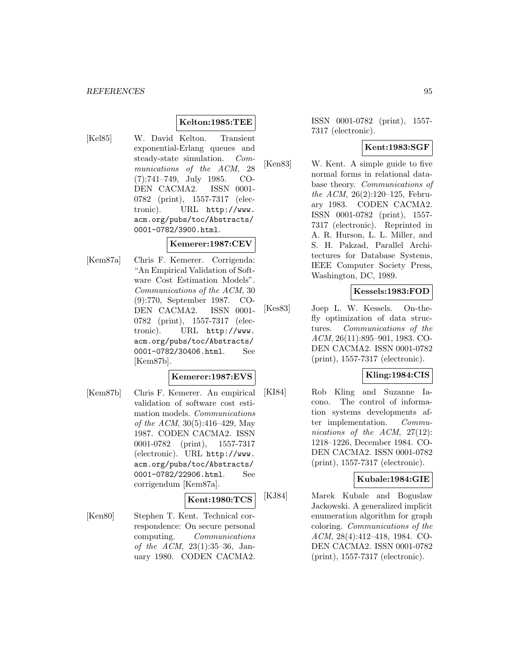### **Kelton:1985:TEE**

[Kel85] W. David Kelton. Transient exponential-Erlang queues and steady-state simulation. Communications of the ACM, 28 (7):741–749, July 1985. CO-DEN CACMA2. ISSN 0001- 0782 (print), 1557-7317 (electronic). URL http://www. acm.org/pubs/toc/Abstracts/ 0001-0782/3900.html.

#### **Kemerer:1987:CEV**

[Kem87a] Chris F. Kemerer. Corrigenda: "An Empirical Validation of Software Cost Estimation Models". Communications of the ACM, 30 (9):770, September 1987. CO-DEN CACMA2. ISSN 0001- 0782 (print), 1557-7317 (electronic). URL http://www. acm.org/pubs/toc/Abstracts/ 0001-0782/30406.html. See [Kem87b].

# **Kemerer:1987:EVS**

[Kem87b] Chris F. Kemerer. An empirical validation of software cost estimation models. Communications of the ACM, 30(5):416–429, May 1987. CODEN CACMA2. ISSN 0001-0782 (print), 1557-7317 (electronic). URL http://www. acm.org/pubs/toc/Abstracts/ 0001-0782/22906.html. See corrigendum [Kem87a].

# **Kent:1980:TCS**

[Ken80] Stephen T. Kent. Technical correspondence: On secure personal computing. Communications of the ACM, 23(1):35–36, January 1980. CODEN CACMA2.

ISSN 0001-0782 (print), 1557- 7317 (electronic).

### **Kent:1983:SGF**

[Ken83] W. Kent. A simple guide to five normal forms in relational database theory. Communications of the ACM, 26(2):120–125, February 1983. CODEN CACMA2. ISSN 0001-0782 (print), 1557- 7317 (electronic). Reprinted in A. R. Hurson, L. L. Miller, and S. H. Pakzad, Parallel Architectures for Database Systems, IEEE Computer Society Press, Washington, DC, 1989.

### **Kessels:1983:FOD**

[Kes83] Joep L. W. Kessels. On-thefly optimization of data structures. Communications of the ACM, 26(11):895–901, 1983. CO-DEN CACMA2. ISSN 0001-0782 (print), 1557-7317 (electronic).

# **Kling:1984:CIS**

[KI84] Rob Kling and Suzanne Iacono. The control of information systems developments after implementation. Communications of the ACM, 27(12): 1218–1226, December 1984. CO-DEN CACMA2. ISSN 0001-0782 (print), 1557-7317 (electronic).

#### **Kubale:1984:GIE**

[KJ84] Marek Kubale and Boguslaw Jackowski. A generalized implicit enumeration algorithm for graph coloring. Communications of the ACM, 28(4):412–418, 1984. CO-DEN CACMA2. ISSN 0001-0782 (print), 1557-7317 (electronic).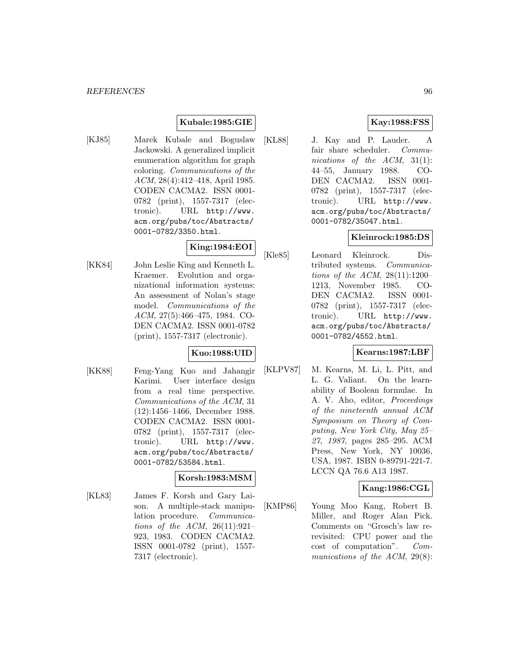# **Kubale:1985:GIE**

[KJ85] Marek Kubale and Boguslaw Jackowski. A generalized implicit enumeration algorithm for graph coloring. Communications of the ACM, 28(4):412–418, April 1985. CODEN CACMA2. ISSN 0001- 0782 (print), 1557-7317 (electronic). URL http://www. acm.org/pubs/toc/Abstracts/ 0001-0782/3350.html.

# **King:1984:EOI**

[KK84] John Leslie King and Kenneth L. Kraemer. Evolution and organizational information systems: An assessment of Nolan's stage model. Communications of the ACM, 27(5):466–475, 1984. CO-DEN CACMA2. ISSN 0001-0782 (print), 1557-7317 (electronic).

# **Kuo:1988:UID**

[KK88] Feng-Yang Kuo and Jahangir Karimi. User interface design from a real time perspective. Communications of the ACM, 31 (12):1456–1466, December 1988. CODEN CACMA2. ISSN 0001- 0782 (print), 1557-7317 (electronic). URL http://www. acm.org/pubs/toc/Abstracts/ 0001-0782/53584.html.

#### **Korsh:1983:MSM**

[KL83] James F. Korsh and Gary Laison. A multiple-stack manipulation procedure. Communications of the ACM, 26(11):921– 923, 1983. CODEN CACMA2. ISSN 0001-0782 (print), 1557- 7317 (electronic).

# **Kay:1988:FSS**

[KL88] J. Kay and P. Lauder. A fair share scheduler. Communications of the ACM, 31(1): 44–55, January 1988. CO-DEN CACMA2. ISSN 0001- 0782 (print), 1557-7317 (electronic). URL http://www. acm.org/pubs/toc/Abstracts/ 0001-0782/35047.html.

### **Kleinrock:1985:DS**

[Kle85] Leonard Kleinrock. Distributed systems. Communications of the ACM,  $28(11):1200-$ 1213, November 1985. CO-DEN CACMA2. ISSN 0001- 0782 (print), 1557-7317 (electronic). URL http://www. acm.org/pubs/toc/Abstracts/ 0001-0782/4552.html.

### **Kearns:1987:LBF**

[KLPV87] M. Kearns, M. Li, L. Pitt, and L. G. Valiant. On the learnability of Boolean formulae. In A. V. Aho, editor, Proceedings of the nineteenth annual ACM Symposium on Theory of Computing, New York City, May 25– 27, 1987, pages 285–295. ACM Press, New York, NY 10036, USA, 1987. ISBN 0-89791-221-7. LCCN QA 76.6 A13 1987.

# **Kang:1986:CGL**

[KMP86] Young Moo Kang, Robert B. Miller, and Roger Alan Pick. Comments on "Grosch's law rerevisited: CPU power and the cost of computation". Communications of the ACM, 29(8):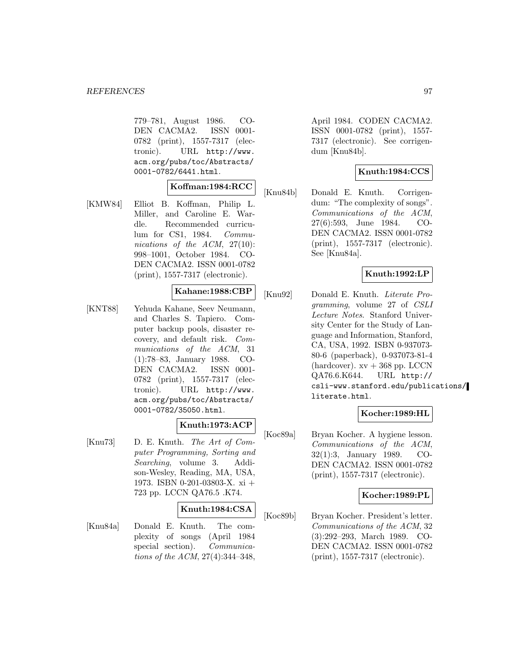779–781, August 1986. CO-DEN CACMA2. ISSN 0001- 0782 (print), 1557-7317 (electronic). URL http://www. acm.org/pubs/toc/Abstracts/ 0001-0782/6441.html.

# **Koffman:1984:RCC**

[KMW84] Elliot B. Koffman, Philip L. Miller, and Caroline E. Wardle. Recommended curriculum for CS1, 1984. Communications of the  $ACM$ ,  $27(10)$ : 998–1001, October 1984. CO-DEN CACMA2. ISSN 0001-0782 (print), 1557-7317 (electronic).

#### **Kahane:1988:CBP**

[KNT88] Yehuda Kahane, Seev Neumann, and Charles S. Tapiero. Computer backup pools, disaster recovery, and default risk. Communications of the ACM, 31 (1):78–83, January 1988. CO-DEN CACMA2. ISSN 0001- 0782 (print), 1557-7317 (electronic). URL http://www. acm.org/pubs/toc/Abstracts/ 0001-0782/35050.html.

#### **Knuth:1973:ACP**

[Knu73] D. E. Knuth. The Art of Computer Programming, Sorting and Searching, volume 3. Addison-Wesley, Reading, MA, USA, 1973. ISBN 0-201-03803-X. xi + 723 pp. LCCN QA76.5 .K74.

#### **Knuth:1984:CSA**

[Knu84a] Donald E. Knuth. The complexity of songs (April 1984 special section). *Communica*tions of the ACM, 27(4):344–348,

April 1984. CODEN CACMA2. ISSN 0001-0782 (print), 1557- 7317 (electronic). See corrigendum [Knu84b].

# **Knuth:1984:CCS**

[Knu84b] Donald E. Knuth. Corrigendum: "The complexity of songs". Communications of the ACM, 27(6):593, June 1984. CO-DEN CACMA2. ISSN 0001-0782 (print), 1557-7317 (electronic). See [Knu84a].

### **Knuth:1992:LP**

[Knu92] Donald E. Knuth. Literate Programming, volume 27 of CSLI Lecture Notes. Stanford University Center for the Study of Language and Information, Stanford, CA, USA, 1992. ISBN 0-937073- 80-6 (paperback), 0-937073-81-4 (hardcover).  $xy + 368$  pp. LCCN QA76.6.K644. URL http:// csli-www.stanford.edu/publications/ literate.html.

#### **Kocher:1989:HL**

[Koc89a] Bryan Kocher. A hygiene lesson. Communications of the ACM, 32(1):3, January 1989. CO-DEN CACMA2. ISSN 0001-0782 (print), 1557-7317 (electronic).

#### **Kocher:1989:PL**

[Koc89b] Bryan Kocher. President's letter. Communications of the ACM, 32 (3):292–293, March 1989. CO-DEN CACMA2. ISSN 0001-0782 (print), 1557-7317 (electronic).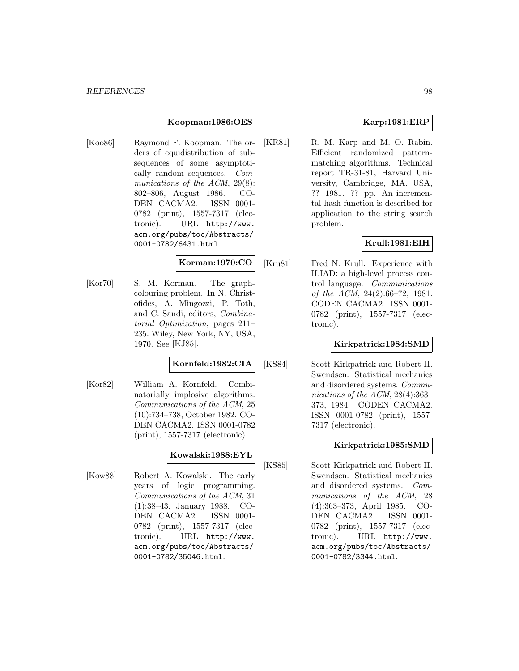#### **Koopman:1986:OES**

[Koo86] Raymond F. Koopman. The orders of equidistribution of subsequences of some asymptotically random sequences. Communications of the ACM, 29(8): 802–806, August 1986. CO-DEN CACMA2. ISSN 0001- 0782 (print), 1557-7317 (electronic). URL http://www. acm.org/pubs/toc/Abstracts/ 0001-0782/6431.html.

### **Korman:1970:CO**

[Kor70] S. M. Korman. The graphcolouring problem. In N. Christofides, A. Mingozzi, P. Toth, and C. Sandi, editors, Combinatorial Optimization, pages 211– 235. Wiley, New York, NY, USA, 1970. See [KJ85].

#### **Kornfeld:1982:CIA**

[Kor82] William A. Kornfeld. Combinatorially implosive algorithms. Communications of the ACM, 25 (10):734–738, October 1982. CO-DEN CACMA2. ISSN 0001-0782 (print), 1557-7317 (electronic).

### **Kowalski:1988:EYL**

[Kow88] Robert A. Kowalski. The early years of logic programming. Communications of the ACM, 31 (1):38–43, January 1988. CO-DEN CACMA2. ISSN 0001- 0782 (print), 1557-7317 (electronic). URL http://www. acm.org/pubs/toc/Abstracts/ 0001-0782/35046.html.

### **Karp:1981:ERP**

[KR81] R. M. Karp and M. O. Rabin. Efficient randomized patternmatching algorithms. Technical report TR-31-81, Harvard University, Cambridge, MA, USA, ?? 1981. ?? pp. An incremental hash function is described for application to the string search problem.

### **Krull:1981:EIH**

[Kru81] Fred N. Krull. Experience with ILIAD: a high-level process control language. Communications of the ACM, 24(2):66–72, 1981. CODEN CACMA2. ISSN 0001- 0782 (print), 1557-7317 (electronic).

#### **Kirkpatrick:1984:SMD**

[KS84] Scott Kirkpatrick and Robert H. Swendsen. Statistical mechanics and disordered systems. Communications of the ACM, 28(4):363– 373, 1984. CODEN CACMA2. ISSN 0001-0782 (print), 1557- 7317 (electronic).

#### **Kirkpatrick:1985:SMD**

[KS85] Scott Kirkpatrick and Robert H. Swendsen. Statistical mechanics and disordered systems. Communications of the ACM, 28 (4):363–373, April 1985. CO-DEN CACMA2. ISSN 0001- 0782 (print), 1557-7317 (electronic). URL http://www. acm.org/pubs/toc/Abstracts/ 0001-0782/3344.html.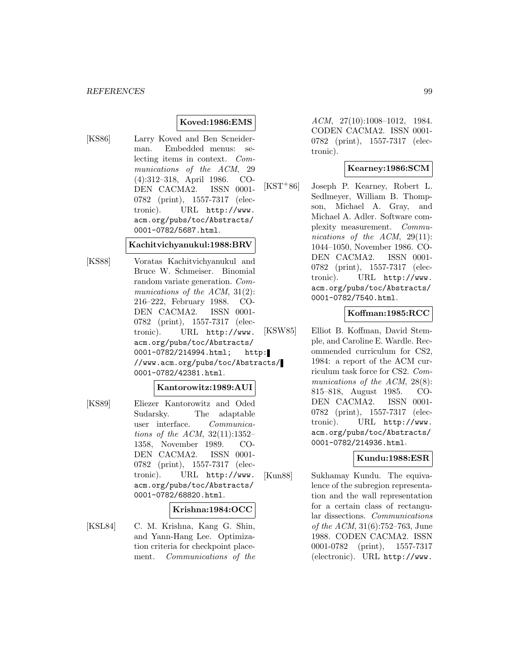### **Koved:1986:EMS**

[KS86] Larry Koved and Ben Scneiderman. Embedded menus: selecting items in context. Communications of the ACM, 29 (4):312–318, April 1986. CO-DEN CACMA2. ISSN 0001- 0782 (print), 1557-7317 (electronic). URL http://www. acm.org/pubs/toc/Abstracts/ 0001-0782/5687.html.

#### **Kachitvichyanukul:1988:BRV**

[KS88] Voratas Kachitvichyanukul and Bruce W. Schmeiser. Binomial random variate generation. Communications of the ACM, 31(2): 216–222, February 1988. CO-DEN CACMA2. ISSN 0001- 0782 (print), 1557-7317 (electronic). URL http://www. acm.org/pubs/toc/Abstracts/ 0001-0782/214994.html; http: //www.acm.org/pubs/toc/Abstracts/ 0001-0782/42381.html.

# **Kantorowitz:1989:AUI**

[KS89] Eliezer Kantorowitz and Oded Sudarsky. The adaptable user interface. Communications of the ACM, 32(11):1352– 1358, November 1989. CO-DEN CACMA2. ISSN 0001- 0782 (print), 1557-7317 (electronic). URL http://www. acm.org/pubs/toc/Abstracts/ 0001-0782/68820.html.

#### **Krishna:1984:OCC**

[KSL84] C. M. Krishna, Kang G. Shin, and Yann-Hang Lee. Optimization criteria for checkpoint placement. Communications of the ACM, 27(10):1008–1012, 1984. CODEN CACMA2. ISSN 0001- 0782 (print), 1557-7317 (electronic).

### **Kearney:1986:SCM**

[KST<sup>+</sup>86] Joseph P. Kearney, Robert L. Sedlmeyer, William B. Thompson, Michael A. Gray, and Michael A. Adler. Software complexity measurement. Communications of the ACM, 29(11): 1044–1050, November 1986. CO-DEN CACMA2. ISSN 0001- 0782 (print), 1557-7317 (electronic). URL http://www. acm.org/pubs/toc/Abstracts/ 0001-0782/7540.html.

#### **Koffman:1985:RCC**

[KSW85] Elliot B. Koffman, David Stemple, and Caroline E. Wardle. Recommended curriculum for CS2, 1984: a report of the ACM curriculum task force for CS2. Communications of the ACM, 28(8): 815–818, August 1985. CO-DEN CACMA2. ISSN 0001- 0782 (print), 1557-7317 (electronic). URL http://www. acm.org/pubs/toc/Abstracts/ 0001-0782/214936.html.

# **Kundu:1988:ESR**

[Kun88] Sukhamay Kundu. The equivalence of the subregion representation and the wall representation for a certain class of rectangular dissections. Communications of the ACM, 31(6):752–763, June 1988. CODEN CACMA2. ISSN 0001-0782 (print), 1557-7317 (electronic). URL http://www.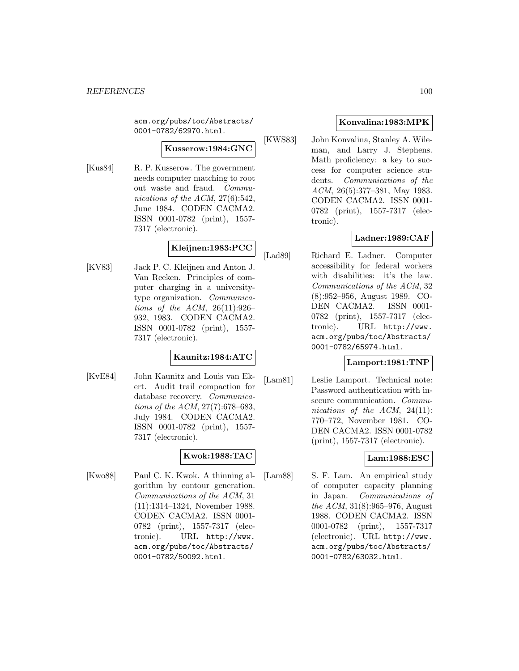acm.org/pubs/toc/Abstracts/ 0001-0782/62970.html.

### **Kusserow:1984:GNC**

[Kus84] R. P. Kusserow. The government needs computer matching to root out waste and fraud. Communications of the ACM, 27(6):542, June 1984. CODEN CACMA2. ISSN 0001-0782 (print), 1557- 7317 (electronic).

# **Kleijnen:1983:PCC**

[KV83] Jack P. C. Kleijnen and Anton J. Van Reeken. Principles of computer charging in a universitytype organization. Communications of the ACM, 26(11):926– 932, 1983. CODEN CACMA2. ISSN 0001-0782 (print), 1557- 7317 (electronic).

# **Kaunitz:1984:ATC**

[KvE84] John Kaunitz and Louis van Ekert. Audit trail compaction for database recovery. Communications of the ACM, 27(7):678–683, July 1984. CODEN CACMA2. ISSN 0001-0782 (print), 1557- 7317 (electronic).

# **Kwok:1988:TAC**

[Kwo88] Paul C. K. Kwok. A thinning algorithm by contour generation. Communications of the ACM, 31 (11):1314–1324, November 1988. CODEN CACMA2. ISSN 0001- 0782 (print), 1557-7317 (electronic). URL http://www. acm.org/pubs/toc/Abstracts/ 0001-0782/50092.html.

# **Konvalina:1983:MPK**

[KWS83] John Konvalina, Stanley A. Wileman, and Larry J. Stephens. Math proficiency: a key to success for computer science students. Communications of the ACM, 26(5):377–381, May 1983. CODEN CACMA2. ISSN 0001- 0782 (print), 1557-7317 (electronic).

# **Ladner:1989:CAF**

[Lad89] Richard E. Ladner. Computer accessibility for federal workers with disabilities: it's the law. Communications of the ACM, 32 (8):952–956, August 1989. CO-DEN CACMA2. ISSN 0001- 0782 (print), 1557-7317 (electronic). URL http://www. acm.org/pubs/toc/Abstracts/ 0001-0782/65974.html.

# **Lamport:1981:TNP**

[Lam81] Leslie Lamport. Technical note: Password authentication with insecure communication. Communications of the ACM, 24(11): 770–772, November 1981. CO-DEN CACMA2. ISSN 0001-0782 (print), 1557-7317 (electronic).

# **Lam:1988:ESC**

[Lam88] S. F. Lam. An empirical study of computer capacity planning in Japan. Communications of the ACM, 31(8):965–976, August 1988. CODEN CACMA2. ISSN 0001-0782 (print), 1557-7317 (electronic). URL http://www. acm.org/pubs/toc/Abstracts/ 0001-0782/63032.html.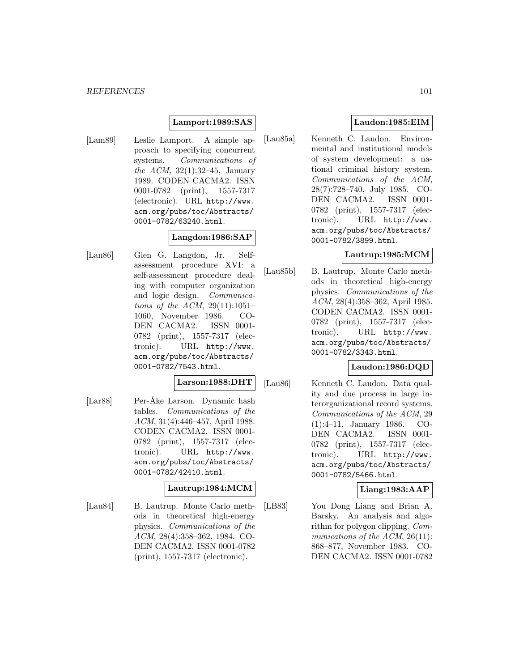### **Lamport:1989:SAS**

[Lam89] Leslie Lamport. A simple approach to specifying concurrent systems. Communications of the ACM,  $32(1):32-45$ , January 1989. CODEN CACMA2. ISSN 0001-0782 (print), 1557-7317 (electronic). URL http://www. acm.org/pubs/toc/Abstracts/ 0001-0782/63240.html.

# **Langdon:1986:SAP**

[Lan86] Glen G. Langdon, Jr. Selfassessment procedure XVI: a self-assessment procedure dealing with computer organization and logic design. Communications of the ACM,  $29(11):1051-$ 1060, November 1986. CO-DEN CACMA2. ISSN 0001- 0782 (print), 1557-7317 (electronic). URL http://www. acm.org/pubs/toc/Abstracts/ 0001-0782/7543.html.

#### **Larson:1988:DHT**

[Lar88] Per-Åke Larson. Dynamic hash tables. Communications of the ACM, 31(4):446–457, April 1988. CODEN CACMA2. ISSN 0001- 0782 (print), 1557-7317 (electronic). URL http://www. acm.org/pubs/toc/Abstracts/ 0001-0782/42410.html.

# **Lautrup:1984:MCM**

[Lau84] B. Lautrup. Monte Carlo methods in theoretical high-energy physics. Communications of the ACM, 28(4):358–362, 1984. CO-DEN CACMA2. ISSN 0001-0782 (print), 1557-7317 (electronic).

# **Laudon:1985:EIM**

[Lau85a] Kenneth C. Laudon. Environmental and institutional models of system development: a national criminal history system. Communications of the ACM, 28(7):728–740, July 1985. CO-DEN CACMA2. ISSN 0001- 0782 (print), 1557-7317 (electronic). URL http://www. acm.org/pubs/toc/Abstracts/ 0001-0782/3899.html.

### **Lautrup:1985:MCM**

[Lau85b] B. Lautrup. Monte Carlo methods in theoretical high-energy physics. Communications of the ACM, 28(4):358–362, April 1985. CODEN CACMA2. ISSN 0001- 0782 (print), 1557-7317 (electronic). URL http://www. acm.org/pubs/toc/Abstracts/ 0001-0782/3343.html.

# **Laudon:1986:DQD**

[Lau86] Kenneth C. Laudon. Data quality and due process in large interorganizational record systems. Communications of the ACM, 29 (1):4–11, January 1986. CO-DEN CACMA2. ISSN 0001- 0782 (print), 1557-7317 (electronic). URL http://www. acm.org/pubs/toc/Abstracts/ 0001-0782/5466.html.

#### **Liang:1983:AAP**

[LB83] You Dong Liang and Brian A. Barsky. An analysis and algorithm for polygon clipping. Communications of the ACM, 26(11): 868–877, November 1983. CO-DEN CACMA2. ISSN 0001-0782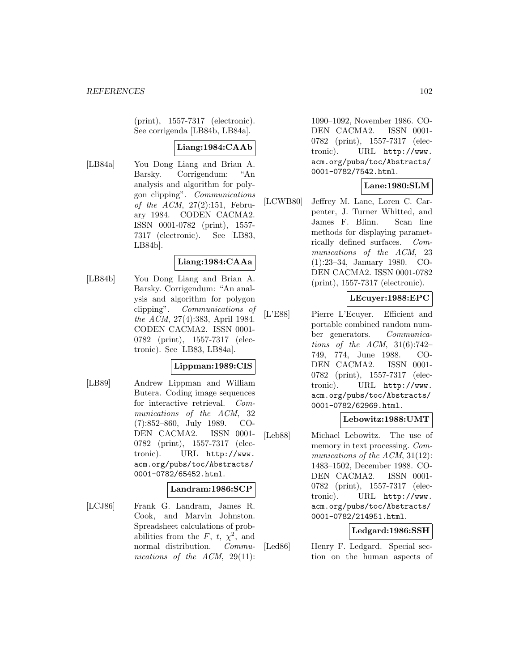(print), 1557-7317 (electronic). See corrigenda [LB84b, LB84a].

### **Liang:1984:CAAb**

[LB84a] You Dong Liang and Brian A. Barsky. Corrigendum: "An analysis and algorithm for polygon clipping". Communications of the ACM, 27(2):151, February 1984. CODEN CACMA2. ISSN 0001-0782 (print), 1557- 7317 (electronic). See [LB83, LB84b].

# **Liang:1984:CAAa**

[LB84b] You Dong Liang and Brian A. Barsky. Corrigendum: "An analysis and algorithm for polygon clipping". Communications of the ACM, 27(4):383, April 1984. CODEN CACMA2. ISSN 0001- 0782 (print), 1557-7317 (electronic). See [LB83, LB84a].

### **Lippman:1989:CIS**

[LB89] Andrew Lippman and William Butera. Coding image sequences for interactive retrieval. Communications of the ACM, 32 (7):852–860, July 1989. CO-DEN CACMA2. ISSN 0001- 0782 (print), 1557-7317 (electronic). URL http://www. acm.org/pubs/toc/Abstracts/ 0001-0782/65452.html.

### **Landram:1986:SCP**

[LCJ86] Frank G. Landram, James R. Cook, and Marvin Johnston. Spreadsheet calculations of probabilities from the F, t,  $\chi^2$ , and normal distribution. Communications of the ACM, 29(11):

1090–1092, November 1986. CO-DEN CACMA2. ISSN 0001- 0782 (print), 1557-7317 (electronic). URL http://www. acm.org/pubs/toc/Abstracts/ 0001-0782/7542.html.

# **Lane:1980:SLM**

[LCWB80] Jeffrey M. Lane, Loren C. Carpenter, J. Turner Whitted, and James F. Blinn. Scan line methods for displaying parametrically defined surfaces. Communications of the ACM, 23 (1):23–34, January 1980. CO-DEN CACMA2. ISSN 0001-0782 (print), 1557-7317 (electronic).

# **LEcuyer:1988:EPC**

[L'E88] Pierre L'Ecuyer. Efficient and portable combined random number generators. Communications of the ACM,  $31(6):742-$ 749, 774, June 1988. CO-DEN CACMA2. ISSN 0001- 0782 (print), 1557-7317 (electronic). URL http://www. acm.org/pubs/toc/Abstracts/ 0001-0782/62969.html.

# **Lebowitz:1988:UMT**

[Leb88] Michael Lebowitz. The use of memory in text processing. Communications of the ACM, 31(12): 1483–1502, December 1988. CO-DEN CACMA2. ISSN 0001- 0782 (print), 1557-7317 (electronic). URL http://www. acm.org/pubs/toc/Abstracts/ 0001-0782/214951.html.

### **Ledgard:1986:SSH**

[Led86] Henry F. Ledgard. Special section on the human aspects of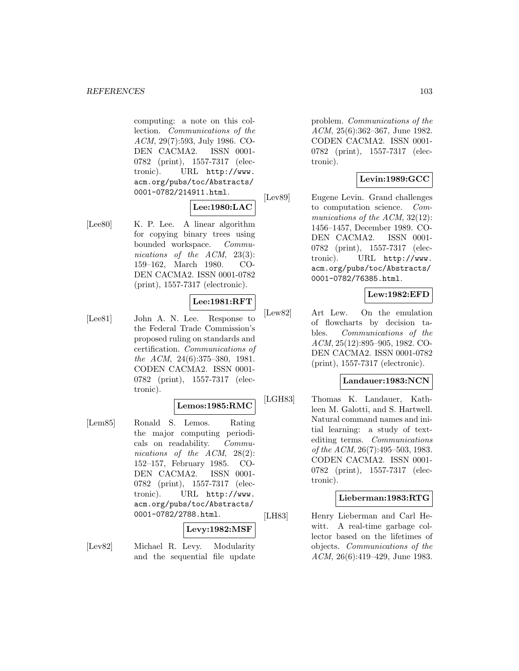computing: a note on this collection. Communications of the ACM, 29(7):593, July 1986. CO-DEN CACMA2. ISSN 0001- 0782 (print), 1557-7317 (electronic). URL http://www. acm.org/pubs/toc/Abstracts/ 0001-0782/214911.html.

### **Lee:1980:LAC**

[Lee80] K. P. Lee. A linear algorithm for copying binary trees using bounded workspace. Communications of the ACM, 23(3): 159–162, March 1980. CO-DEN CACMA2. ISSN 0001-0782 (print), 1557-7317 (electronic).

# **Lee:1981:RFT**

[Lee81] John A. N. Lee. Response to the Federal Trade Commission's proposed ruling on standards and certification. Communications of the ACM, 24(6):375–380, 1981. CODEN CACMA2. ISSN 0001- 0782 (print), 1557-7317 (electronic).

#### **Lemos:1985:RMC**

[Lem85] Ronald S. Lemos. Rating the major computing periodicals on readability. Communications of the ACM, 28(2): 152–157, February 1985. CO-DEN CACMA2. ISSN 0001- 0782 (print), 1557-7317 (electronic). URL http://www. acm.org/pubs/toc/Abstracts/ 0001-0782/2788.html.

#### **Levy:1982:MSF**

[Lev82] Michael R. Levy. Modularity and the sequential file update problem. Communications of the ACM, 25(6):362–367, June 1982. CODEN CACMA2. ISSN 0001- 0782 (print), 1557-7317 (electronic).

# **Levin:1989:GCC**

[Lev89] Eugene Levin. Grand challenges to computation science. Communications of the ACM, 32(12): 1456–1457, December 1989. CO-DEN CACMA2. ISSN 0001- 0782 (print), 1557-7317 (electronic). URL http://www. acm.org/pubs/toc/Abstracts/ 0001-0782/76385.html.

# **Lew:1982:EFD**

[Lew82] Art Lew. On the emulation of flowcharts by decision tables. Communications of the ACM, 25(12):895–905, 1982. CO-DEN CACMA2. ISSN 0001-0782 (print), 1557-7317 (electronic).

# **Landauer:1983:NCN**

[LGH83] Thomas K. Landauer, Kathleen M. Galotti, and S. Hartwell. Natural command names and initial learning: a study of textediting terms. Communications of the ACM, 26(7):495–503, 1983. CODEN CACMA2. ISSN 0001- 0782 (print), 1557-7317 (electronic).

#### **Lieberman:1983:RTG**

[LH83] Henry Lieberman and Carl Hewitt. A real-time garbage collector based on the lifetimes of objects. Communications of the ACM, 26(6):419–429, June 1983.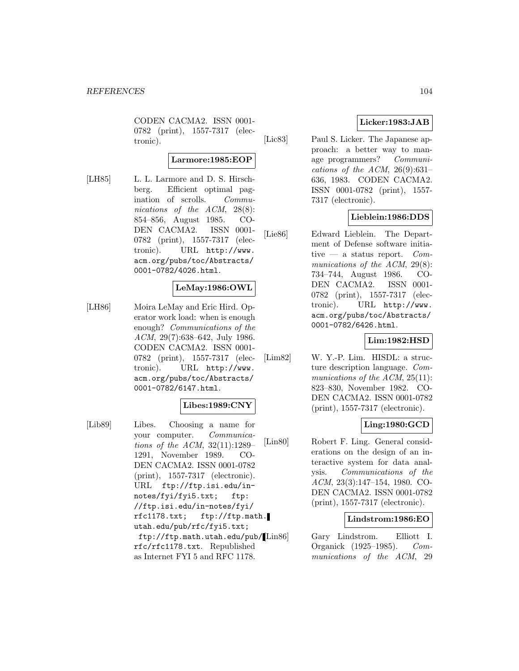CODEN CACMA2. ISSN 0001- 0782 (print), 1557-7317 (electronic).

### **Larmore:1985:EOP**

[LH85] L. L. Larmore and D. S. Hirschberg. Efficient optimal pagination of scrolls. Communications of the ACM, 28(8): 854–856, August 1985. CO-DEN CACMA2. ISSN 0001- 0782 (print), 1557-7317 (electronic). URL http://www. acm.org/pubs/toc/Abstracts/ 0001-0782/4026.html.

# **LeMay:1986:OWL**

[LH86] Moira LeMay and Eric Hird. Operator work load: when is enough enough? Communications of the ACM, 29(7):638–642, July 1986. CODEN CACMA2. ISSN 0001- 0782 (print), 1557-7317 (electronic). URL http://www. acm.org/pubs/toc/Abstracts/ 0001-0782/6147.html.

# **Libes:1989:CNY**

[Lib89] Libes. Choosing a name for your computer. Communications of the ACM, 32(11):1289– 1291, November 1989. CO-DEN CACMA2. ISSN 0001-0782 (print), 1557-7317 (electronic). URL ftp://ftp.isi.edu/innotes/fyi/fyi5.txt; ftp: //ftp.isi.edu/in-notes/fyi/ rfc1178.txt; ftp://ftp.math. utah.edu/pub/rfc/fyi5.txt; ftp://ftp.math.utah.edu/pub/ rfc/rfc1178.txt. Republished as Internet FYI 5 and RFC 1178.

# **Licker:1983:JAB**

[Lic83] Paul S. Licker. The Japanese approach: a better way to manage programmers? Communications of the ACM,  $26(9):631-$ 636, 1983. CODEN CACMA2. ISSN 0001-0782 (print), 1557- 7317 (electronic).

### **Lieblein:1986:DDS**

[Lie86] Edward Lieblein. The Department of Defense software initiative — a status report.  $Com$ munications of the ACM, 29(8): 734–744, August 1986. CO-DEN CACMA2. ISSN 0001- 0782 (print), 1557-7317 (electronic). URL http://www. acm.org/pubs/toc/Abstracts/ 0001-0782/6426.html.

### **Lim:1982:HSD**

[Lim82] W. Y.-P. Lim. HISDL: a structure description language. Communications of the ACM, 25(11): 823–830, November 1982. CO-DEN CACMA2. ISSN 0001-0782 (print), 1557-7317 (electronic).

#### **Ling:1980:GCD**

[Lin80] Robert F. Ling. General considerations on the design of an interactive system for data analysis. Communications of the ACM, 23(3):147–154, 1980. CO-DEN CACMA2. ISSN 0001-0782 (print), 1557-7317 (electronic).

#### **Lindstrom:1986:EO**

[Lin86] Gary Lindstrom. Elliott I. Organick (1925–1985). Communications of the ACM, 29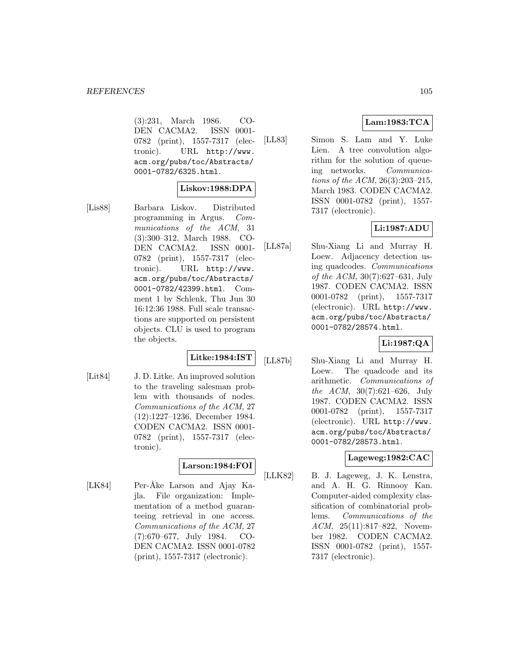(3):231, March 1986. CO-DEN CACMA2. ISSN 0001- 0782 (print), 1557-7317 (electronic). URL http://www. acm.org/pubs/toc/Abstracts/ 0001-0782/6325.html.

#### **Liskov:1988:DPA**

[Lis88] Barbara Liskov. Distributed programming in Argus. Communications of the ACM, 31 (3):300–312, March 1988. CO-DEN CACMA2. ISSN 0001- 0782 (print), 1557-7317 (electronic). URL http://www. acm.org/pubs/toc/Abstracts/ 0001-0782/42399.html. Comment 1 by Schlenk, Thu Jun 30 16:12:36 1988. Full scale transactions are supported on persistent objects. CLU is used to program the objects.

# **Litke:1984:IST**

[Lit84] J. D. Litke. An improved solution to the traveling salesman problem with thousands of nodes. Communications of the ACM, 27 (12):1227–1236, December 1984. CODEN CACMA2. ISSN 0001- 0782 (print), 1557-7317 (electronic).

# **Larson:1984:FOI**

[LK84] Per-Åke Larson and Ajay Kajla. File organization: Implementation of a method guaranteeing retrieval in one access. Communications of the ACM, 27 (7):670–677, July 1984. CO-DEN CACMA2. ISSN 0001-0782 (print), 1557-7317 (electronic).

# **Lam:1983:TCA**

[LL83] Simon S. Lam and Y. Luke Lien. A tree convolution algorithm for the solution of queueing networks. Communications of the ACM, 26(3):203–215, March 1983. CODEN CACMA2. ISSN 0001-0782 (print), 1557- 7317 (electronic).

# **Li:1987:ADU**

[LL87a] Shu-Xiang Li and Murray H. Loew. Adjacency detection using quadcodes. Communications of the ACM, 30(7):627–631, July 1987. CODEN CACMA2. ISSN 0001-0782 (print), 1557-7317 (electronic). URL http://www. acm.org/pubs/toc/Abstracts/ 0001-0782/28574.html.

# **Li:1987:QA**

[LL87b] Shu-Xiang Li and Murray H. Loew. The quadcode and its arithmetic. Communications of the ACM, 30(7):621–626, July 1987. CODEN CACMA2. ISSN 0001-0782 (print), 1557-7317 (electronic). URL http://www. acm.org/pubs/toc/Abstracts/ 0001-0782/28573.html.

#### **Lageweg:1982:CAC**

[LLK82] B. J. Lageweg, J. K. Lenstra, and A. H. G. Rinnooy Kan. Computer-aided complexity classification of combinatorial problems. Communications of the ACM, 25(11):817–822, November 1982. CODEN CACMA2. ISSN 0001-0782 (print), 1557- 7317 (electronic).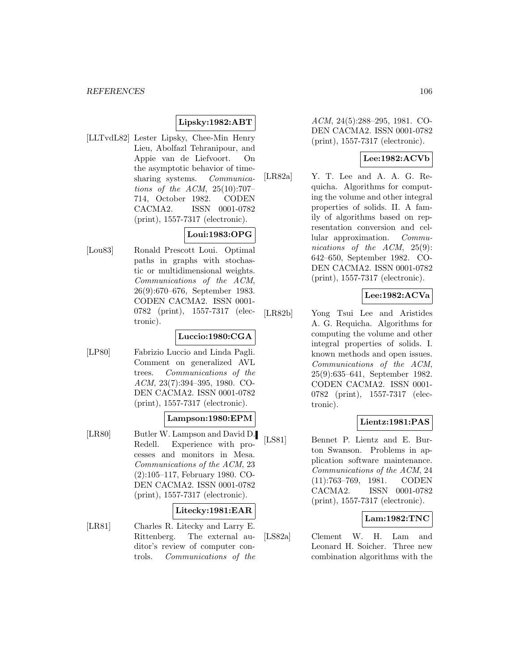# **Lipsky:1982:ABT**

[LLTvdL82] Lester Lipsky, Chee-Min Henry Lieu, Abolfazl Tehranipour, and Appie van de Liefvoort. On the asymptotic behavior of timesharing systems. *Communica*tions of the ACM, 25(10):707– 714, October 1982. CODEN CACMA2. ISSN 0001-0782 (print), 1557-7317 (electronic).

### **Loui:1983:OPG**

[Lou83] Ronald Prescott Loui. Optimal paths in graphs with stochastic or multidimensional weights. Communications of the ACM, 26(9):670–676, September 1983. CODEN CACMA2. ISSN 0001- 0782 (print), 1557-7317 (electronic).

#### **Luccio:1980:CGA**

[LP80] Fabrizio Luccio and Linda Pagli. Comment on generalized AVL trees. Communications of the ACM, 23(7):394–395, 1980. CO-DEN CACMA2. ISSN 0001-0782 (print), 1557-7317 (electronic).

#### **Lampson:1980:EPM**

[LR80] Butler W. Lampson and David D. Redell. Experience with processes and monitors in Mesa. Communications of the ACM, 23 (2):105–117, February 1980. CO-DEN CACMA2. ISSN 0001-0782 (print), 1557-7317 (electronic).

#### **Litecky:1981:EAR**

[LR81] Charles R. Litecky and Larry E. Rittenberg. The external auditor's review of computer controls. Communications of the ACM, 24(5):288–295, 1981. CO-DEN CACMA2. ISSN 0001-0782 (print), 1557-7317 (electronic).

# **Lee:1982:ACVb**

[LR82a] Y. T. Lee and A. A. G. Requicha. Algorithms for computing the volume and other integral properties of solids. II. A family of algorithms based on representation conversion and cellular approximation. Communications of the ACM, 25(9): 642–650, September 1982. CO-DEN CACMA2. ISSN 0001-0782 (print), 1557-7317 (electronic).

# **Lee:1982:ACVa**

[LR82b] Yong Tsui Lee and Aristides A. G. Requicha. Algorithms for computing the volume and other integral properties of solids. I. known methods and open issues. Communications of the ACM, 25(9):635–641, September 1982. CODEN CACMA2. ISSN 0001- 0782 (print), 1557-7317 (electronic).

#### **Lientz:1981:PAS**

[LS81] Bennet P. Lientz and E. Burton Swanson. Problems in application software maintenance. Communications of the ACM, 24 (11):763–769, 1981. CODEN CACMA2. ISSN 0001-0782 (print), 1557-7317 (electronic).

#### **Lam:1982:TNC**

[LS82a] Clement W. H. Lam and Leonard H. Soicher. Three new combination algorithms with the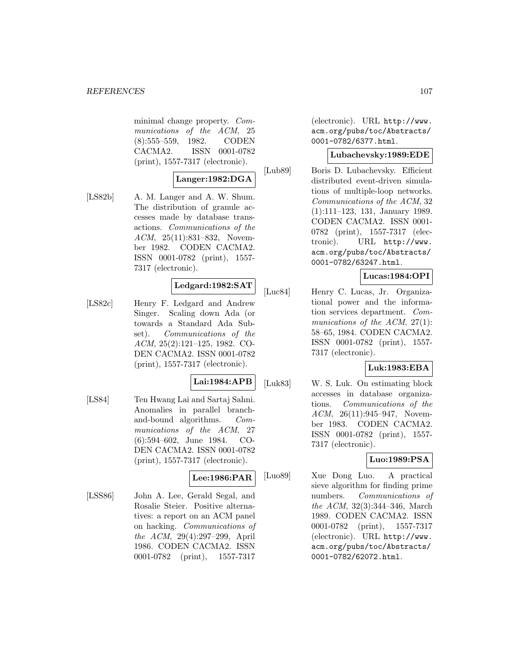minimal change property. Communications of the ACM, 25 (8):555–559, 1982. CODEN CACMA2. ISSN 0001-0782 (print), 1557-7317 (electronic).

### **Langer:1982:DGA**

[LS82b] A. M. Langer and A. W. Shum. The distribution of granule accesses made by database transactions. Communications of the ACM, 25(11):831–832, November 1982. CODEN CACMA2. ISSN 0001-0782 (print), 1557- 7317 (electronic).

### **Ledgard:1982:SAT**

[LS82c] Henry F. Ledgard and Andrew Singer. Scaling down Ada (or towards a Standard Ada Subset). Communications of the ACM, 25(2):121–125, 1982. CO-DEN CACMA2. ISSN 0001-0782 (print), 1557-7317 (electronic).

#### **Lai:1984:APB**

[LS84] Ten Hwang Lai and Sartaj Sahni. Anomalies in parallel branchand-bound algorithms. Communications of the ACM, 27 (6):594–602, June 1984. CO-DEN CACMA2. ISSN 0001-0782 (print), 1557-7317 (electronic).

#### **Lee:1986:PAR**

[LSS86] John A. Lee, Gerald Segal, and Rosalie Steier. Positive alternatives: a report on an ACM panel on hacking. Communications of the ACM, 29(4):297–299, April 1986. CODEN CACMA2. ISSN 0001-0782 (print), 1557-7317

(electronic). URL http://www. acm.org/pubs/toc/Abstracts/ 0001-0782/6377.html.

#### **Lubachevsky:1989:EDE**

[Lub89] Boris D. Lubachevsky. Efficient distributed event-driven simulations of multiple-loop networks. Communications of the ACM, 32 (1):111–123, 131, January 1989. CODEN CACMA2. ISSN 0001- 0782 (print), 1557-7317 (electronic). URL http://www. acm.org/pubs/toc/Abstracts/ 0001-0782/63247.html.

# **Lucas:1984:OPI**

[Luc84] Henry C. Lucas, Jr. Organizational power and the information services department. Communications of the ACM, 27(1): 58–65, 1984. CODEN CACMA2. ISSN 0001-0782 (print), 1557- 7317 (electronic).

# **Luk:1983:EBA**

[Luk83] W. S. Luk. On estimating block accesses in database organizations. Communications of the ACM, 26(11):945–947, November 1983. CODEN CACMA2. ISSN 0001-0782 (print), 1557- 7317 (electronic).

# **Luo:1989:PSA**

[Luo89] Xue Dong Luo. A practical sieve algorithm for finding prime numbers. Communications of the ACM, 32(3):344–346, March 1989. CODEN CACMA2. ISSN 0001-0782 (print), 1557-7317 (electronic). URL http://www. acm.org/pubs/toc/Abstracts/ 0001-0782/62072.html.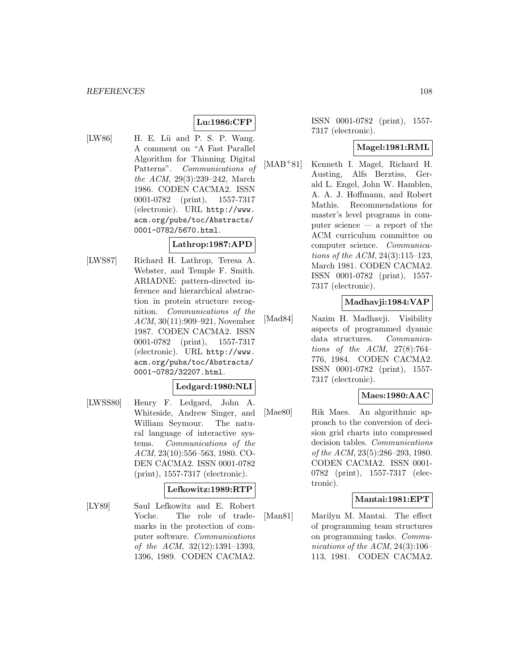# **Lu:1986:CFP**

[LW86] H. E. Lü and P. S. P. Wang. A comment on "A Fast Parallel Algorithm for Thinning Digital Patterns". Communications of the ACM, 29(3):239–242, March 1986. CODEN CACMA2. ISSN 0001-0782 (print), 1557-7317 (electronic). URL http://www. acm.org/pubs/toc/Abstracts/ 0001-0782/5670.html.

### **Lathrop:1987:APD**

[LWS87] Richard H. Lathrop, Teresa A. Webster, and Temple F. Smith. ARIADNE: pattern-directed inference and hierarchical abstraction in protein structure recognition. Communications of the ACM, 30(11):909–921, November 1987. CODEN CACMA2. ISSN 0001-0782 (print), 1557-7317 (electronic). URL http://www. acm.org/pubs/toc/Abstracts/ 0001-0782/32207.html.

#### **Ledgard:1980:NLI**

[LWSS80] Henry F. Ledgard, John A. Whiteside, Andrew Singer, and William Seymour. The natural language of interactive systems. Communications of the ACM, 23(10):556–563, 1980. CO-DEN CACMA2. ISSN 0001-0782 (print), 1557-7317 (electronic).

# **Lefkowitz:1989:RTP**

[LY89] Saul Lefkowitz and E. Robert Yoche. The role of trademarks in the protection of computer software. Communications of the ACM, 32(12):1391–1393, 1396, 1989. CODEN CACMA2.

ISSN 0001-0782 (print), 1557- 7317 (electronic).

### **Magel:1981:RML**

[MAB<sup>+</sup>81] Kenneth I. Magel, Richard H. Austing, Alfs Berztiss, Gerald L. Engel, John W. Hamblen, A. A. J. Hoffmann, and Robert Mathis. Recommendations for master's level programs in computer science — a report of the ACM curriculum committee on computer science. Communications of the ACM, 24(3):115–123, March 1981. CODEN CACMA2. ISSN 0001-0782 (print), 1557- 7317 (electronic).

### **Madhavji:1984:VAP**

[Mad84] Nazim H. Madhavji. Visibility aspects of programmed dyamic data structures. Communications of the ACM,  $27(8)$ :764– 776, 1984. CODEN CACMA2. ISSN 0001-0782 (print), 1557- 7317 (electronic).

#### **Maes:1980:AAC**

[Mae80] Rik Maes. An algorithmic approach to the conversion of decision grid charts into compressed decision tables. Communications of the ACM, 23(5):286–293, 1980. CODEN CACMA2. ISSN 0001- 0782 (print), 1557-7317 (electronic).

#### **Mantai:1981:EPT**

[Man81] Marilyn M. Mantai. The effect of programming team structures on programming tasks. Communications of the ACM, 24(3):106– 113, 1981. CODEN CACMA2.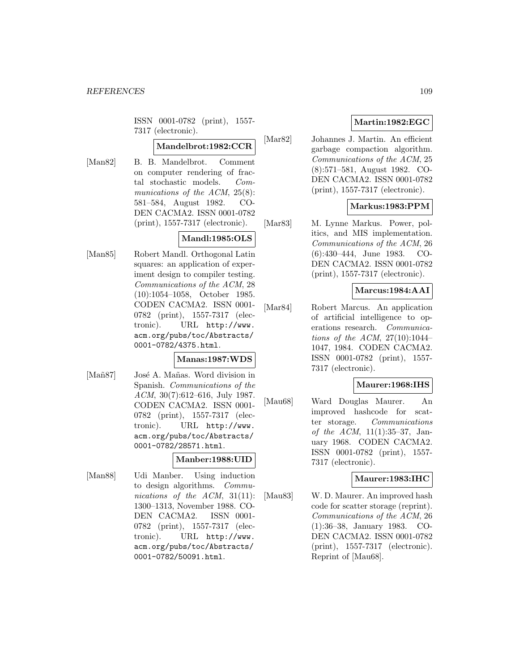ISSN 0001-0782 (print), 1557- 7317 (electronic).

### **Mandelbrot:1982:CCR**

- 
- [Man82] B. B. Mandelbrot. Comment on computer rendering of fractal stochastic models. Communications of the ACM, 25(8): 581–584, August 1982. CO-DEN CACMA2. ISSN 0001-0782 (print), 1557-7317 (electronic).

### **Mandl:1985:OLS**

[Man85] Robert Mandl. Orthogonal Latin squares: an application of experiment design to compiler testing. Communications of the ACM, 28 (10):1054–1058, October 1985. CODEN CACMA2. ISSN 0001- 0782 (print), 1557-7317 (electronic). URL http://www. acm.org/pubs/toc/Abstracts/ 0001-0782/4375.html.

### **Manas:1987:WDS**

[Mañ87] José A. Mañas. Word division in Spanish. Communications of the ACM, 30(7):612–616, July 1987. CODEN CACMA2. ISSN 0001- 0782 (print), 1557-7317 (electronic). URL http://www. acm.org/pubs/toc/Abstracts/ 0001-0782/28571.html.

### **Manber:1988:UID**

[Man88] Udi Manber. Using induction to design algorithms. Communications of the ACM, 31(11): 1300–1313, November 1988. CO-DEN CACMA2. ISSN 0001- 0782 (print), 1557-7317 (electronic). URL http://www. acm.org/pubs/toc/Abstracts/ 0001-0782/50091.html.

# **Martin:1982:EGC**

[Mar82] Johannes J. Martin. An efficient garbage compaction algorithm. Communications of the ACM, 25 (8):571–581, August 1982. CO-DEN CACMA2. ISSN 0001-0782 (print), 1557-7317 (electronic).

## **Markus:1983:PPM**

[Mar83] M. Lynne Markus. Power, politics, and MIS implementation. Communications of the ACM, 26 (6):430–444, June 1983. CO-DEN CACMA2. ISSN 0001-0782 (print), 1557-7317 (electronic).

### **Marcus:1984:AAI**

[Mar84] Robert Marcus. An application of artificial intelligence to operations research. Communications of the ACM,  $27(10):1044-$ 1047, 1984. CODEN CACMA2. ISSN 0001-0782 (print), 1557- 7317 (electronic).

### **Maurer:1968:IHS**

[Mau68] Ward Douglas Maurer. An improved hashcode for scatter storage. Communications of the ACM, 11(1):35–37, January 1968. CODEN CACMA2. ISSN 0001-0782 (print), 1557- 7317 (electronic).

### **Maurer:1983:IHC**

[Mau83] W. D. Maurer. An improved hash code for scatter storage (reprint). Communications of the ACM, 26 (1):36–38, January 1983. CO-DEN CACMA2. ISSN 0001-0782 (print), 1557-7317 (electronic). Reprint of [Mau68].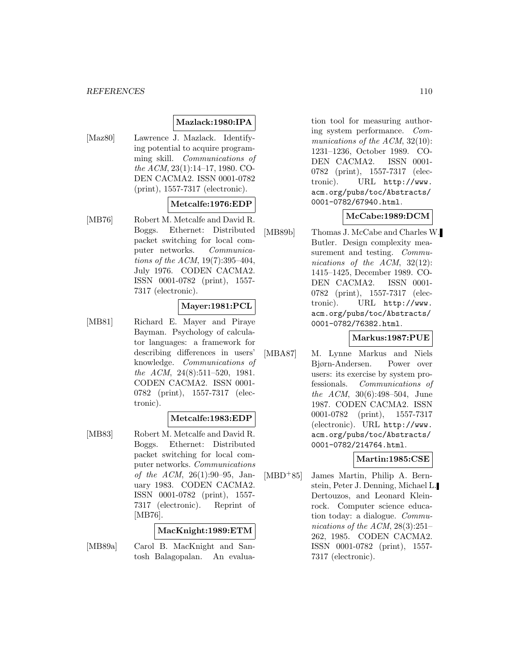#### *REFERENCES* 110

### **Mazlack:1980:IPA**

[Maz80] Lawrence J. Mazlack. Identifying potential to acquire programming skill. Communications of the ACM, 23(1):14–17, 1980. CO-DEN CACMA2. ISSN 0001-0782 (print), 1557-7317 (electronic).

### **Metcalfe:1976:EDP**

[MB76] Robert M. Metcalfe and David R. Boggs. Ethernet: Distributed packet switching for local computer networks. Communications of the ACM, 19(7):395–404, July 1976. CODEN CACMA2. ISSN 0001-0782 (print), 1557- 7317 (electronic).

## **Mayer:1981:PCL**

[MB81] Richard E. Mayer and Piraye Bayman. Psychology of calculator languages: a framework for describing differences in users' knowledge. Communications of the ACM, 24(8):511–520, 1981. CODEN CACMA2. ISSN 0001- 0782 (print), 1557-7317 (electronic).

### **Metcalfe:1983:EDP**

[MB83] Robert M. Metcalfe and David R. Boggs. Ethernet: Distributed packet switching for local computer networks. Communications of the ACM, 26(1):90–95, January 1983. CODEN CACMA2. ISSN 0001-0782 (print), 1557- 7317 (electronic). Reprint of [MB76].

### **MacKnight:1989:ETM**

[MB89a] Carol B. MacKnight and Santosh Balagopalan. An evaluation tool for measuring authoring system performance. Communications of the ACM, 32(10): 1231–1236, October 1989. CO-DEN CACMA2. ISSN 0001- 0782 (print), 1557-7317 (electronic). URL http://www. acm.org/pubs/toc/Abstracts/ 0001-0782/67940.html.

### **McCabe:1989:DCM**

[MB89b] Thomas J. McCabe and Charles W. Butler. Design complexity measurement and testing. *Commu*nications of the ACM, 32(12): 1415–1425, December 1989. CO-DEN CACMA2. ISSN 0001- 0782 (print), 1557-7317 (electronic). URL http://www. acm.org/pubs/toc/Abstracts/ 0001-0782/76382.html.

## **Markus:1987:PUE**

[MBA87] M. Lynne Markus and Niels Bjørn-Andersen. Power over users: its exercise by system professionals. Communications of the ACM, 30(6):498–504, June 1987. CODEN CACMA2. ISSN 0001-0782 (print), 1557-7317 (electronic). URL http://www. acm.org/pubs/toc/Abstracts/ 0001-0782/214764.html.

### **Martin:1985:CSE**

[MBD<sup>+</sup>85] James Martin, Philip A. Bernstein, Peter J. Denning, Michael L. Dertouzos, and Leonard Kleinrock. Computer science education today: a dialogue. Communications of the ACM, 28(3):251– 262, 1985. CODEN CACMA2. ISSN 0001-0782 (print), 1557- 7317 (electronic).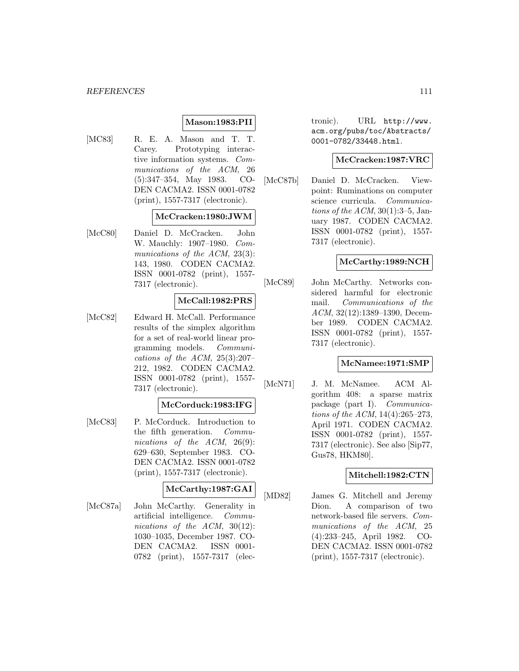### **Mason:1983:PII**

[MC83] R. E. A. Mason and T. T. Carey. Prototyping interactive information systems. Communications of the ACM, 26 (5):347–354, May 1983. CO-DEN CACMA2. ISSN 0001-0782 (print), 1557-7317 (electronic).

### **McCracken:1980:JWM**

[McC80] Daniel D. McCracken. John W. Mauchly: 1907–1980. Communications of the ACM, 23(3): 143, 1980. CODEN CACMA2. ISSN 0001-0782 (print), 1557- 7317 (electronic).

### **McCall:1982:PRS**

[McC82] Edward H. McCall. Performance results of the simplex algorithm for a set of real-world linear programming models. Communications of the ACM,  $25(3):207-$ 212, 1982. CODEN CACMA2. ISSN 0001-0782 (print), 1557- 7317 (electronic).

# **McCorduck:1983:IFG**

[McC83] P. McCorduck. Introduction to the fifth generation. Communications of the ACM, 26(9): 629–630, September 1983. CO-DEN CACMA2. ISSN 0001-0782 (print), 1557-7317 (electronic).

# **McCarthy:1987:GAI**

[McC87a] John McCarthy. Generality in artificial intelligence. Communications of the ACM, 30(12): 1030–1035, December 1987. CO-DEN CACMA2. ISSN 0001- 0782 (print), 1557-7317 (electronic). URL http://www. acm.org/pubs/toc/Abstracts/ 0001-0782/33448.html.

#### **McCracken:1987:VRC**

[McC87b] Daniel D. McCracken. Viewpoint: Ruminations on computer science curricula. Communications of the  $ACM$ , 30(1):3–5, January 1987. CODEN CACMA2. ISSN 0001-0782 (print), 1557- 7317 (electronic).

### **McCarthy:1989:NCH**

[McC89] John McCarthy. Networks considered harmful for electronic mail. Communications of the ACM, 32(12):1389–1390, December 1989. CODEN CACMA2. ISSN 0001-0782 (print), 1557- 7317 (electronic).

### **McNamee:1971:SMP**

[McN71] J. M. McNamee. ACM Algorithm 408: a sparse matrix package (part I). Communications of the ACM, 14(4):265–273, April 1971. CODEN CACMA2. ISSN 0001-0782 (print), 1557- 7317 (electronic). See also [Sip77, Gus78, HKM80].

## **Mitchell:1982:CTN**

[MD82] James G. Mitchell and Jeremy Dion. A comparison of two network-based file servers. Communications of the ACM, 25 (4):233–245, April 1982. CO-DEN CACMA2. ISSN 0001-0782 (print), 1557-7317 (electronic).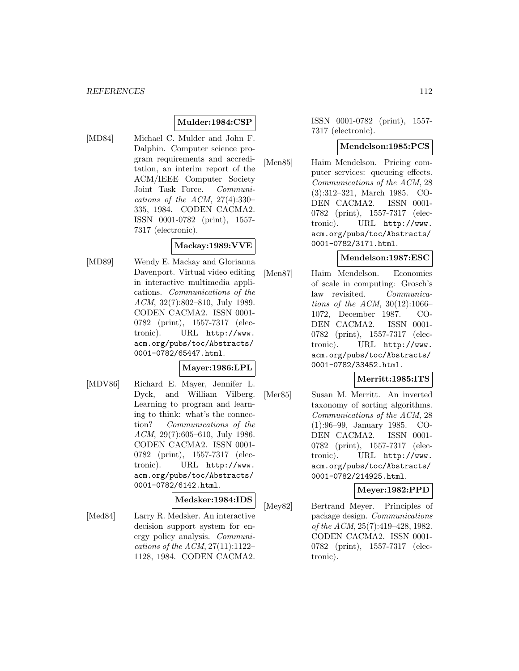# **Mulder:1984:CSP**

[MD84] Michael C. Mulder and John F. Dalphin. Computer science program requirements and accreditation, an interim report of the ACM/IEEE Computer Society Joint Task Force. Communications of the ACM,  $27(4):330-$ 335, 1984. CODEN CACMA2. ISSN 0001-0782 (print), 1557- 7317 (electronic).

### **Mackay:1989:VVE**

[MD89] Wendy E. Mackay and Glorianna Davenport. Virtual video editing in interactive multimedia applications. Communications of the ACM, 32(7):802–810, July 1989. CODEN CACMA2. ISSN 0001- 0782 (print), 1557-7317 (electronic). URL http://www. acm.org/pubs/toc/Abstracts/ 0001-0782/65447.html.

### **Mayer:1986:LPL**

[MDV86] Richard E. Mayer, Jennifer L. Dyck, and William Vilberg. Learning to program and learning to think: what's the connection? Communications of the ACM, 29(7):605–610, July 1986. CODEN CACMA2. ISSN 0001- 0782 (print), 1557-7317 (electronic). URL http://www. acm.org/pubs/toc/Abstracts/ 0001-0782/6142.html.

### **Medsker:1984:IDS**

[Med84] Larry R. Medsker. An interactive decision support system for energy policy analysis. Communications of the ACM, 27(11):1122– 1128, 1984. CODEN CACMA2.

ISSN 0001-0782 (print), 1557- 7317 (electronic).

#### **Mendelson:1985:PCS**

[Men85] Haim Mendelson. Pricing computer services: queueing effects. Communications of the ACM, 28 (3):312–321, March 1985. CO-DEN CACMA2. ISSN 0001- 0782 (print), 1557-7317 (electronic). URL http://www. acm.org/pubs/toc/Abstracts/ 0001-0782/3171.html.

#### **Mendelson:1987:ESC**

[Men87] Haim Mendelson. Economies of scale in computing: Grosch's law revisited. Communications of the ACM,  $30(12):1066-$ 1072, December 1987. CO-DEN CACMA2. ISSN 0001- 0782 (print), 1557-7317 (electronic). URL http://www. acm.org/pubs/toc/Abstracts/ 0001-0782/33452.html.

### **Merritt:1985:ITS**

[Mer85] Susan M. Merritt. An inverted taxonomy of sorting algorithms. Communications of the ACM, 28 (1):96–99, January 1985. CO-DEN CACMA2. ISSN 0001- 0782 (print), 1557-7317 (electronic). URL http://www. acm.org/pubs/toc/Abstracts/ 0001-0782/214925.html.

### **Meyer:1982:PPD**

[Mey82] Bertrand Meyer. Principles of package design. Communications of the ACM, 25(7):419–428, 1982. CODEN CACMA2. ISSN 0001- 0782 (print), 1557-7317 (electronic).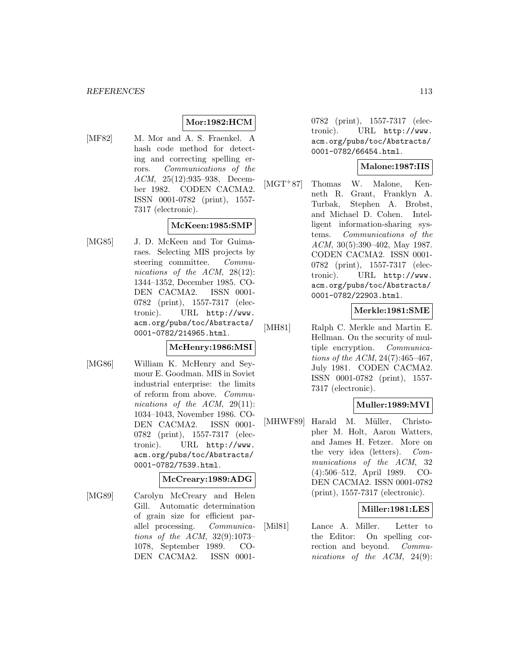### **Mor:1982:HCM**

[MF82] M. Mor and A. S. Fraenkel. A hash code method for detecting and correcting spelling errors. Communications of the ACM, 25(12):935–938, December 1982. CODEN CACMA2. ISSN 0001-0782 (print), 1557- 7317 (electronic).

### **McKeen:1985:SMP**

[MG85] J. D. McKeen and Tor Guimaraes. Selecting MIS projects by steering committee. Communications of the ACM, 28(12): 1344–1352, December 1985. CO-DEN CACMA2. ISSN 0001- 0782 (print), 1557-7317 (electronic). URL http://www. acm.org/pubs/toc/Abstracts/ 0001-0782/214965.html.

### **McHenry:1986:MSI**

[MG86] William K. McHenry and Seymour E. Goodman. MIS in Soviet industrial enterprise: the limits of reform from above. Communications of the ACM, 29(11): 1034–1043, November 1986. CO-DEN CACMA2. ISSN 0001- 0782 (print), 1557-7317 (electronic). URL http://www. acm.org/pubs/toc/Abstracts/ 0001-0782/7539.html.

#### **McCreary:1989:ADG**

[MG89] Carolyn McCreary and Helen Gill. Automatic determination of grain size for efficient parallel processing. Communications of the ACM, 32(9):1073– 1078, September 1989. CO-DEN CACMA2. ISSN 00010782 (print), 1557-7317 (electronic). URL http://www. acm.org/pubs/toc/Abstracts/ 0001-0782/66454.html.

# **Malone:1987:IIS**

[MGT<sup>+</sup>87] Thomas W. Malone, Kenneth R. Grant, Franklyn A. Turbak, Stephen A. Brobst, and Michael D. Cohen. Intelligent information-sharing systems. Communications of the ACM, 30(5):390–402, May 1987. CODEN CACMA2. ISSN 0001- 0782 (print), 1557-7317 (electronic). URL http://www. acm.org/pubs/toc/Abstracts/ 0001-0782/22903.html.

# **Merkle:1981:SME**

[MH81] Ralph C. Merkle and Martin E. Hellman. On the security of multiple encryption. Communications of the ACM, 24(7):465–467, July 1981. CODEN CACMA2. ISSN 0001-0782 (print), 1557- 7317 (electronic).

## **Muller:1989:MVI**

[MHWF89] Harald M. Müller, Christopher M. Holt, Aaron Watters, and James H. Fetzer. More on the very idea (letters). Communications of the ACM, 32 (4):506–512, April 1989. CO-DEN CACMA2. ISSN 0001-0782 (print), 1557-7317 (electronic).

### **Miller:1981:LES**

[Mil81] Lance A. Miller. Letter to the Editor: On spelling correction and beyond. Communications of the ACM, 24(9):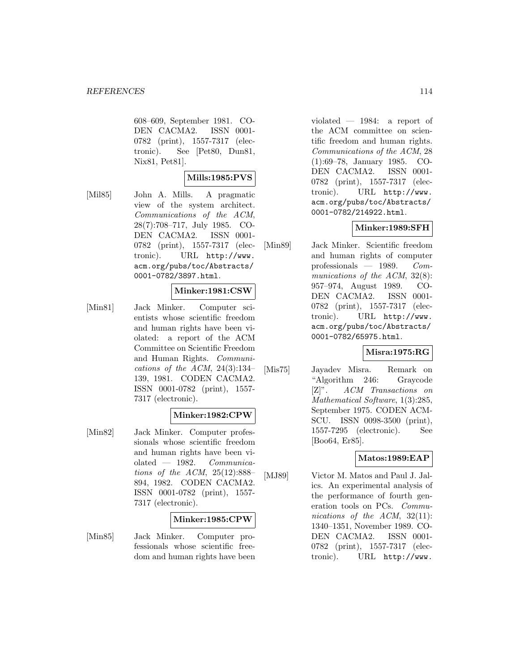608–609, September 1981. CO-DEN CACMA2. ISSN 0001- 0782 (print), 1557-7317 (electronic). See [Pet80, Dun81, Nix81, Pet81].

## **Mills:1985:PVS**

[Mil85] John A. Mills. A pragmatic view of the system architect. Communications of the ACM, 28(7):708–717, July 1985. CO-DEN CACMA2. ISSN 0001- 0782 (print), 1557-7317 (electronic). URL http://www. acm.org/pubs/toc/Abstracts/ 0001-0782/3897.html.

#### **Minker:1981:CSW**

[Min81] Jack Minker. Computer scientists whose scientific freedom and human rights have been violated: a report of the ACM Committee on Scientific Freedom and Human Rights. Communications of the ACM,  $24(3):134-$ 139, 1981. CODEN CACMA2. ISSN 0001-0782 (print), 1557- 7317 (electronic).

### **Minker:1982:CPW**

[Min82] Jack Minker. Computer professionals whose scientific freedom and human rights have been violated  $-$  1982. Communications of the ACM,  $25(12):888-$ 894, 1982. CODEN CACMA2. ISSN 0001-0782 (print), 1557- 7317 (electronic).

### **Minker:1985:CPW**

[Min85] Jack Minker. Computer professionals whose scientific freedom and human rights have been violated — 1984: a report of the ACM committee on scientific freedom and human rights. Communications of the ACM, 28 (1):69–78, January 1985. CO-DEN CACMA2. ISSN 0001- 0782 (print), 1557-7317 (electronic). URL http://www. acm.org/pubs/toc/Abstracts/ 0001-0782/214922.html.

### **Minker:1989:SFH**

[Min89] Jack Minker. Scientific freedom and human rights of computer professionals  $-1989$ . Communications of the ACM, 32(8): 957–974, August 1989. CO-DEN CACMA2. ISSN 0001- 0782 (print), 1557-7317 (electronic). URL http://www. acm.org/pubs/toc/Abstracts/ 0001-0782/65975.html.

## **Misra:1975:RG**

[Mis75] Jayadev Misra. Remark on "Algorithm 246: Graycode [Z]". ACM Transactions on Mathematical Software, 1(3):285, September 1975. CODEN ACM-SCU. ISSN 0098-3500 (print), 1557-7295 (electronic). See [Boo64, Er85].

### **Matos:1989:EAP**

[MJ89] Victor M. Matos and Paul J. Jalics. An experimental analysis of the performance of fourth generation tools on PCs. Communications of the ACM, 32(11): 1340–1351, November 1989. CO-DEN CACMA2. ISSN 0001- 0782 (print), 1557-7317 (electronic). URL http://www.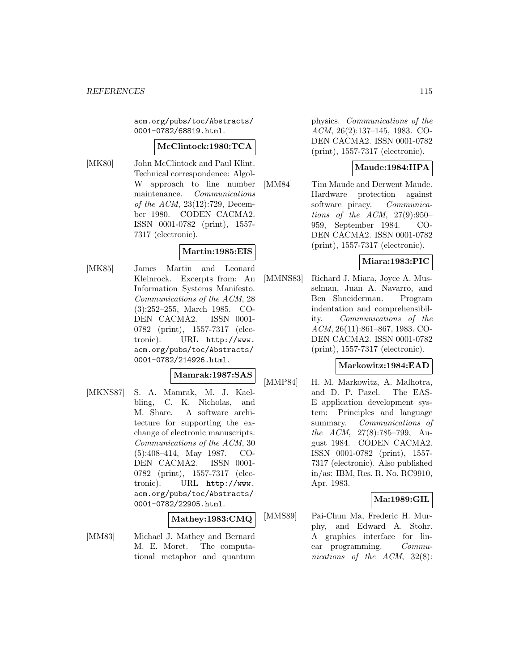acm.org/pubs/toc/Abstracts/ 0001-0782/68819.html.

#### **McClintock:1980:TCA**

[MK80] John McClintock and Paul Klint. Technical correspondence: Algol-W approach to line number maintenance. Communications of the ACM, 23(12):729, December 1980. CODEN CACMA2. ISSN 0001-0782 (print), 1557- 7317 (electronic).

### **Martin:1985:EIS**

[MK85] James Martin and Leonard Kleinrock. Excerpts from: An Information Systems Manifesto. Communications of the ACM, 28 (3):252–255, March 1985. CO-DEN CACMA2. ISSN 0001- 0782 (print), 1557-7317 (electronic). URL http://www. acm.org/pubs/toc/Abstracts/ 0001-0782/214926.html.

#### **Mamrak:1987:SAS**

[MKNS87] S. A. Mamrak, M. J. Kaelbling, C. K. Nicholas, and M. Share. A software architecture for supporting the exchange of electronic manuscripts. Communications of the ACM, 30 (5):408–414, May 1987. CO-DEN CACMA2. ISSN 0001- 0782 (print), 1557-7317 (electronic). URL http://www. acm.org/pubs/toc/Abstracts/ 0001-0782/22905.html.

### **Mathey:1983:CMQ**

[MM83] Michael J. Mathey and Bernard M. E. Moret. The computational metaphor and quantum physics. Communications of the ACM, 26(2):137–145, 1983. CO-DEN CACMA2. ISSN 0001-0782 (print), 1557-7317 (electronic).

# **Maude:1984:HPA**

[MM84] Tim Maude and Derwent Maude. Hardware protection against software piracy. Communications of the ACM, 27(9):950– 959, September 1984. CO-DEN CACMA2. ISSN 0001-0782 (print), 1557-7317 (electronic).

## **Miara:1983:PIC**

[MMNS83] Richard J. Miara, Joyce A. Musselman, Juan A. Navarro, and Ben Shneiderman. Program indentation and comprehensibility. Communications of the ACM, 26(11):861–867, 1983. CO-DEN CACMA2. ISSN 0001-0782 (print), 1557-7317 (electronic).

### **Markowitz:1984:EAD**

[MMP84] H. M. Markowitz, A. Malhotra, and D. P. Pazel. The EAS-E application development system: Principles and language summary. Communications of the ACM, 27(8):785–799, August 1984. CODEN CACMA2. ISSN 0001-0782 (print), 1557- 7317 (electronic). Also published in/as: IBM, Res. R. No. RC9910, Apr. 1983.

### **Ma:1989:GIL**

[MMS89] Pai-Chun Ma, Frederic H. Murphy, and Edward A. Stohr. A graphics interface for linear programming. Communications of the ACM, 32(8):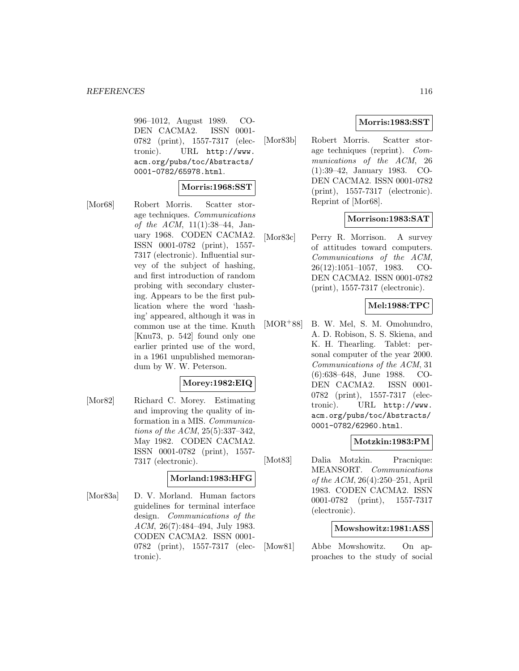996–1012, August 1989. CO-DEN CACMA2. ISSN 0001- 0782 (print), 1557-7317 (electronic). URL http://www. acm.org/pubs/toc/Abstracts/ 0001-0782/65978.html.

#### **Morris:1968:SST**

[Mor68] Robert Morris. Scatter storage techniques. Communications of the ACM, 11(1):38–44, January 1968. CODEN CACMA2. ISSN 0001-0782 (print), 1557- 7317 (electronic). Influential survey of the subject of hashing, and first introduction of random probing with secondary clustering. Appears to be the first publication where the word 'hashing' appeared, although it was in common use at the time. Knuth [Knu73, p. 542] found only one earlier printed use of the word, in a 1961 unpublished memorandum by W. W. Peterson.

### **Morey:1982:EIQ**

[Mor82] Richard C. Morey. Estimating and improving the quality of information in a MIS. Communications of the ACM, 25(5):337–342, May 1982. CODEN CACMA2. ISSN 0001-0782 (print), 1557- 7317 (electronic).

#### **Morland:1983:HFG**

[Mor83a] D. V. Morland. Human factors guidelines for terminal interface design. Communications of the ACM, 26(7):484–494, July 1983. CODEN CACMA2. ISSN 0001- 0782 (print), 1557-7317 (electronic).

### **Morris:1983:SST**

[Mor83b] Robert Morris. Scatter storage techniques (reprint). Communications of the ACM, 26 (1):39–42, January 1983. CO-DEN CACMA2. ISSN 0001-0782 (print), 1557-7317 (electronic). Reprint of [Mor68].

### **Morrison:1983:SAT**

[Mor83c] Perry R. Morrison. A survey of attitudes toward computers. Communications of the ACM, 26(12):1051–1057, 1983. CO-DEN CACMA2. ISSN 0001-0782 (print), 1557-7317 (electronic).

### **Mel:1988:TPC**

[MOR<sup>+</sup>88] B. W. Mel, S. M. Omohundro, A. D. Robison, S. S. Skiena, and K. H. Thearling. Tablet: personal computer of the year 2000. Communications of the ACM, 31 (6):638–648, June 1988. CO-DEN CACMA2. ISSN 0001- 0782 (print), 1557-7317 (electronic). URL http://www. acm.org/pubs/toc/Abstracts/ 0001-0782/62960.html.

### **Motzkin:1983:PM**

[Mot83] Dalia Motzkin. Pracnique: MEANSORT. Communications of the ACM, 26(4):250–251, April 1983. CODEN CACMA2. ISSN 0001-0782 (print), 1557-7317 (electronic).

#### **Mowshowitz:1981:ASS**

[Mow81] Abbe Mowshowitz. On approaches to the study of social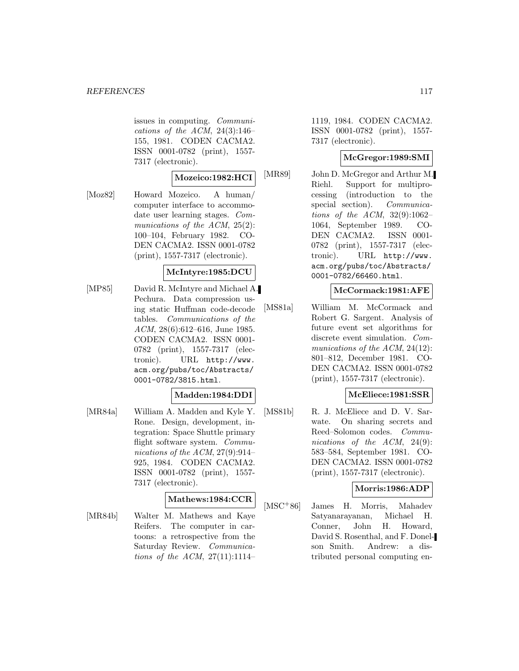issues in computing. Communications of the ACM,  $24(3):146-$ 155, 1981. CODEN CACMA2. ISSN 0001-0782 (print), 1557- 7317 (electronic).

### **Mozeico:1982:HCI**

[Moz82] Howard Mozeico. A human/ computer interface to accommodate user learning stages. Communications of the ACM, 25(2): 100–104, February 1982. CO-DEN CACMA2. ISSN 0001-0782 (print), 1557-7317 (electronic).

### **McIntyre:1985:DCU**

[MP85] David R. McIntyre and Michael A. Pechura. Data compression using static Huffman code-decode tables. Communications of the ACM, 28(6):612–616, June 1985. CODEN CACMA2. ISSN 0001- 0782 (print), 1557-7317 (electronic). URL http://www. acm.org/pubs/toc/Abstracts/ 0001-0782/3815.html.

#### **Madden:1984:DDI**

[MR84a] William A. Madden and Kyle Y. Rone. Design, development, integration: Space Shuttle primary flight software system. Communications of the ACM, 27(9):914– 925, 1984. CODEN CACMA2. ISSN 0001-0782 (print), 1557- 7317 (electronic).

### **Mathews:1984:CCR**

[MR84b] Walter M. Mathews and Kaye Reifers. The computer in cartoons: a retrospective from the Saturday Review. Communications of the ACM,  $27(11):1114-$  1119, 1984. CODEN CACMA2. ISSN 0001-0782 (print), 1557- 7317 (electronic).

### **McGregor:1989:SMI**

[MR89] John D. McGregor and Arthur M. Riehl. Support for multiprocessing (introduction to the special section). *Communica*tions of the ACM,  $32(9):1062-$ 1064, September 1989. CO-DEN CACMA2. ISSN 0001- 0782 (print), 1557-7317 (electronic). URL http://www. acm.org/pubs/toc/Abstracts/ 0001-0782/66460.html.

### **McCormack:1981:AFE**

[MS81a] William M. McCormack and Robert G. Sargent. Analysis of future event set algorithms for discrete event simulation. Communications of the ACM, 24(12): 801–812, December 1981. CO-DEN CACMA2. ISSN 0001-0782 (print), 1557-7317 (electronic).

### **McEliece:1981:SSR**

[MS81b] R. J. McEliece and D. V. Sarwate. On sharing secrets and Reed–Solomon codes. Communications of the ACM, 24(9): 583–584, September 1981. CO-DEN CACMA2. ISSN 0001-0782 (print), 1557-7317 (electronic).

### **Morris:1986:ADP**

[MSC<sup>+</sup>86] James H. Morris, Mahadev Satyanarayanan, Michael H. Conner, John H. Howard, David S. Rosenthal, and F. Donelson Smith. Andrew: a distributed personal computing en-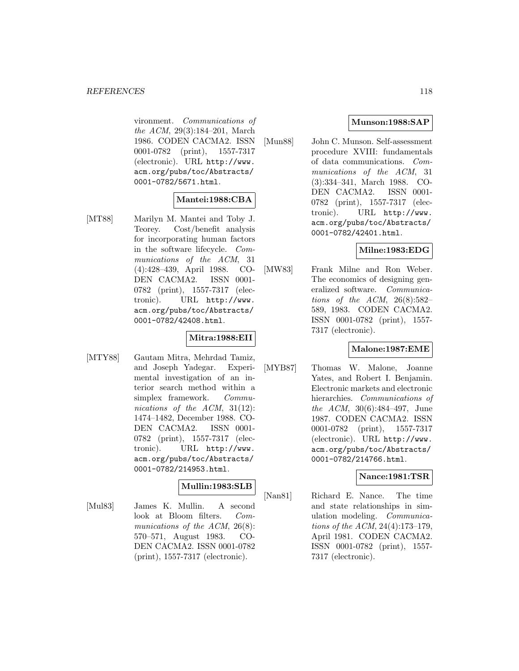vironment. Communications of the ACM, 29(3):184–201, March 1986. CODEN CACMA2. ISSN 0001-0782 (print), 1557-7317 (electronic). URL http://www. acm.org/pubs/toc/Abstracts/ 0001-0782/5671.html.

### **Mantei:1988:CBA**

[MT88] Marilyn M. Mantei and Toby J. Teorey. Cost/benefit analysis for incorporating human factors in the software lifecycle. Communications of the ACM, 31 (4):428–439, April 1988. CO-DEN CACMA2. ISSN 0001- 0782 (print), 1557-7317 (electronic). URL http://www. acm.org/pubs/toc/Abstracts/ 0001-0782/42408.html.

### **Mitra:1988:EII**

[MTY88] Gautam Mitra, Mehrdad Tamiz, and Joseph Yadegar. Experimental investigation of an interior search method within a simplex framework. Communications of the ACM, 31(12): 1474–1482, December 1988. CO-DEN CACMA2. ISSN 0001- 0782 (print), 1557-7317 (electronic). URL http://www. acm.org/pubs/toc/Abstracts/ 0001-0782/214953.html.

### **Mullin:1983:SLB**

[Mul83] James K. Mullin. A second look at Bloom filters. Communications of the ACM, 26(8): 570–571, August 1983. CO-DEN CACMA2. ISSN 0001-0782 (print), 1557-7317 (electronic).

## **Munson:1988:SAP**

[Mun88] John C. Munson. Self-assessment procedure XVIII: fundamentals of data communications. Communications of the ACM, 31 (3):334–341, March 1988. CO-DEN CACMA2. ISSN 0001- 0782 (print), 1557-7317 (electronic). URL http://www. acm.org/pubs/toc/Abstracts/ 0001-0782/42401.html.

#### **Milne:1983:EDG**

[MW83] Frank Milne and Ron Weber. The economics of designing generalized software. Communications of the ACM,  $26(8):582-$ 589, 1983. CODEN CACMA2. ISSN 0001-0782 (print), 1557- 7317 (electronic).

### **Malone:1987:EME**

[MYB87] Thomas W. Malone, Joanne Yates, and Robert I. Benjamin. Electronic markets and electronic hierarchies. Communications of the ACM, 30(6):484–497, June 1987. CODEN CACMA2. ISSN 0001-0782 (print), 1557-7317 (electronic). URL http://www. acm.org/pubs/toc/Abstracts/ 0001-0782/214766.html.

#### **Nance:1981:TSR**

[Nan81] Richard E. Nance. The time and state relationships in simulation modeling. Communications of the ACM, 24(4):173–179, April 1981. CODEN CACMA2. ISSN 0001-0782 (print), 1557- 7317 (electronic).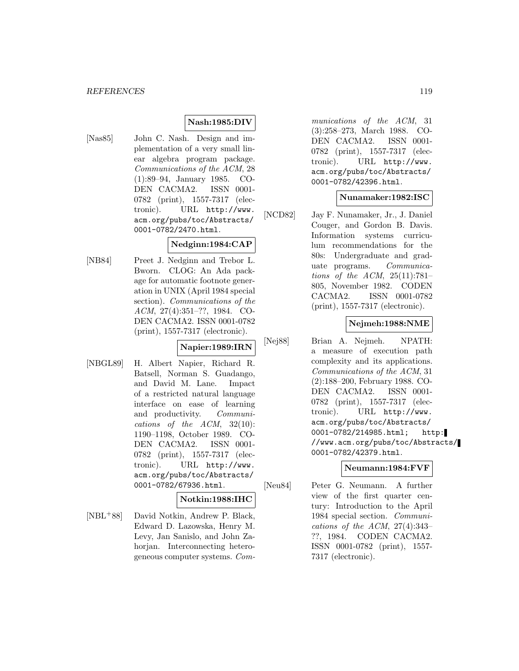# **Nash:1985:DIV**

[Nas85] John C. Nash. Design and implementation of a very small linear algebra program package. Communications of the ACM, 28 (1):89–94, January 1985. CO-DEN CACMA2. ISSN 0001- 0782 (print), 1557-7317 (electronic). URL http://www. acm.org/pubs/toc/Abstracts/ 0001-0782/2470.html.

### **Nedginn:1984:CAP**

[NB84] Preet J. Nedginn and Trebor L. Bworn. CLOG: An Ada package for automatic footnote generation in UNIX (April 1984 special section). Communications of the ACM, 27(4):351–??, 1984. CO-DEN CACMA2. ISSN 0001-0782 (print), 1557-7317 (electronic).

### **Napier:1989:IRN**

[NBGL89] H. Albert Napier, Richard R. Batsell, Norman S. Guadango, and David M. Lane. Impact of a restricted natural language interface on ease of learning and productivity. Communications of the ACM, 32(10): 1190–1198, October 1989. CO-DEN CACMA2. ISSN 0001- 0782 (print), 1557-7317 (electronic). URL http://www. acm.org/pubs/toc/Abstracts/ 0001-0782/67936.html.

### **Notkin:1988:IHC**

[NBL<sup>+</sup>88] David Notkin, Andrew P. Black, Edward D. Lazowska, Henry M. Levy, Jan Sanislo, and John Zahorjan. Interconnecting heterogeneous computer systems. Communications of the ACM, 31 (3):258–273, March 1988. CO-DEN CACMA2. ISSN 0001- 0782 (print), 1557-7317 (electronic). URL http://www. acm.org/pubs/toc/Abstracts/ 0001-0782/42396.html.

### **Nunamaker:1982:ISC**

[NCD82] Jay F. Nunamaker, Jr., J. Daniel Couger, and Gordon B. Davis. Information systems curriculum recommendations for the 80s: Undergraduate and graduate programs. Communications of the ACM,  $25(11):781-$ 805, November 1982. CODEN CACMA2. ISSN 0001-0782 (print), 1557-7317 (electronic).

### **Nejmeh:1988:NME**

[Nej88] Brian A. Nejmeh. NPATH: a measure of execution path complexity and its applications. Communications of the ACM, 31 (2):188–200, February 1988. CO-DEN CACMA2. ISSN 0001- 0782 (print), 1557-7317 (electronic). URL http://www. acm.org/pubs/toc/Abstracts/ 0001-0782/214985.html; http: //www.acm.org/pubs/toc/Abstracts/ 0001-0782/42379.html.

## **Neumann:1984:FVF**

[Neu84] Peter G. Neumann. A further view of the first quarter century: Introduction to the April 1984 special section. Communications of the ACM,  $27(4):343-$ ??, 1984. CODEN CACMA2. ISSN 0001-0782 (print), 1557- 7317 (electronic).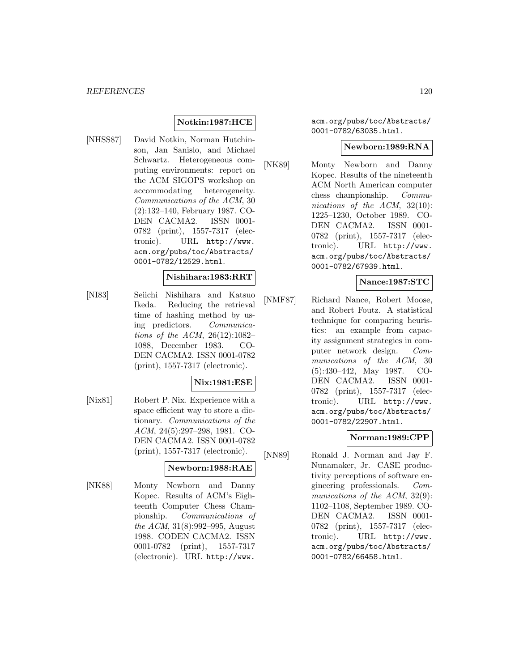## **Notkin:1987:HCE**

[NHSS87] David Notkin, Norman Hutchinson, Jan Sanislo, and Michael Schwartz. Heterogeneous computing environments: report on the ACM SIGOPS workshop on accommodating heterogeneity. Communications of the ACM, 30 (2):132–140, February 1987. CO-DEN CACMA2. ISSN 0001- 0782 (print), 1557-7317 (electronic). URL http://www. acm.org/pubs/toc/Abstracts/ 0001-0782/12529.html.

#### **Nishihara:1983:RRT**

[NI83] Seiichi Nishihara and Katsuo Ikeda. Reducing the retrieval time of hashing method by using predictors. Communications of the ACM, 26(12):1082– 1088, December 1983. CO-DEN CACMA2. ISSN 0001-0782 (print), 1557-7317 (electronic).

### **Nix:1981:ESE**

[Nix81] Robert P. Nix. Experience with a space efficient way to store a dictionary. Communications of the ACM, 24(5):297–298, 1981. CO-DEN CACMA2. ISSN 0001-0782 (print), 1557-7317 (electronic).

### **Newborn:1988:RAE**

[NK88] Monty Newborn and Danny Kopec. Results of ACM's Eighteenth Computer Chess Championship. Communications of the ACM, 31(8):992–995, August 1988. CODEN CACMA2. ISSN 0001-0782 (print), 1557-7317 (electronic). URL http://www.

acm.org/pubs/toc/Abstracts/ 0001-0782/63035.html.

#### **Newborn:1989:RNA**

[NK89] Monty Newborn and Danny Kopec. Results of the nineteenth ACM North American computer chess championship. Communications of the ACM, 32(10): 1225–1230, October 1989. CO-DEN CACMA2. ISSN 0001- 0782 (print), 1557-7317 (electronic). URL http://www. acm.org/pubs/toc/Abstracts/ 0001-0782/67939.html.

### **Nance:1987:STC**

[NMF87] Richard Nance, Robert Moose, and Robert Foutz. A statistical technique for comparing heuristics: an example from capacity assignment strategies in computer network design. Communications of the ACM, 30 (5):430–442, May 1987. CO-DEN CACMA2. ISSN 0001- 0782 (print), 1557-7317 (electronic). URL http://www. acm.org/pubs/toc/Abstracts/ 0001-0782/22907.html.

### **Norman:1989:CPP**

[NN89] Ronald J. Norman and Jay F. Nunamaker, Jr. CASE productivity perceptions of software engineering professionals. Communications of the ACM, 32(9): 1102–1108, September 1989. CO-DEN CACMA2. ISSN 0001- 0782 (print), 1557-7317 (electronic). URL http://www. acm.org/pubs/toc/Abstracts/ 0001-0782/66458.html.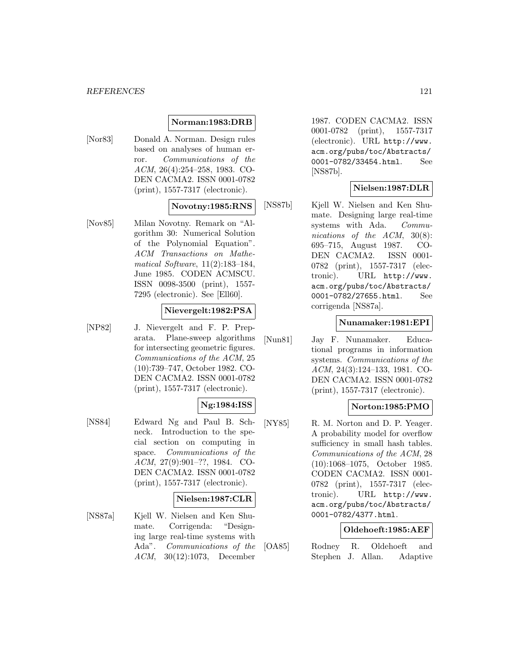#### *REFERENCES* 121

### **Norman:1983:DRB**

[Nor83] Donald A. Norman. Design rules based on analyses of human error. Communications of the ACM, 26(4):254–258, 1983. CO-DEN CACMA2. ISSN 0001-0782 (print), 1557-7317 (electronic).

#### **Novotny:1985:RNS**

[Nov85] Milan Novotny. Remark on "Algorithm 30: Numerical Solution of the Polynomial Equation". ACM Transactions on Mathematical Software, 11(2):183–184, June 1985. CODEN ACMSCU. ISSN 0098-3500 (print), 1557- 7295 (electronic). See [Ell60].

### **Nievergelt:1982:PSA**

[NP82] J. Nievergelt and F. P. Preparata. Plane-sweep algorithms for intersecting geometric figures. Communications of the ACM, 25 (10):739–747, October 1982. CO-DEN CACMA2. ISSN 0001-0782 (print), 1557-7317 (electronic).

# **Ng:1984:ISS**

[NS84] Edward Ng and Paul B. Schneck. Introduction to the special section on computing in space. Communications of the ACM, 27(9):901–??, 1984. CO-DEN CACMA2. ISSN 0001-0782 (print), 1557-7317 (electronic).

### **Nielsen:1987:CLR**

[NS87a] Kjell W. Nielsen and Ken Shumate. Corrigenda: "Designing large real-time systems with Ada". Communications of the ACM, 30(12):1073, December

1987. CODEN CACMA2. ISSN 0001-0782 (print), 1557-7317 (electronic). URL http://www. acm.org/pubs/toc/Abstracts/ 0001-0782/33454.html. See [NS87b].

### **Nielsen:1987:DLR**

[NS87b] Kjell W. Nielsen and Ken Shumate. Designing large real-time systems with Ada. Communications of the ACM, 30(8): 695–715, August 1987. CO-DEN CACMA2. ISSN 0001- 0782 (print), 1557-7317 (electronic). URL http://www. acm.org/pubs/toc/Abstracts/ 0001-0782/27655.html. See corrigenda [NS87a].

### **Nunamaker:1981:EPI**

[Nun81] Jay F. Nunamaker. Educational programs in information systems. Communications of the ACM, 24(3):124–133, 1981. CO-DEN CACMA2. ISSN 0001-0782 (print), 1557-7317 (electronic).

### **Norton:1985:PMO**

[NY85] R. M. Norton and D. P. Yeager. A probability model for overflow sufficiency in small hash tables. Communications of the ACM, 28 (10):1068–1075, October 1985. CODEN CACMA2. ISSN 0001- 0782 (print), 1557-7317 (electronic). URL http://www. acm.org/pubs/toc/Abstracts/ 0001-0782/4377.html.

### **Oldehoeft:1985:AEF**

[OA85] Rodney R. Oldehoeft and Stephen J. Allan. Adaptive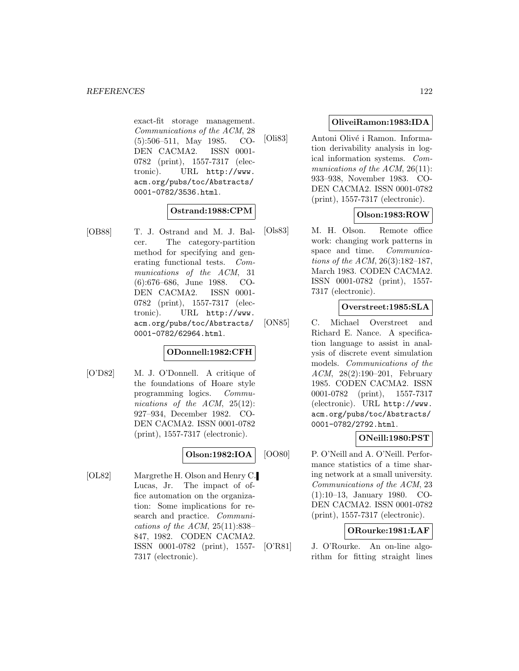exact-fit storage management. Communications of the ACM, 28 (5):506–511, May 1985. CO-DEN CACMA2. ISSN 0001- 0782 (print), 1557-7317 (electronic). URL http://www. acm.org/pubs/toc/Abstracts/ 0001-0782/3536.html.

### **Ostrand:1988:CPM**

[OB88] T. J. Ostrand and M. J. Balcer. The category-partition method for specifying and generating functional tests. Communications of the ACM, 31 (6):676–686, June 1988. CO-DEN CACMA2. ISSN 0001- 0782 (print), 1557-7317 (electronic). URL http://www. acm.org/pubs/toc/Abstracts/ 0001-0782/62964.html.

# **ODonnell:1982:CFH**

[O'D82] M. J. O'Donnell. A critique of the foundations of Hoare style programming logics. Communications of the ACM, 25(12): 927–934, December 1982. CO-DEN CACMA2. ISSN 0001-0782 (print), 1557-7317 (electronic).

## **Olson:1982:IOA**

[OL82] Margrethe H. Olson and Henry C. Lucas, Jr. The impact of office automation on the organization: Some implications for research and practice. Communications of the ACM,  $25(11):838-$ 847, 1982. CODEN CACMA2. ISSN 0001-0782 (print), 1557- 7317 (electronic).

### **OliveiRamon:1983:IDA**

[Oli83] Antoni Olivé i Ramon. Information derivability analysis in logical information systems. Communications of the ACM, 26(11): 933–938, November 1983. CO-DEN CACMA2. ISSN 0001-0782 (print), 1557-7317 (electronic).

# **Olson:1983:ROW**

[Ols83] M. H. Olson. Remote office work: changing work patterns in space and time. Communications of the ACM, 26(3):182–187, March 1983. CODEN CACMA2. ISSN 0001-0782 (print), 1557- 7317 (electronic).

# **Overstreet:1985:SLA**

[ON85] C. Michael Overstreet and Richard E. Nance. A specification language to assist in analysis of discrete event simulation models. Communications of the ACM, 28(2):190–201, February 1985. CODEN CACMA2. ISSN 0001-0782 (print), 1557-7317 (electronic). URL http://www. acm.org/pubs/toc/Abstracts/ 0001-0782/2792.html.

## **ONeill:1980:PST**

[OO80] P. O'Neill and A. O'Neill. Performance statistics of a time sharing network at a small university. Communications of the ACM, 23 (1):10–13, January 1980. CO-DEN CACMA2. ISSN 0001-0782 (print), 1557-7317 (electronic).

### **ORourke:1981:LAF**

[O'R81] J. O'Rourke. An on-line algorithm for fitting straight lines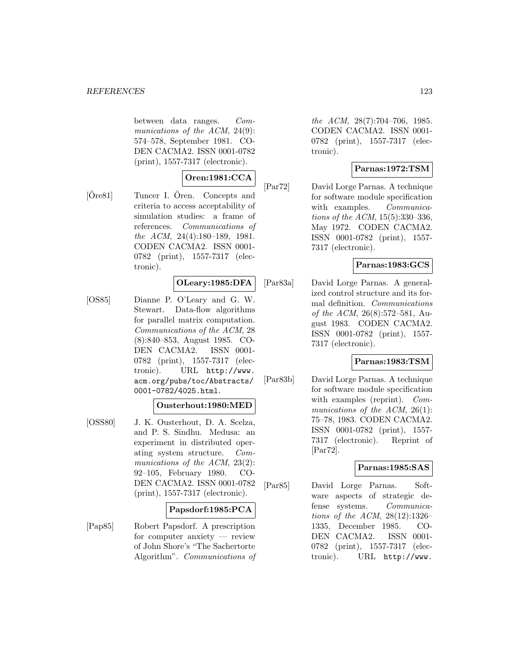between data ranges. Communications of the ACM, 24(9): 574–578, September 1981. CO-DEN CACMA2. ISSN 0001-0782 (print), 1557-7317 (electronic).

# **Oren:1981:CCA**

 $[Öre81]$  Tuncer I.  $Ören.$  Concepts and criteria to access acceptability of simulation studies: a frame of references. Communications of the ACM, 24(4):180–189, 1981. CODEN CACMA2. ISSN 0001- 0782 (print), 1557-7317 (electronic).

### **OLeary:1985:DFA**

[OS85] Dianne P. O'Leary and G. W. Stewart. Data-flow algorithms for parallel matrix computation. Communications of the ACM, 28 (8):840–853, August 1985. CO-DEN CACMA2. ISSN 0001- 0782 (print), 1557-7317 (electronic). URL http://www. acm.org/pubs/toc/Abstracts/ 0001-0782/4025.html.

# **Ousterhout:1980:MED**

[OSS80] J. K. Ousterhout, D. A. Scelza, and P. S. Sindhu. Medusa: an experiment in distributed operating system structure. Communications of the ACM, 23(2): 92–105, February 1980. CO-DEN CACMA2. ISSN 0001-0782 (print), 1557-7317 (electronic).

### **Papsdorf:1985:PCA**

[Pap85] Robert Papsdorf. A prescription for computer anxiety — review of John Shore's "The Sachertorte Algorithm". Communications of the ACM, 28(7):704–706, 1985. CODEN CACMA2. ISSN 0001- 0782 (print), 1557-7317 (electronic).

# **Parnas:1972:TSM**

[Par72] David Lorge Parnas. A technique for software module specification with examples. Communications of the ACM, 15(5):330–336, May 1972. CODEN CACMA2. ISSN 0001-0782 (print), 1557- 7317 (electronic).

## **Parnas:1983:GCS**

[Par83a] David Lorge Parnas. A generalized control structure and its formal definition. Communications of the ACM, 26(8):572–581, August 1983. CODEN CACMA2. ISSN 0001-0782 (print), 1557- 7317 (electronic).

## **Parnas:1983:TSM**

[Par83b] David Lorge Parnas. A technique for software module specification with examples (reprint). Communications of the ACM,  $26(1)$ : 75–78, 1983. CODEN CACMA2. ISSN 0001-0782 (print), 1557- 7317 (electronic). Reprint of [Par72].

## **Parnas:1985:SAS**

[Par85] David Lorge Parnas. Software aspects of strategic defense systems. Communications of the ACM, 28(12):1326– 1335, December 1985. CO-DEN CACMA2. ISSN 0001- 0782 (print), 1557-7317 (electronic). URL http://www.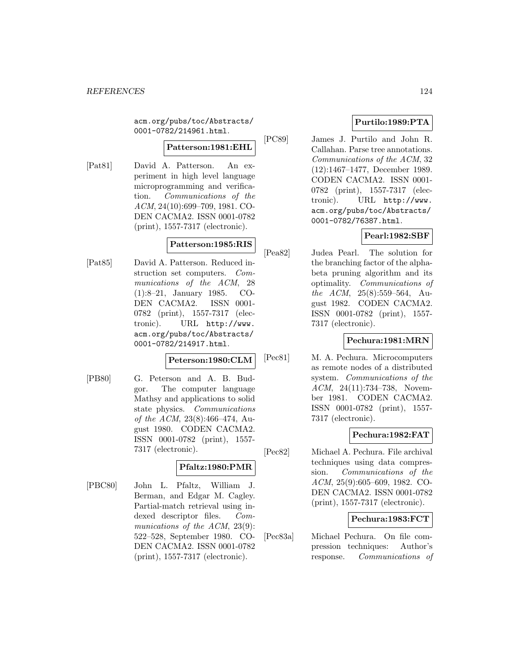acm.org/pubs/toc/Abstracts/ 0001-0782/214961.html.

### **Patterson:1981:EHL**

[Pat81] David A. Patterson. An experiment in high level language microprogramming and verification. Communications of the ACM, 24(10):699–709, 1981. CO-DEN CACMA2. ISSN 0001-0782 (print), 1557-7317 (electronic).

## **Patterson:1985:RIS**

[Pat85] David A. Patterson. Reduced instruction set computers. Communications of the ACM, 28 (1):8–21, January 1985. CO-DEN CACMA2. ISSN 0001- 0782 (print), 1557-7317 (electronic). URL http://www. acm.org/pubs/toc/Abstracts/ 0001-0782/214917.html.

### **Peterson:1980:CLM**

[PB80] G. Peterson and A. B. Budgor. The computer language Mathsy and applications to solid state physics. Communications of the ACM, 23(8):466–474, August 1980. CODEN CACMA2. ISSN 0001-0782 (print), 1557- 7317 (electronic).

## **Pfaltz:1980:PMR**

[PBC80] John L. Pfaltz, William J. Berman, and Edgar M. Cagley. Partial-match retrieval using indexed descriptor files. Communications of the ACM, 23(9): 522–528, September 1980. CO-DEN CACMA2. ISSN 0001-0782 (print), 1557-7317 (electronic).

# **Purtilo:1989:PTA**

[PC89] James J. Purtilo and John R. Callahan. Parse tree annotations. Communications of the ACM, 32 (12):1467–1477, December 1989. CODEN CACMA2. ISSN 0001- 0782 (print), 1557-7317 (electronic). URL http://www. acm.org/pubs/toc/Abstracts/ 0001-0782/76387.html.

# **Pearl:1982:SBF**

[Pea82] Judea Pearl. The solution for the branching factor of the alphabeta pruning algorithm and its optimality. Communications of the ACM, 25(8):559–564, August 1982. CODEN CACMA2. ISSN 0001-0782 (print), 1557- 7317 (electronic).

## **Pechura:1981:MRN**

[Pec81] M. A. Pechura. Microcomputers as remote nodes of a distributed system. Communications of the ACM, 24(11):734–738, November 1981. CODEN CACMA2. ISSN 0001-0782 (print), 1557- 7317 (electronic).

## **Pechura:1982:FAT**

[Pec82] Michael A. Pechura. File archival techniques using data compression. Communications of the ACM, 25(9):605–609, 1982. CO-DEN CACMA2. ISSN 0001-0782 (print), 1557-7317 (electronic).

## **Pechura:1983:FCT**

[Pec83a] Michael Pechura. On file compression techniques: Author's response. Communications of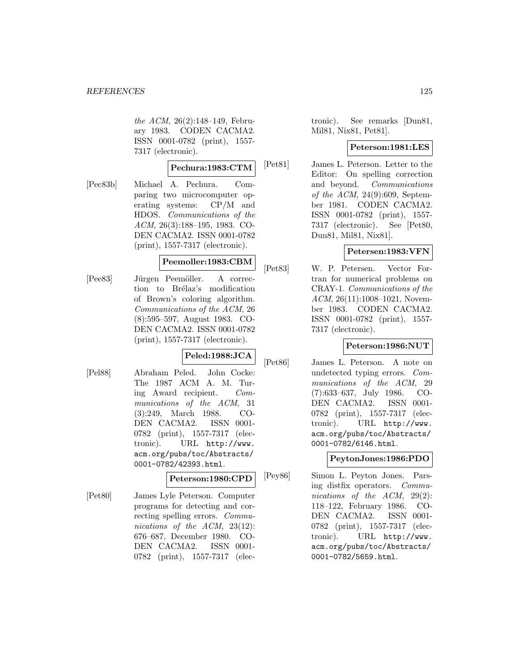the ACM, 26(2):148–149, February 1983. CODEN CACMA2. ISSN 0001-0782 (print), 1557- 7317 (electronic).

#### **Pechura:1983:CTM**

[Pec83b] Michael A. Pechura. Comparing two microcomputer operating systems: CP/M and HDOS. Communications of the ACM, 26(3):188–195, 1983. CO-DEN CACMA2. ISSN 0001-0782 (print), 1557-7317 (electronic).

### **Peemoller:1983:CBM**

[Pee83] Jürgen Peemöller. A correction to Brélaz's modification of Brown's coloring algorithm. Communications of the ACM, 26 (8):595–597, August 1983. CO-DEN CACMA2. ISSN 0001-0782 (print), 1557-7317 (electronic).

# **Peled:1988:JCA**

[Pel88] Abraham Peled. John Cocke: The 1987 ACM A. M. Turing Award recipient. Communications of the ACM, 31 (3):249, March 1988. CO-DEN CACMA2. ISSN 0001- 0782 (print), 1557-7317 (electronic). URL http://www. acm.org/pubs/toc/Abstracts/ 0001-0782/42393.html.

### **Peterson:1980:CPD**

[Pet80] James Lyle Peterson. Computer programs for detecting and correcting spelling errors. Communications of the ACM, 23(12): 676–687, December 1980. CO-DEN CACMA2. ISSN 0001- 0782 (print), 1557-7317 (electronic). See remarks [Dun81, Mil81, Nix81, Pet81].

### **Peterson:1981:LES**

[Pet81] James L. Peterson. Letter to the Editor: On spelling correction and beyond. Communications of the ACM, 24(9):609, September 1981. CODEN CACMA2. ISSN 0001-0782 (print), 1557- 7317 (electronic). See [Pet80, Dun81, Mil81, Nix81].

### **Petersen:1983:VFN**

[Pet83] W. P. Petersen. Vector Fortran for numerical problems on CRAY-1. Communications of the  $ACM$ ,  $26(11):1008-1021$ , November 1983. CODEN CACMA2. ISSN 0001-0782 (print), 1557- 7317 (electronic).

## **Peterson:1986:NUT**

[Pet86] James L. Peterson. A note on undetected typing errors. Communications of the ACM, 29 (7):633–637, July 1986. CO-DEN CACMA2. ISSN 0001- 0782 (print), 1557-7317 (electronic). URL http://www. acm.org/pubs/toc/Abstracts/ 0001-0782/6146.html.

### **PeytonJones:1986:PDO**

[Pey86] Simon L. Peyton Jones. Parsing distfix operators. Communications of the ACM, 29(2): 118–122, February 1986. CO-DEN CACMA2. ISSN 0001- 0782 (print), 1557-7317 (electronic). URL http://www. acm.org/pubs/toc/Abstracts/ 0001-0782/5659.html.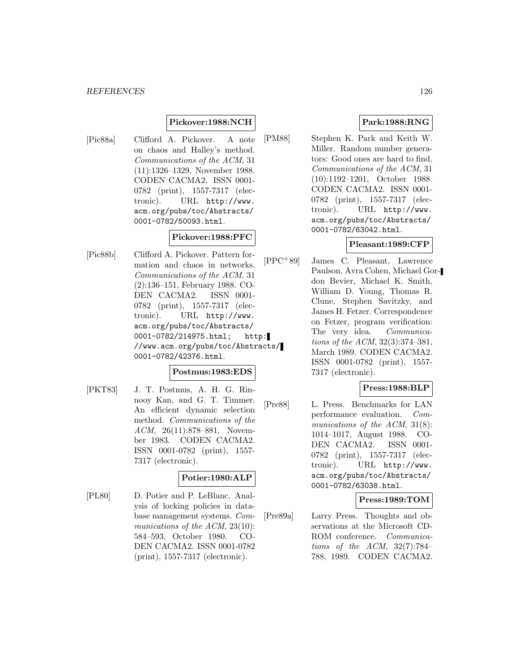#### *REFERENCES* 126

### **Pickover:1988:NCH**

[Pic88a] Clifford A. Pickover. A note on chaos and Halley's method. Communications of the ACM, 31 (11):1326–1329, November 1988. CODEN CACMA2. ISSN 0001- 0782 (print), 1557-7317 (electronic). URL http://www. acm.org/pubs/toc/Abstracts/ 0001-0782/50093.html.

## **Pickover:1988:PFC**

[Pic88b] Clifford A. Pickover. Pattern formation and chaos in networks. Communications of the ACM, 31 (2):136–151, February 1988. CO-DEN CACMA2. ISSN 0001- 0782 (print), 1557-7317 (electronic). URL http://www. acm.org/pubs/toc/Abstracts/ 0001-0782/214975.html; http: //www.acm.org/pubs/toc/Abstracts/ 0001-0782/42376.html.

### **Postmus:1983:EDS**

[PKT83] J. T. Postmus, A. H. G. Rinnooy Kan, and G. T. Timmer. An efficient dynamic selection method. Communications of the ACM, 26(11):878–881, November 1983. CODEN CACMA2. ISSN 0001-0782 (print), 1557- 7317 (electronic).

### **Potier:1980:ALP**

[PL80] D. Potier and P. LeBlanc. Analysis of locking policies in database management systems. Communications of the ACM, 23(10): 584–593, October 1980. CO-DEN CACMA2. ISSN 0001-0782 (print), 1557-7317 (electronic).

# **Park:1988:RNG**

[PM88] Stephen K. Park and Keith W. Miller. Random number generators: Good ones are hard to find. Communications of the ACM, 31 (10):1192–1201, October 1988. CODEN CACMA2. ISSN 0001- 0782 (print), 1557-7317 (electronic). URL http://www. acm.org/pubs/toc/Abstracts/ 0001-0782/63042.html.

### **Pleasant:1989:CFP**

[PPC<sup>+</sup>89] James C. Pleasant, Lawrence Paulson, Avra Cohen, Michael Gordon Bevier, Michael K. Smith, William D. Young, Thomas R. Clune, Stephen Savitzky, and James H. Fetzer. Correspondence on Fetzer, program verification: The very idea. Communications of the ACM, 32(3):374–381, March 1989. CODEN CACMA2. ISSN 0001-0782 (print), 1557- 7317 (electronic).

### **Press:1988:BLP**

[Pre88] L. Press. Benchmarks for LAN performance evaluation. Communications of the ACM, 31(8): 1014–1017, August 1988. CO-DEN CACMA2. ISSN 0001- 0782 (print), 1557-7317 (electronic). URL http://www. acm.org/pubs/toc/Abstracts/ 0001-0782/63038.html.

### **Press:1989:TOM**

[Pre89a] Larry Press. Thoughts and observations at the Microsoft CD-ROM conference. Communications of the ACM,  $32(7)$ :784– 788, 1989. CODEN CACMA2.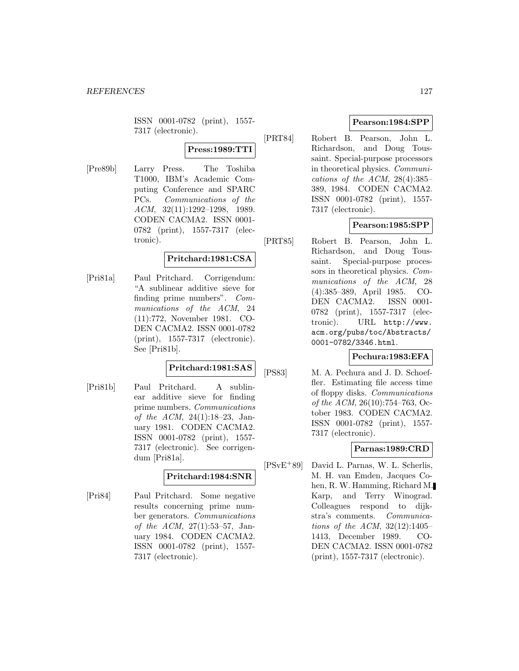ISSN 0001-0782 (print), 1557- 7317 (electronic).

**Press:1989:TTI**

[Pre89b] Larry Press. The Toshiba T1000, IBM's Academic Computing Conference and SPARC PCs. Communications of the ACM, 32(11):1292–1298, 1989. CODEN CACMA2. ISSN 0001- 0782 (print), 1557-7317 (electronic).

## **Pritchard:1981:CSA**

[Pri81a] Paul Pritchard. Corrigendum: "A sublinear additive sieve for finding prime numbers". Communications of the ACM, 24 (11):772, November 1981. CO-DEN CACMA2. ISSN 0001-0782 (print), 1557-7317 (electronic). See [Pri81b].

# **Pritchard:1981:SAS**

[Pri81b] Paul Pritchard. A sublinear additive sieve for finding prime numbers. Communications of the ACM, 24(1):18–23, January 1981. CODEN CACMA2. ISSN 0001-0782 (print), 1557- 7317 (electronic). See corrigendum [Pri81a].

## **Pritchard:1984:SNR**

[Pri84] Paul Pritchard. Some negative results concerning prime number generators. Communications of the ACM, 27(1):53–57, January 1984. CODEN CACMA2. ISSN 0001-0782 (print), 1557- 7317 (electronic).

# **Pearson:1984:SPP**

[PRT84] Robert B. Pearson, John L. Richardson, and Doug Toussaint. Special-purpose processors in theoretical physics. Communications of the ACM,  $28(4):385-$ 389, 1984. CODEN CACMA2. ISSN 0001-0782 (print), 1557- 7317 (electronic).

# **Pearson:1985:SPP**

[PRT85] Robert B. Pearson, John L. Richardson, and Doug Toussaint. Special-purpose processors in theoretical physics. Communications of the ACM, 28 (4):385–389, April 1985. CO-DEN CACMA2. ISSN 0001- 0782 (print), 1557-7317 (electronic). URL http://www. acm.org/pubs/toc/Abstracts/ 0001-0782/3346.html.

## **Pechura:1983:EFA**

[PS83] M. A. Pechura and J. D. Schoeffler. Estimating file access time of floppy disks. Communications of the ACM, 26(10):754–763, October 1983. CODEN CACMA2. ISSN 0001-0782 (print), 1557- 7317 (electronic).

# **Parnas:1989:CRD**

[PSvE<sup>+</sup>89] David L. Parnas, W. L. Scherlis, M. H. van Emden, Jacques Cohen, R. W. Hamming, Richard M. Karp, and Terry Winograd. Colleagues respond to dijkstra's comments. Communications of the ACM, 32(12):1405– 1413, December 1989. CO-DEN CACMA2. ISSN 0001-0782 (print), 1557-7317 (electronic).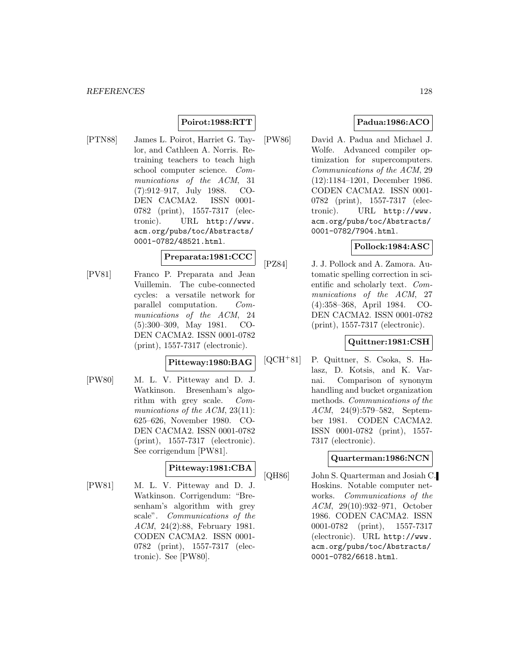# **Poirot:1988:RTT**

[PTN88] James L. Poirot, Harriet G. Taylor, and Cathleen A. Norris. Retraining teachers to teach high school computer science. Communications of the ACM, 31 (7):912–917, July 1988. CO-DEN CACMA2. ISSN 0001- 0782 (print), 1557-7317 (electronic). URL http://www. acm.org/pubs/toc/Abstracts/ 0001-0782/48521.html.

### **Preparata:1981:CCC**

[PV81] Franco P. Preparata and Jean Vuillemin. The cube-connected cycles: a versatile network for parallel computation. Communications of the ACM, 24 (5):300–309, May 1981. CO-DEN CACMA2. ISSN 0001-0782 (print), 1557-7317 (electronic).

## **Pitteway:1980:BAG**

[PW80] M. L. V. Pitteway and D. J. Watkinson. Bresenham's algorithm with grey scale. Communications of the ACM, 23(11): 625–626, November 1980. CO-DEN CACMA2. ISSN 0001-0782 (print), 1557-7317 (electronic). See corrigendum [PW81].

# **Pitteway:1981:CBA**

[PW81] M. L. V. Pitteway and D. J. Watkinson. Corrigendum: "Bresenham's algorithm with grey scale". Communications of the ACM, 24(2):88, February 1981. CODEN CACMA2. ISSN 0001- 0782 (print), 1557-7317 (electronic). See [PW80].

# **Padua:1986:ACO**

[PW86] David A. Padua and Michael J. Wolfe. Advanced compiler optimization for supercomputers. Communications of the ACM, 29 (12):1184–1201, December 1986. CODEN CACMA2. ISSN 0001- 0782 (print), 1557-7317 (electronic). URL http://www. acm.org/pubs/toc/Abstracts/ 0001-0782/7904.html.

# **Pollock:1984:ASC**

[PZ84] J. J. Pollock and A. Zamora. Automatic spelling correction in scientific and scholarly text. Communications of the ACM, 27 (4):358–368, April 1984. CO-DEN CACMA2. ISSN 0001-0782 (print), 1557-7317 (electronic).

### **Quittner:1981:CSH**

[QCH<sup>+</sup>81] P. Quittner, S. Csoka, S. Halasz, D. Kotsis, and K. Varnai. Comparison of synonym handling and bucket organization methods. Communications of the ACM, 24(9):579–582, September 1981. CODEN CACMA2. ISSN 0001-0782 (print), 1557- 7317 (electronic).

### **Quarterman:1986:NCN**

[QH86] John S. Quarterman and Josiah C. Hoskins. Notable computer networks. Communications of the ACM, 29(10):932–971, October 1986. CODEN CACMA2. ISSN 0001-0782 (print), 1557-7317 (electronic). URL http://www. acm.org/pubs/toc/Abstracts/ 0001-0782/6618.html.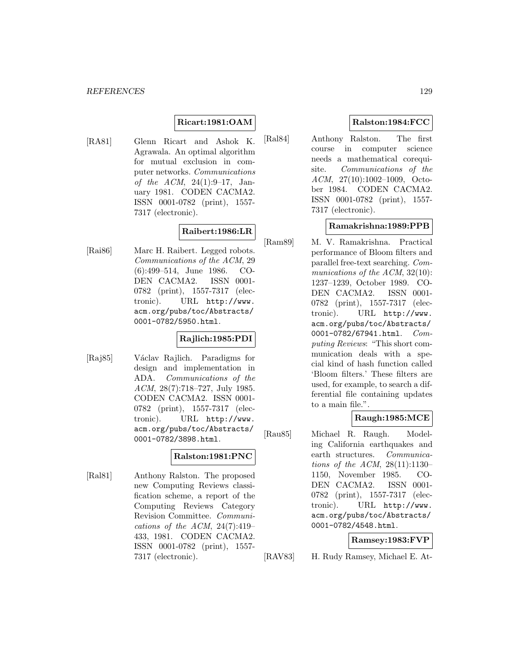# **Ricart:1981:OAM**

[RA81] Glenn Ricart and Ashok K. Agrawala. An optimal algorithm for mutual exclusion in computer networks. Communications of the ACM, 24(1):9–17, January 1981. CODEN CACMA2. ISSN 0001-0782 (print), 1557- 7317 (electronic).

## **Raibert:1986:LR**

[Rai86] Marc H. Raibert. Legged robots. Communications of the ACM, 29 (6):499–514, June 1986. CO-DEN CACMA2. ISSN 0001- 0782 (print), 1557-7317 (electronic). URL http://www. acm.org/pubs/toc/Abstracts/ 0001-0782/5950.html.

## **Rajlich:1985:PDI**

[Raj85] Václav Rajlich. Paradigms for design and implementation in ADA. Communications of the ACM, 28(7):718–727, July 1985. CODEN CACMA2. ISSN 0001- 0782 (print), 1557-7317 (electronic). URL http://www. acm.org/pubs/toc/Abstracts/ 0001-0782/3898.html.

## **Ralston:1981:PNC**

[Ral81] Anthony Ralston. The proposed new Computing Reviews classification scheme, a report of the Computing Reviews Category Revision Committee. Communications of the ACM,  $24(7):419-$ 433, 1981. CODEN CACMA2. ISSN 0001-0782 (print), 1557- 7317 (electronic).

# **Ralston:1984:FCC**

[Ral84] Anthony Ralston. The first course in computer science needs a mathematical corequisite. Communications of the ACM, 27(10):1002–1009, October 1984. CODEN CACMA2. ISSN 0001-0782 (print), 1557- 7317 (electronic).

## **Ramakrishna:1989:PPB**

[Ram89] M. V. Ramakrishna. Practical performance of Bloom filters and parallel free-text searching. Communications of the ACM, 32(10): 1237–1239, October 1989. CO-DEN CACMA2. ISSN 0001- 0782 (print), 1557-7317 (electronic). URL http://www. acm.org/pubs/toc/Abstracts/ 0001-0782/67941.html.  $Com$ puting Reviews: "This short communication deals with a special kind of hash function called 'Bloom filters.' These filters are used, for example, to search a differential file containing updates to a main file.".

## **Raugh:1985:MCE**

[Rau85] Michael R. Raugh. Modeling California earthquakes and earth structures. Communications of the ACM, 28(11):1130– 1150, November 1985. CO-DEN CACMA2. ISSN 0001- 0782 (print), 1557-7317 (electronic). URL http://www. acm.org/pubs/toc/Abstracts/ 0001-0782/4548.html.

### **Ramsey:1983:FVP**

[RAV83] H. Rudy Ramsey, Michael E. At-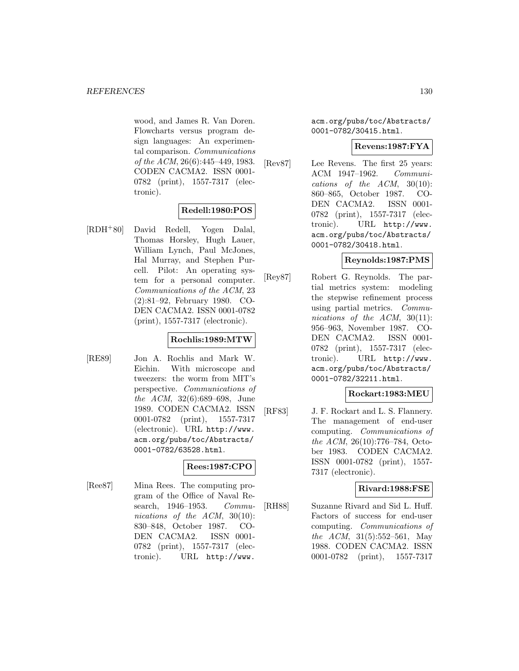wood, and James R. Van Doren. Flowcharts versus program design languages: An experimental comparison. Communications of the ACM, 26(6):445–449, 1983. CODEN CACMA2. ISSN 0001- 0782 (print), 1557-7317 (electronic).

# **Redell:1980:POS**

[RDH<sup>+</sup>80] David Redell, Yogen Dalal, Thomas Horsley, Hugh Lauer, William Lynch, Paul McJones, Hal Murray, and Stephen Purcell. Pilot: An operating system for a personal computer. Communications of the ACM, 23 (2):81–92, February 1980. CO-DEN CACMA2. ISSN 0001-0782 (print), 1557-7317 (electronic).

## **Rochlis:1989:MTW**

[RE89] Jon A. Rochlis and Mark W. Eichin. With microscope and tweezers: the worm from MIT's perspective. Communications of the ACM, 32(6):689–698, June 1989. CODEN CACMA2. ISSN 0001-0782 (print), 1557-7317 (electronic). URL http://www. acm.org/pubs/toc/Abstracts/ 0001-0782/63528.html.

## **Rees:1987:CPO**

[Ree87] Mina Rees. The computing program of the Office of Naval Research, 1946–1953. Communications of the ACM, 30(10): 830–848, October 1987. CO-DEN CACMA2. ISSN 0001- 0782 (print), 1557-7317 (electronic). URL http://www.

acm.org/pubs/toc/Abstracts/ 0001-0782/30415.html.

### **Revens:1987:FYA**

[Rev87] Lee Revens. The first 25 years: ACM 1947–1962. Communications of the  $ACM$ ,  $30(10)$ : 860–865, October 1987. CO-DEN CACMA2. ISSN 0001- 0782 (print), 1557-7317 (electronic). URL http://www. acm.org/pubs/toc/Abstracts/ 0001-0782/30418.html.

### **Reynolds:1987:PMS**

[Rey87] Robert G. Reynolds. The partial metrics system: modeling the stepwise refinement process using partial metrics. Communications of the ACM, 30(11): 956–963, November 1987. CO-DEN CACMA2. ISSN 0001- 0782 (print), 1557-7317 (electronic). URL http://www. acm.org/pubs/toc/Abstracts/ 0001-0782/32211.html.

### **Rockart:1983:MEU**

[RF83] J. F. Rockart and L. S. Flannery. The management of end-user computing. Communications of the ACM, 26(10):776–784, October 1983. CODEN CACMA2. ISSN 0001-0782 (print), 1557- 7317 (electronic).

## **Rivard:1988:FSE**

[RH88] Suzanne Rivard and Sid L. Huff. Factors of success for end-user computing. Communications of the ACM, 31(5):552–561, May 1988. CODEN CACMA2. ISSN 0001-0782 (print), 1557-7317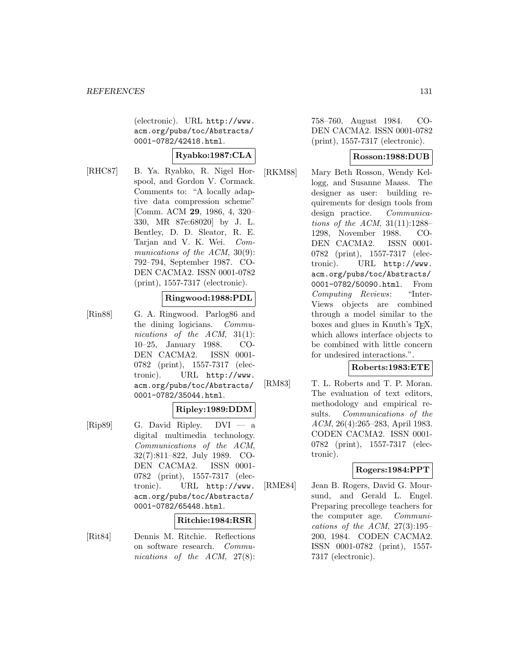(electronic). URL http://www. acm.org/pubs/toc/Abstracts/ 0001-0782/42418.html.

## **Ryabko:1987:CLA**

[RHC87] B. Ya. Ryabko, R. Nigel Horspool, and Gordon V. Cormack. Comments to: "A locally adaptive data compression scheme" [Comm. ACM **29**, 1986, 4, 320– 330, MR 87e:68020] by J. L. Bentley, D. D. Sleator, R. E. Tarjan and V. K. Wei. Communications of the ACM, 30(9): 792–794, September 1987. CO-DEN CACMA2. ISSN 0001-0782 (print), 1557-7317 (electronic).

### **Ringwood:1988:PDL**

[Rin88] G. A. Ringwood. Parlog86 and the dining logicians. Communications of the ACM, 31(1): 10–25, January 1988. CO-DEN CACMA2. ISSN 0001- 0782 (print), 1557-7317 (electronic). URL http://www. acm.org/pubs/toc/Abstracts/ 0001-0782/35044.html.

### **Ripley:1989:DDM**

[Rip89] G. David Ripley. DVI — a digital multimedia technology. Communications of the ACM, 32(7):811–822, July 1989. CO-DEN CACMA2. ISSN 0001- 0782 (print), 1557-7317 (electronic). URL http://www. acm.org/pubs/toc/Abstracts/ 0001-0782/65448.html.

### **Ritchie:1984:RSR**

[Rit84] Dennis M. Ritchie. Reflections on software research. Communications of the ACM, 27(8):

758–760, August 1984. CO-DEN CACMA2. ISSN 0001-0782 (print), 1557-7317 (electronic).

### **Rosson:1988:DUB**

[RKM88] Mary Beth Rosson, Wendy Kellogg, and Susanne Maass. The designer as user: building requirements for design tools from design practice. Communications of the ACM,  $31(11):1288-$ 1298, November 1988. CO-DEN CACMA2. ISSN 0001- 0782 (print), 1557-7317 (electronic). URL http://www. acm.org/pubs/toc/Abstracts/ 0001-0782/50090.html. From Computing Reviews: "Inter-Views objects are combined through a model similar to the boxes and glues in Knuth's TEX, which allows interface objects to be combined with little concern for undesired interactions.".

### **Roberts:1983:ETE**

[RM83] T. L. Roberts and T. P. Moran. The evaluation of text editors, methodology and empirical results. Communications of the ACM, 26(4):265–283, April 1983. CODEN CACMA2. ISSN 0001- 0782 (print), 1557-7317 (electronic).

### **Rogers:1984:PPT**

[RME84] Jean B. Rogers, David G. Moursund, and Gerald L. Engel. Preparing precollege teachers for the computer age. Communications of the ACM,  $27(3):195-$ 200, 1984. CODEN CACMA2. ISSN 0001-0782 (print), 1557- 7317 (electronic).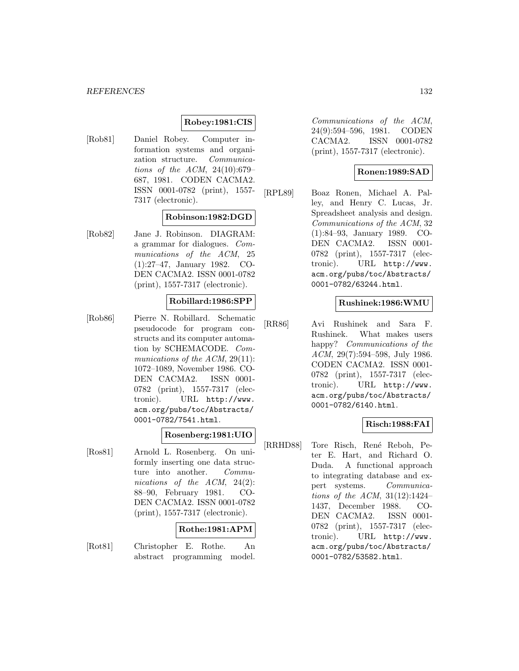### **Robey:1981:CIS**

[Rob81] Daniel Robey. Computer information systems and organization structure. Communications of the ACM, 24(10):679– 687, 1981. CODEN CACMA2. ISSN 0001-0782 (print), 1557- 7317 (electronic).

### **Robinson:1982:DGD**

[Rob82] Jane J. Robinson. DIAGRAM: a grammar for dialogues. Communications of the ACM, 25 (1):27–47, January 1982. CO-DEN CACMA2. ISSN 0001-0782 (print), 1557-7317 (electronic).

### **Robillard:1986:SPP**

[Rob86] Pierre N. Robillard. Schematic pseudocode for program constructs and its computer automation by SCHEMACODE. Communications of the ACM, 29(11): 1072–1089, November 1986. CO-DEN CACMA2. ISSN 0001- 0782 (print), 1557-7317 (electronic). URL http://www. acm.org/pubs/toc/Abstracts/ 0001-0782/7541.html.

### **Rosenberg:1981:UIO**

[Ros81] Arnold L. Rosenberg. On uniformly inserting one data structure into another. Communications of the ACM, 24(2): 88–90, February 1981. CO-DEN CACMA2. ISSN 0001-0782 (print), 1557-7317 (electronic).

### **Rothe:1981:APM**

[Rot81] Christopher E. Rothe. An abstract programming model.

Communications of the ACM, 24(9):594–596, 1981. CODEN CACMA2. ISSN 0001-0782 (print), 1557-7317 (electronic).

### **Ronen:1989:SAD**

[RPL89] Boaz Ronen, Michael A. Palley, and Henry C. Lucas, Jr. Spreadsheet analysis and design. Communications of the ACM, 32 (1):84–93, January 1989. CO-DEN CACMA2. ISSN 0001- 0782 (print), 1557-7317 (electronic). URL http://www. acm.org/pubs/toc/Abstracts/ 0001-0782/63244.html.

### **Rushinek:1986:WMU**

[RR86] Avi Rushinek and Sara F. Rushinek. What makes users happy? Communications of the ACM, 29(7):594–598, July 1986. CODEN CACMA2. ISSN 0001- 0782 (print), 1557-7317 (electronic). URL http://www. acm.org/pubs/toc/Abstracts/ 0001-0782/6140.html.

### **Risch:1988:FAI**

[RRHD88] Tore Risch, René Reboh, Peter E. Hart, and Richard O. Duda. A functional approach to integrating database and expert systems. Communications of the ACM, 31(12):1424– 1437, December 1988. CO-DEN CACMA2. ISSN 0001- 0782 (print), 1557-7317 (electronic). URL http://www. acm.org/pubs/toc/Abstracts/ 0001-0782/53582.html.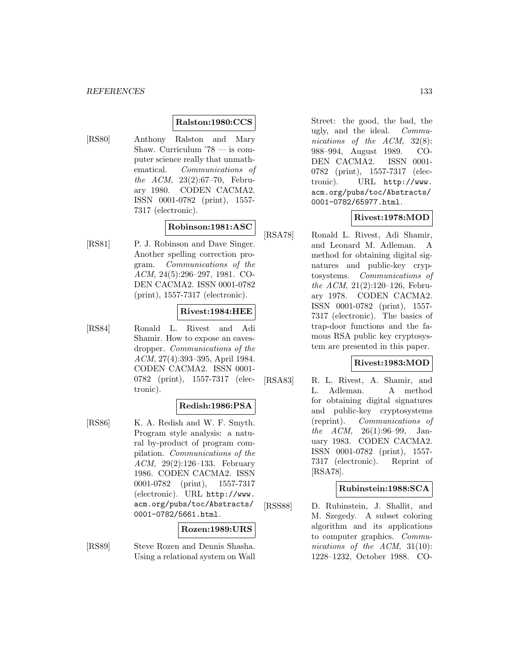#### **Ralston:1980:CCS**

[RS80] Anthony Ralston and Mary Shaw. Curriculum '78 — is computer science really that unmathematical. Communications of the ACM, 23(2):67–70, February 1980. CODEN CACMA2. ISSN 0001-0782 (print), 1557- 7317 (electronic).

### **Robinson:1981:ASC**

[RS81] P. J. Robinson and Dave Singer. Another spelling correction program. Communications of the ACM, 24(5):296–297, 1981. CO-DEN CACMA2. ISSN 0001-0782 (print), 1557-7317 (electronic).

#### **Rivest:1984:HEE**

[RS84] Ronald L. Rivest and Adi Shamir. How to expose an eavesdropper. Communications of the ACM, 27(4):393–395, April 1984. CODEN CACMA2. ISSN 0001- 0782 (print), 1557-7317 (electronic).

### **Redish:1986:PSA**

[RS86] K. A. Redish and W. F. Smyth. Program style analysis: a natural by-product of program compilation. Communications of the ACM, 29(2):126–133, February 1986. CODEN CACMA2. ISSN 0001-0782 (print), 1557-7317 (electronic). URL http://www. acm.org/pubs/toc/Abstracts/ 0001-0782/5661.html.

#### **Rozen:1989:URS**

[RS89] Steve Rozen and Dennis Shasha. Using a relational system on Wall Street: the good, the bad, the ugly, and the ideal. Communications of the ACM, 32(8): 988–994, August 1989. CO-DEN CACMA2. ISSN 0001- 0782 (print), 1557-7317 (electronic). URL http://www. acm.org/pubs/toc/Abstracts/ 0001-0782/65977.html.

### **Rivest:1978:MOD**

[RSA78] Ronald L. Rivest, Adi Shamir, and Leonard M. Adleman. A method for obtaining digital signatures and public-key cryptosystems. Communications of the ACM,  $21(2):120-126$ , February 1978. CODEN CACMA2. ISSN 0001-0782 (print), 1557- 7317 (electronic). The basics of trap-door functions and the famous RSA public key cryptosystem are presented in this paper.

# **Rivest:1983:MOD**

[RSA83] R. L. Rivest, A. Shamir, and L. Adleman. A method for obtaining digital signatures and public-key cryptosystems (reprint). Communications of the  $ACM$ ,  $26(1):96-99$ , January 1983. CODEN CACMA2. ISSN 0001-0782 (print), 1557- 7317 (electronic). Reprint of [RSA78].

### **Rubinstein:1988:SCA**

[RSS88] D. Rubinstein, J. Shallit, and M. Szegedy. A subset coloring algorithm and its applications to computer graphics. Communications of the ACM, 31(10): 1228–1232, October 1988. CO-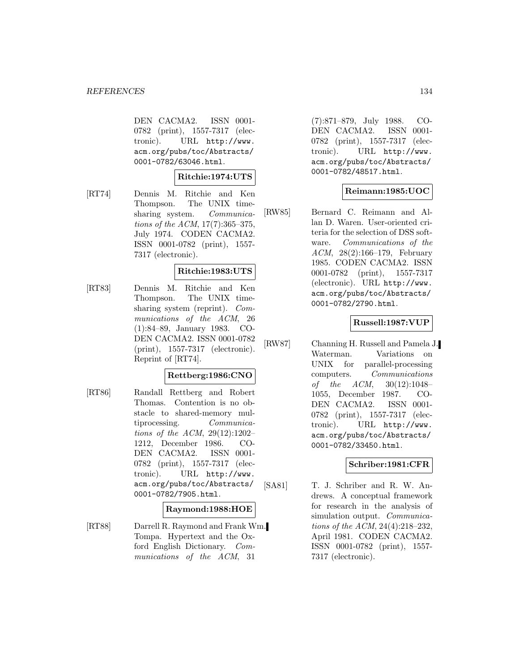DEN CACMA2. ISSN 0001- 0782 (print), 1557-7317 (electronic). URL http://www. acm.org/pubs/toc/Abstracts/ 0001-0782/63046.html.

### **Ritchie:1974:UTS**

[RT74] Dennis M. Ritchie and Ken Thompson. The UNIX timesharing system. Communications of the ACM, 17(7):365–375, July 1974. CODEN CACMA2. ISSN 0001-0782 (print), 1557- 7317 (electronic).

### **Ritchie:1983:UTS**

[RT83] Dennis M. Ritchie and Ken Thompson. The UNIX timesharing system (reprint). Communications of the ACM, 26 (1):84–89, January 1983. CO-DEN CACMA2. ISSN 0001-0782 (print), 1557-7317 (electronic). Reprint of [RT74].

### **Rettberg:1986:CNO**

[RT86] Randall Rettberg and Robert Thomas. Contention is no obstacle to shared-memory multiprocessing. Communications of the ACM, 29(12):1202– 1212, December 1986. CO-DEN CACMA2. ISSN 0001- 0782 (print), 1557-7317 (electronic). URL http://www. acm.org/pubs/toc/Abstracts/ 0001-0782/7905.html.

### **Raymond:1988:HOE**

[RT88] Darrell R. Raymond and Frank Wm. Tompa. Hypertext and the Oxford English Dictionary. Communications of the ACM, 31

(7):871–879, July 1988. CO-DEN CACMA2. ISSN 0001- 0782 (print), 1557-7317 (electronic). URL http://www. acm.org/pubs/toc/Abstracts/ 0001-0782/48517.html.

### **Reimann:1985:UOC**

[RW85] Bernard C. Reimann and Allan D. Waren. User-oriented criteria for the selection of DSS software. Communications of the ACM, 28(2):166–179, February 1985. CODEN CACMA2. ISSN 0001-0782 (print), 1557-7317 (electronic). URL http://www. acm.org/pubs/toc/Abstracts/ 0001-0782/2790.html.

### **Russell:1987:VUP**

[RW87] Channing H. Russell and Pamela J. Waterman. Variations on UNIX for parallel-processing computers. Communications of the  $ACM$ ,  $30(12):1048-$ 1055, December 1987. CO-DEN CACMA2. ISSN 0001- 0782 (print), 1557-7317 (electronic). URL http://www. acm.org/pubs/toc/Abstracts/ 0001-0782/33450.html.

### **Schriber:1981:CFR**

[SA81] T. J. Schriber and R. W. Andrews. A conceptual framework for research in the analysis of simulation output. Communications of the ACM, 24(4):218–232, April 1981. CODEN CACMA2. ISSN 0001-0782 (print), 1557- 7317 (electronic).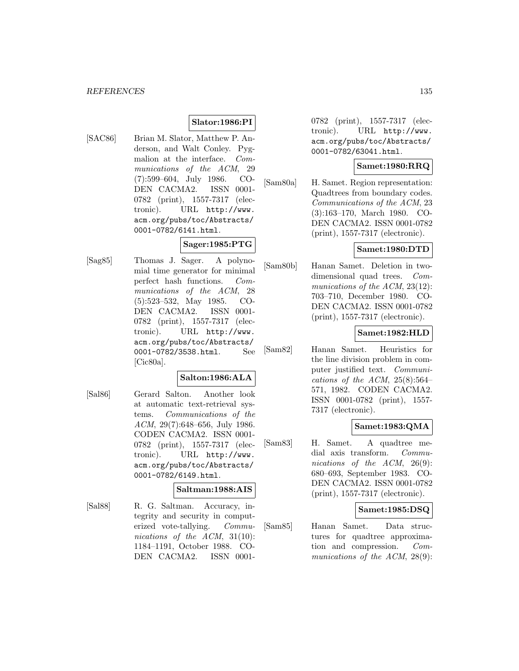## **Slator:1986:PI**

[SAC86] Brian M. Slator, Matthew P. Anderson, and Walt Conley. Pygmalion at the interface. Communications of the ACM, 29 (7):599–604, July 1986. CO-DEN CACMA2. ISSN 0001- 0782 (print), 1557-7317 (electronic). URL http://www. acm.org/pubs/toc/Abstracts/ 0001-0782/6141.html.

### **Sager:1985:PTG**

[Sag85] Thomas J. Sager. A polynomial time generator for minimal perfect hash functions. Communications of the ACM, 28 (5):523–532, May 1985. CO-DEN CACMA2. ISSN 0001- 0782 (print), 1557-7317 (electronic). URL http://www. acm.org/pubs/toc/Abstracts/ 0001-0782/3538.html. See [Cic80a].

# **Salton:1986:ALA**

[Sal86] Gerard Salton. Another look at automatic text-retrieval systems. Communications of the ACM, 29(7):648–656, July 1986. CODEN CACMA2. ISSN 0001- 0782 (print), 1557-7317 (electronic). URL http://www. acm.org/pubs/toc/Abstracts/ 0001-0782/6149.html.

# **Saltman:1988:AIS**

[Sal88] R. G. Saltman. Accuracy, integrity and security in computerized vote-tallying. Communications of the ACM, 31(10): 1184–1191, October 1988. CO-DEN CACMA2. ISSN 00010782 (print), 1557-7317 (electronic). URL http://www. acm.org/pubs/toc/Abstracts/ 0001-0782/63041.html.

### **Samet:1980:RRQ**

[Sam80a] H. Samet. Region representation: Quadtrees from boundary codes. Communications of the ACM, 23 (3):163–170, March 1980. CO-DEN CACMA2. ISSN 0001-0782 (print), 1557-7317 (electronic).

### **Samet:1980:DTD**

[Sam80b] Hanan Samet. Deletion in twodimensional quad trees. Communications of the ACM, 23(12): 703–710, December 1980. CO-DEN CACMA2. ISSN 0001-0782 (print), 1557-7317 (electronic).

#### **Samet:1982:HLD**

[Sam82] Hanan Samet. Heuristics for the line division problem in computer justified text. Communications of the ACM,  $25(8):564-$ 571, 1982. CODEN CACMA2. ISSN 0001-0782 (print), 1557- 7317 (electronic).

### **Samet:1983:QMA**

[Sam83] H. Samet. A quadtree medial axis transform. Communications of the ACM, 26(9): 680–693, September 1983. CO-DEN CACMA2. ISSN 0001-0782 (print), 1557-7317 (electronic).

### **Samet:1985:DSQ**

[Sam85] Hanan Samet. Data structures for quadtree approximation and compression. Communications of the ACM, 28(9):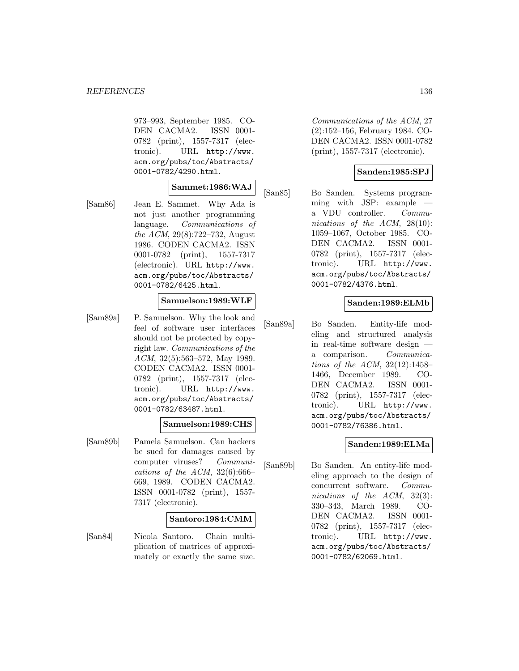973–993, September 1985. CO-DEN CACMA2. ISSN 0001- 0782 (print), 1557-7317 (electronic). URL http://www. acm.org/pubs/toc/Abstracts/ 0001-0782/4290.html.

# **Sammet:1986:WAJ**

[Sam86] Jean E. Sammet. Why Ada is not just another programming language. Communications of the ACM, 29(8):722–732, August 1986. CODEN CACMA2. ISSN 0001-0782 (print), 1557-7317 (electronic). URL http://www. acm.org/pubs/toc/Abstracts/ 0001-0782/6425.html.

#### **Samuelson:1989:WLF**

[Sam89a] P. Samuelson. Why the look and feel of software user interfaces should not be protected by copyright law. Communications of the ACM, 32(5):563–572, May 1989. CODEN CACMA2. ISSN 0001- 0782 (print), 1557-7317 (electronic). URL http://www. acm.org/pubs/toc/Abstracts/ 0001-0782/63487.html.

### **Samuelson:1989:CHS**

[Sam89b] Pamela Samuelson. Can hackers be sued for damages caused by computer viruses? Communications of the ACM,  $32(6):666-$ 669, 1989. CODEN CACMA2. ISSN 0001-0782 (print), 1557- 7317 (electronic).

#### **Santoro:1984:CMM**

[San84] Nicola Santoro. Chain multiplication of matrices of approximately or exactly the same size.

Communications of the ACM, 27 (2):152–156, February 1984. CO-DEN CACMA2. ISSN 0001-0782 (print), 1557-7317 (electronic).

### **Sanden:1985:SPJ**

[San85] Bo Sanden. Systems programming with JSP: example a VDU controller. Communications of the ACM, 28(10): 1059–1067, October 1985. CO-DEN CACMA2. ISSN 0001- 0782 (print), 1557-7317 (electronic). URL http://www. acm.org/pubs/toc/Abstracts/ 0001-0782/4376.html.

#### **Sanden:1989:ELMb**

[San89a] Bo Sanden. Entity-life modeling and structured analysis in real-time software design a comparison. Communications of the ACM, 32(12):1458– 1466, December 1989. CO-DEN CACMA2. ISSN 0001- 0782 (print), 1557-7317 (electronic). URL http://www. acm.org/pubs/toc/Abstracts/ 0001-0782/76386.html.

### **Sanden:1989:ELMa**

[San89b] Bo Sanden. An entity-life modeling approach to the design of concurrent software. Communications of the ACM, 32(3): 330–343, March 1989. CO-DEN CACMA2. ISSN 0001- 0782 (print), 1557-7317 (electronic). URL http://www. acm.org/pubs/toc/Abstracts/ 0001-0782/62069.html.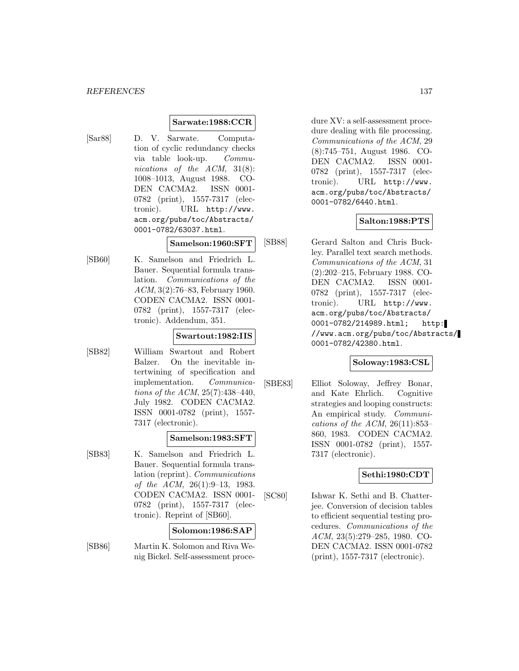#### **Sarwate:1988:CCR**

[Sar88] D. V. Sarwate. Computation of cyclic redundancy checks via table look-up. Communications of the ACM, 31(8): 1008–1013, August 1988. CO-DEN CACMA2. ISSN 0001- 0782 (print), 1557-7317 (electronic). URL http://www. acm.org/pubs/toc/Abstracts/ 0001-0782/63037.html.

#### **Samelson:1960:SFT**

[SB60] K. Samelson and Friedrich L. Bauer. Sequential formula translation. Communications of the ACM, 3(2):76–83, February 1960. CODEN CACMA2. ISSN 0001- 0782 (print), 1557-7317 (electronic). Addendum, 351.

### **Swartout:1982:IIS**

[SB82] William Swartout and Robert Balzer. On the inevitable intertwining of specification and implementation. Communications of the ACM, 25(7):438–440, July 1982. CODEN CACMA2. ISSN 0001-0782 (print), 1557- 7317 (electronic).

#### **Samelson:1983:SFT**

[SB83] K. Samelson and Friedrich L. Bauer. Sequential formula translation (reprint). Communications of the ACM, 26(1):9–13, 1983. CODEN CACMA2. ISSN 0001- 0782 (print), 1557-7317 (electronic). Reprint of [SB60].

#### **Solomon:1986:SAP**

[SB86] Martin K. Solomon and Riva Wenig Bickel. Self-assessment procedure XV: a self-assessment procedure dealing with file processing. Communications of the ACM, 29 (8):745–751, August 1986. CO-DEN CACMA2. ISSN 0001- 0782 (print), 1557-7317 (electronic). URL http://www. acm.org/pubs/toc/Abstracts/ 0001-0782/6440.html.

#### **Salton:1988:PTS**

[SB88] Gerard Salton and Chris Buckley. Parallel text search methods. Communications of the ACM, 31 (2):202–215, February 1988. CO-DEN CACMA2. ISSN 0001- 0782 (print), 1557-7317 (electronic). URL http://www. acm.org/pubs/toc/Abstracts/ 0001-0782/214989.html; http: //www.acm.org/pubs/toc/Abstracts/ 0001-0782/42380.html.

### **Soloway:1983:CSL**

[SBE83] Elliot Soloway, Jeffrey Bonar, and Kate Ehrlich. Cognitive strategies and looping constructs: An empirical study. Communications of the ACM,  $26(11):853-$ 860, 1983. CODEN CACMA2. ISSN 0001-0782 (print), 1557- 7317 (electronic).

### **Sethi:1980:CDT**

[SC80] Ishwar K. Sethi and B. Chatterjee. Conversion of decision tables to efficient sequential testing procedures. Communications of the ACM, 23(5):279–285, 1980. CO-DEN CACMA2. ISSN 0001-0782 (print), 1557-7317 (electronic).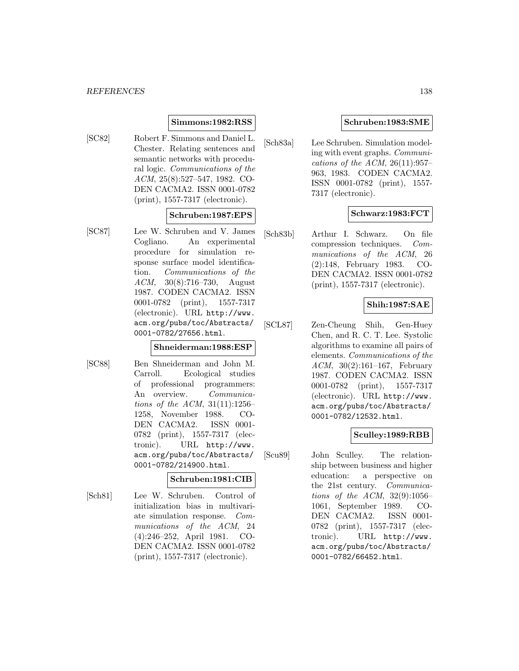### **Simmons:1982:RSS**

[SC82] Robert F. Simmons and Daniel L. Chester. Relating sentences and semantic networks with procedural logic. Communications of the ACM, 25(8):527–547, 1982. CO-DEN CACMA2. ISSN 0001-0782 (print), 1557-7317 (electronic).

#### **Schruben:1987:EPS**

[SC87] Lee W. Schruben and V. James Cogliano. An experimental procedure for simulation response surface model identification. Communications of the ACM, 30(8):716–730, August 1987. CODEN CACMA2. ISSN 0001-0782 (print), 1557-7317 (electronic). URL http://www. acm.org/pubs/toc/Abstracts/ 0001-0782/27656.html.

### **Shneiderman:1988:ESP**

[SC88] Ben Shneiderman and John M. Carroll. Ecological studies of professional programmers: An overview. Communications of the ACM,  $31(11):1256-$ 1258, November 1988. CO-DEN CACMA2. ISSN 0001- 0782 (print), 1557-7317 (electronic). URL http://www. acm.org/pubs/toc/Abstracts/ 0001-0782/214900.html.

### **Schruben:1981:CIB**

[Sch81] Lee W. Schruben. Control of initialization bias in multivariate simulation response. Communications of the ACM, 24 (4):246–252, April 1981. CO-DEN CACMA2. ISSN 0001-0782 (print), 1557-7317 (electronic).

## **Schruben:1983:SME**

[Sch83a] Lee Schruben. Simulation modeling with event graphs. Communications of the ACM,  $26(11):957-$ 963, 1983. CODEN CACMA2. ISSN 0001-0782 (print), 1557- 7317 (electronic).

### **Schwarz:1983:FCT**

[Sch83b] Arthur I. Schwarz. On file compression techniques. Communications of the ACM, 26 (2):148, February 1983. CO-DEN CACMA2. ISSN 0001-0782 (print), 1557-7317 (electronic).

### **Shih:1987:SAE**

[SCL87] Zen-Cheung Shih, Gen-Huey Chen, and R. C. T. Lee. Systolic algorithms to examine all pairs of elements. Communications of the ACM, 30(2):161–167, February 1987. CODEN CACMA2. ISSN 0001-0782 (print), 1557-7317 (electronic). URL http://www. acm.org/pubs/toc/Abstracts/ 0001-0782/12532.html.

### **Sculley:1989:RBB**

[Scu89] John Sculley. The relationship between business and higher education: a perspective on the 21st century. Communications of the ACM,  $32(9):1056-$ 1061, September 1989. CO-DEN CACMA2. ISSN 0001- 0782 (print), 1557-7317 (electronic). URL http://www. acm.org/pubs/toc/Abstracts/ 0001-0782/66452.html.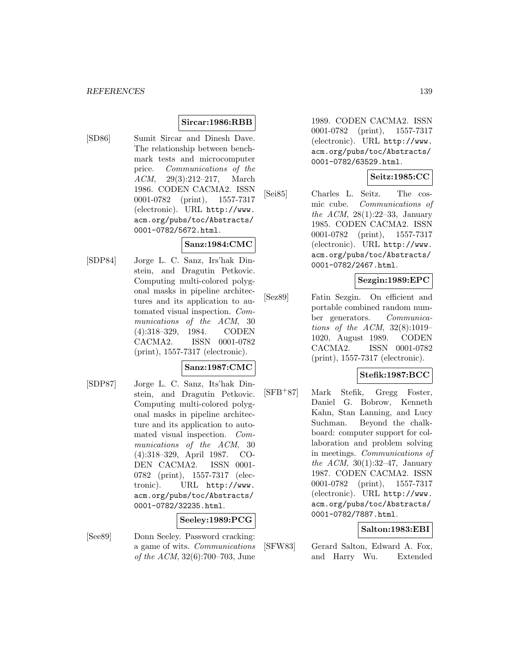## **Sircar:1986:RBB**

[SD86] Sumit Sircar and Dinesh Dave. The relationship between benchmark tests and microcomputer price. Communications of the ACM, 29(3):212–217, March 1986. CODEN CACMA2. ISSN 0001-0782 (print), 1557-7317 (electronic). URL http://www. acm.org/pubs/toc/Abstracts/ 0001-0782/5672.html.

### **Sanz:1984:CMC**

[SDP84] Jorge L. C. Sanz, Irs'hak Dinstein, and Dragutin Petkovic. Computing multi-colored polygonal masks in pipeline architectures and its application to automated visual inspection. Communications of the ACM, 30 (4):318–329, 1984. CODEN CACMA2. ISSN 0001-0782 (print), 1557-7317 (electronic).

### **Sanz:1987:CMC**

[SDP87] Jorge L. C. Sanz, Its'hak Dinstein, and Dragutin Petkovic. Computing multi-colored polygonal masks in pipeline architecture and its application to automated visual inspection. Communications of the ACM, 30 (4):318–329, April 1987. CO-DEN CACMA2. ISSN 0001- 0782 (print), 1557-7317 (electronic). URL http://www. acm.org/pubs/toc/Abstracts/ 0001-0782/32235.html.

## **Seeley:1989:PCG**

[See89] Donn Seeley. Password cracking: a game of wits. Communications of the ACM, 32(6):700–703, June 1989. CODEN CACMA2. ISSN 0001-0782 (print), 1557-7317 (electronic). URL http://www. acm.org/pubs/toc/Abstracts/ 0001-0782/63529.html.

# **Seitz:1985:CC**

[Sei85] Charles L. Seitz. The cosmic cube. Communications of the ACM, 28(1):22–33, January 1985. CODEN CACMA2. ISSN 0001-0782 (print), 1557-7317 (electronic). URL http://www. acm.org/pubs/toc/Abstracts/ 0001-0782/2467.html.

# **Sezgin:1989:EPC**

[Sez89] Fatin Sezgin. On efficient and portable combined random number generators. Communications of the ACM, 32(8):1019– 1020, August 1989. CODEN CACMA2. ISSN 0001-0782 (print), 1557-7317 (electronic).

### **Stefik:1987:BCC**

[SFB<sup>+</sup>87] Mark Stefik, Gregg Foster, Daniel G. Bobrow, Kenneth Kahn, Stan Lanning, and Lucy Suchman. Beyond the chalkboard: computer support for collaboration and problem solving in meetings. Communications of the ACM,  $30(1):32-47$ , January 1987. CODEN CACMA2. ISSN 0001-0782 (print), 1557-7317 (electronic). URL http://www. acm.org/pubs/toc/Abstracts/ 0001-0782/7887.html.

## **Salton:1983:EBI**

[SFW83] Gerard Salton, Edward A. Fox, and Harry Wu. Extended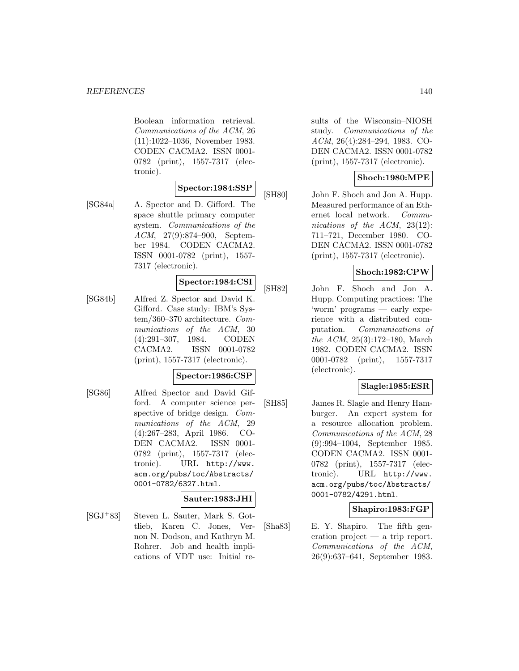Boolean information retrieval. Communications of the ACM, 26 (11):1022–1036, November 1983. CODEN CACMA2. ISSN 0001- 0782 (print), 1557-7317 (electronic).

### **Spector:1984:SSP**

[SG84a] A. Spector and D. Gifford. The space shuttle primary computer system. Communications of the ACM, 27(9):874–900, September 1984. CODEN CACMA2. ISSN 0001-0782 (print), 1557- 7317 (electronic).

### **Spector:1984:CSI**

[SG84b] Alfred Z. Spector and David K. Gifford. Case study: IBM's System/360–370 architecture. Communications of the ACM, 30 (4):291–307, 1984. CODEN CACMA2. ISSN 0001-0782 (print), 1557-7317 (electronic).

### **Spector:1986:CSP**

[SG86] Alfred Spector and David Gifford. A computer science perspective of bridge design. Communications of the ACM, 29 (4):267–283, April 1986. CO-DEN CACMA2. ISSN 0001- 0782 (print), 1557-7317 (electronic). URL http://www. acm.org/pubs/toc/Abstracts/ 0001-0782/6327.html.

### **Sauter:1983:JHI**

[SGJ<sup>+</sup>83] Steven L. Sauter, Mark S. Gottlieb, Karen C. Jones, Vernon N. Dodson, and Kathryn M. Rohrer. Job and health implications of VDT use: Initial results of the Wisconsin–NIOSH study. Communications of the ACM, 26(4):284–294, 1983. CO-DEN CACMA2. ISSN 0001-0782 (print), 1557-7317 (electronic).

## **Shoch:1980:MPE**

[SH80] John F. Shoch and Jon A. Hupp. Measured performance of an Ethernet local network. Communications of the ACM, 23(12): 711–721, December 1980. CO-DEN CACMA2. ISSN 0001-0782 (print), 1557-7317 (electronic).

### **Shoch:1982:CPW**

[SH82] John F. Shoch and Jon A. Hupp. Computing practices: The 'worm' programs — early experience with a distributed computation. Communications of the ACM, 25(3):172–180, March 1982. CODEN CACMA2. ISSN 0001-0782 (print), 1557-7317 (electronic).

### **Slagle:1985:ESR**

[SH85] James R. Slagle and Henry Hamburger. An expert system for a resource allocation problem. Communications of the ACM, 28 (9):994–1004, September 1985. CODEN CACMA2. ISSN 0001- 0782 (print), 1557-7317 (electronic). URL http://www. acm.org/pubs/toc/Abstracts/ 0001-0782/4291.html.

### **Shapiro:1983:FGP**

[Sha83] E. Y. Shapiro. The fifth generation project — a trip report. Communications of the ACM, 26(9):637–641, September 1983.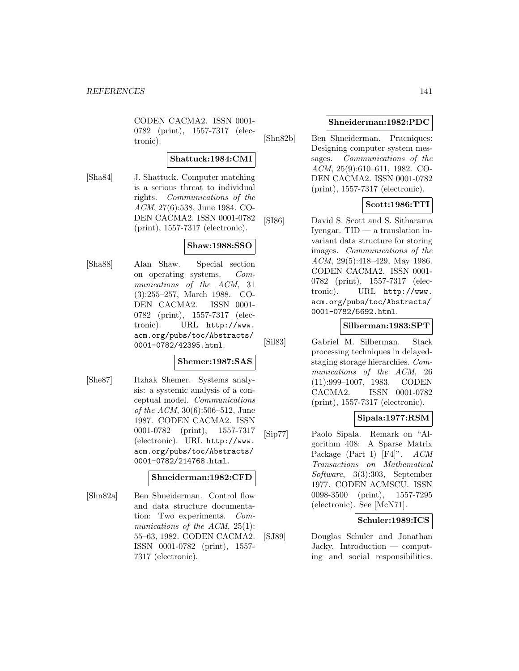CODEN CACMA2. ISSN 0001- 0782 (print), 1557-7317 (electronic).

# **Shattuck:1984:CMI**

[Sha84] J. Shattuck. Computer matching is a serious threat to individual rights. Communications of the ACM, 27(6):538, June 1984. CO-DEN CACMA2. ISSN 0001-0782 (print), 1557-7317 (electronic).

# **Shaw:1988:SSO**

[Sha88] Alan Shaw. Special section on operating systems. Communications of the ACM, 31 (3):255–257, March 1988. CO-DEN CACMA2. ISSN 0001- 0782 (print), 1557-7317 (electronic). URL http://www. acm.org/pubs/toc/Abstracts/ 0001-0782/42395.html.

### **Shemer:1987:SAS**

[She87] Itzhak Shemer. Systems analysis: a systemic analysis of a conceptual model. Communications of the ACM, 30(6):506–512, June 1987. CODEN CACMA2. ISSN 0001-0782 (print), 1557-7317 (electronic). URL http://www. acm.org/pubs/toc/Abstracts/ 0001-0782/214768.html.

### **Shneiderman:1982:CFD**

[Shn82a] Ben Shneiderman. Control flow and data structure documentation: Two experiments. Communications of the ACM, 25(1): 55–63, 1982. CODEN CACMA2. ISSN 0001-0782 (print), 1557- 7317 (electronic).

### **Shneiderman:1982:PDC**

[Shn82b] Ben Shneiderman. Pracniques: Designing computer system messages. Communications of the ACM, 25(9):610–611, 1982. CO-DEN CACMA2. ISSN 0001-0782 (print), 1557-7317 (electronic).

# **Scott:1986:TTI**

[SI86] David S. Scott and S. Sitharama Iyengar. TID — a translation invariant data structure for storing images. Communications of the ACM, 29(5):418–429, May 1986. CODEN CACMA2. ISSN 0001- 0782 (print), 1557-7317 (electronic). URL http://www. acm.org/pubs/toc/Abstracts/ 0001-0782/5692.html.

### **Silberman:1983:SPT**

[Sil83] Gabriel M. Silberman. Stack processing techniques in delayedstaging storage hierarchies. Communications of the ACM, 26 (11):999–1007, 1983. CODEN CACMA2. ISSN 0001-0782 (print), 1557-7317 (electronic).

## **Sipala:1977:RSM**

[Sip77] Paolo Sipala. Remark on "Algorithm 408: A Sparse Matrix Package (Part I) [F4]". ACM Transactions on Mathematical Software, 3(3):303, September 1977. CODEN ACMSCU. ISSN 0098-3500 (print), 1557-7295 (electronic). See [McN71].

## **Schuler:1989:ICS**

[SJ89] Douglas Schuler and Jonathan Jacky. Introduction — computing and social responsibilities.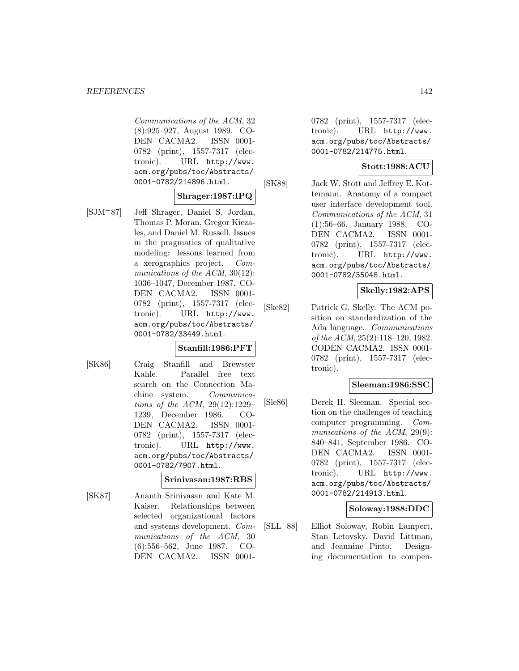Communications of the ACM, 32 (8):925–927, August 1989. CO-DEN CACMA2. ISSN 0001- 0782 (print), 1557-7317 (electronic). URL http://www. acm.org/pubs/toc/Abstracts/ 0001-0782/214896.html.

### **Shrager:1987:IPQ**

[SJM<sup>+</sup>87] Jeff Shrager, Daniel S. Jordan, Thomas P. Moran, Gregor Kiczales, and Daniel M. Russell. Issues in the pragmatics of qualitative modeling: lessons learned from a xerographics project. Communications of the ACM, 30(12): 1036–1047, December 1987. CO-DEN CACMA2. ISSN 0001- 0782 (print), 1557-7317 (electronic). URL http://www. acm.org/pubs/toc/Abstracts/ 0001-0782/33449.html.

### **Stanfill:1986:PFT**

[SK86] Craig Stanfill and Brewster Kahle. Parallel free text search on the Connection Machine system. Communications of the ACM, 29(12):1229– 1239, December 1986. CO-DEN CACMA2. ISSN 0001- 0782 (print), 1557-7317 (electronic). URL http://www. acm.org/pubs/toc/Abstracts/ 0001-0782/7907.html.

#### **Srinivasan:1987:RBS**

[SK87] Ananth Srinivasan and Kate M. Kaiser. Relationships between selected organizational factors and systems development. Communications of the ACM, 30 (6):556–562, June 1987. CO-DEN CACMA2. ISSN 00010782 (print), 1557-7317 (electronic). URL http://www. acm.org/pubs/toc/Abstracts/ 0001-0782/214775.html.

### **Stott:1988:ACU**

[SK88] Jack W. Stott and Jeffrey E. Kottemann. Anatomy of a compact user interface development tool. Communications of the ACM, 31 (1):56–66, January 1988. CO-DEN CACMA2. ISSN 0001- 0782 (print), 1557-7317 (electronic). URL http://www. acm.org/pubs/toc/Abstracts/ 0001-0782/35048.html.

### **Skelly:1982:APS**

[Ske82] Patrick G. Skelly. The ACM position on standardization of the Ada language. Communications of the ACM, 25(2):118–120, 1982. CODEN CACMA2. ISSN 0001- 0782 (print), 1557-7317 (electronic).

### **Sleeman:1986:SSC**

[Sle86] Derek H. Sleeman. Special section on the challenges of teaching computer programming. Communications of the ACM, 29(9): 840–841, September 1986. CO-DEN CACMA2. ISSN 0001- 0782 (print), 1557-7317 (electronic). URL http://www. acm.org/pubs/toc/Abstracts/ 0001-0782/214913.html.

#### **Soloway:1988:DDC**

[SLL<sup>+</sup>88] Elliot Soloway, Robin Lampert, Stan Letovsky, David Littman, and Jeannine Pinto. Designing documentation to compen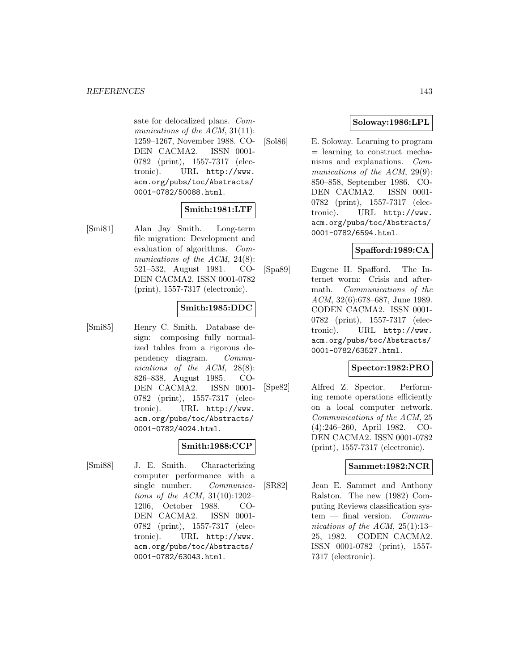sate for delocalized plans. Communications of the ACM, 31(11): 1259–1267, November 1988. CO-DEN CACMA2. ISSN 0001- 0782 (print), 1557-7317 (electronic). URL http://www. acm.org/pubs/toc/Abstracts/ 0001-0782/50088.html.

## **Smith:1981:LTF**

[Smi81] Alan Jay Smith. Long-term file migration: Development and evaluation of algorithms. Communications of the ACM, 24(8): 521–532, August 1981. CO-DEN CACMA2. ISSN 0001-0782 (print), 1557-7317 (electronic).

## **Smith:1985:DDC**

[Smi85] Henry C. Smith. Database design: composing fully normalized tables from a rigorous dependency diagram. Communications of the ACM, 28(8): 826–838, August 1985. CO-DEN CACMA2. ISSN 0001- 0782 (print), 1557-7317 (electronic). URL http://www. acm.org/pubs/toc/Abstracts/ 0001-0782/4024.html.

## **Smith:1988:CCP**

[Smi88] J. E. Smith. Characterizing computer performance with a single number. Communications of the ACM, 31(10):1202– 1206, October 1988. CO-DEN CACMA2. ISSN 0001- 0782 (print), 1557-7317 (electronic). URL http://www. acm.org/pubs/toc/Abstracts/ 0001-0782/63043.html.

# **Soloway:1986:LPL**

[Sol86] E. Soloway. Learning to program = learning to construct mechanisms and explanations. Communications of the ACM, 29(9): 850–858, September 1986. CO-DEN CACMA2. ISSN 0001- 0782 (print), 1557-7317 (electronic). URL http://www. acm.org/pubs/toc/Abstracts/ 0001-0782/6594.html.

# **Spafford:1989:CA**

[Spa89] Eugene H. Spafford. The Internet worm: Crisis and aftermath. Communications of the ACM, 32(6):678–687, June 1989. CODEN CACMA2. ISSN 0001- 0782 (print), 1557-7317 (electronic). URL http://www. acm.org/pubs/toc/Abstracts/ 0001-0782/63527.html.

# **Spector:1982:PRO**

[Spe82] Alfred Z. Spector. Performing remote operations efficiently on a local computer network. Communications of the ACM, 25 (4):246–260, April 1982. CO-DEN CACMA2. ISSN 0001-0782 (print), 1557-7317 (electronic).

# **Sammet:1982:NCR**

[SR82] Jean E. Sammet and Anthony Ralston. The new (1982) Computing Reviews classification sys $tem$  — final version. *Commu*nications of the ACM, 25(1):13– 25, 1982. CODEN CACMA2. ISSN 0001-0782 (print), 1557- 7317 (electronic).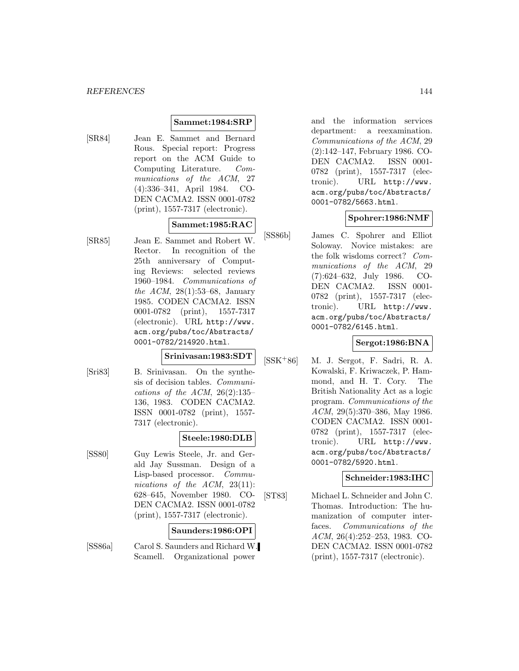### **Sammet:1984:SRP**

[SR84] Jean E. Sammet and Bernard Rous. Special report: Progress report on the ACM Guide to Computing Literature. Communications of the ACM, 27 (4):336–341, April 1984. CO-DEN CACMA2. ISSN 0001-0782 (print), 1557-7317 (electronic).

### **Sammet:1985:RAC**

[SR85] Jean E. Sammet and Robert W. Rector. In recognition of the 25th anniversary of Computing Reviews: selected reviews 1960–1984. Communications of the ACM, 28(1):53–68, January 1985. CODEN CACMA2. ISSN 0001-0782 (print), 1557-7317 (electronic). URL http://www. acm.org/pubs/toc/Abstracts/ 0001-0782/214920.html.

# **Srinivasan:1983:SDT**

[Sri83] B. Srinivasan. On the synthesis of decision tables. Communications of the ACM,  $26(2):135-$ 136, 1983. CODEN CACMA2. ISSN 0001-0782 (print), 1557- 7317 (electronic).

### **Steele:1980:DLB**

[SS80] Guy Lewis Steele, Jr. and Gerald Jay Sussman. Design of a Lisp-based processor. Communications of the ACM, 23(11): 628–645, November 1980. CO-DEN CACMA2. ISSN 0001-0782 (print), 1557-7317 (electronic).

#### **Saunders:1986:OPI**

[SS86a] Carol S. Saunders and Richard W. Scamell. Organizational power

and the information services department: a reexamination. Communications of the ACM, 29 (2):142–147, February 1986. CO-DEN CACMA2. ISSN 0001- 0782 (print), 1557-7317 (electronic). URL http://www. acm.org/pubs/toc/Abstracts/ 0001-0782/5663.html.

#### **Spohrer:1986:NMF**

[SS86b] James C. Spohrer and Elliot Soloway. Novice mistakes: are the folk wisdoms correct? Communications of the ACM, 29 (7):624–632, July 1986. CO-DEN CACMA2. ISSN 0001- 0782 (print), 1557-7317 (electronic). URL http://www. acm.org/pubs/toc/Abstracts/ 0001-0782/6145.html.

### **Sergot:1986:BNA**

[SSK<sup>+</sup>86] M. J. Sergot, F. Sadri, R. A. Kowalski, F. Kriwaczek, P. Hammond, and H. T. Cory. The British Nationality Act as a logic program. Communications of the ACM, 29(5):370–386, May 1986. CODEN CACMA2. ISSN 0001- 0782 (print), 1557-7317 (electronic). URL http://www. acm.org/pubs/toc/Abstracts/ 0001-0782/5920.html.

### **Schneider:1983:IHC**

[ST83] Michael L. Schneider and John C. Thomas. Introduction: The humanization of computer interfaces. Communications of the ACM, 26(4):252–253, 1983. CO-DEN CACMA2. ISSN 0001-0782 (print), 1557-7317 (electronic).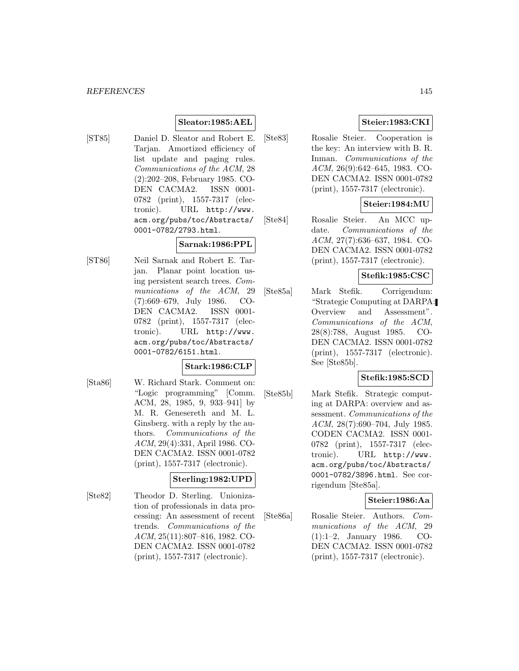# **Sleator:1985:AEL**

[ST85] Daniel D. Sleator and Robert E. Tarjan. Amortized efficiency of list update and paging rules. Communications of the ACM, 28 (2):202–208, February 1985. CO-DEN CACMA2. ISSN 0001- 0782 (print), 1557-7317 (electronic). URL http://www. acm.org/pubs/toc/Abstracts/ 0001-0782/2793.html.

#### **Sarnak:1986:PPL**

[ST86] Neil Sarnak and Robert E. Tarjan. Planar point location using persistent search trees. Communications of the ACM, 29 (7):669–679, July 1986. CO-DEN CACMA2. ISSN 0001- 0782 (print), 1557-7317 (electronic). URL http://www. acm.org/pubs/toc/Abstracts/ 0001-0782/6151.html.

#### **Stark:1986:CLP**

[Sta86] W. Richard Stark. Comment on: "Logic programming" [Comm. ACM, 28, 1985, 9, 933–941] by M. R. Genesereth and M. L. Ginsberg. with a reply by the authors. Communications of the ACM, 29(4):331, April 1986. CO-DEN CACMA2. ISSN 0001-0782 (print), 1557-7317 (electronic).

#### **Sterling:1982:UPD**

[Ste82] Theodor D. Sterling. Unionization of professionals in data processing: An assessment of recent trends. Communications of the ACM, 25(11):807–816, 1982. CO-DEN CACMA2. ISSN 0001-0782 (print), 1557-7317 (electronic).

# **Steier:1983:CKI**

[Ste83] Rosalie Steier. Cooperation is the key: An interview with B. R. Inman. Communications of the ACM, 26(9):642–645, 1983. CO-DEN CACMA2. ISSN 0001-0782 (print), 1557-7317 (electronic).

# **Steier:1984:MU**

[Ste84] Rosalie Steier. An MCC update. Communications of the ACM, 27(7):636–637, 1984. CO-DEN CACMA2. ISSN 0001-0782 (print), 1557-7317 (electronic).

# **Stefik:1985:CSC**

[Ste85a] Mark Stefik. Corrigendum: "Strategic Computing at DARPA: Overview and Assessment". Communications of the ACM, 28(8):788, August 1985. CO-DEN CACMA2. ISSN 0001-0782 (print), 1557-7317 (electronic). See [Ste85b].

## **Stefik:1985:SCD**

[Ste85b] Mark Stefik. Strategic computing at DARPA: overview and assessment. Communications of the ACM, 28(7):690–704, July 1985. CODEN CACMA2. ISSN 0001- 0782 (print), 1557-7317 (electronic). URL http://www. acm.org/pubs/toc/Abstracts/ 0001-0782/3896.html. See corrigendum [Ste85a].

#### **Steier:1986:Aa**

[Ste86a] Rosalie Steier. Authors. Communications of the ACM, 29 (1):1–2, January 1986. CO-DEN CACMA2. ISSN 0001-0782 (print), 1557-7317 (electronic).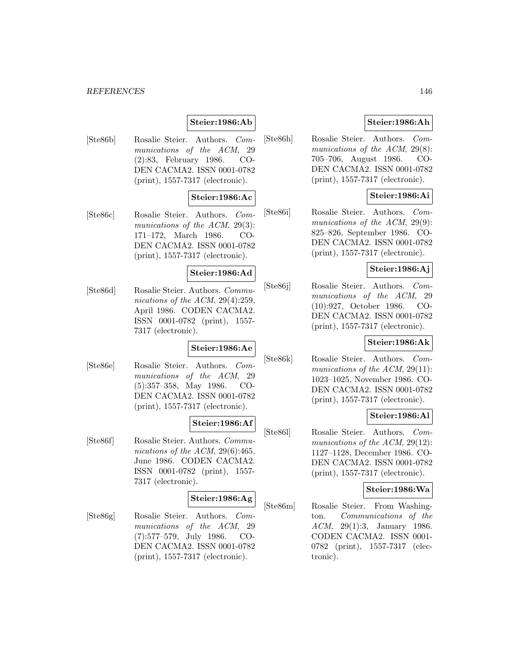#### *REFERENCES* 146

# **Steier:1986:Ab**

[Ste86b] Rosalie Steier. Authors. Communications of the ACM, 29 (2):83, February 1986. CO-DEN CACMA2. ISSN 0001-0782 (print), 1557-7317 (electronic).

## **Steier:1986:Ac**

[Ste86c] Rosalie Steier. Authors. Communications of the ACM, 29(3): 171–172, March 1986. CO-DEN CACMA2. ISSN 0001-0782 (print), 1557-7317 (electronic).

#### **Steier:1986:Ad**

[Ste86d] Rosalie Steier. Authors. Communications of the ACM, 29(4):259, April 1986. CODEN CACMA2. ISSN 0001-0782 (print), 1557- 7317 (electronic).

## **Steier:1986:Ae**

[Ste86e] Rosalie Steier. Authors. Communications of the ACM, 29 (5):357–358, May 1986. CO-DEN CACMA2. ISSN 0001-0782 (print), 1557-7317 (electronic).

# **Steier:1986:Af**

[Ste86f] Rosalie Steier. Authors. Communications of the ACM, 29(6):465, June 1986. CODEN CACMA2. ISSN 0001-0782 (print), 1557- 7317 (electronic).

# **Steier:1986:Ag**

[Ste86g] Rosalie Steier. Authors. Communications of the ACM, 29 (7):577–579, July 1986. CO-DEN CACMA2. ISSN 0001-0782 (print), 1557-7317 (electronic).

## **Steier:1986:Ah**

[Ste86h] Rosalie Steier. Authors. Communications of the ACM, 29(8): 705–706, August 1986. CO-DEN CACMA2. ISSN 0001-0782 (print), 1557-7317 (electronic).

## **Steier:1986:Ai**

[Ste86i] Rosalie Steier. Authors. Communications of the ACM, 29(9): 825–826, September 1986. CO-DEN CACMA2. ISSN 0001-0782 (print), 1557-7317 (electronic).

#### **Steier:1986:Aj**

[Ste86j] Rosalie Steier. Authors. Communications of the ACM, 29 (10):927, October 1986. CO-DEN CACMA2. ISSN 0001-0782 (print), 1557-7317 (electronic).

#### **Steier:1986:Ak**

[Ste86k] Rosalie Steier. Authors. Communications of the ACM, 29(11): 1023–1025, November 1986. CO-DEN CACMA2. ISSN 0001-0782 (print), 1557-7317 (electronic).

#### **Steier:1986:Al**

[Ste86l] Rosalie Steier. Authors. Communications of the ACM, 29(12): 1127–1128, December 1986. CO-DEN CACMA2. ISSN 0001-0782 (print), 1557-7317 (electronic).

## **Steier:1986:Wa**

[Ste86m] Rosalie Steier. From Washington. Communications of the ACM, 29(1):3, January 1986. CODEN CACMA2. ISSN 0001- 0782 (print), 1557-7317 (electronic).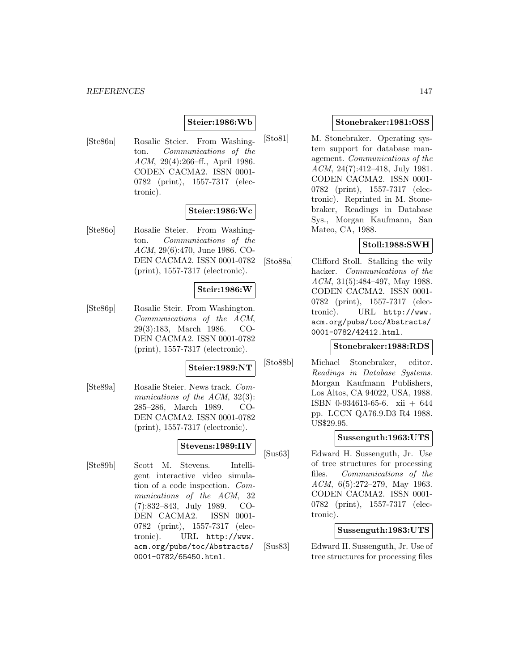## **Steier:1986:Wb**

[Ste86n] Rosalie Steier. From Washington. Communications of the ACM, 29(4):266–ff., April 1986. CODEN CACMA2. ISSN 0001- 0782 (print), 1557-7317 (electronic).

## **Steier:1986:Wc**

[Ste86o] Rosalie Steier. From Washington. Communications of the ACM, 29(6):470, June 1986. CO-DEN CACMA2. ISSN 0001-0782 (print), 1557-7317 (electronic).

## **Steir:1986:W**

[Ste86p] Rosalie Steir. From Washington. Communications of the ACM, 29(3):183, March 1986. CO-DEN CACMA2. ISSN 0001-0782 (print), 1557-7317 (electronic).

# **Steier:1989:NT**

[Ste89a] Rosalie Steier. News track. Communications of the ACM, 32(3): 285–286, March 1989. CO-DEN CACMA2. ISSN 0001-0782 (print), 1557-7317 (electronic).

#### **Stevens:1989:IIV**

[Ste89b] Scott M. Stevens. Intelligent interactive video simulation of a code inspection. Communications of the ACM, 32 (7):832–843, July 1989. CO-DEN CACMA2. ISSN 0001- 0782 (print), 1557-7317 (electronic). URL http://www. acm.org/pubs/toc/Abstracts/ 0001-0782/65450.html.

#### **Stonebraker:1981:OSS**

[Sto81] M. Stonebraker. Operating system support for database management. Communications of the ACM, 24(7):412–418, July 1981. CODEN CACMA2. ISSN 0001- 0782 (print), 1557-7317 (electronic). Reprinted in M. Stonebraker, Readings in Database Sys., Morgan Kaufmann, San Mateo, CA, 1988.

## **Stoll:1988:SWH**

[Sto88a] Clifford Stoll. Stalking the wily hacker. Communications of the ACM, 31(5):484–497, May 1988. CODEN CACMA2. ISSN 0001- 0782 (print), 1557-7317 (electronic). URL http://www. acm.org/pubs/toc/Abstracts/ 0001-0782/42412.html.

#### **Stonebraker:1988:RDS**

[Sto88b] Michael Stonebraker, editor. Readings in Database Systems. Morgan Kaufmann Publishers, Los Altos, CA 94022, USA, 1988. ISBN 0-934613-65-6. xii + 644 pp. LCCN QA76.9.D3 R4 1988. US\$29.95.

#### **Sussenguth:1963:UTS**

[Sus63] Edward H. Sussenguth, Jr. Use of tree structures for processing files. Communications of the ACM, 6(5):272–279, May 1963. CODEN CACMA2. ISSN 0001- 0782 (print), 1557-7317 (electronic).

#### **Sussenguth:1983:UTS**

[Sus83] Edward H. Sussenguth, Jr. Use of tree structures for processing files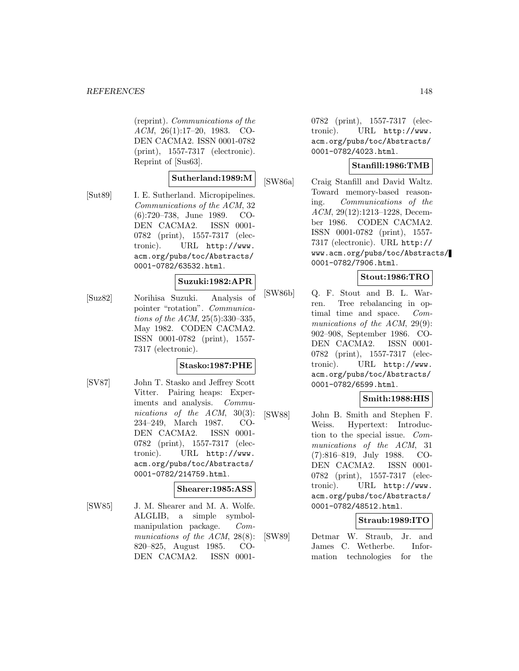(reprint). Communications of the ACM, 26(1):17–20, 1983. CO-DEN CACMA2. ISSN 0001-0782 (print), 1557-7317 (electronic). Reprint of [Sus63].

#### **Sutherland:1989:M**

[Sut89] I. E. Sutherland. Micropipelines. Communications of the ACM, 32 (6):720–738, June 1989. CO-DEN CACMA2. ISSN 0001- 0782 (print), 1557-7317 (electronic). URL http://www. acm.org/pubs/toc/Abstracts/ 0001-0782/63532.html.

#### **Suzuki:1982:APR**

[Suz82] Norihisa Suzuki. Analysis of pointer "rotation". Communications of the ACM, 25(5):330–335, May 1982. CODEN CACMA2. ISSN 0001-0782 (print), 1557- 7317 (electronic).

#### **Stasko:1987:PHE**

[SV87] John T. Stasko and Jeffrey Scott Vitter. Pairing heaps: Experiments and analysis. Communications of the ACM, 30(3): 234–249, March 1987. CO-DEN CACMA2. ISSN 0001- 0782 (print), 1557-7317 (electronic). URL http://www. acm.org/pubs/toc/Abstracts/ 0001-0782/214759.html.

## **Shearer:1985:ASS**

[SW85] J. M. Shearer and M. A. Wolfe. ALGLIB, a simple symbolmanipulation package. Communications of the ACM, 28(8): 820–825, August 1985. CO-DEN CACMA2. ISSN 00010782 (print), 1557-7317 (electronic). URL http://www. acm.org/pubs/toc/Abstracts/ 0001-0782/4023.html.

#### **Stanfill:1986:TMB**

[SW86a] Craig Stanfill and David Waltz. Toward memory-based reasoning. Communications of the ACM, 29(12):1213–1228, December 1986. CODEN CACMA2. ISSN 0001-0782 (print), 1557- 7317 (electronic). URL http:// www.acm.org/pubs/toc/Abstracts/ 0001-0782/7906.html.

### **Stout:1986:TRO**

[SW86b] Q. F. Stout and B. L. Warren. Tree rebalancing in optimal time and space. Communications of the ACM, 29(9): 902–908, September 1986. CO-DEN CACMA2. ISSN 0001- 0782 (print), 1557-7317 (electronic). URL http://www. acm.org/pubs/toc/Abstracts/ 0001-0782/6599.html.

#### **Smith:1988:HIS**

[SW88] John B. Smith and Stephen F. Weiss. Hypertext: Introduction to the special issue. Communications of the ACM, 31 (7):816–819, July 1988. CO-DEN CACMA2. ISSN 0001- 0782 (print), 1557-7317 (electronic). URL http://www. acm.org/pubs/toc/Abstracts/ 0001-0782/48512.html.

#### **Straub:1989:ITO**

[SW89] Detmar W. Straub, Jr. and James C. Wetherbe. Information technologies for the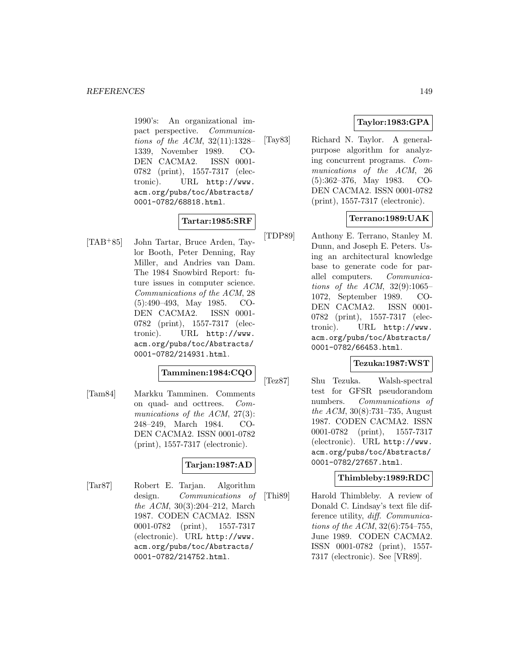1990's: An organizational impact perspective. Communications of the ACM, 32(11):1328– 1339, November 1989. CO-DEN CACMA2. ISSN 0001- 0782 (print), 1557-7317 (electronic). URL http://www. acm.org/pubs/toc/Abstracts/ 0001-0782/68818.html.

# **Tartar:1985:SRF**

[TAB<sup>+</sup>85] John Tartar, Bruce Arden, Taylor Booth, Peter Denning, Ray Miller, and Andries van Dam. The 1984 Snowbird Report: future issues in computer science. Communications of the ACM, 28 (5):490–493, May 1985. CO-DEN CACMA2. ISSN 0001- 0782 (print), 1557-7317 (electronic). URL http://www. acm.org/pubs/toc/Abstracts/ 0001-0782/214931.html.

# **Tamminen:1984:CQO**

[Tam84] Markku Tamminen. Comments on quad- and octtrees. Communications of the ACM, 27(3): 248–249, March 1984. CO-DEN CACMA2. ISSN 0001-0782 (print), 1557-7317 (electronic).

# **Tarjan:1987:AD**

[Tar87] Robert E. Tarjan. Algorithm design. Communications of the ACM, 30(3):204–212, March 1987. CODEN CACMA2. ISSN 0001-0782 (print), 1557-7317 (electronic). URL http://www. acm.org/pubs/toc/Abstracts/ 0001-0782/214752.html.

# **Taylor:1983:GPA**

[Tay83] Richard N. Taylor. A generalpurpose algorithm for analyzing concurrent programs. Communications of the ACM, 26 (5):362–376, May 1983. CO-DEN CACMA2. ISSN 0001-0782 (print), 1557-7317 (electronic).

# **Terrano:1989:UAK**

[TDP89] Anthony E. Terrano, Stanley M. Dunn, and Joseph E. Peters. Using an architectural knowledge base to generate code for parallel computers. Communications of the ACM,  $32(9):1065-$ 1072, September 1989. CO-DEN CACMA2. ISSN 0001- 0782 (print), 1557-7317 (electronic). URL http://www. acm.org/pubs/toc/Abstracts/ 0001-0782/66453.html.

# **Tezuka:1987:WST**

[Tez87] Shu Tezuka. Walsh-spectral test for GFSR pseudorandom numbers. Communications of the ACM, 30(8):731–735, August 1987. CODEN CACMA2. ISSN 0001-0782 (print), 1557-7317 (electronic). URL http://www. acm.org/pubs/toc/Abstracts/ 0001-0782/27657.html.

# **Thimbleby:1989:RDC**

[Thi89] Harold Thimbleby. A review of Donald C. Lindsay's text file difference utility, diff. Communications of the ACM, 32(6):754–755, June 1989. CODEN CACMA2. ISSN 0001-0782 (print), 1557- 7317 (electronic). See [VR89].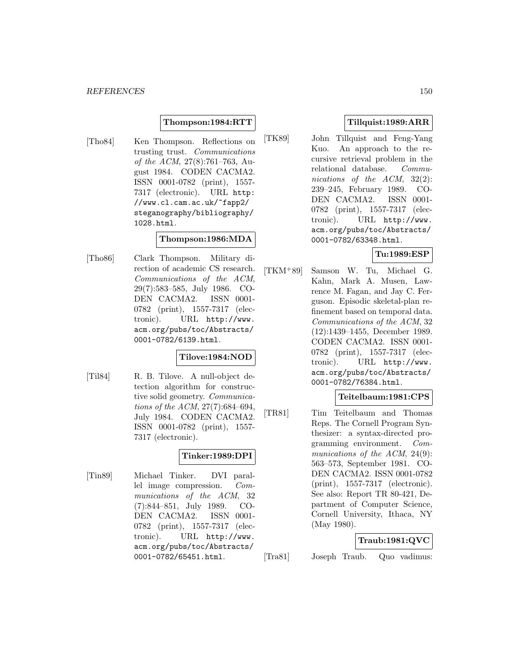#### **Thompson:1984:RTT**

[Tho84] Ken Thompson. Reflections on trusting trust. Communications of the ACM, 27(8):761–763, August 1984. CODEN CACMA2. ISSN 0001-0782 (print), 1557- 7317 (electronic). URL http: //www.cl.cam.ac.uk/~fapp2/ steganography/bibliography/ 1028.html.

#### **Thompson:1986:MDA**

[Tho86] Clark Thompson. Military direction of academic CS research. Communications of the ACM, 29(7):583–585, July 1986. CO-DEN CACMA2. ISSN 0001- 0782 (print), 1557-7317 (electronic). URL http://www. acm.org/pubs/toc/Abstracts/ 0001-0782/6139.html.

#### **Tilove:1984:NOD**

[Til84] R. B. Tilove. A null-object detection algorithm for constructive solid geometry. Communications of the ACM, 27(7):684–694, July 1984. CODEN CACMA2. ISSN 0001-0782 (print), 1557- 7317 (electronic).

# **Tinker:1989:DPI**

[Tin89] Michael Tinker. DVI parallel image compression. Communications of the ACM, 32 (7):844–851, July 1989. CO-DEN CACMA2. ISSN 0001- 0782 (print), 1557-7317 (electronic). URL http://www. acm.org/pubs/toc/Abstracts/ 0001-0782/65451.html.

## **Tillquist:1989:ARR**

[TK89] John Tillquist and Feng-Yang Kuo. An approach to the recursive retrieval problem in the relational database. Communications of the ACM, 32(2): 239–245, February 1989. CO-DEN CACMA2. ISSN 0001- 0782 (print), 1557-7317 (electronic). URL http://www. acm.org/pubs/toc/Abstracts/ 0001-0782/63348.html.

## **Tu:1989:ESP**

[TKM<sup>+</sup>89] Samson W. Tu, Michael G. Kahn, Mark A. Musen, Lawrence M. Fagan, and Jay C. Ferguson. Episodic skeletal-plan refinement based on temporal data. Communications of the ACM, 32 (12):1439–1455, December 1989. CODEN CACMA2. ISSN 0001- 0782 (print), 1557-7317 (electronic). URL http://www. acm.org/pubs/toc/Abstracts/ 0001-0782/76384.html.

### **Teitelbaum:1981:CPS**

[TR81] Tim Teitelbaum and Thomas Reps. The Cornell Program Synthesizer: a syntax-directed programming environment. Communications of the ACM, 24(9): 563–573, September 1981. CO-DEN CACMA2. ISSN 0001-0782 (print), 1557-7317 (electronic). See also: Report TR 80-421, Department of Computer Science, Cornell University, Ithaca, NY (May 1980).

#### **Traub:1981:QVC**

[Tra81] Joseph Traub. Quo vadimus: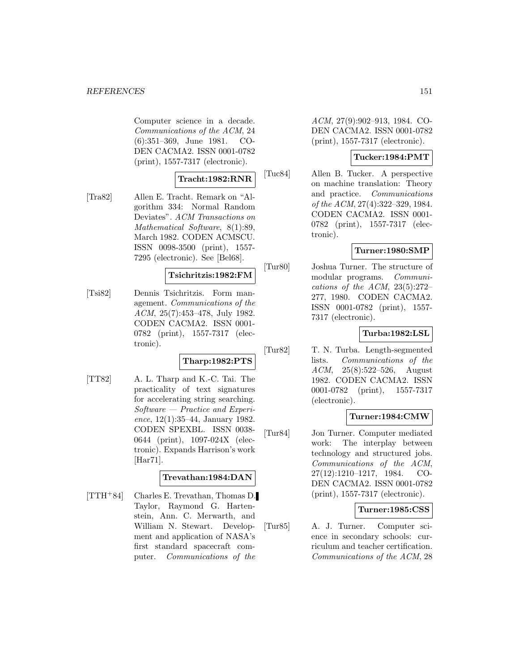Computer science in a decade. Communications of the ACM, 24 (6):351–369, June 1981. CO-DEN CACMA2. ISSN 0001-0782 (print), 1557-7317 (electronic).

#### **Tracht:1982:RNR**

[Tra82] Allen E. Tracht. Remark on "Algorithm 334: Normal Random Deviates". ACM Transactions on Mathematical Software, 8(1):89, March 1982. CODEN ACMSCU. ISSN 0098-3500 (print), 1557- 7295 (electronic). See [Bel68].

#### **Tsichritzis:1982:FM**

[Tsi82] Dennis Tsichritzis. Form management. Communications of the ACM, 25(7):453–478, July 1982. CODEN CACMA2. ISSN 0001- 0782 (print), 1557-7317 (electronic).

## **Tharp:1982:PTS**

[TT82] A. L. Tharp and K.-C. Tai. The practicality of text signatures for accelerating string searching.  $Software - Practice$  and Experience, 12(1):35–44, January 1982. CODEN SPEXBL. ISSN 0038- 0644 (print), 1097-024X (electronic). Expands Harrison's work [Har71].

#### **Trevathan:1984:DAN**

[TTH<sup>+</sup>84] Charles E. Trevathan, Thomas D. Taylor, Raymond G. Hartenstein, Ann. C. Merwarth, and William N. Stewart. Development and application of NASA's first standard spacecraft computer. Communications of the

ACM, 27(9):902–913, 1984. CO-DEN CACMA2. ISSN 0001-0782 (print), 1557-7317 (electronic).

## **Tucker:1984:PMT**

[Tuc84] Allen B. Tucker. A perspective on machine translation: Theory and practice. Communications of the ACM, 27(4):322–329, 1984. CODEN CACMA2. ISSN 0001- 0782 (print), 1557-7317 (electronic).

# **Turner:1980:SMP**

[Tur80] Joshua Turner. The structure of modular programs. Communications of the ACM,  $23(5):272-$ 277, 1980. CODEN CACMA2. ISSN 0001-0782 (print), 1557- 7317 (electronic).

## **Turba:1982:LSL**

[Tur82] T. N. Turba. Length-segmented lists. Communications of the ACM, 25(8):522–526, August 1982. CODEN CACMA2. ISSN 0001-0782 (print), 1557-7317 (electronic).

#### **Turner:1984:CMW**

[Tur84] Jon Turner. Computer mediated work: The interplay between technology and structured jobs. Communications of the ACM, 27(12):1210–1217, 1984. CO-DEN CACMA2. ISSN 0001-0782 (print), 1557-7317 (electronic).

### **Turner:1985:CSS**

[Tur85] A. J. Turner. Computer science in secondary schools: curriculum and teacher certification. Communications of the ACM, 28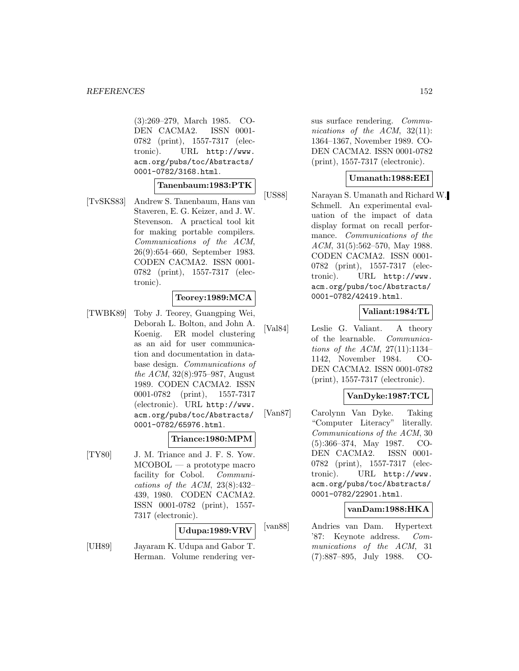(3):269–279, March 1985. CO-DEN CACMA2. ISSN 0001- 0782 (print), 1557-7317 (electronic). URL http://www. acm.org/pubs/toc/Abstracts/ 0001-0782/3168.html.

# **Tanenbaum:1983:PTK**

[TvSKS83] Andrew S. Tanenbaum, Hans van Staveren, E. G. Keizer, and J. W. Stevenson. A practical tool kit for making portable compilers. Communications of the ACM, 26(9):654–660, September 1983. CODEN CACMA2. ISSN 0001- 0782 (print), 1557-7317 (electronic).

#### **Teorey:1989:MCA**

[TWBK89] Toby J. Teorey, Guangping Wei, Deborah L. Bolton, and John A. Koenig. ER model clustering as an aid for user communication and documentation in database design. Communications of the ACM, 32(8):975–987, August 1989. CODEN CACMA2. ISSN 0001-0782 (print), 1557-7317 (electronic). URL http://www. acm.org/pubs/toc/Abstracts/ 0001-0782/65976.html.

#### **Triance:1980:MPM**

[TY80] J. M. Triance and J. F. S. Yow. MCOBOL — a prototype macro facility for Cobol. Communications of the ACM,  $23(8):432-$ 439, 1980. CODEN CACMA2. ISSN 0001-0782 (print), 1557- 7317 (electronic).

#### **Udupa:1989:VRV**

[UH89] Jayaram K. Udupa and Gabor T. Herman. Volume rendering versus surface rendering. Communications of the ACM, 32(11): 1364–1367, November 1989. CO-DEN CACMA2. ISSN 0001-0782 (print), 1557-7317 (electronic).

## **Umanath:1988:EEI**

[US88] Narayan S. Umanath and Richard W. Schmell. An experimental evaluation of the impact of data display format on recall performance. Communications of the ACM, 31(5):562–570, May 1988. CODEN CACMA2. ISSN 0001- 0782 (print), 1557-7317 (electronic). URL http://www. acm.org/pubs/toc/Abstracts/ 0001-0782/42419.html.

## **Valiant:1984:TL**

[Val84] Leslie G. Valiant. A theory of the learnable. Communications of the ACM, 27(11):1134– 1142, November 1984. CO-DEN CACMA2. ISSN 0001-0782 (print), 1557-7317 (electronic).

### **VanDyke:1987:TCL**

[Van87] Carolynn Van Dyke. Taking "Computer Literacy" literally. Communications of the ACM, 30 (5):366–374, May 1987. CO-DEN CACMA2. ISSN 0001- 0782 (print), 1557-7317 (electronic). URL http://www. acm.org/pubs/toc/Abstracts/ 0001-0782/22901.html.

#### **vanDam:1988:HKA**

[van88] Andries van Dam. Hypertext '87: Keynote address. Communications of the ACM, 31 (7):887–895, July 1988. CO-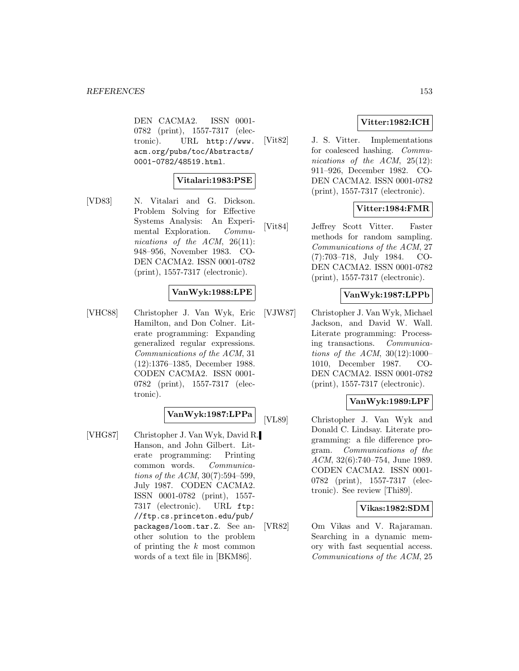DEN CACMA2. ISSN 0001- 0782 (print), 1557-7317 (electronic). URL http://www. acm.org/pubs/toc/Abstracts/ 0001-0782/48519.html.

## **Vitalari:1983:PSE**

[VD83] N. Vitalari and G. Dickson. Problem Solving for Effective Systems Analysis: An Experimental Exploration. Communications of the ACM, 26(11): 948–956, November 1983. CO-DEN CACMA2. ISSN 0001-0782 (print), 1557-7317 (electronic).

## **VanWyk:1988:LPE**

[VHC88] Christopher J. Van Wyk, Eric Hamilton, and Don Colner. Literate programming: Expanding generalized regular expressions. Communications of the ACM, 31 (12):1376–1385, December 1988. CODEN CACMA2. ISSN 0001- 0782 (print), 1557-7317 (electronic).

# **VanWyk:1987:LPPa**

[VHG87] Christopher J. Van Wyk, David R. Hanson, and John Gilbert. Literate programming: Printing common words. Communications of the ACM, 30(7):594–599, July 1987. CODEN CACMA2. ISSN 0001-0782 (print), 1557- 7317 (electronic). URL ftp: //ftp.cs.princeton.edu/pub/ packages/loom.tar.Z. See another solution to the problem of printing the k most common words of a text file in [BKM86].

# **Vitter:1982:ICH**

[Vit82] J. S. Vitter. Implementations for coalesced hashing. Communications of the ACM, 25(12): 911–926, December 1982. CO-DEN CACMA2. ISSN 0001-0782 (print), 1557-7317 (electronic).

## **Vitter:1984:FMR**

[Vit84] Jeffrey Scott Vitter. Faster methods for random sampling. Communications of the ACM, 27 (7):703–718, July 1984. CO-DEN CACMA2. ISSN 0001-0782 (print), 1557-7317 (electronic).

## **VanWyk:1987:LPPb**

[VJW87] Christopher J. Van Wyk, Michael Jackson, and David W. Wall. Literate programming: Processing transactions. Communications of the ACM,  $30(12):1000-$ 1010, December 1987. CO-DEN CACMA2. ISSN 0001-0782 (print), 1557-7317 (electronic).

#### **VanWyk:1989:LPF**

[VL89] Christopher J. Van Wyk and Donald C. Lindsay. Literate programming: a file difference program. Communications of the ACM, 32(6):740–754, June 1989. CODEN CACMA2. ISSN 0001- 0782 (print), 1557-7317 (electronic). See review [Thi89].

### **Vikas:1982:SDM**

[VR82] Om Vikas and V. Rajaraman. Searching in a dynamic memory with fast sequential access. Communications of the ACM, 25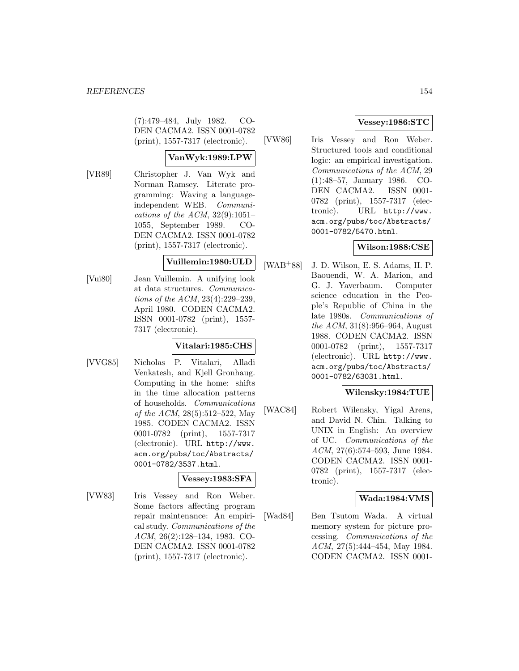(7):479–484, July 1982. CO-DEN CACMA2. ISSN 0001-0782 (print), 1557-7317 (electronic).

# **VanWyk:1989:LPW**

[VR89] Christopher J. Van Wyk and Norman Ramsey. Literate programming: Waving a languageindependent WEB. Communications of the ACM,  $32(9):1051-$ 1055, September 1989. CO-DEN CACMA2. ISSN 0001-0782 (print), 1557-7317 (electronic).

#### **Vuillemin:1980:ULD**

[Vui80] Jean Vuillemin. A unifying look at data structures. Communications of the ACM, 23(4):229–239, April 1980. CODEN CACMA2. ISSN 0001-0782 (print), 1557- 7317 (electronic).

#### **Vitalari:1985:CHS**

[VVG85] Nicholas P. Vitalari, Alladi Venkatesh, and Kjell Gronhaug. Computing in the home: shifts in the time allocation patterns of households. Communications of the ACM, 28(5):512–522, May 1985. CODEN CACMA2. ISSN 0001-0782 (print), 1557-7317 (electronic). URL http://www. acm.org/pubs/toc/Abstracts/ 0001-0782/3537.html.

#### **Vessey:1983:SFA**

[VW83] Iris Vessey and Ron Weber. Some factors affecting program repair maintenance: An empirical study. Communications of the ACM, 26(2):128–134, 1983. CO-DEN CACMA2. ISSN 0001-0782 (print), 1557-7317 (electronic).

# **Vessey:1986:STC**

[VW86] Iris Vessey and Ron Weber. Structured tools and conditional logic: an empirical investigation. Communications of the ACM, 29 (1):48–57, January 1986. CO-DEN CACMA2. ISSN 0001- 0782 (print), 1557-7317 (electronic). URL http://www. acm.org/pubs/toc/Abstracts/ 0001-0782/5470.html.

# **Wilson:1988:CSE**

[WAB<sup>+</sup>88] J. D. Wilson, E. S. Adams, H. P. Baouendi, W. A. Marion, and G. J. Yaverbaum. Computer science education in the People's Republic of China in the late 1980s. Communications of the ACM, 31(8):956–964, August 1988. CODEN CACMA2. ISSN 0001-0782 (print), 1557-7317 (electronic). URL http://www. acm.org/pubs/toc/Abstracts/ 0001-0782/63031.html.

# **Wilensky:1984:TUE**

[WAC84] Robert Wilensky, Yigal Arens, and David N. Chin. Talking to UNIX in English: An overview of UC. Communications of the ACM, 27(6):574–593, June 1984. CODEN CACMA2. ISSN 0001- 0782 (print), 1557-7317 (electronic).

# **Wada:1984:VMS**

[Wad84] Ben Tsutom Wada. A virtual memory system for picture processing. Communications of the ACM, 27(5):444–454, May 1984. CODEN CACMA2. ISSN 0001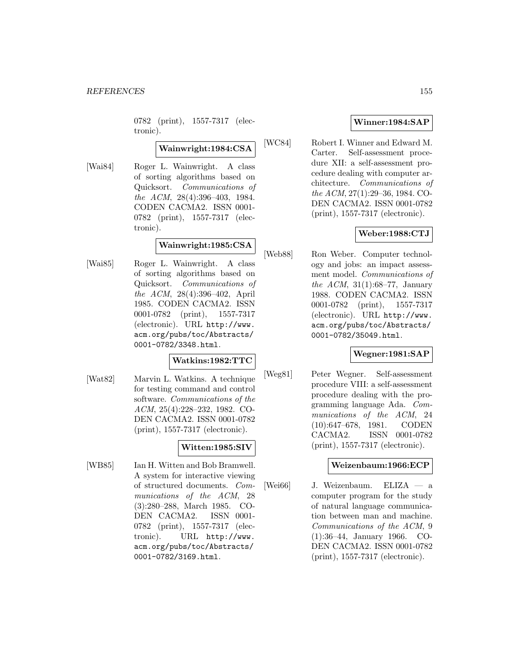0782 (print), 1557-7317 (electronic).

# **Wainwright:1984:CSA**

[Wai84] Roger L. Wainwright. A class of sorting algorithms based on Quicksort. Communications of the ACM, 28(4):396–403, 1984. CODEN CACMA2. ISSN 0001- 0782 (print), 1557-7317 (electronic).

# **Wainwright:1985:CSA**

[Wai85] Roger L. Wainwright. A class of sorting algorithms based on Quicksort. Communications of the ACM, 28(4):396–402, April 1985. CODEN CACMA2. ISSN 0001-0782 (print), 1557-7317 (electronic). URL http://www. acm.org/pubs/toc/Abstracts/ 0001-0782/3348.html.

#### **Watkins:1982:TTC**

[Wat82] Marvin L. Watkins. A technique for testing command and control software. Communications of the ACM, 25(4):228–232, 1982. CO-DEN CACMA2. ISSN 0001-0782 (print), 1557-7317 (electronic).

# **Witten:1985:SIV**

[WB85] Ian H. Witten and Bob Bramwell. A system for interactive viewing of structured documents. Communications of the ACM, 28 (3):280–288, March 1985. CO-DEN CACMA2. ISSN 0001- 0782 (print), 1557-7317 (electronic). URL http://www. acm.org/pubs/toc/Abstracts/ 0001-0782/3169.html.

## **Winner:1984:SAP**

[WC84] Robert I. Winner and Edward M. Carter. Self-assessment procedure XII: a self-assessment procedure dealing with computer architecture. Communications of the ACM, 27(1):29–36, 1984. CO-DEN CACMA2. ISSN 0001-0782 (print), 1557-7317 (electronic).

# **Weber:1988:CTJ**

[Web88] Ron Weber. Computer technology and jobs: an impact assessment model. Communications of the ACM, 31(1):68–77, January 1988. CODEN CACMA2. ISSN 0001-0782 (print), 1557-7317 (electronic). URL http://www. acm.org/pubs/toc/Abstracts/ 0001-0782/35049.html.

### **Wegner:1981:SAP**

[Weg81] Peter Wegner. Self-assessment procedure VIII: a self-assessment procedure dealing with the programming language Ada. Communications of the ACM, 24 (10):647–678, 1981. CODEN CACMA2. ISSN 0001-0782 (print), 1557-7317 (electronic).

#### **Weizenbaum:1966:ECP**

[Wei66] J. Weizenbaum. ELIZA — a computer program for the study of natural language communication between man and machine. Communications of the ACM, 9 (1):36–44, January 1966. CO-DEN CACMA2. ISSN 0001-0782 (print), 1557-7317 (electronic).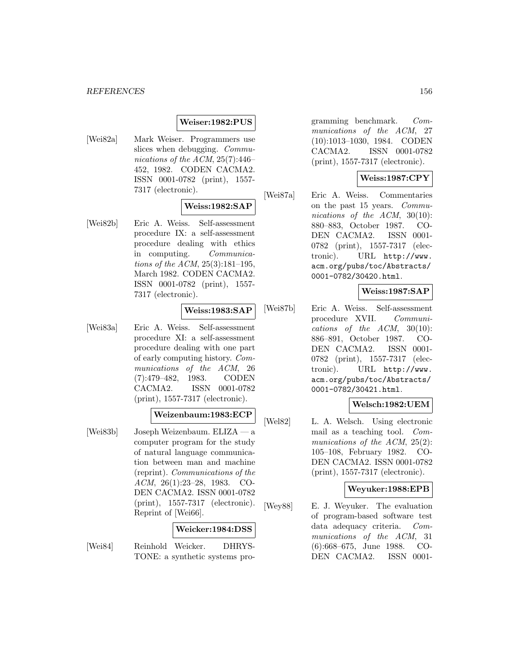#### **Weiser:1982:PUS**

[Wei82a] Mark Weiser. Programmers use slices when debugging. Communications of the ACM,  $25(7):446-$ 452, 1982. CODEN CACMA2. ISSN 0001-0782 (print), 1557- 7317 (electronic).

#### **Weiss:1982:SAP**

[Wei82b] Eric A. Weiss. Self-assessment procedure IX: a self-assessment procedure dealing with ethics in computing. Communications of the ACM, 25(3):181–195, March 1982. CODEN CACMA2. ISSN 0001-0782 (print), 1557- 7317 (electronic).

#### **Weiss:1983:SAP**

[Wei83a] Eric A. Weiss. Self-assessment procedure XI: a self-assessment procedure dealing with one part of early computing history. Communications of the ACM, 26 (7):479–482, 1983. CODEN CACMA2. ISSN 0001-0782 (print), 1557-7317 (electronic).

#### **Weizenbaum:1983:ECP**

[Wei83b] Joseph Weizenbaum. ELIZA — a computer program for the study of natural language communication between man and machine (reprint). Communications of the ACM, 26(1):23–28, 1983. CO-DEN CACMA2. ISSN 0001-0782 (print), 1557-7317 (electronic). Reprint of [Wei66].

#### **Weicker:1984:DSS**

[Wei84] Reinhold Weicker. DHRYS-TONE: a synthetic systems programming benchmark. Communications of the ACM, 27 (10):1013–1030, 1984. CODEN CACMA2. ISSN 0001-0782 (print), 1557-7317 (electronic).

#### **Weiss:1987:CPY**

[Wei87a] Eric A. Weiss. Commentaries on the past 15 years. Communications of the ACM, 30(10): 880–883, October 1987. CO-DEN CACMA2. ISSN 0001- 0782 (print), 1557-7317 (electronic). URL http://www. acm.org/pubs/toc/Abstracts/ 0001-0782/30420.html.

#### **Weiss:1987:SAP**

[Wei87b] Eric A. Weiss. Self-assessment procedure XVII. Communications of the  $ACM$ , 30(10): 886–891, October 1987. CO-DEN CACMA2. ISSN 0001- 0782 (print), 1557-7317 (electronic). URL http://www. acm.org/pubs/toc/Abstracts/ 0001-0782/30421.html.

### **Welsch:1982:UEM**

[Wel82] L. A. Welsch. Using electronic mail as a teaching tool. Communications of the ACM,  $25(2)$ : 105–108, February 1982. CO-DEN CACMA2. ISSN 0001-0782 (print), 1557-7317 (electronic).

#### **Weyuker:1988:EPB**

[Wey88] E. J. Weyuker. The evaluation of program-based software test data adequacy criteria. Communications of the ACM, 31 (6):668–675, June 1988. CO-DEN CACMA2. ISSN 0001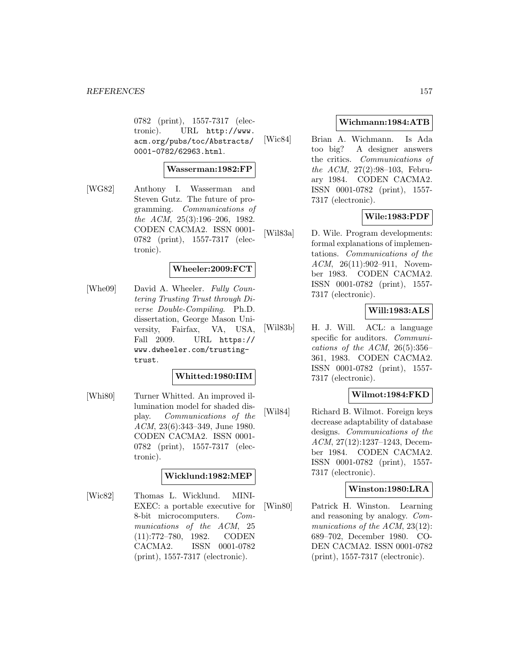0782 (print), 1557-7317 (electronic). URL http://www. acm.org/pubs/toc/Abstracts/ 0001-0782/62963.html.

#### **Wasserman:1982:FP**

[WG82] Anthony I. Wasserman and Steven Gutz. The future of programming. Communications of the ACM, 25(3):196–206, 1982. CODEN CACMA2. ISSN 0001- 0782 (print), 1557-7317 (electronic).

#### **Wheeler:2009:FCT**

[Whe09] David A. Wheeler. Fully Countering Trusting Trust through Diverse Double-Compiling. Ph.D. dissertation, George Mason University, Fairfax, VA, USA, Fall 2009. URL https:// www.dwheeler.com/trustingtrust.

#### **Whitted:1980:IIM**

[Whi80] Turner Whitted. An improved illumination model for shaded display. Communications of the ACM, 23(6):343–349, June 1980. CODEN CACMA2. ISSN 0001- 0782 (print), 1557-7317 (electronic).

#### **Wicklund:1982:MEP**

[Wic82] Thomas L. Wicklund. MINI-EXEC: a portable executive for 8-bit microcomputers. Communications of the ACM, 25 (11):772–780, 1982. CODEN CACMA2. ISSN 0001-0782 (print), 1557-7317 (electronic).

#### **Wichmann:1984:ATB**

[Wic84] Brian A. Wichmann. Is Ada too big? A designer answers the critics. Communications of the ACM, 27(2):98–103, February 1984. CODEN CACMA2. ISSN 0001-0782 (print), 1557- 7317 (electronic).

## **Wile:1983:PDF**

[Wil83a] D. Wile. Program developments: formal explanations of implementations. Communications of the ACM, 26(11):902–911, November 1983. CODEN CACMA2. ISSN 0001-0782 (print), 1557- 7317 (electronic).

#### **Will:1983:ALS**

[Wil83b] H. J. Will. ACL: a language specific for auditors. *Communi*cations of the ACM,  $26(5):356-$ 361, 1983. CODEN CACMA2. ISSN 0001-0782 (print), 1557- 7317 (electronic).

#### **Wilmot:1984:FKD**

[Wil84] Richard B. Wilmot. Foreign keys decrease adaptability of database designs. Communications of the ACM, 27(12):1237–1243, December 1984. CODEN CACMA2. ISSN 0001-0782 (print), 1557- 7317 (electronic).

#### **Winston:1980:LRA**

[Win80] Patrick H. Winston. Learning and reasoning by analogy. Communications of the ACM, 23(12): 689–702, December 1980. CO-DEN CACMA2. ISSN 0001-0782 (print), 1557-7317 (electronic).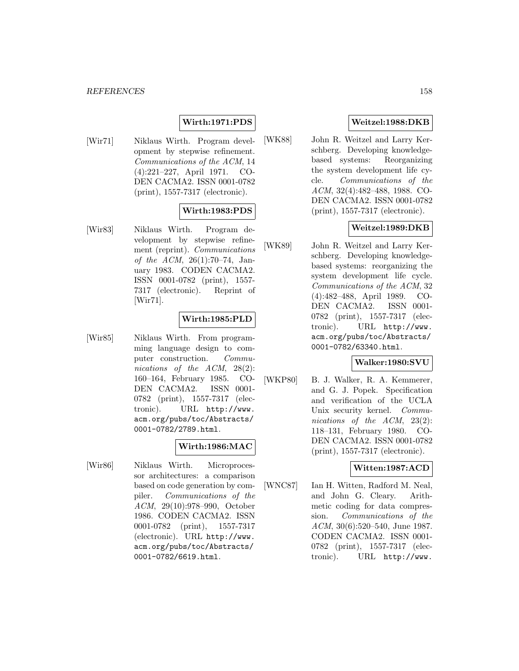# **Wirth:1971:PDS**

[Wir71] Niklaus Wirth. Program development by stepwise refinement. Communications of the ACM, 14 (4):221–227, April 1971. CO-DEN CACMA2. ISSN 0001-0782 (print), 1557-7317 (electronic).

## **Wirth:1983:PDS**

[Wir83] Niklaus Wirth. Program development by stepwise refinement (reprint). Communications of the ACM, 26(1):70–74, January 1983. CODEN CACMA2. ISSN 0001-0782 (print), 1557- 7317 (electronic). Reprint of [Wir71].

## **Wirth:1985:PLD**

[Wir85] Niklaus Wirth. From programming language design to computer construction. Communications of the ACM, 28(2): 160–164, February 1985. CO-DEN CACMA2. ISSN 0001- 0782 (print), 1557-7317 (electronic). URL http://www. acm.org/pubs/toc/Abstracts/ 0001-0782/2789.html.

# **Wirth:1986:MAC**

[Wir86] Niklaus Wirth. Microprocessor architectures: a comparison based on code generation by compiler. Communications of the ACM, 29(10):978–990, October 1986. CODEN CACMA2. ISSN 0001-0782 (print), 1557-7317 (electronic). URL http://www. acm.org/pubs/toc/Abstracts/ 0001-0782/6619.html.

# **Weitzel:1988:DKB**

[WK88] John R. Weitzel and Larry Kerschberg. Developing knowledgebased systems: Reorganizing the system development life cycle. Communications of the ACM, 32(4):482–488, 1988. CO-DEN CACMA2. ISSN 0001-0782 (print), 1557-7317 (electronic).

# **Weitzel:1989:DKB**

[WK89] John R. Weitzel and Larry Kerschberg. Developing knowledgebased systems: reorganizing the system development life cycle. Communications of the ACM, 32 (4):482–488, April 1989. CO-DEN CACMA2. ISSN 0001- 0782 (print), 1557-7317 (electronic). URL http://www. acm.org/pubs/toc/Abstracts/ 0001-0782/63340.html.

# **Walker:1980:SVU**

[WKP80] B. J. Walker, R. A. Kemmerer, and G. J. Popek. Specification and verification of the UCLA Unix security kernel. Communications of the ACM, 23(2): 118–131, February 1980. CO-DEN CACMA2. ISSN 0001-0782 (print), 1557-7317 (electronic).

# **Witten:1987:ACD**

[WNC87] Ian H. Witten, Radford M. Neal, and John G. Cleary. Arithmetic coding for data compression. Communications of the ACM, 30(6):520–540, June 1987. CODEN CACMA2. ISSN 0001- 0782 (print), 1557-7317 (electronic). URL http://www.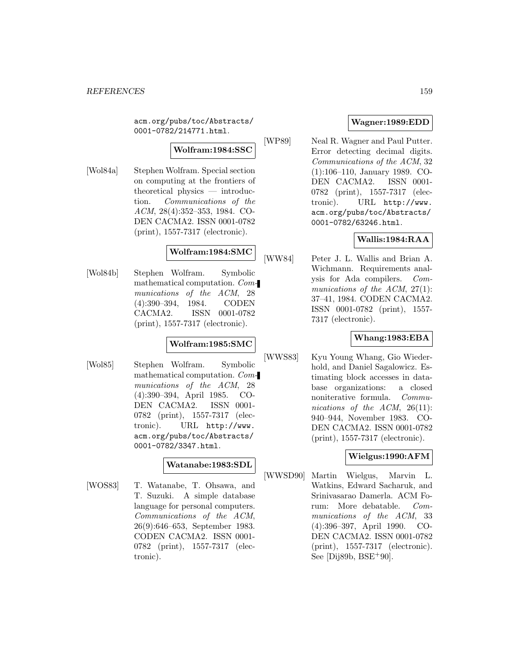acm.org/pubs/toc/Abstracts/ 0001-0782/214771.html.

# **Wolfram:1984:SSC**

[Wol84a] Stephen Wolfram. Special section on computing at the frontiers of theoretical physics — introduction. Communications of the ACM, 28(4):352–353, 1984. CO-DEN CACMA2. ISSN 0001-0782 (print), 1557-7317 (electronic).

# **Wolfram:1984:SMC**

[Wol84b] Stephen Wolfram. Symbolic mathematical computation. Communications of the ACM, 28 (4):390–394, 1984. CODEN CACMA2. ISSN 0001-0782 (print), 1557-7317 (electronic).

#### **Wolfram:1985:SMC**

[Wol85] Stephen Wolfram. Symbolic mathematical computation. Communications of the ACM, 28 (4):390–394, April 1985. CO-DEN CACMA2. ISSN 0001- 0782 (print), 1557-7317 (electronic). URL http://www. acm.org/pubs/toc/Abstracts/ 0001-0782/3347.html.

## **Watanabe:1983:SDL**

[WOS83] T. Watanabe, T. Ohsawa, and T. Suzuki. A simple database language for personal computers. Communications of the ACM, 26(9):646–653, September 1983. CODEN CACMA2. ISSN 0001- 0782 (print), 1557-7317 (electronic).

# **Wagner:1989:EDD**

[WP89] Neal R. Wagner and Paul Putter. Error detecting decimal digits. Communications of the ACM, 32 (1):106–110, January 1989. CO-DEN CACMA2. ISSN 0001- 0782 (print), 1557-7317 (electronic). URL http://www. acm.org/pubs/toc/Abstracts/ 0001-0782/63246.html.

## **Wallis:1984:RAA**

[WW84] Peter J. L. Wallis and Brian A. Wichmann. Requirements analysis for Ada compilers. Communications of the  $ACM$ , 27(1): 37–41, 1984. CODEN CACMA2. ISSN 0001-0782 (print), 1557- 7317 (electronic).

# **Whang:1983:EBA**

[WWS83] Kyu Young Whang, Gio Wiederhold, and Daniel Sagalowicz. Estimating block accesses in database organizations: a closed noniterative formula. Communications of the  $ACM$ ,  $26(11)$ : 940–944, November 1983. CO-DEN CACMA2. ISSN 0001-0782 (print), 1557-7317 (electronic).

## **Wielgus:1990:AFM**

[WWSD90] Martin Wielgus, Marvin L. Watkins, Edward Sacharuk, and Srinivasarao Damerla. ACM Forum: More debatable. Communications of the ACM, 33 (4):396–397, April 1990. CO-DEN CACMA2. ISSN 0001-0782 (print), 1557-7317 (electronic). See [Dij89b, BSE<sup>+</sup>90].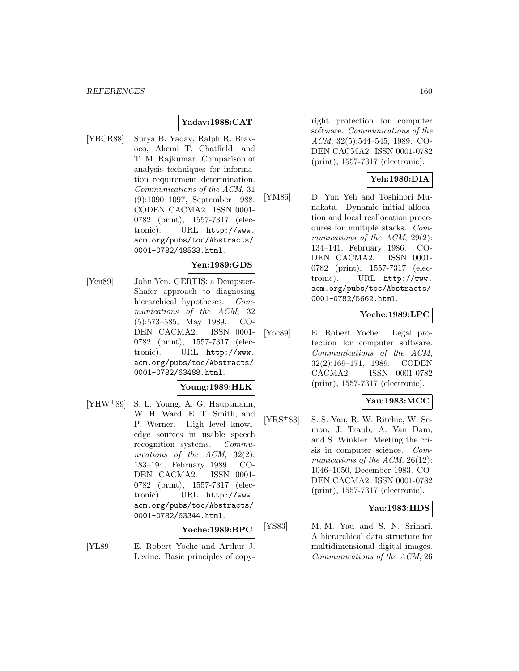## **Yadav:1988:CAT**

[YBCR88] Surya B. Yadav, Ralph R. Bravoco, Akemi T. Chatfield, and T. M. Rajkumar. Comparison of analysis techniques for information requirement determination. Communications of the ACM, 31 (9):1090–1097, September 1988. CODEN CACMA2. ISSN 0001- 0782 (print), 1557-7317 (electronic). URL http://www. acm.org/pubs/toc/Abstracts/ 0001-0782/48533.html.

# **Yen:1989:GDS**

[Yen89] John Yen. GERTIS: a Dempster-Shafer approach to diagnosing hierarchical hypotheses. Communications of the ACM, 32 (5):573–585, May 1989. CO-DEN CACMA2. ISSN 0001-0782 (print), 1557-7317 (electronic). URL http://www. acm.org/pubs/toc/Abstracts/ 0001-0782/63488.html.

### **Young:1989:HLK**

[YHW<sup>+</sup>89] S. L. Young, A. G. Hauptmann, W. H. Ward, E. T. Smith, and P. Werner. High level knowledge sources in usable speech recognition systems. Communications of the ACM, 32(2): 183–194, February 1989. CO-DEN CACMA2. ISSN 0001- 0782 (print), 1557-7317 (electronic). URL http://www. acm.org/pubs/toc/Abstracts/ 0001-0782/63344.html.

#### **Yoche:1989:BPC**

[YL89] E. Robert Yoche and Arthur J. Levine. Basic principles of copyright protection for computer software. Communications of the ACM, 32(5):544–545, 1989. CO-DEN CACMA2. ISSN 0001-0782 (print), 1557-7317 (electronic).

#### **Yeh:1986:DIA**

[YM86] D. Yun Yeh and Toshinori Munakata. Dynamic initial allocation and local reallocation procedures for multiple stacks. Communications of the ACM, 29(2): 134–141, February 1986. CO-DEN CACMA2. ISSN 0001- 0782 (print), 1557-7317 (electronic). URL http://www. acm.org/pubs/toc/Abstracts/ 0001-0782/5662.html.

#### **Yoche:1989:LPC**

[Yoc89] E. Robert Yoche. Legal protection for computer software. Communications of the ACM, 32(2):169–171, 1989. CODEN CACMA2. ISSN 0001-0782 (print), 1557-7317 (electronic).

#### **Yau:1983:MCC**

[YRS<sup>+</sup>83] S. S. Yau, R. W. Ritchie, W. Semon, J. Traub, A. Van Dam, and S. Winkler. Meeting the crisis in computer science. Communications of the ACM, 26(12): 1046–1050, December 1983. CO-DEN CACMA2. ISSN 0001-0782 (print), 1557-7317 (electronic).

#### **Yau:1983:HDS**

[YS83] M.-M. Yau and S. N. Srihari. A hierarchical data structure for multidimensional digital images. Communications of the ACM, 26